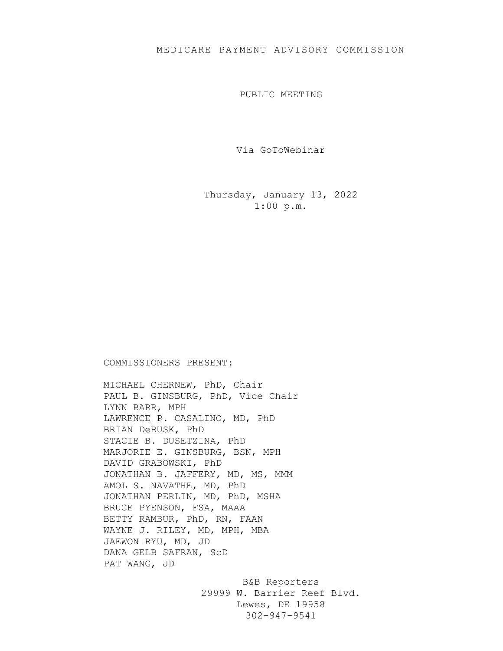## MEDICARE PAYMENT ADVISORY COMMISSION

PUBLIC MEETING

Via GoToWebinar

Thursday, January 13, 2022 1:00 p.m.

## COMMISSIONERS PRESENT:

MICHAEL CHERNEW, PhD, Chair PAUL B. GINSBURG, PhD, Vice Chair LYNN BARR, MPH LAWRENCE P. CASALINO, MD, PhD BRIAN DeBUSK, PhD STACIE B. DUSETZINA, PhD MARJORIE E. GINSBURG, BSN, MPH DAVID GRABOWSKI, PhD JONATHAN B. JAFFERY, MD, MS, MMM AMOL S. NAVATHE, MD, PhD JONATHAN PERLIN, MD, PhD, MSHA BRUCE PYENSON, FSA, MAAA BETTY RAMBUR, PhD, RN, FAAN WAYNE J. RILEY, MD, MPH, MBA JAEWON RYU, MD, JD DANA GELB SAFRAN, ScD PAT WANG, JD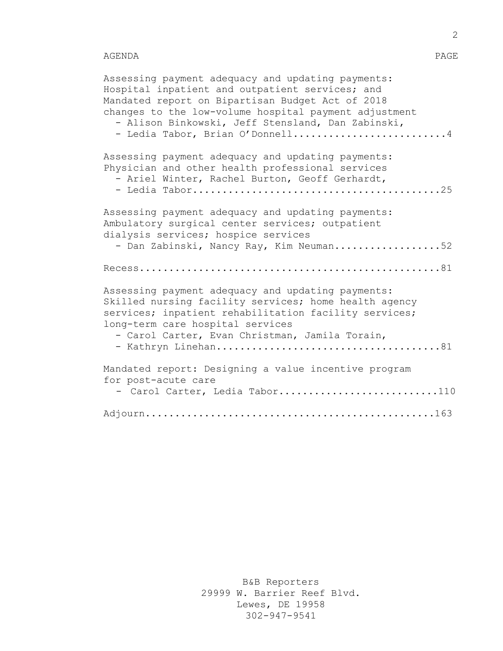## AGENDA PAGE

| Assessing payment adequacy and updating payments:<br>Hospital inpatient and outpatient services; and<br>Mandated report on Bipartisan Budget Act of 2018<br>changes to the low-volume hospital payment adjustment<br>- Alison Binkowski, Jeff Stensland, Dan Zabinski,<br>- Ledia Tabor, Brian O'Donnell4 |
|-----------------------------------------------------------------------------------------------------------------------------------------------------------------------------------------------------------------------------------------------------------------------------------------------------------|
| Assessing payment adequacy and updating payments:<br>Physician and other health professional services<br>- Ariel Winter, Rachel Burton, Geoff Gerhardt,                                                                                                                                                   |
| Assessing payment adequacy and updating payments:<br>Ambulatory surgical center services; outpatient<br>dialysis services; hospice services<br>- Dan Zabinski, Nancy Ray, Kim Neuman52                                                                                                                    |
|                                                                                                                                                                                                                                                                                                           |
| Assessing payment adequacy and updating payments:<br>Skilled nursing facility services; home health agency<br>services; inpatient rehabilitation facility services;<br>long-term care hospital services<br>- Carol Carter, Evan Christman, Jamila Torain,                                                 |
| Mandated report: Designing a value incentive program<br>for post-acute care<br>- Carol Carter, Ledia Tabor110                                                                                                                                                                                             |
|                                                                                                                                                                                                                                                                                                           |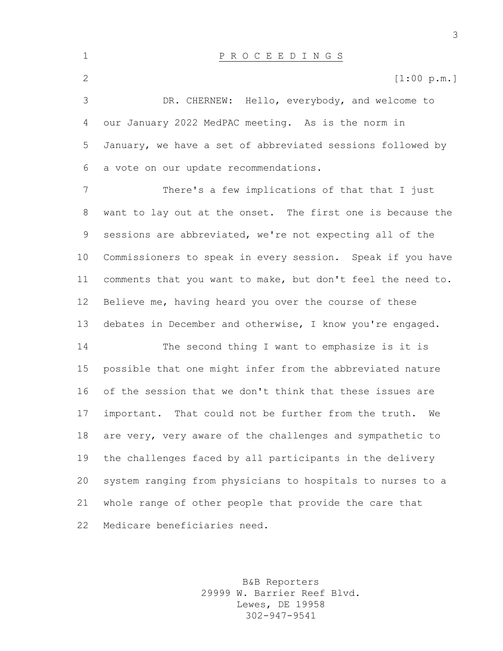P R O C E E D I N G S 2 [1:00 p.m.] DR. CHERNEW: Hello, everybody, and welcome to our January 2022 MedPAC meeting. As is the norm in January, we have a set of abbreviated sessions followed by a vote on our update recommendations. There's a few implications of that that I just want to lay out at the onset. The first one is because the sessions are abbreviated, we're not expecting all of the Commissioners to speak in every session. Speak if you have comments that you want to make, but don't feel the need to. Believe me, having heard you over the course of these debates in December and otherwise, I know you're engaged. The second thing I want to emphasize is it is possible that one might infer from the abbreviated nature

 of the session that we don't think that these issues are important. That could not be further from the truth. We are very, very aware of the challenges and sympathetic to the challenges faced by all participants in the delivery system ranging from physicians to hospitals to nurses to a whole range of other people that provide the care that Medicare beneficiaries need.

> B&B Reporters 29999 W. Barrier Reef Blvd. Lewes, DE 19958 302-947-9541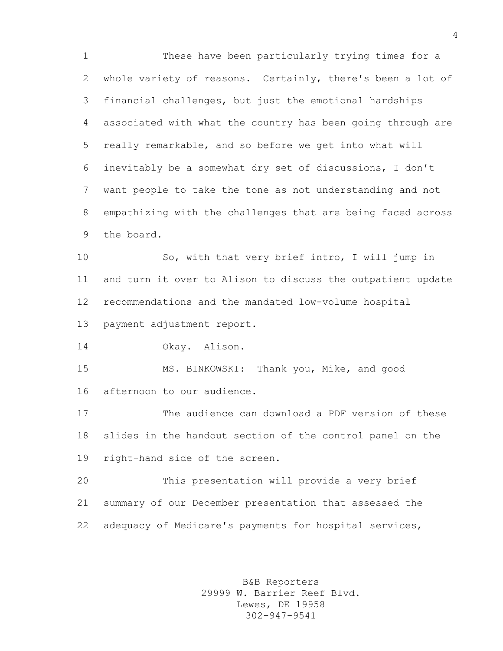These have been particularly trying times for a whole variety of reasons. Certainly, there's been a lot of financial challenges, but just the emotional hardships associated with what the country has been going through are really remarkable, and so before we get into what will inevitably be a somewhat dry set of discussions, I don't want people to take the tone as not understanding and not empathizing with the challenges that are being faced across the board.

 So, with that very brief intro, I will jump in and turn it over to Alison to discuss the outpatient update recommendations and the mandated low-volume hospital

payment adjustment report.

Okay. Alison.

 MS. BINKOWSKI: Thank you, Mike, and good afternoon to our audience.

 The audience can download a PDF version of these slides in the handout section of the control panel on the right-hand side of the screen.

 This presentation will provide a very brief summary of our December presentation that assessed the adequacy of Medicare's payments for hospital services,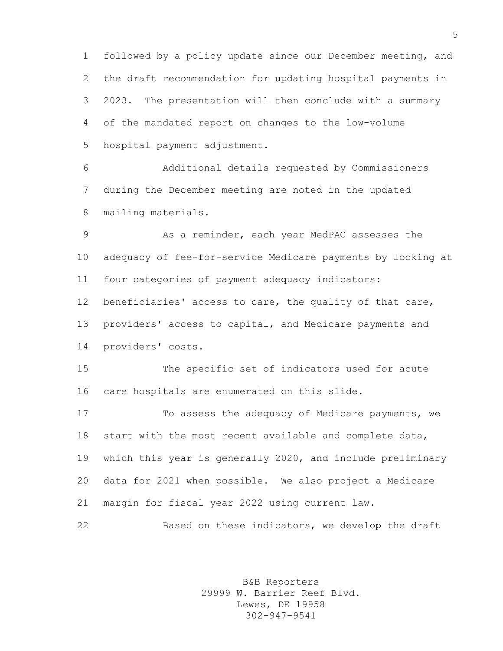followed by a policy update since our December meeting, and the draft recommendation for updating hospital payments in 2023. The presentation will then conclude with a summary of the mandated report on changes to the low-volume hospital payment adjustment.

 Additional details requested by Commissioners during the December meeting are noted in the updated mailing materials.

 As a reminder, each year MedPAC assesses the adequacy of fee-for-service Medicare payments by looking at four categories of payment adequacy indicators: beneficiaries' access to care, the quality of that care, providers' access to capital, and Medicare payments and providers' costs.

 The specific set of indicators used for acute care hospitals are enumerated on this slide.

 To assess the adequacy of Medicare payments, we start with the most recent available and complete data, which this year is generally 2020, and include preliminary data for 2021 when possible. We also project a Medicare margin for fiscal year 2022 using current law.

Based on these indicators, we develop the draft

B&B Reporters 29999 W. Barrier Reef Blvd. Lewes, DE 19958 302-947-9541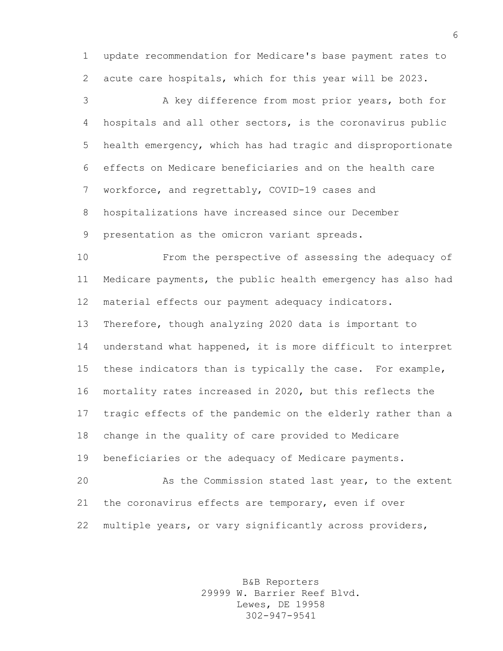update recommendation for Medicare's base payment rates to acute care hospitals, which for this year will be 2023.

 A key difference from most prior years, both for hospitals and all other sectors, is the coronavirus public health emergency, which has had tragic and disproportionate effects on Medicare beneficiaries and on the health care workforce, and regrettably, COVID-19 cases and hospitalizations have increased since our December presentation as the omicron variant spreads.

 From the perspective of assessing the adequacy of Medicare payments, the public health emergency has also had material effects our payment adequacy indicators.

 Therefore, though analyzing 2020 data is important to understand what happened, it is more difficult to interpret these indicators than is typically the case. For example, mortality rates increased in 2020, but this reflects the tragic effects of the pandemic on the elderly rather than a change in the quality of care provided to Medicare beneficiaries or the adequacy of Medicare payments. As the Commission stated last year, to the extent the coronavirus effects are temporary, even if over

multiple years, or vary significantly across providers,

B&B Reporters 29999 W. Barrier Reef Blvd. Lewes, DE 19958 302-947-9541

 $6 \overline{6}$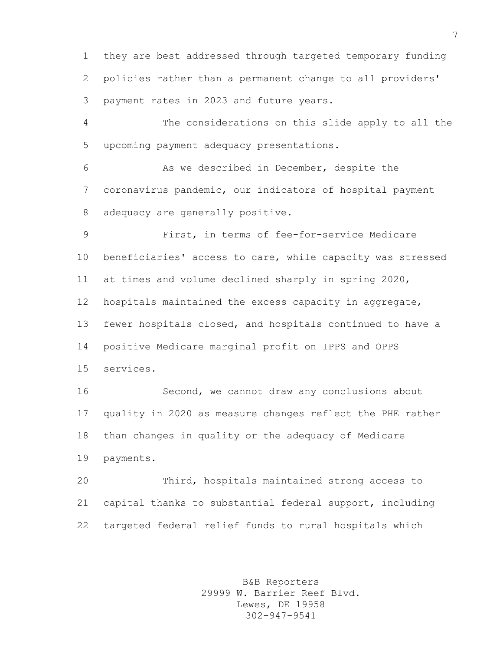they are best addressed through targeted temporary funding policies rather than a permanent change to all providers' payment rates in 2023 and future years.

 The considerations on this slide apply to all the upcoming payment adequacy presentations.

 As we described in December, despite the coronavirus pandemic, our indicators of hospital payment adequacy are generally positive.

 First, in terms of fee-for-service Medicare beneficiaries' access to care, while capacity was stressed at times and volume declined sharply in spring 2020, hospitals maintained the excess capacity in aggregate, fewer hospitals closed, and hospitals continued to have a positive Medicare marginal profit on IPPS and OPPS services.

 Second, we cannot draw any conclusions about quality in 2020 as measure changes reflect the PHE rather than changes in quality or the adequacy of Medicare payments.

 Third, hospitals maintained strong access to capital thanks to substantial federal support, including targeted federal relief funds to rural hospitals which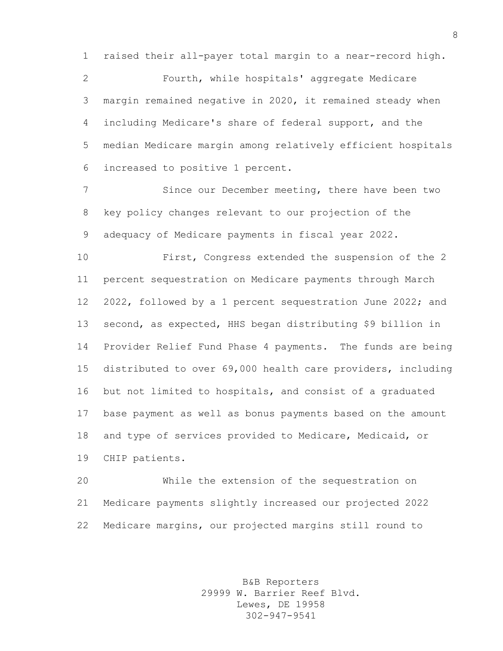raised their all-payer total margin to a near-record high.

 Fourth, while hospitals' aggregate Medicare margin remained negative in 2020, it remained steady when including Medicare's share of federal support, and the median Medicare margin among relatively efficient hospitals increased to positive 1 percent.

 Since our December meeting, there have been two key policy changes relevant to our projection of the adequacy of Medicare payments in fiscal year 2022.

 First, Congress extended the suspension of the 2 percent sequestration on Medicare payments through March 2022, followed by a 1 percent sequestration June 2022; and second, as expected, HHS began distributing \$9 billion in Provider Relief Fund Phase 4 payments. The funds are being distributed to over 69,000 health care providers, including but not limited to hospitals, and consist of a graduated base payment as well as bonus payments based on the amount and type of services provided to Medicare, Medicaid, or CHIP patients.

 While the extension of the sequestration on Medicare payments slightly increased our projected 2022 Medicare margins, our projected margins still round to

> B&B Reporters 29999 W. Barrier Reef Blvd. Lewes, DE 19958 302-947-9541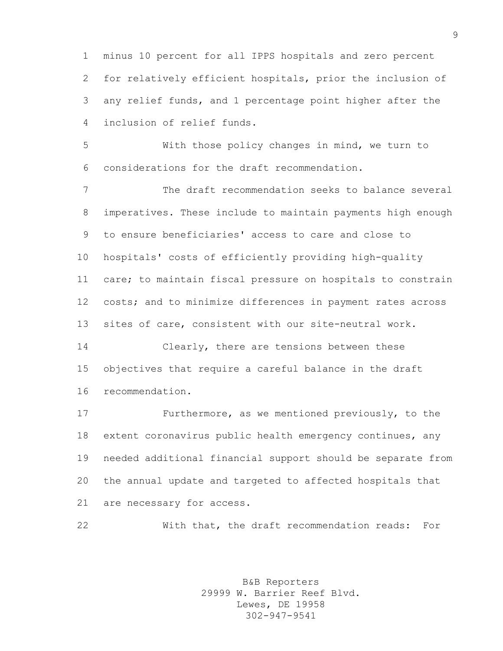minus 10 percent for all IPPS hospitals and zero percent for relatively efficient hospitals, prior the inclusion of any relief funds, and 1 percentage point higher after the inclusion of relief funds.

 With those policy changes in mind, we turn to considerations for the draft recommendation.

 The draft recommendation seeks to balance several imperatives. These include to maintain payments high enough to ensure beneficiaries' access to care and close to hospitals' costs of efficiently providing high-quality care; to maintain fiscal pressure on hospitals to constrain costs; and to minimize differences in payment rates across sites of care, consistent with our site-neutral work.

 Clearly, there are tensions between these objectives that require a careful balance in the draft recommendation.

 Furthermore, as we mentioned previously, to the extent coronavirus public health emergency continues, any needed additional financial support should be separate from the annual update and targeted to affected hospitals that are necessary for access.

With that, the draft recommendation reads: For

B&B Reporters 29999 W. Barrier Reef Blvd. Lewes, DE 19958 302-947-9541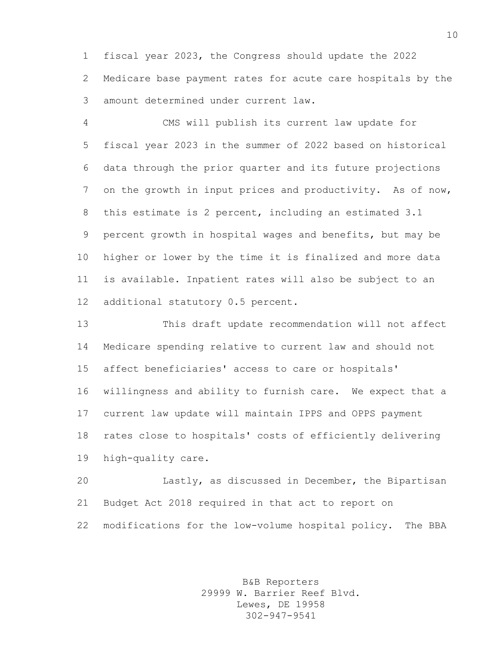fiscal year 2023, the Congress should update the 2022 Medicare base payment rates for acute care hospitals by the amount determined under current law.

 CMS will publish its current law update for fiscal year 2023 in the summer of 2022 based on historical data through the prior quarter and its future projections 7 on the growth in input prices and productivity. As of now, this estimate is 2 percent, including an estimated 3.1 percent growth in hospital wages and benefits, but may be higher or lower by the time it is finalized and more data is available. Inpatient rates will also be subject to an additional statutory 0.5 percent.

 This draft update recommendation will not affect Medicare spending relative to current law and should not affect beneficiaries' access to care or hospitals' willingness and ability to furnish care. We expect that a current law update will maintain IPPS and OPPS payment rates close to hospitals' costs of efficiently delivering high-quality care.

 Lastly, as discussed in December, the Bipartisan Budget Act 2018 required in that act to report on modifications for the low-volume hospital policy. The BBA

> B&B Reporters 29999 W. Barrier Reef Blvd. Lewes, DE 19958 302-947-9541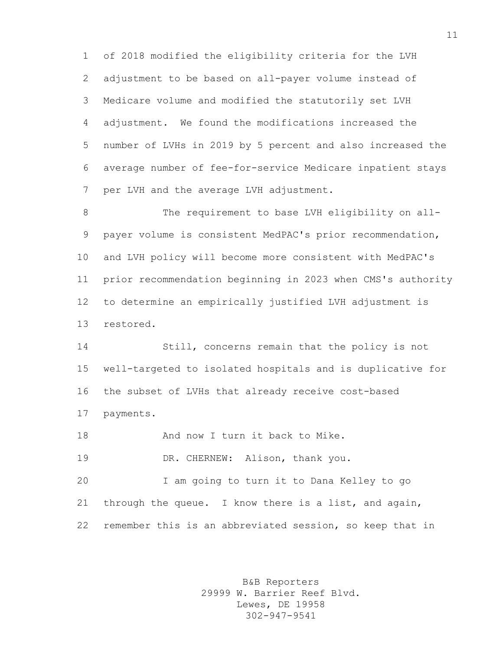of 2018 modified the eligibility criteria for the LVH adjustment to be based on all-payer volume instead of Medicare volume and modified the statutorily set LVH adjustment. We found the modifications increased the number of LVHs in 2019 by 5 percent and also increased the average number of fee-for-service Medicare inpatient stays per LVH and the average LVH adjustment.

8 The requirement to base LVH eligibility on all- payer volume is consistent MedPAC's prior recommendation, and LVH policy will become more consistent with MedPAC's prior recommendation beginning in 2023 when CMS's authority to determine an empirically justified LVH adjustment is restored.

 Still, concerns remain that the policy is not well-targeted to isolated hospitals and is duplicative for the subset of LVHs that already receive cost-based payments.

**And now I turn it back to Mike.** 

DR. CHERNEW: Alison, thank you.

 I am going to turn it to Dana Kelley to go 21 through the queue. I know there is a list, and again, remember this is an abbreviated session, so keep that in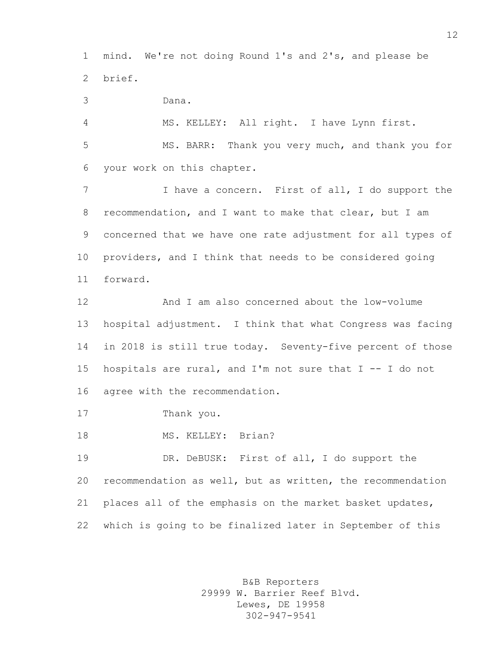mind. We're not doing Round 1's and 2's, and please be brief.

Dana.

 MS. KELLEY: All right. I have Lynn first. MS. BARR: Thank you very much, and thank you for your work on this chapter.

 I have a concern. First of all, I do support the recommendation, and I want to make that clear, but I am concerned that we have one rate adjustment for all types of providers, and I think that needs to be considered going forward.

 And I am also concerned about the low-volume hospital adjustment. I think that what Congress was facing in 2018 is still true today. Seventy-five percent of those hospitals are rural, and I'm not sure that I -- I do not agree with the recommendation.

Thank you.

18 MS. KELLEY: Brian?

 DR. DeBUSK: First of all, I do support the recommendation as well, but as written, the recommendation places all of the emphasis on the market basket updates, which is going to be finalized later in September of this

> B&B Reporters 29999 W. Barrier Reef Blvd. Lewes, DE 19958 302-947-9541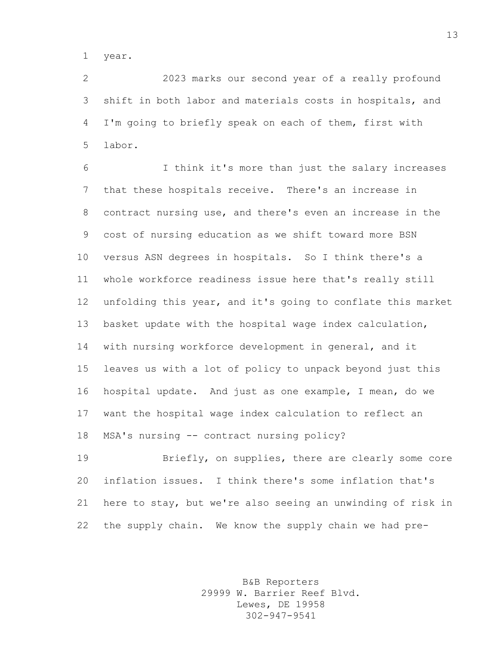year.

 2023 marks our second year of a really profound shift in both labor and materials costs in hospitals, and I'm going to briefly speak on each of them, first with labor.

 I think it's more than just the salary increases that these hospitals receive. There's an increase in contract nursing use, and there's even an increase in the cost of nursing education as we shift toward more BSN versus ASN degrees in hospitals. So I think there's a whole workforce readiness issue here that's really still unfolding this year, and it's going to conflate this market basket update with the hospital wage index calculation, with nursing workforce development in general, and it leaves us with a lot of policy to unpack beyond just this hospital update. And just as one example, I mean, do we want the hospital wage index calculation to reflect an MSA's nursing -- contract nursing policy?

 Briefly, on supplies, there are clearly some core inflation issues. I think there's some inflation that's here to stay, but we're also seeing an unwinding of risk in the supply chain. We know the supply chain we had pre-

> B&B Reporters 29999 W. Barrier Reef Blvd. Lewes, DE 19958 302-947-9541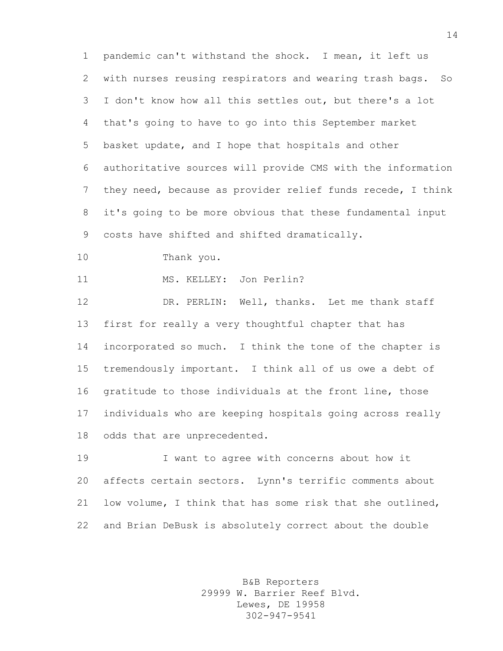pandemic can't withstand the shock. I mean, it left us with nurses reusing respirators and wearing trash bags. So I don't know how all this settles out, but there's a lot that's going to have to go into this September market basket update, and I hope that hospitals and other authoritative sources will provide CMS with the information they need, because as provider relief funds recede, I think it's going to be more obvious that these fundamental input costs have shifted and shifted dramatically.

Thank you.

MS. KELLEY: Jon Perlin?

 DR. PERLIN: Well, thanks. Let me thank staff first for really a very thoughtful chapter that has incorporated so much. I think the tone of the chapter is tremendously important. I think all of us owe a debt of gratitude to those individuals at the front line, those individuals who are keeping hospitals going across really odds that are unprecedented.

 I want to agree with concerns about how it affects certain sectors. Lynn's terrific comments about low volume, I think that has some risk that she outlined, and Brian DeBusk is absolutely correct about the double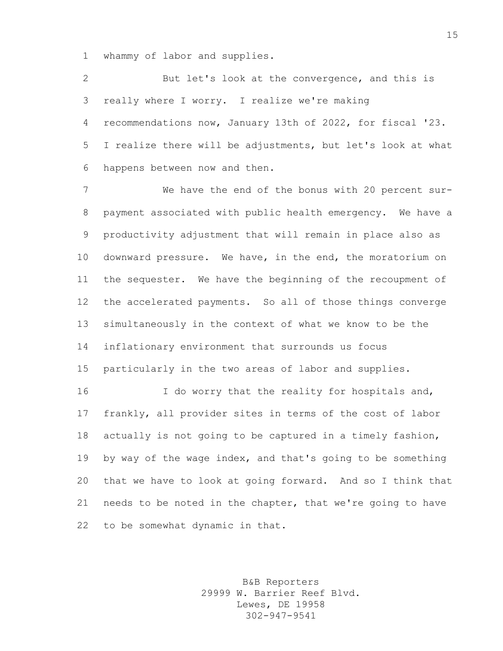whammy of labor and supplies.

 But let's look at the convergence, and this is really where I worry. I realize we're making recommendations now, January 13th of 2022, for fiscal '23. I realize there will be adjustments, but let's look at what happens between now and then.

 We have the end of the bonus with 20 percent sur- payment associated with public health emergency. We have a productivity adjustment that will remain in place also as downward pressure. We have, in the end, the moratorium on the sequester. We have the beginning of the recoupment of the accelerated payments. So all of those things converge simultaneously in the context of what we know to be the inflationary environment that surrounds us focus particularly in the two areas of labor and supplies.

16 I do worry that the reality for hospitals and, frankly, all provider sites in terms of the cost of labor actually is not going to be captured in a timely fashion, 19 by way of the wage index, and that's going to be something that we have to look at going forward. And so I think that needs to be noted in the chapter, that we're going to have to be somewhat dynamic in that.

> B&B Reporters 29999 W. Barrier Reef Blvd. Lewes, DE 19958 302-947-9541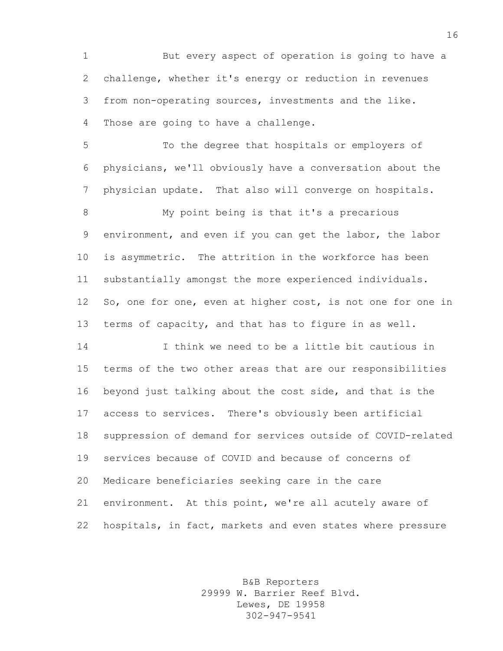But every aspect of operation is going to have a challenge, whether it's energy or reduction in revenues from non-operating sources, investments and the like. Those are going to have a challenge.

 To the degree that hospitals or employers of physicians, we'll obviously have a conversation about the physician update. That also will converge on hospitals.

 My point being is that it's a precarious environment, and even if you can get the labor, the labor is asymmetric. The attrition in the workforce has been substantially amongst the more experienced individuals. So, one for one, even at higher cost, is not one for one in terms of capacity, and that has to figure in as well.

 I think we need to be a little bit cautious in terms of the two other areas that are our responsibilities beyond just talking about the cost side, and that is the access to services. There's obviously been artificial suppression of demand for services outside of COVID-related services because of COVID and because of concerns of Medicare beneficiaries seeking care in the care environment. At this point, we're all acutely aware of hospitals, in fact, markets and even states where pressure

> B&B Reporters 29999 W. Barrier Reef Blvd. Lewes, DE 19958 302-947-9541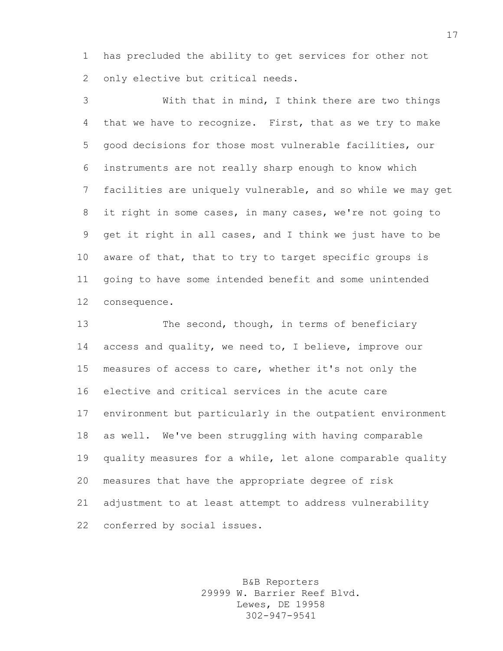has precluded the ability to get services for other not only elective but critical needs.

 With that in mind, I think there are two things that we have to recognize. First, that as we try to make good decisions for those most vulnerable facilities, our instruments are not really sharp enough to know which facilities are uniquely vulnerable, and so while we may get it right in some cases, in many cases, we're not going to get it right in all cases, and I think we just have to be aware of that, that to try to target specific groups is going to have some intended benefit and some unintended consequence.

13 The second, though, in terms of beneficiary 14 access and quality, we need to, I believe, improve our measures of access to care, whether it's not only the elective and critical services in the acute care environment but particularly in the outpatient environment as well. We've been struggling with having comparable quality measures for a while, let alone comparable quality measures that have the appropriate degree of risk adjustment to at least attempt to address vulnerability conferred by social issues.

> B&B Reporters 29999 W. Barrier Reef Blvd. Lewes, DE 19958 302-947-9541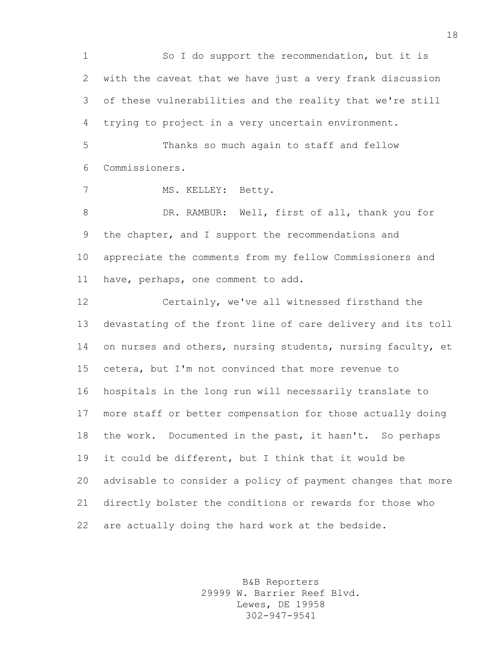So I do support the recommendation, but it is with the caveat that we have just a very frank discussion of these vulnerabilities and the reality that we're still trying to project in a very uncertain environment. Thanks so much again to staff and fellow Commissioners. 7 MS. KELLEY: Betty. 8 DR. RAMBUR: Well, first of all, thank you for the chapter, and I support the recommendations and appreciate the comments from my fellow Commissioners and have, perhaps, one comment to add. Certainly, we've all witnessed firsthand the devastating of the front line of care delivery and its toll 14 on nurses and others, nursing students, nursing faculty, et cetera, but I'm not convinced that more revenue to hospitals in the long run will necessarily translate to more staff or better compensation for those actually doing 18 the work. Documented in the past, it hasn't. So perhaps it could be different, but I think that it would be advisable to consider a policy of payment changes that more directly bolster the conditions or rewards for those who are actually doing the hard work at the bedside.

> B&B Reporters 29999 W. Barrier Reef Blvd. Lewes, DE 19958 302-947-9541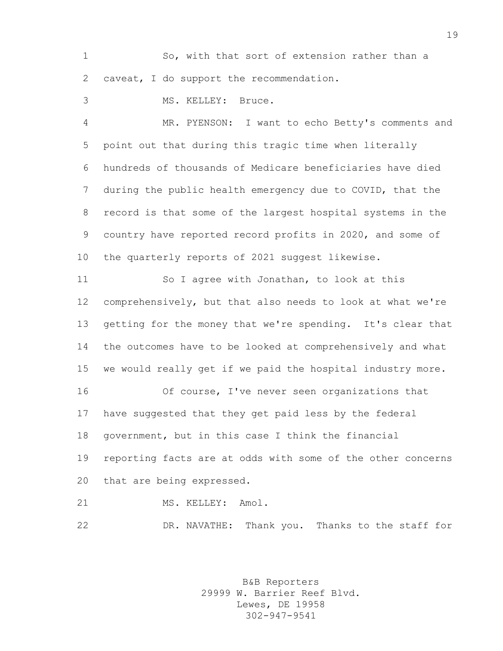So, with that sort of extension rather than a caveat, I do support the recommendation.

MS. KELLEY: Bruce.

 MR. PYENSON: I want to echo Betty's comments and point out that during this tragic time when literally hundreds of thousands of Medicare beneficiaries have died during the public health emergency due to COVID, that the record is that some of the largest hospital systems in the country have reported record profits in 2020, and some of the quarterly reports of 2021 suggest likewise.

 So I agree with Jonathan, to look at this comprehensively, but that also needs to look at what we're getting for the money that we're spending. It's clear that the outcomes have to be looked at comprehensively and what we would really get if we paid the hospital industry more.

 Of course, I've never seen organizations that have suggested that they get paid less by the federal government, but in this case I think the financial reporting facts are at odds with some of the other concerns that are being expressed.

21 MS. KELLEY: Amol.

DR. NAVATHE: Thank you. Thanks to the staff for

B&B Reporters 29999 W. Barrier Reef Blvd. Lewes, DE 19958 302-947-9541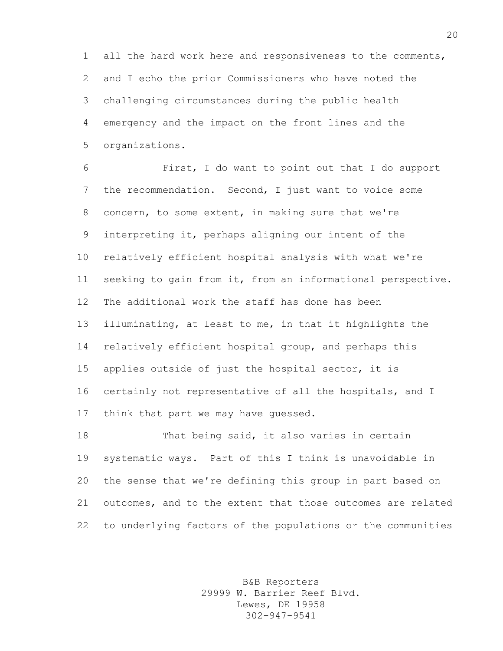all the hard work here and responsiveness to the comments, and I echo the prior Commissioners who have noted the challenging circumstances during the public health emergency and the impact on the front lines and the organizations.

 First, I do want to point out that I do support the recommendation. Second, I just want to voice some concern, to some extent, in making sure that we're interpreting it, perhaps aligning our intent of the relatively efficient hospital analysis with what we're seeking to gain from it, from an informational perspective. The additional work the staff has done has been illuminating, at least to me, in that it highlights the relatively efficient hospital group, and perhaps this applies outside of just the hospital sector, it is certainly not representative of all the hospitals, and I think that part we may have guessed.

 That being said, it also varies in certain systematic ways. Part of this I think is unavoidable in the sense that we're defining this group in part based on outcomes, and to the extent that those outcomes are related to underlying factors of the populations or the communities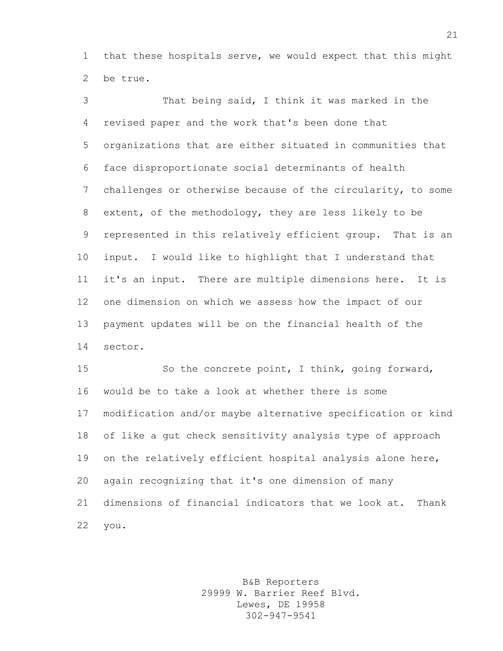that these hospitals serve, we would expect that this might be true.

 That being said, I think it was marked in the revised paper and the work that's been done that organizations that are either situated in communities that face disproportionate social determinants of health challenges or otherwise because of the circularity, to some extent, of the methodology, they are less likely to be represented in this relatively efficient group. That is an input. I would like to highlight that I understand that it's an input. There are multiple dimensions here. It is one dimension on which we assess how the impact of our payment updates will be on the financial health of the sector.

 So the concrete point, I think, going forward, would be to take a look at whether there is some modification and/or maybe alternative specification or kind of like a gut check sensitivity analysis type of approach on the relatively efficient hospital analysis alone here, again recognizing that it's one dimension of many dimensions of financial indicators that we look at. Thank you.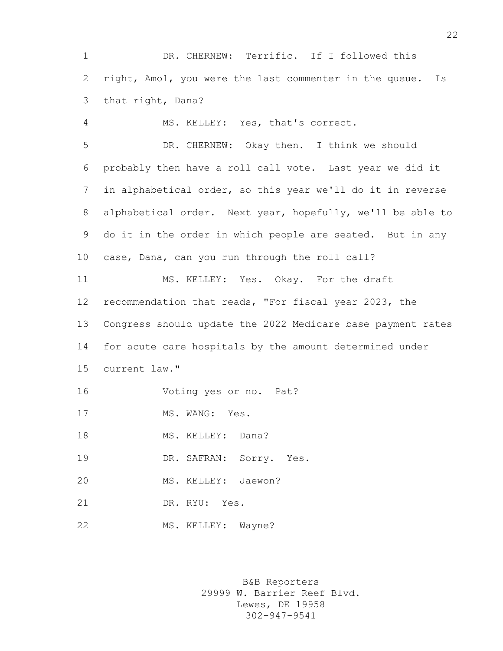DR. CHERNEW: Terrific. If I followed this right, Amol, you were the last commenter in the queue. Is that right, Dana?

 MS. KELLEY: Yes, that's correct. DR. CHERNEW: Okay then. I think we should probably then have a roll call vote. Last year we did it in alphabetical order, so this year we'll do it in reverse alphabetical order. Next year, hopefully, we'll be able to do it in the order in which people are seated. But in any case, Dana, can you run through the roll call? MS. KELLEY: Yes. Okay. For the draft recommendation that reads, "For fiscal year 2023, the Congress should update the 2022 Medicare base payment rates for acute care hospitals by the amount determined under current law." Voting yes or no. Pat? 17 MS. WANG: Yes. 18 MS. KELLEY: Dana? DR. SAFRAN: Sorry. Yes. MS. KELLEY: Jaewon? DR. RYU: Yes.

> B&B Reporters 29999 W. Barrier Reef Blvd. Lewes, DE 19958 302-947-9541

22 MS. KELLEY: Wayne?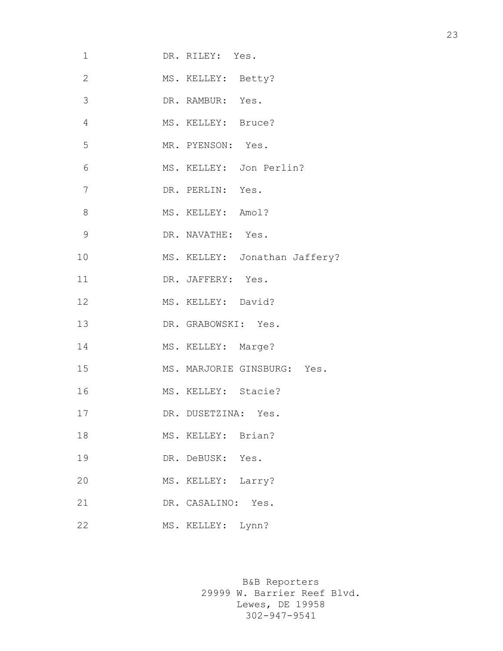| 1              | DR. RILEY: Yes.               |
|----------------|-------------------------------|
| $\mathbf{2}$   | MS. KELLEY: Betty?            |
| $\mathcal{S}$  | DR. RAMBUR: Yes.              |
| $\overline{4}$ | MS. KELLEY: Bruce?            |
| 5              | MR. PYENSON: Yes.             |
| 6              | MS. KELLEY: Jon Perlin?       |
| 7              | DR. PERLIN: Yes.              |
| 8              | MS. KELLEY: Amol?             |
| $\mathcal{G}$  | DR. NAVATHE: Yes.             |
| 10             | MS. KELLEY: Jonathan Jaffery? |
| 11             | DR. JAFFERY: Yes.             |
| 12             | MS. KELLEY: David?            |
| 13             | DR. GRABOWSKI: Yes.           |
| 14             | MS. KELLEY: Marge?            |
| 15             | MS. MARJORIE GINSBURG: Yes.   |
| 16             | MS. KELLEY: Stacie?           |
| 17             | DR. DUSETZINA: Yes.           |
| 18             | MS. KELLEY: Brian?            |
| 19             | DR. DeBUSK: Yes.              |
| 20             | Larry?<br>MS. KELLEY:         |
| 21             | Yes.<br>DR. CASALINO:         |
| 22             | MS. KELLEY: Lynn?             |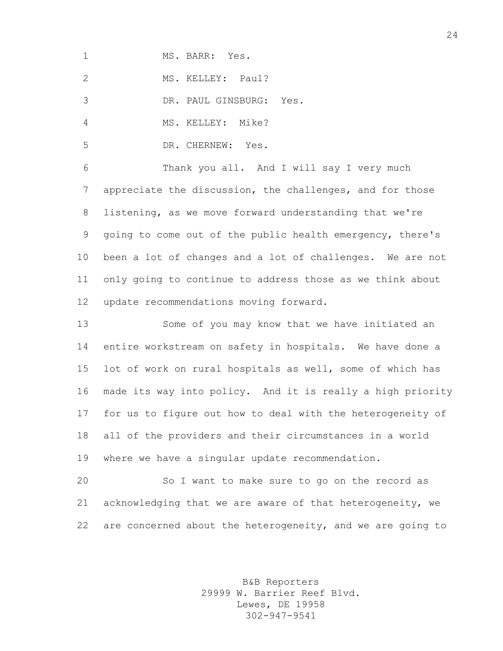MS. BARR: Yes.

2 MS. KELLEY: Paul?

DR. PAUL GINSBURG: Yes.

4 MS. KELLEY: Mike?

DR. CHERNEW: Yes.

 Thank you all. And I will say I very much appreciate the discussion, the challenges, and for those listening, as we move forward understanding that we're going to come out of the public health emergency, there's been a lot of changes and a lot of challenges. We are not only going to continue to address those as we think about update recommendations moving forward.

 Some of you may know that we have initiated an entire workstream on safety in hospitals. We have done a lot of work on rural hospitals as well, some of which has made its way into policy. And it is really a high priority for us to figure out how to deal with the heterogeneity of all of the providers and their circumstances in a world where we have a singular update recommendation.

 So I want to make sure to go on the record as acknowledging that we are aware of that heterogeneity, we 22 are concerned about the heterogeneity, and we are going to

> B&B Reporters 29999 W. Barrier Reef Blvd. Lewes, DE 19958 302-947-9541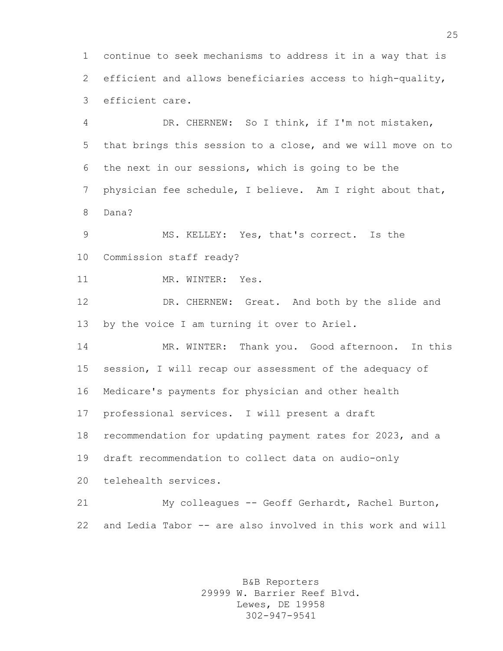continue to seek mechanisms to address it in a way that is efficient and allows beneficiaries access to high-quality, efficient care.

 DR. CHERNEW: So I think, if I'm not mistaken, that brings this session to a close, and we will move on to the next in our sessions, which is going to be the physician fee schedule, I believe. Am I right about that, Dana?

 MS. KELLEY: Yes, that's correct. Is the Commission staff ready?

11 MR. WINTER: Yes.

 DR. CHERNEW: Great. And both by the slide and by the voice I am turning it over to Ariel.

 MR. WINTER: Thank you. Good afternoon. In this session, I will recap our assessment of the adequacy of Medicare's payments for physician and other health professional services. I will present a draft recommendation for updating payment rates for 2023, and a draft recommendation to collect data on audio-only telehealth services.

 My colleagues -- Geoff Gerhardt, Rachel Burton, and Ledia Tabor -- are also involved in this work and will

> B&B Reporters 29999 W. Barrier Reef Blvd. Lewes, DE 19958 302-947-9541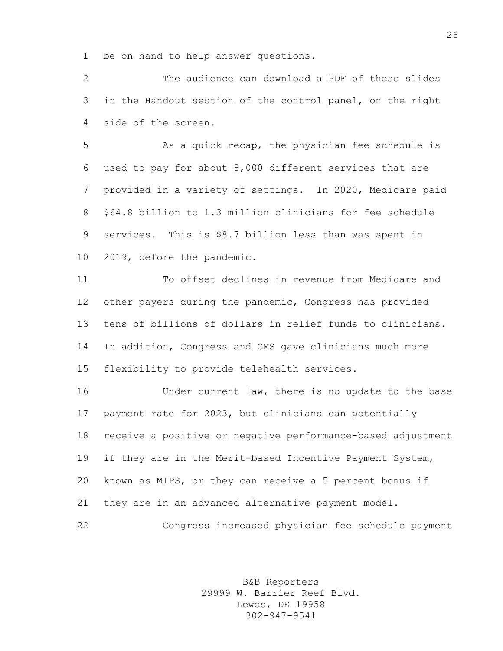be on hand to help answer questions.

 The audience can download a PDF of these slides in the Handout section of the control panel, on the right side of the screen.

 As a quick recap, the physician fee schedule is used to pay for about 8,000 different services that are provided in a variety of settings. In 2020, Medicare paid \$64.8 billion to 1.3 million clinicians for fee schedule services. This is \$8.7 billion less than was spent in 2019, before the pandemic.

 To offset declines in revenue from Medicare and other payers during the pandemic, Congress has provided tens of billions of dollars in relief funds to clinicians. In addition, Congress and CMS gave clinicians much more flexibility to provide telehealth services.

 Under current law, there is no update to the base payment rate for 2023, but clinicians can potentially receive a positive or negative performance-based adjustment if they are in the Merit-based Incentive Payment System, known as MIPS, or they can receive a 5 percent bonus if they are in an advanced alternative payment model. Congress increased physician fee schedule payment

> B&B Reporters 29999 W. Barrier Reef Blvd. Lewes, DE 19958 302-947-9541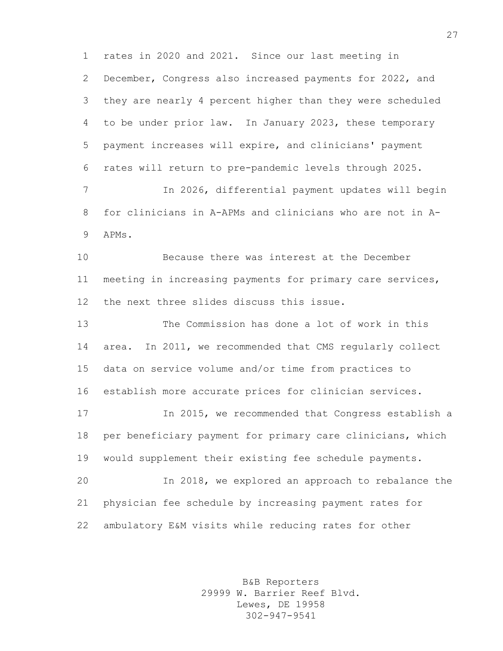rates in 2020 and 2021. Since our last meeting in December, Congress also increased payments for 2022, and they are nearly 4 percent higher than they were scheduled to be under prior law. In January 2023, these temporary payment increases will expire, and clinicians' payment rates will return to pre-pandemic levels through 2025. In 2026, differential payment updates will begin for clinicians in A-APMs and clinicians who are not in A- APMs. Because there was interest at the December meeting in increasing payments for primary care services, the next three slides discuss this issue. The Commission has done a lot of work in this area. In 2011, we recommended that CMS regularly collect data on service volume and/or time from practices to establish more accurate prices for clinician services. In 2015, we recommended that Congress establish a per beneficiary payment for primary care clinicians, which would supplement their existing fee schedule payments. In 2018, we explored an approach to rebalance the physician fee schedule by increasing payment rates for ambulatory E&M visits while reducing rates for other

> B&B Reporters 29999 W. Barrier Reef Blvd. Lewes, DE 19958 302-947-9541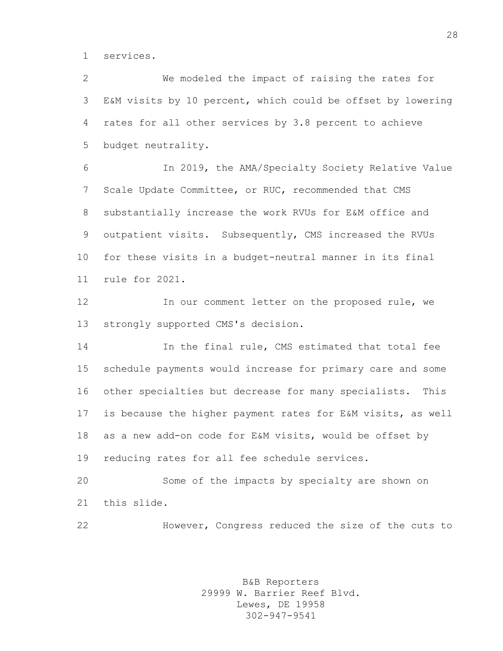services.

 We modeled the impact of raising the rates for E&M visits by 10 percent, which could be offset by lowering rates for all other services by 3.8 percent to achieve budget neutrality.

 In 2019, the AMA/Specialty Society Relative Value Scale Update Committee, or RUC, recommended that CMS substantially increase the work RVUs for E&M office and outpatient visits. Subsequently, CMS increased the RVUs for these visits in a budget-neutral manner in its final rule for 2021.

 In our comment letter on the proposed rule, we strongly supported CMS's decision.

 In the final rule, CMS estimated that total fee schedule payments would increase for primary care and some other specialties but decrease for many specialists. This is because the higher payment rates for E&M visits, as well as a new add-on code for E&M visits, would be offset by reducing rates for all fee schedule services.

 Some of the impacts by specialty are shown on this slide.

However, Congress reduced the size of the cuts to

B&B Reporters 29999 W. Barrier Reef Blvd. Lewes, DE 19958 302-947-9541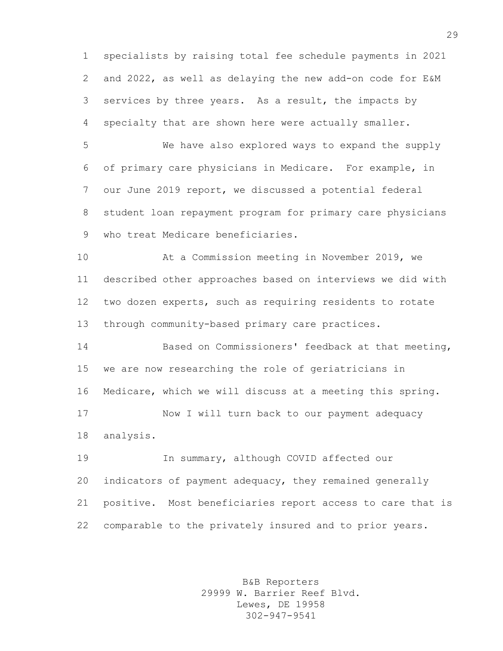specialists by raising total fee schedule payments in 2021 and 2022, as well as delaying the new add-on code for E&M services by three years. As a result, the impacts by specialty that are shown here were actually smaller.

 We have also explored ways to expand the supply of primary care physicians in Medicare. For example, in our June 2019 report, we discussed a potential federal student loan repayment program for primary care physicians who treat Medicare beneficiaries.

 At a Commission meeting in November 2019, we described other approaches based on interviews we did with two dozen experts, such as requiring residents to rotate through community-based primary care practices.

 Based on Commissioners' feedback at that meeting, we are now researching the role of geriatricians in Medicare, which we will discuss at a meeting this spring. Now I will turn back to our payment adequacy analysis.

 In summary, although COVID affected our indicators of payment adequacy, they remained generally positive. Most beneficiaries report access to care that is comparable to the privately insured and to prior years.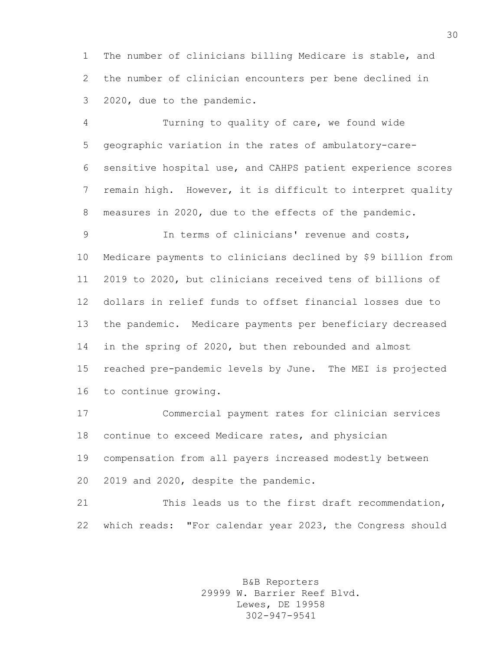The number of clinicians billing Medicare is stable, and the number of clinician encounters per bene declined in 2020, due to the pandemic.

 Turning to quality of care, we found wide geographic variation in the rates of ambulatory-care- sensitive hospital use, and CAHPS patient experience scores remain high. However, it is difficult to interpret quality measures in 2020, due to the effects of the pandemic.

 In terms of clinicians' revenue and costs, Medicare payments to clinicians declined by \$9 billion from 2019 to 2020, but clinicians received tens of billions of dollars in relief funds to offset financial losses due to the pandemic. Medicare payments per beneficiary decreased in the spring of 2020, but then rebounded and almost reached pre-pandemic levels by June. The MEI is projected to continue growing.

 Commercial payment rates for clinician services continue to exceed Medicare rates, and physician compensation from all payers increased modestly between 2019 and 2020, despite the pandemic.

 This leads us to the first draft recommendation, which reads: "For calendar year 2023, the Congress should

> B&B Reporters 29999 W. Barrier Reef Blvd. Lewes, DE 19958 302-947-9541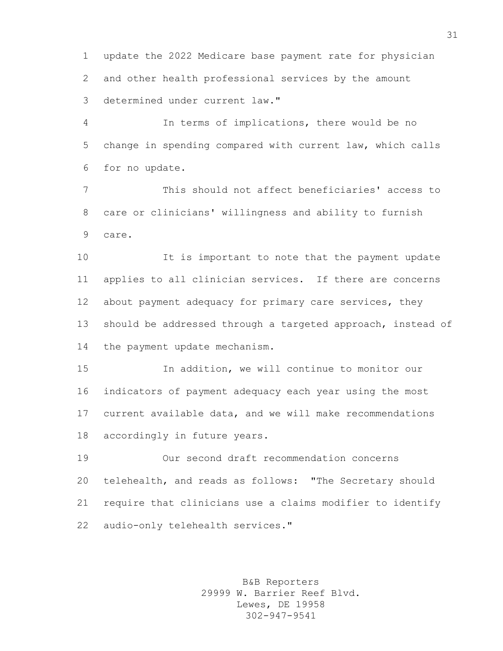update the 2022 Medicare base payment rate for physician and other health professional services by the amount determined under current law."

 In terms of implications, there would be no change in spending compared with current law, which calls for no update.

 This should not affect beneficiaries' access to care or clinicians' willingness and ability to furnish care.

 It is important to note that the payment update applies to all clinician services. If there are concerns about payment adequacy for primary care services, they should be addressed through a targeted approach, instead of the payment update mechanism.

 In addition, we will continue to monitor our indicators of payment adequacy each year using the most current available data, and we will make recommendations accordingly in future years.

 Our second draft recommendation concerns telehealth, and reads as follows: "The Secretary should require that clinicians use a claims modifier to identify audio-only telehealth services."

> B&B Reporters 29999 W. Barrier Reef Blvd. Lewes, DE 19958 302-947-9541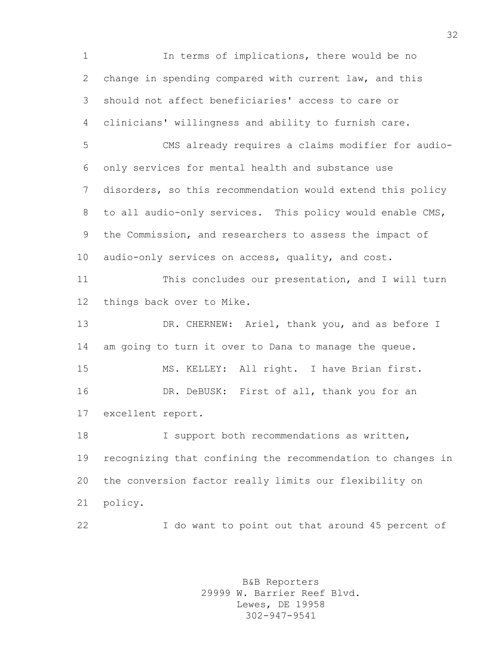In terms of implications, there would be no change in spending compared with current law, and this should not affect beneficiaries' access to care or clinicians' willingness and ability to furnish care. CMS already requires a claims modifier for audio- only services for mental health and substance use disorders, so this recommendation would extend this policy to all audio-only services. This policy would enable CMS, the Commission, and researchers to assess the impact of audio-only services on access, quality, and cost. This concludes our presentation, and I will turn things back over to Mike. 13 DR. CHERNEW: Ariel, thank you, and as before I am going to turn it over to Dana to manage the queue. MS. KELLEY: All right. I have Brian first. DR. DeBUSK: First of all, thank you for an excellent report. I support both recommendations as written, recognizing that confining the recommendation to changes in the conversion factor really limits our flexibility on policy. I do want to point out that around 45 percent of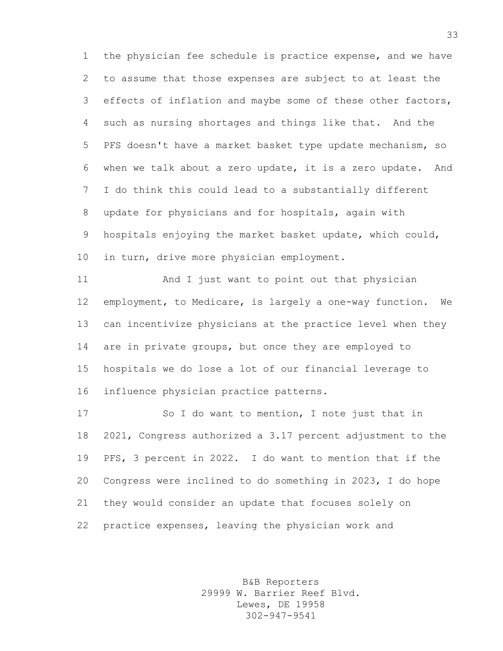the physician fee schedule is practice expense, and we have to assume that those expenses are subject to at least the effects of inflation and maybe some of these other factors, such as nursing shortages and things like that. And the PFS doesn't have a market basket type update mechanism, so when we talk about a zero update, it is a zero update. And I do think this could lead to a substantially different update for physicians and for hospitals, again with hospitals enjoying the market basket update, which could, in turn, drive more physician employment.

 And I just want to point out that physician employment, to Medicare, is largely a one-way function. We can incentivize physicians at the practice level when they are in private groups, but once they are employed to hospitals we do lose a lot of our financial leverage to influence physician practice patterns.

 So I do want to mention, I note just that in 2021, Congress authorized a 3.17 percent adjustment to the PFS, 3 percent in 2022. I do want to mention that if the Congress were inclined to do something in 2023, I do hope they would consider an update that focuses solely on practice expenses, leaving the physician work and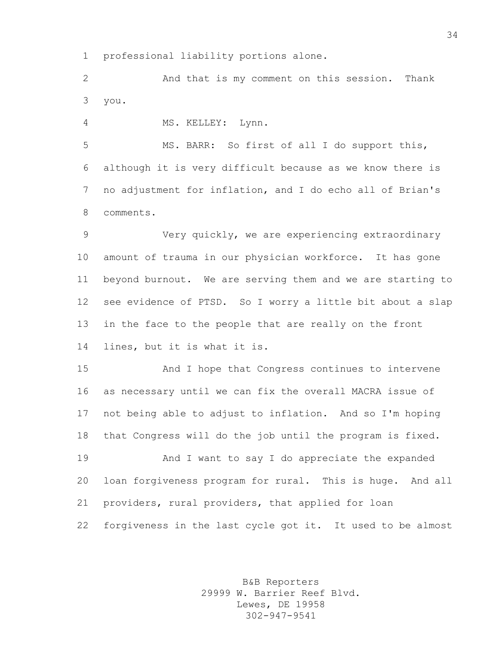professional liability portions alone.

 And that is my comment on this session. Thank you.

MS. KELLEY: Lynn.

 MS. BARR: So first of all I do support this, although it is very difficult because as we know there is no adjustment for inflation, and I do echo all of Brian's comments.

 Very quickly, we are experiencing extraordinary amount of trauma in our physician workforce. It has gone beyond burnout. We are serving them and we are starting to see evidence of PTSD. So I worry a little bit about a slap in the face to the people that are really on the front lines, but it is what it is.

 And I hope that Congress continues to intervene as necessary until we can fix the overall MACRA issue of not being able to adjust to inflation. And so I'm hoping that Congress will do the job until the program is fixed.

 And I want to say I do appreciate the expanded loan forgiveness program for rural. This is huge. And all providers, rural providers, that applied for loan forgiveness in the last cycle got it. It used to be almost

> B&B Reporters 29999 W. Barrier Reef Blvd. Lewes, DE 19958 302-947-9541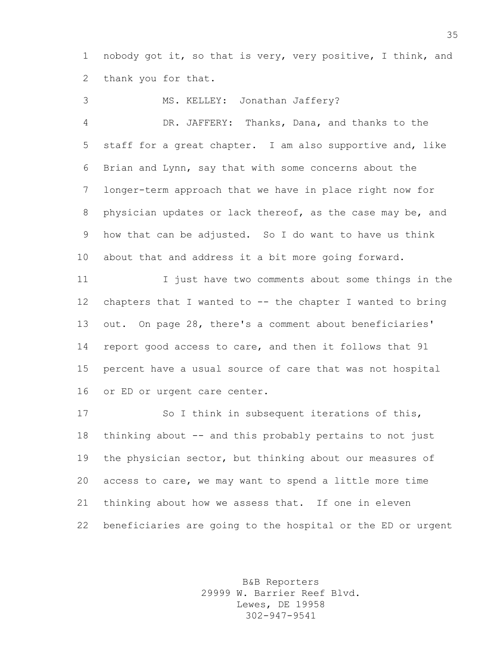nobody got it, so that is very, very positive, I think, and thank you for that.

 MS. KELLEY: Jonathan Jaffery? DR. JAFFERY: Thanks, Dana, and thanks to the staff for a great chapter. I am also supportive and, like Brian and Lynn, say that with some concerns about the longer-term approach that we have in place right now for physician updates or lack thereof, as the case may be, and how that can be adjusted. So I do want to have us think about that and address it a bit more going forward. I just have two comments about some things in the

 chapters that I wanted to -- the chapter I wanted to bring out. On page 28, there's a comment about beneficiaries' report good access to care, and then it follows that 91 percent have a usual source of care that was not hospital or ED or urgent care center.

 So I think in subsequent iterations of this, thinking about -- and this probably pertains to not just the physician sector, but thinking about our measures of access to care, we may want to spend a little more time thinking about how we assess that. If one in eleven beneficiaries are going to the hospital or the ED or urgent

> B&B Reporters 29999 W. Barrier Reef Blvd. Lewes, DE 19958 302-947-9541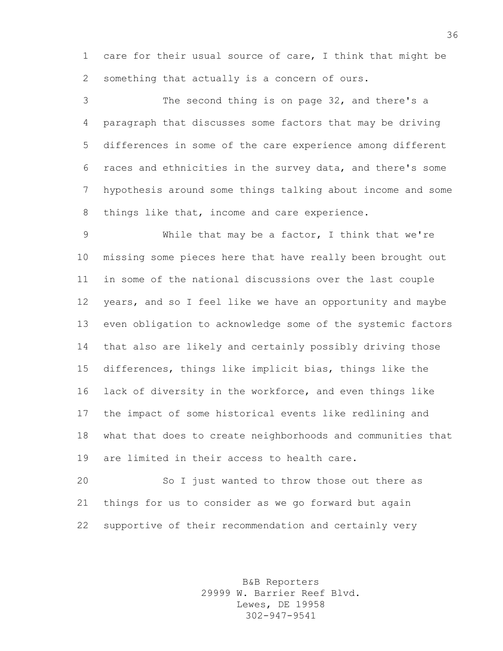care for their usual source of care, I think that might be something that actually is a concern of ours.

 The second thing is on page 32, and there's a paragraph that discusses some factors that may be driving differences in some of the care experience among different races and ethnicities in the survey data, and there's some hypothesis around some things talking about income and some things like that, income and care experience.

 While that may be a factor, I think that we're missing some pieces here that have really been brought out in some of the national discussions over the last couple years, and so I feel like we have an opportunity and maybe even obligation to acknowledge some of the systemic factors that also are likely and certainly possibly driving those differences, things like implicit bias, things like the lack of diversity in the workforce, and even things like the impact of some historical events like redlining and what that does to create neighborhoods and communities that are limited in their access to health care.

 So I just wanted to throw those out there as things for us to consider as we go forward but again supportive of their recommendation and certainly very

> B&B Reporters 29999 W. Barrier Reef Blvd. Lewes, DE 19958 302-947-9541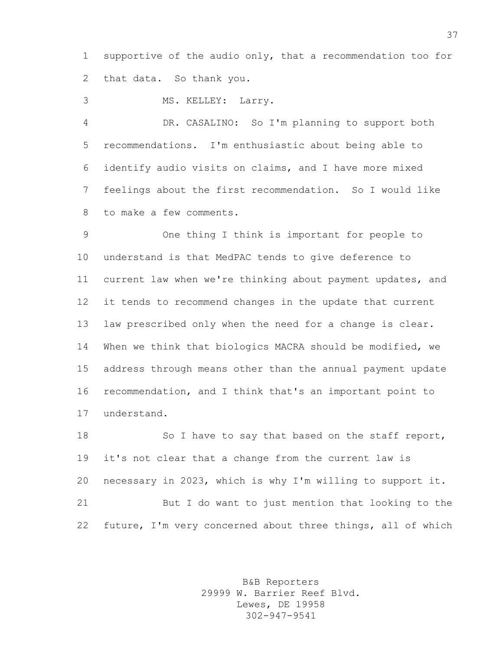supportive of the audio only, that a recommendation too for that data. So thank you.

MS. KELLEY: Larry.

 DR. CASALINO: So I'm planning to support both recommendations. I'm enthusiastic about being able to identify audio visits on claims, and I have more mixed feelings about the first recommendation. So I would like to make a few comments.

 One thing I think is important for people to understand is that MedPAC tends to give deference to current law when we're thinking about payment updates, and it tends to recommend changes in the update that current law prescribed only when the need for a change is clear. When we think that biologics MACRA should be modified, we address through means other than the annual payment update recommendation, and I think that's an important point to understand.

18 So I have to say that based on the staff report, it's not clear that a change from the current law is necessary in 2023, which is why I'm willing to support it. But I do want to just mention that looking to the future, I'm very concerned about three things, all of which

> B&B Reporters 29999 W. Barrier Reef Blvd. Lewes, DE 19958 302-947-9541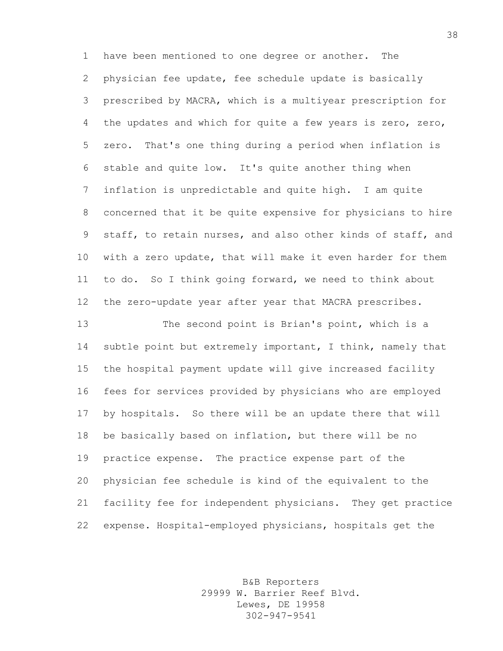have been mentioned to one degree or another. The physician fee update, fee schedule update is basically prescribed by MACRA, which is a multiyear prescription for the updates and which for quite a few years is zero, zero, zero. That's one thing during a period when inflation is stable and quite low. It's quite another thing when inflation is unpredictable and quite high. I am quite concerned that it be quite expensive for physicians to hire staff, to retain nurses, and also other kinds of staff, and with a zero update, that will make it even harder for them to do. So I think going forward, we need to think about the zero-update year after year that MACRA prescribes.

 The second point is Brian's point, which is a subtle point but extremely important, I think, namely that the hospital payment update will give increased facility fees for services provided by physicians who are employed by hospitals. So there will be an update there that will be basically based on inflation, but there will be no practice expense. The practice expense part of the physician fee schedule is kind of the equivalent to the facility fee for independent physicians. They get practice expense. Hospital-employed physicians, hospitals get the

> B&B Reporters 29999 W. Barrier Reef Blvd. Lewes, DE 19958 302-947-9541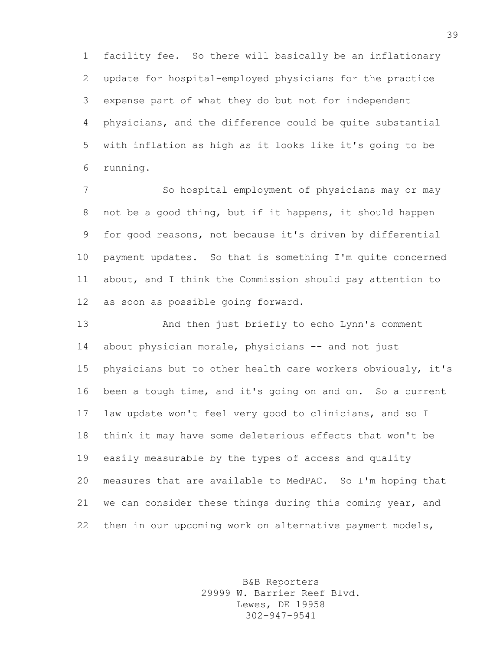facility fee. So there will basically be an inflationary update for hospital-employed physicians for the practice expense part of what they do but not for independent physicians, and the difference could be quite substantial with inflation as high as it looks like it's going to be running.

 So hospital employment of physicians may or may not be a good thing, but if it happens, it should happen for good reasons, not because it's driven by differential payment updates. So that is something I'm quite concerned about, and I think the Commission should pay attention to as soon as possible going forward.

 And then just briefly to echo Lynn's comment about physician morale, physicians -- and not just physicians but to other health care workers obviously, it's been a tough time, and it's going on and on. So a current law update won't feel very good to clinicians, and so I think it may have some deleterious effects that won't be easily measurable by the types of access and quality measures that are available to MedPAC. So I'm hoping that we can consider these things during this coming year, and then in our upcoming work on alternative payment models,

> B&B Reporters 29999 W. Barrier Reef Blvd. Lewes, DE 19958 302-947-9541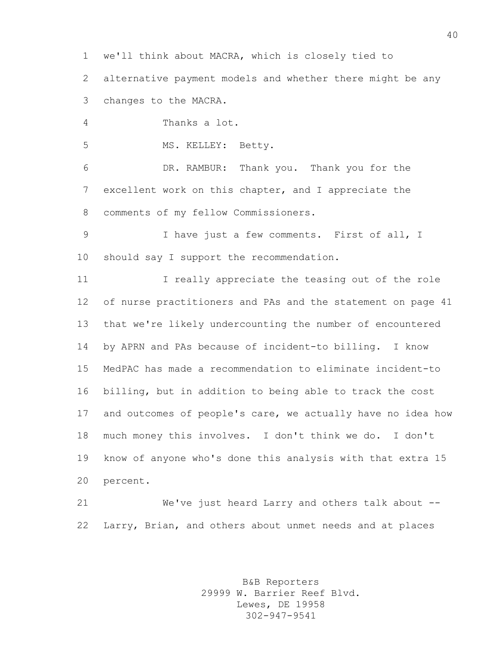we'll think about MACRA, which is closely tied to

 alternative payment models and whether there might be any changes to the MACRA.

Thanks a lot.

MS. KELLEY: Betty.

 DR. RAMBUR: Thank you. Thank you for the excellent work on this chapter, and I appreciate the comments of my fellow Commissioners.

 I have just a few comments. First of all, I should say I support the recommendation.

11 I really appreciate the teasing out of the role of nurse practitioners and PAs and the statement on page 41 that we're likely undercounting the number of encountered by APRN and PAs because of incident-to billing. I know MedPAC has made a recommendation to eliminate incident-to billing, but in addition to being able to track the cost and outcomes of people's care, we actually have no idea how much money this involves. I don't think we do. I don't know of anyone who's done this analysis with that extra 15 percent.

 We've just heard Larry and others talk about -- Larry, Brian, and others about unmet needs and at places

> B&B Reporters 29999 W. Barrier Reef Blvd. Lewes, DE 19958 302-947-9541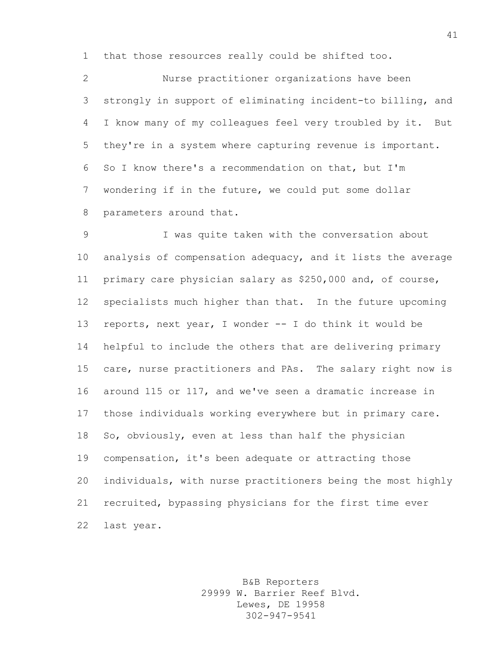that those resources really could be shifted too.

 Nurse practitioner organizations have been strongly in support of eliminating incident-to billing, and I know many of my colleagues feel very troubled by it. But they're in a system where capturing revenue is important. So I know there's a recommendation on that, but I'm wondering if in the future, we could put some dollar parameters around that.

 I was quite taken with the conversation about analysis of compensation adequacy, and it lists the average primary care physician salary as \$250,000 and, of course, specialists much higher than that. In the future upcoming reports, next year, I wonder -- I do think it would be helpful to include the others that are delivering primary care, nurse practitioners and PAs. The salary right now is around 115 or 117, and we've seen a dramatic increase in those individuals working everywhere but in primary care. So, obviously, even at less than half the physician compensation, it's been adequate or attracting those individuals, with nurse practitioners being the most highly recruited, bypassing physicians for the first time ever last year.

> B&B Reporters 29999 W. Barrier Reef Blvd. Lewes, DE 19958 302-947-9541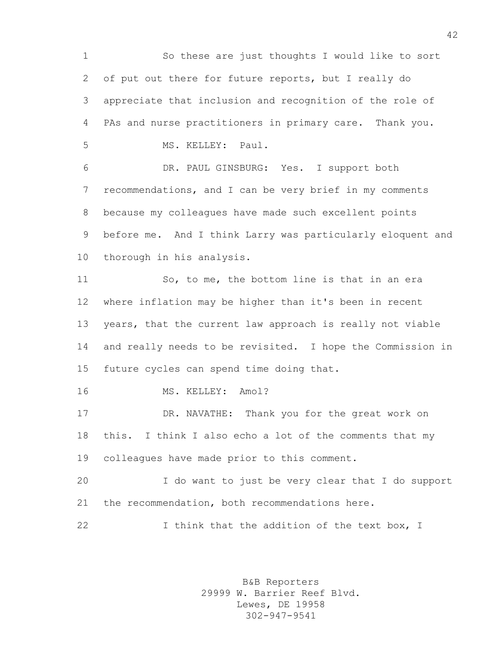So these are just thoughts I would like to sort of put out there for future reports, but I really do appreciate that inclusion and recognition of the role of PAs and nurse practitioners in primary care. Thank you. MS. KELLEY: Paul. DR. PAUL GINSBURG: Yes. I support both recommendations, and I can be very brief in my comments

 because my colleagues have made such excellent points before me. And I think Larry was particularly eloquent and thorough in his analysis.

 So, to me, the bottom line is that in an era where inflation may be higher than it's been in recent years, that the current law approach is really not viable and really needs to be revisited. I hope the Commission in future cycles can spend time doing that.

MS. KELLEY: Amol?

 DR. NAVATHE: Thank you for the great work on this. I think I also echo a lot of the comments that my colleagues have made prior to this comment.

 I do want to just be very clear that I do support the recommendation, both recommendations here.

22 I think that the addition of the text box, I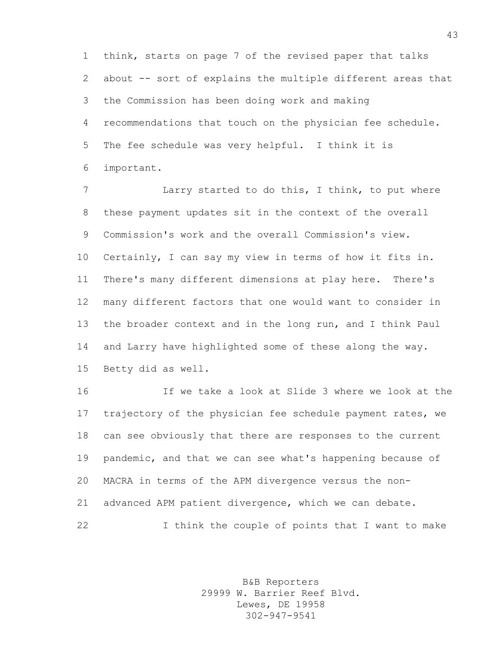think, starts on page 7 of the revised paper that talks about -- sort of explains the multiple different areas that the Commission has been doing work and making recommendations that touch on the physician fee schedule. The fee schedule was very helpful. I think it is important.

 Larry started to do this, I think, to put where these payment updates sit in the context of the overall Commission's work and the overall Commission's view. Certainly, I can say my view in terms of how it fits in. There's many different dimensions at play here. There's many different factors that one would want to consider in the broader context and in the long run, and I think Paul and Larry have highlighted some of these along the way. Betty did as well.

 If we take a look at Slide 3 where we look at the trajectory of the physician fee schedule payment rates, we can see obviously that there are responses to the current pandemic, and that we can see what's happening because of MACRA in terms of the APM divergence versus the non- advanced APM patient divergence, which we can debate. I think the couple of points that I want to make

> B&B Reporters 29999 W. Barrier Reef Blvd. Lewes, DE 19958 302-947-9541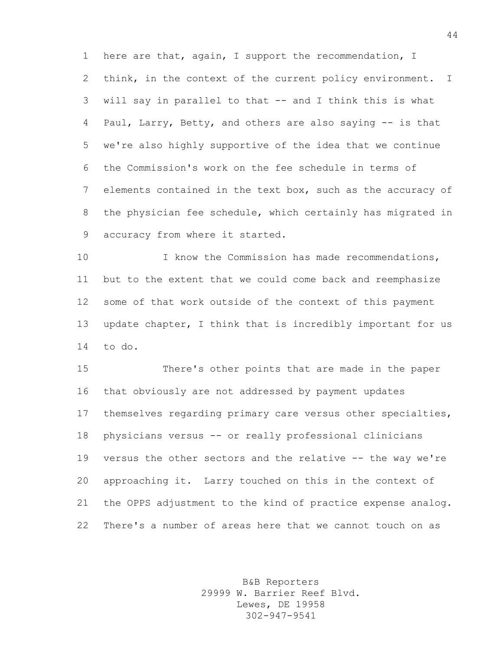here are that, again, I support the recommendation, I think, in the context of the current policy environment. I will say in parallel to that -- and I think this is what Paul, Larry, Betty, and others are also saying -- is that we're also highly supportive of the idea that we continue the Commission's work on the fee schedule in terms of elements contained in the text box, such as the accuracy of the physician fee schedule, which certainly has migrated in accuracy from where it started.

 I know the Commission has made recommendations, but to the extent that we could come back and reemphasize some of that work outside of the context of this payment update chapter, I think that is incredibly important for us to do.

 There's other points that are made in the paper that obviously are not addressed by payment updates themselves regarding primary care versus other specialties, physicians versus -- or really professional clinicians versus the other sectors and the relative -- the way we're approaching it. Larry touched on this in the context of the OPPS adjustment to the kind of practice expense analog. There's a number of areas here that we cannot touch on as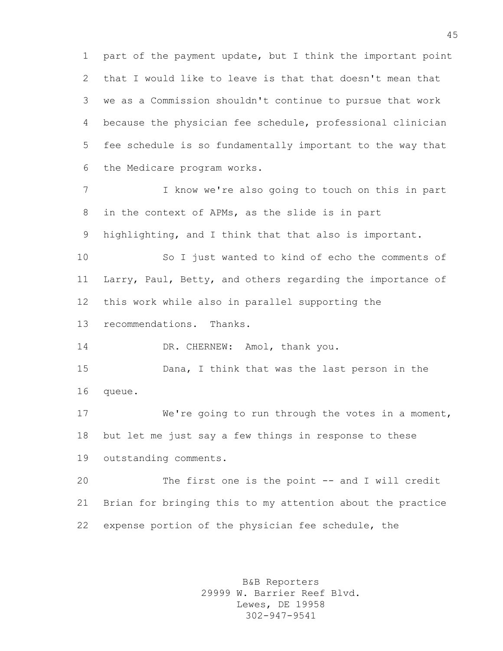part of the payment update, but I think the important point that I would like to leave is that that doesn't mean that we as a Commission shouldn't continue to pursue that work because the physician fee schedule, professional clinician fee schedule is so fundamentally important to the way that the Medicare program works.

 I know we're also going to touch on this in part in the context of APMs, as the slide is in part highlighting, and I think that that also is important.

 So I just wanted to kind of echo the comments of Larry, Paul, Betty, and others regarding the importance of this work while also in parallel supporting the

recommendations. Thanks.

14 DR. CHERNEW: Amol, thank you.

 Dana, I think that was the last person in the queue.

 We're going to run through the votes in a moment, but let me just say a few things in response to these outstanding comments.

 The first one is the point -- and I will credit Brian for bringing this to my attention about the practice expense portion of the physician fee schedule, the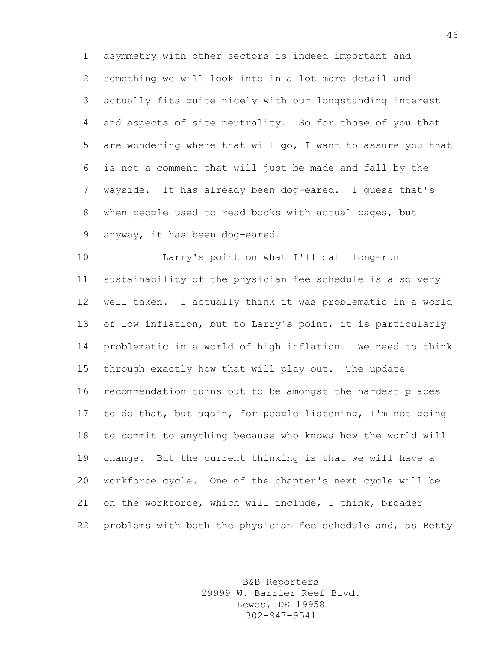asymmetry with other sectors is indeed important and something we will look into in a lot more detail and actually fits quite nicely with our longstanding interest and aspects of site neutrality. So for those of you that are wondering where that will go, I want to assure you that is not a comment that will just be made and fall by the wayside. It has already been dog-eared. I guess that's when people used to read books with actual pages, but anyway, it has been dog-eared.

 Larry's point on what I'll call long-run sustainability of the physician fee schedule is also very well taken. I actually think it was problematic in a world of low inflation, but to Larry's point, it is particularly problematic in a world of high inflation. We need to think through exactly how that will play out. The update recommendation turns out to be amongst the hardest places to do that, but again, for people listening, I'm not going to commit to anything because who knows how the world will change. But the current thinking is that we will have a workforce cycle. One of the chapter's next cycle will be on the workforce, which will include, I think, broader problems with both the physician fee schedule and, as Betty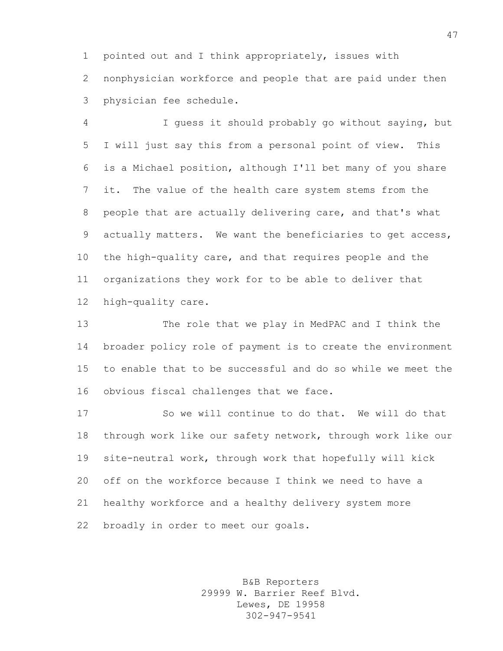pointed out and I think appropriately, issues with nonphysician workforce and people that are paid under then physician fee schedule.

 I guess it should probably go without saying, but I will just say this from a personal point of view. This is a Michael position, although I'll bet many of you share it. The value of the health care system stems from the people that are actually delivering care, and that's what actually matters. We want the beneficiaries to get access, the high-quality care, and that requires people and the organizations they work for to be able to deliver that high-quality care.

 The role that we play in MedPAC and I think the broader policy role of payment is to create the environment to enable that to be successful and do so while we meet the obvious fiscal challenges that we face.

 So we will continue to do that. We will do that through work like our safety network, through work like our site-neutral work, through work that hopefully will kick off on the workforce because I think we need to have a healthy workforce and a healthy delivery system more broadly in order to meet our goals.

> B&B Reporters 29999 W. Barrier Reef Blvd. Lewes, DE 19958 302-947-9541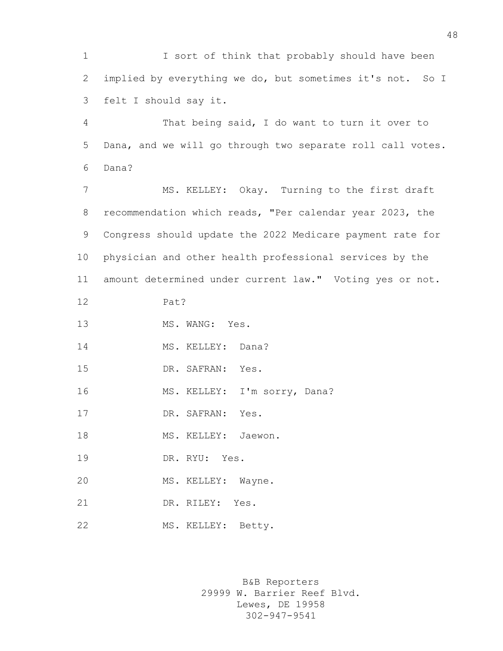I sort of think that probably should have been implied by everything we do, but sometimes it's not. So I felt I should say it.

 That being said, I do want to turn it over to Dana, and we will go through two separate roll call votes. Dana?

 MS. KELLEY: Okay. Turning to the first draft recommendation which reads, "Per calendar year 2023, the Congress should update the 2022 Medicare payment rate for physician and other health professional services by the amount determined under current law." Voting yes or not.

Pat?

13 MS. WANG: Yes.

14 MS. KELLEY: Dana?

DR. SAFRAN: Yes.

16 MS. KELLEY: I'm sorry, Dana?

17 DR. SAFRAN: Yes.

18 MS. KELLEY: Jaewon.

DR. RYU: Yes.

MS. KELLEY: Wayne.

DR. RILEY: Yes.

MS. KELLEY: Betty.

B&B Reporters 29999 W. Barrier Reef Blvd. Lewes, DE 19958 302-947-9541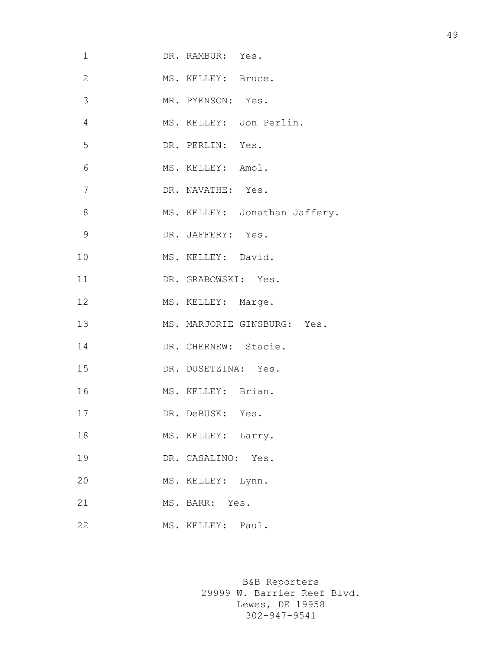| 1              | DR. RAMBUR: Yes.              |
|----------------|-------------------------------|
| $\overline{2}$ | MS. KELLEY: Bruce.            |
| 3              | MR. PYENSON: Yes.             |
| 4              | MS. KELLEY: Jon Perlin.       |
| 5              | DR. PERLIN: Yes.              |
| 6              | MS. KELLEY: Amol.             |
| 7              | DR. NAVATHE: Yes.             |
| 8              | MS. KELLEY: Jonathan Jaffery. |
| 9              | DR. JAFFERY: Yes.             |
| 10             | MS. KELLEY: David.            |
| 11             | DR. GRABOWSKI: Yes.           |
| 12             | MS. KELLEY: Marge.            |
| 13             | MS. MARJORIE GINSBURG: Yes.   |
| 14             | DR. CHERNEW: Stacie.          |
| 15             | DR. DUSETZINA: Yes.           |
| 16             | MS. KELLEY: Brian.            |
| 17             | DR. DeBUSK: Yes.              |
| 18             | MS. KELLEY: Larry.            |
| 19             | DR. CASALINO: Yes.            |
| 20             | MS. KELLEY: Lynn.             |
| 21             | MS. BARR: Yes.                |
| 22             | MS. KELLEY: Paul.             |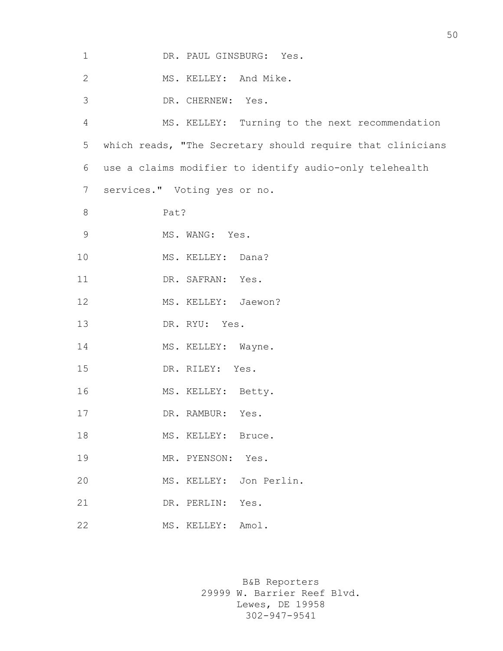| $\mathbf{1}$   | DR. PAUL GINSBURG: Yes.                                    |
|----------------|------------------------------------------------------------|
| 2              | MS. KELLEY: And Mike.                                      |
| 3              | DR. CHERNEW: Yes.                                          |
| 4              | MS. KELLEY: Turning to the next recommendation             |
| 5              | which reads, "The Secretary should require that clinicians |
| 6              | use a claims modifier to identify audio-only telehealth    |
| 7              | services." Voting yes or no.                               |
| 8              | Pat?                                                       |
| $\overline{9}$ | MS. WANG: Yes.                                             |
| 10             | MS. KELLEY: Dana?                                          |
| 11             | DR. SAFRAN: Yes.                                           |
| 12             | MS. KELLEY: Jaewon?                                        |
| 13             | DR. RYU: Yes.                                              |
| 14             | MS. KELLEY: Wayne.                                         |
| 15             | DR. RILEY: Yes.                                            |
| 16             | MS. KELLEY: Betty.                                         |
| 17             | DR. RAMBUR:<br>Yes.                                        |
| 18             | MS. KELLEY: Bruce.                                         |
| 19             | MR. PYENSON: Yes.                                          |
| 20             | MS. KELLEY: Jon Perlin.                                    |
| 21             | DR. PERLIN: Yes.                                           |
| 22             | MS. KELLEY: Amol.                                          |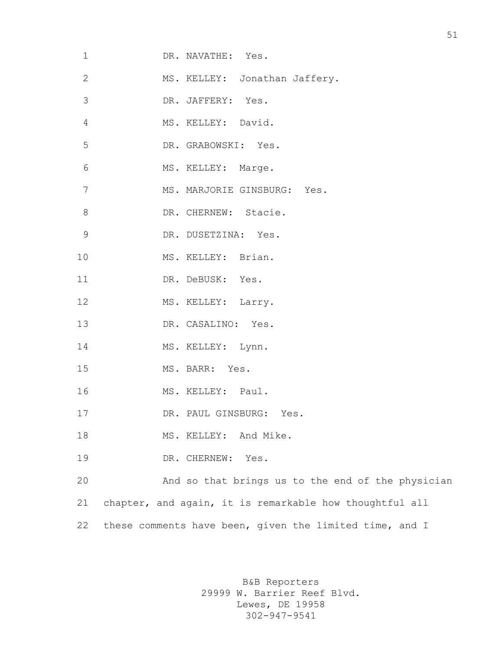| $\mathbf 1$    | DR. NAVATHE: Yes.                                       |
|----------------|---------------------------------------------------------|
| $\mathbf{2}$   | MS. KELLEY: Jonathan Jaffery.                           |
| 3              | DR. JAFFERY: Yes.                                       |
| $\overline{4}$ | MS. KELLEY: David.                                      |
| 5              | DR. GRABOWSKI: Yes.                                     |
| 6              | MS. KELLEY: Marge.                                      |
| 7              | MS. MARJORIE GINSBURG: Yes.                             |
| 8              | DR. CHERNEW: Stacie.                                    |
| 9              | DR. DUSETZINA: Yes.                                     |
| 10             | MS. KELLEY: Brian.                                      |
| 11             | DR. DeBUSK: Yes.                                        |
| 12             | MS. KELLEY: Larry.                                      |
| 13             | DR. CASALINO: Yes.                                      |
| 14             | MS. KELLEY: Lynn.                                       |
| 15             | MS. BARR: Yes.                                          |
| 16             | MS. KELLEY: Paul.                                       |
| 17             | DR. PAUL GINSBURG: Yes.                                 |
| 18             | MS. KELLEY: And Mike.                                   |
| 19             | DR. CHERNEW: Yes.                                       |
| 20             | And so that brings us to the end of the physician       |
| 21             | chapter, and again, it is remarkable how thoughtful all |
| 22             | these comments have been, given the limited time, and I |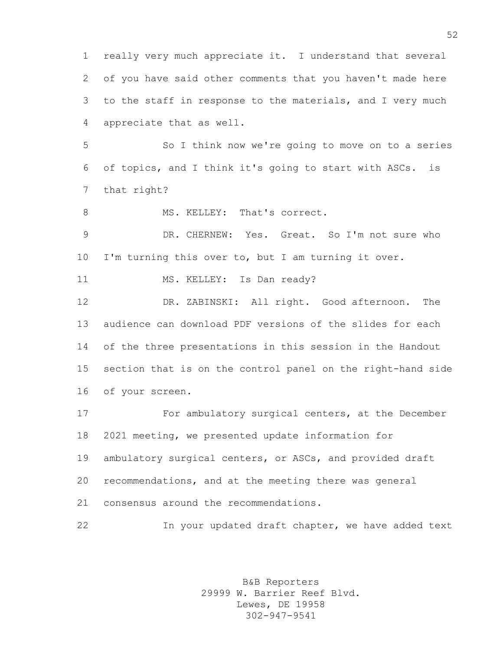really very much appreciate it. I understand that several of you have said other comments that you haven't made here to the staff in response to the materials, and I very much appreciate that as well.

 So I think now we're going to move on to a series of topics, and I think it's going to start with ASCs. is that right?

8 MS. KELLEY: That's correct.

 DR. CHERNEW: Yes. Great. So I'm not sure who I'm turning this over to, but I am turning it over.

11 MS. KELLEY: Is Dan ready?

 DR. ZABINSKI: All right. Good afternoon. The audience can download PDF versions of the slides for each of the three presentations in this session in the Handout section that is on the control panel on the right-hand side of your screen.

 For ambulatory surgical centers, at the December 2021 meeting, we presented update information for ambulatory surgical centers, or ASCs, and provided draft recommendations, and at the meeting there was general consensus around the recommendations.

In your updated draft chapter, we have added text

B&B Reporters 29999 W. Barrier Reef Blvd. Lewes, DE 19958 302-947-9541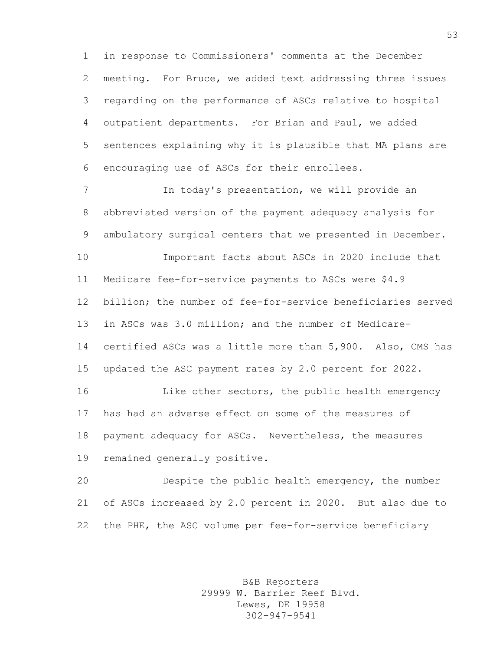in response to Commissioners' comments at the December meeting. For Bruce, we added text addressing three issues regarding on the performance of ASCs relative to hospital outpatient departments. For Brian and Paul, we added sentences explaining why it is plausible that MA plans are encouraging use of ASCs for their enrollees.

 In today's presentation, we will provide an abbreviated version of the payment adequacy analysis for ambulatory surgical centers that we presented in December. Important facts about ASCs in 2020 include that Medicare fee-for-service payments to ASCs were \$4.9 billion; the number of fee-for-service beneficiaries served in ASCs was 3.0 million; and the number of Medicare- certified ASCs was a little more than 5,900. Also, CMS has updated the ASC payment rates by 2.0 percent for 2022. Like other sectors, the public health emergency has had an adverse effect on some of the measures of payment adequacy for ASCs. Nevertheless, the measures

remained generally positive.

 Despite the public health emergency, the number of ASCs increased by 2.0 percent in 2020. But also due to the PHE, the ASC volume per fee-for-service beneficiary

> B&B Reporters 29999 W. Barrier Reef Blvd. Lewes, DE 19958 302-947-9541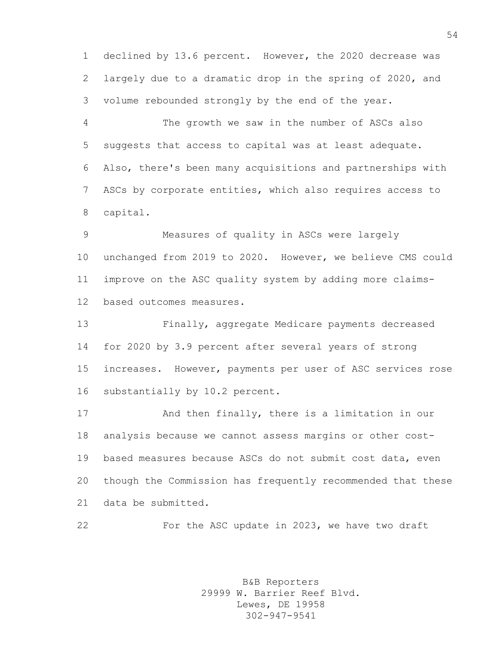declined by 13.6 percent. However, the 2020 decrease was largely due to a dramatic drop in the spring of 2020, and volume rebounded strongly by the end of the year.

 The growth we saw in the number of ASCs also suggests that access to capital was at least adequate. Also, there's been many acquisitions and partnerships with ASCs by corporate entities, which also requires access to capital.

 Measures of quality in ASCs were largely unchanged from 2019 to 2020. However, we believe CMS could improve on the ASC quality system by adding more claims-based outcomes measures.

 Finally, aggregate Medicare payments decreased for 2020 by 3.9 percent after several years of strong increases. However, payments per user of ASC services rose substantially by 10.2 percent.

 And then finally, there is a limitation in our analysis because we cannot assess margins or other cost- based measures because ASCs do not submit cost data, even though the Commission has frequently recommended that these data be submitted.

For the ASC update in 2023, we have two draft

B&B Reporters 29999 W. Barrier Reef Blvd. Lewes, DE 19958 302-947-9541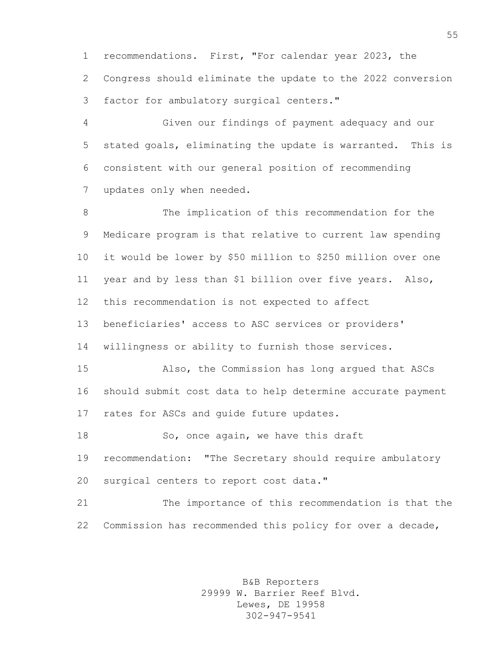recommendations. First, "For calendar year 2023, the Congress should eliminate the update to the 2022 conversion factor for ambulatory surgical centers."

 Given our findings of payment adequacy and our stated goals, eliminating the update is warranted. This is consistent with our general position of recommending updates only when needed.

 The implication of this recommendation for the Medicare program is that relative to current law spending it would be lower by \$50 million to \$250 million over one year and by less than \$1 billion over five years. Also, this recommendation is not expected to affect beneficiaries' access to ASC services or providers' willingness or ability to furnish those services. Also, the Commission has long argued that ASCs should submit cost data to help determine accurate payment 17 rates for ASCs and quide future updates. 18 So, once again, we have this draft recommendation: "The Secretary should require ambulatory surgical centers to report cost data."

 The importance of this recommendation is that the Commission has recommended this policy for over a decade,

> B&B Reporters 29999 W. Barrier Reef Blvd. Lewes, DE 19958 302-947-9541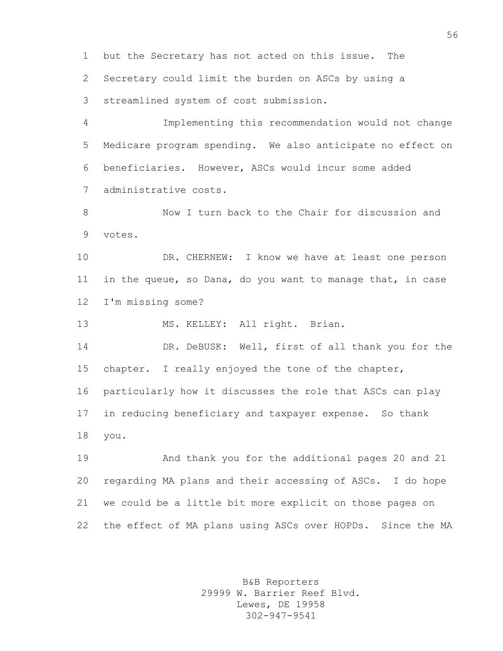but the Secretary has not acted on this issue. The Secretary could limit the burden on ASCs by using a streamlined system of cost submission.

 Implementing this recommendation would not change Medicare program spending. We also anticipate no effect on beneficiaries. However, ASCs would incur some added administrative costs.

 Now I turn back to the Chair for discussion and votes.

10 DR. CHERNEW: I know we have at least one person in the queue, so Dana, do you want to manage that, in case I'm missing some?

MS. KELLEY: All right. Brian.

14 DR. DeBUSK: Well, first of all thank you for the chapter. I really enjoyed the tone of the chapter, particularly how it discusses the role that ASCs can play in reducing beneficiary and taxpayer expense. So thank you.

 And thank you for the additional pages 20 and 21 regarding MA plans and their accessing of ASCs. I do hope we could be a little bit more explicit on those pages on the effect of MA plans using ASCs over HOPDs. Since the MA

> B&B Reporters 29999 W. Barrier Reef Blvd. Lewes, DE 19958 302-947-9541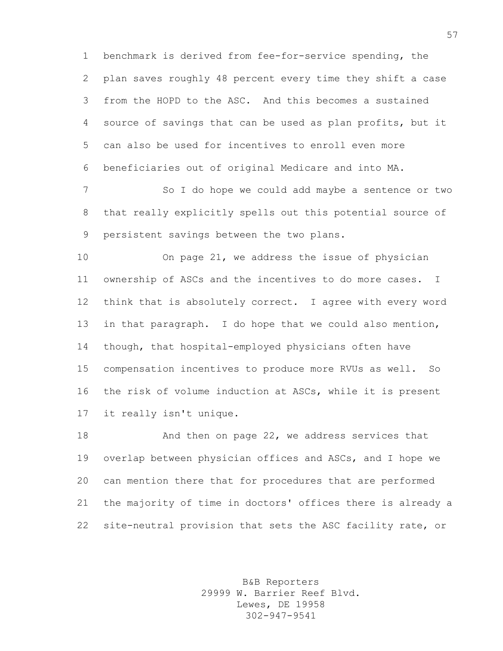benchmark is derived from fee-for-service spending, the plan saves roughly 48 percent every time they shift a case from the HOPD to the ASC. And this becomes a sustained source of savings that can be used as plan profits, but it can also be used for incentives to enroll even more beneficiaries out of original Medicare and into MA.

 So I do hope we could add maybe a sentence or two that really explicitly spells out this potential source of persistent savings between the two plans.

 On page 21, we address the issue of physician ownership of ASCs and the incentives to do more cases. I think that is absolutely correct. I agree with every word in that paragraph. I do hope that we could also mention, though, that hospital-employed physicians often have compensation incentives to produce more RVUs as well. So the risk of volume induction at ASCs, while it is present it really isn't unique.

 And then on page 22, we address services that overlap between physician offices and ASCs, and I hope we can mention there that for procedures that are performed the majority of time in doctors' offices there is already a site-neutral provision that sets the ASC facility rate, or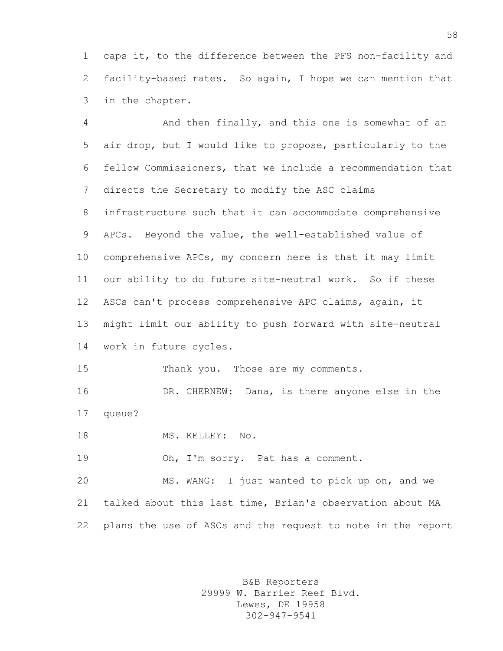caps it, to the difference between the PFS non-facility and facility-based rates. So again, I hope we can mention that in the chapter.

 And then finally, and this one is somewhat of an air drop, but I would like to propose, particularly to the fellow Commissioners, that we include a recommendation that directs the Secretary to modify the ASC claims infrastructure such that it can accommodate comprehensive APCs. Beyond the value, the well-established value of comprehensive APCs, my concern here is that it may limit our ability to do future site-neutral work. So if these ASCs can't process comprehensive APC claims, again, it might limit our ability to push forward with site-neutral work in future cycles. 15 Thank you. Those are my comments. DR. CHERNEW: Dana, is there anyone else in the queue? 18 MS. KELLEY: No. 19 Oh, I'm sorry. Pat has a comment. MS. WANG: I just wanted to pick up on, and we

 talked about this last time, Brian's observation about MA plans the use of ASCs and the request to note in the report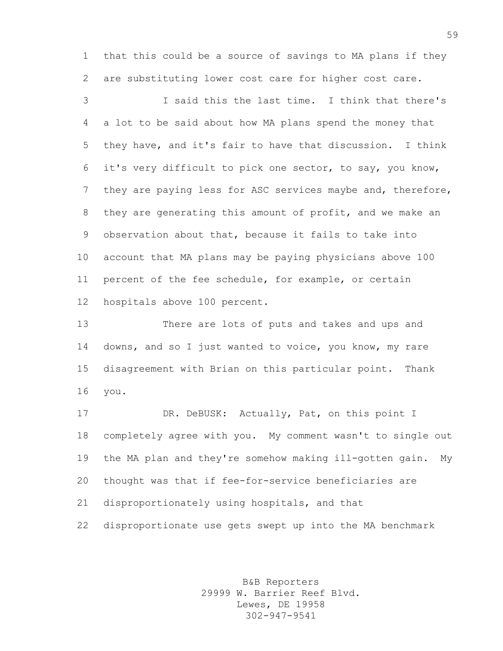that this could be a source of savings to MA plans if they are substituting lower cost care for higher cost care.

 I said this the last time. I think that there's a lot to be said about how MA plans spend the money that they have, and it's fair to have that discussion. I think it's very difficult to pick one sector, to say, you know, 7 they are paying less for ASC services maybe and, therefore, they are generating this amount of profit, and we make an observation about that, because it fails to take into account that MA plans may be paying physicians above 100 percent of the fee schedule, for example, or certain hospitals above 100 percent.

 There are lots of puts and takes and ups and downs, and so I just wanted to voice, you know, my rare disagreement with Brian on this particular point. Thank you.

 DR. DeBUSK: Actually, Pat, on this point I completely agree with you. My comment wasn't to single out the MA plan and they're somehow making ill-gotten gain. My thought was that if fee-for-service beneficiaries are disproportionately using hospitals, and that disproportionate use gets swept up into the MA benchmark

> B&B Reporters 29999 W. Barrier Reef Blvd. Lewes, DE 19958 302-947-9541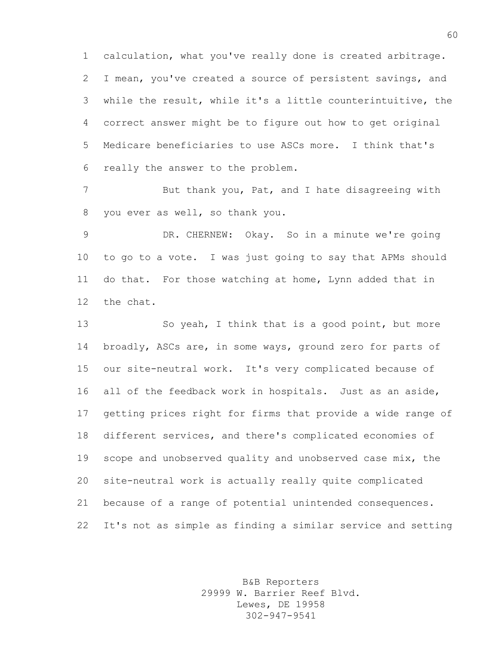calculation, what you've really done is created arbitrage. I mean, you've created a source of persistent savings, and while the result, while it's a little counterintuitive, the correct answer might be to figure out how to get original Medicare beneficiaries to use ASCs more. I think that's really the answer to the problem.

7 But thank you, Pat, and I hate disagreeing with you ever as well, so thank you.

 DR. CHERNEW: Okay. So in a minute we're going to go to a vote. I was just going to say that APMs should do that. For those watching at home, Lynn added that in the chat.

13 So yeah, I think that is a good point, but more 14 broadly, ASCs are, in some ways, ground zero for parts of our site-neutral work. It's very complicated because of all of the feedback work in hospitals. Just as an aside, getting prices right for firms that provide a wide range of different services, and there's complicated economies of 19 scope and unobserved quality and unobserved case mix, the site-neutral work is actually really quite complicated because of a range of potential unintended consequences. It's not as simple as finding a similar service and setting

> B&B Reporters 29999 W. Barrier Reef Blvd. Lewes, DE 19958 302-947-9541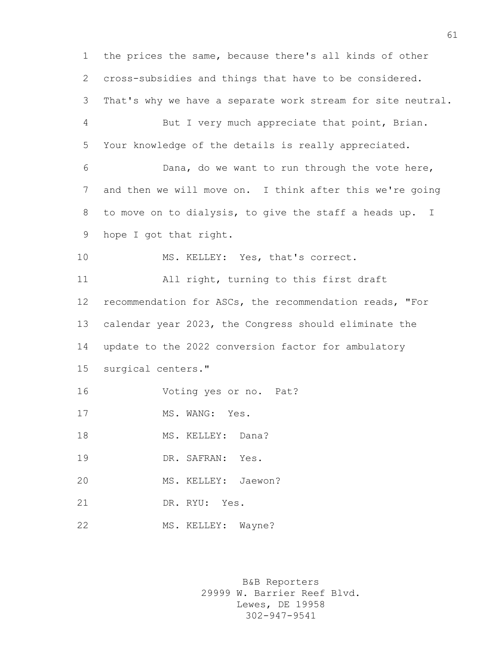the prices the same, because there's all kinds of other cross-subsidies and things that have to be considered. That's why we have a separate work stream for site neutral. But I very much appreciate that point, Brian. Your knowledge of the details is really appreciated. Dana, do we want to run through the vote here, and then we will move on. I think after this we're going to move on to dialysis, to give the staff a heads up. I hope I got that right. 10 MS. KELLEY: Yes, that's correct. All right, turning to this first draft recommendation for ASCs, the recommendation reads, "For calendar year 2023, the Congress should eliminate the update to the 2022 conversion factor for ambulatory surgical centers." Voting yes or no. Pat? 17 MS. WANG: Yes. 18 MS. KELLEY: Dana? DR. SAFRAN: Yes. MS. KELLEY: Jaewon? DR. RYU: Yes. 22 MS. KELLEY: Wayne?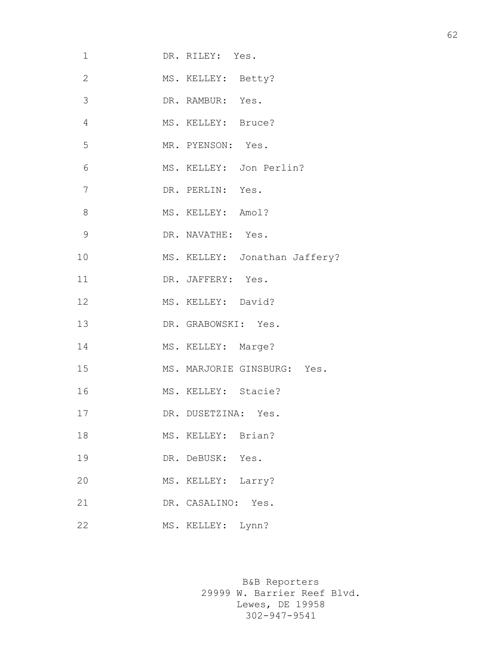| 1              | DR. RILEY: Yes.               |
|----------------|-------------------------------|
| $\mathbf{2}$   | MS. KELLEY: Betty?            |
| $\mathcal{S}$  | DR. RAMBUR: Yes.              |
| $\overline{4}$ | MS. KELLEY: Bruce?            |
| 5              | MR. PYENSON: Yes.             |
| 6              | MS. KELLEY: Jon Perlin?       |
| 7              | DR. PERLIN: Yes.              |
| 8              | MS. KELLEY: Amol?             |
| $\mathcal{G}$  | DR. NAVATHE: Yes.             |
| 10             | MS. KELLEY: Jonathan Jaffery? |
| 11             | DR. JAFFERY: Yes.             |
| 12             | MS. KELLEY: David?            |
| 13             | DR. GRABOWSKI: Yes.           |
| 14             | MS. KELLEY: Marge?            |
| 15             | MS. MARJORIE GINSBURG: Yes.   |
| 16             | MS. KELLEY: Stacie?           |
| 17             | DR. DUSETZINA: Yes.           |
| 18             | MS. KELLEY: Brian?            |
| 19             | DR. DeBUSK: Yes.              |
| 20             | Larry?<br>MS. KELLEY:         |
| 21             | Yes.<br>DR. CASALINO:         |
| 22             | MS. KELLEY: Lynn?             |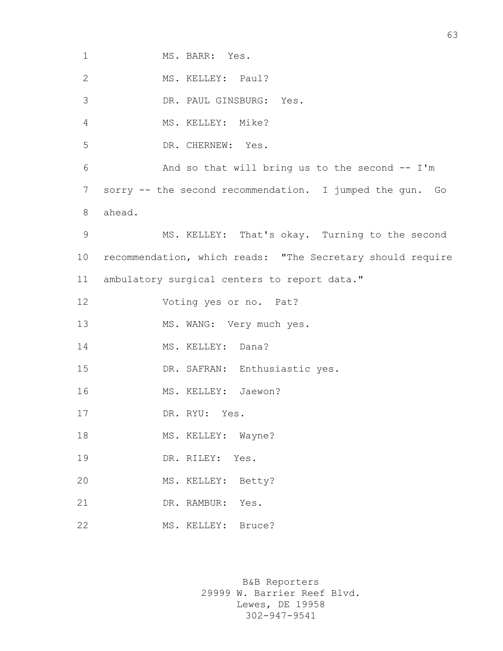| $\mathbf 1$    | MS. BARR: Yes.                                             |
|----------------|------------------------------------------------------------|
|                |                                                            |
| $\mathbf{2}$   | MS. KELLEY: Paul?                                          |
| 3              | DR. PAUL GINSBURG: Yes.                                    |
| 4              | MS. KELLEY: Mike?                                          |
| 5              | DR. CHERNEW: Yes.                                          |
| 6              | And so that will bring us to the second $-$ I'm            |
| 7              | sorry -- the second recommendation. I jumped the gun. Go   |
| 8              | ahead.                                                     |
| $\overline{9}$ | MS. KELLEY: That's okay. Turning to the second             |
| 10             | recommendation, which reads: "The Secretary should require |
| 11             | ambulatory surgical centers to report data."               |
| 12             | Voting yes or no. Pat?                                     |
| 13             | MS. WANG: Very much yes.                                   |
| 14             | MS. KELLEY: Dana?                                          |
| 15             | DR. SAFRAN: Enthusiastic yes.                              |
| 16             | MS. KELLEY: Jaewon?                                        |
| 17             | DR. RYU: Yes.                                              |
| 18             | MS. KELLEY: Wayne?                                         |
| 19             | DR. RILEY: Yes.                                            |
| 20             | MS. KELLEY: Betty?                                         |
| 21             | DR. RAMBUR: Yes.                                           |
| 22             | MS. KELLEY: Bruce?                                         |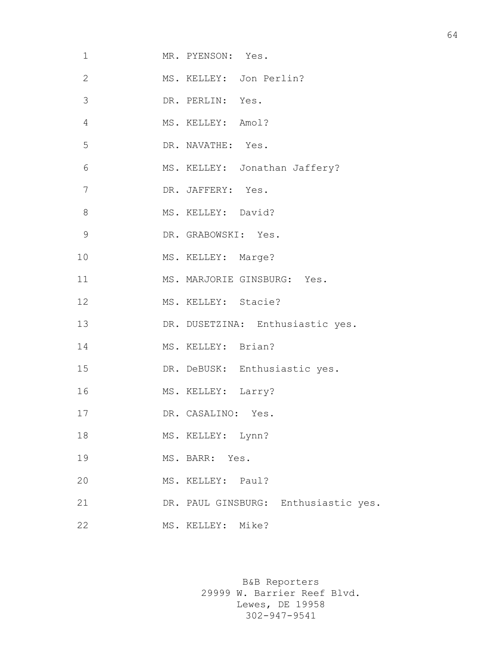| 1              | MR. PYENSON: Yes.                    |
|----------------|--------------------------------------|
| $\mathbf{2}$   | MS. KELLEY: Jon Perlin?              |
| 3              | DR. PERLIN: Yes.                     |
| $\overline{4}$ | MS. KELLEY: Amol?                    |
| 5              | DR. NAVATHE: Yes.                    |
| 6              | MS. KELLEY: Jonathan Jaffery?        |
| 7              | DR. JAFFERY: Yes.                    |
| 8              | MS. KELLEY: David?                   |
| $\mathcal{G}$  | DR. GRABOWSKI: Yes.                  |
| 10             | MS. KELLEY: Marge?                   |
| 11             | MS. MARJORIE GINSBURG: Yes.          |
| 12             | MS. KELLEY: Stacie?                  |
| 13             | DR. DUSETZINA: Enthusiastic yes.     |
| 14             | MS. KELLEY: Brian?                   |
| 15             | DR. DeBUSK: Enthusiastic yes.        |
| 16             | MS. KELLEY: Larry?                   |
| 17             | DR. CASALINO: Yes.                   |
| 18             | MS. KELLEY: Lynn?                    |
| 19             | MS. BARR: Yes.                       |
| 20             | MS. KELLEY: Paul?                    |
| 21             | DR. PAUL GINSBURG: Enthusiastic yes. |
| 22             | MS. KELLEY: Mike?                    |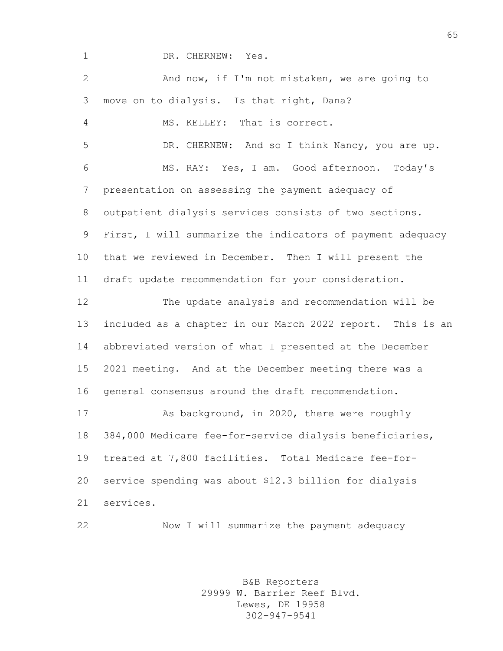- 
- 1 DR. CHERNEW: Yes.

| $\overline{2}$ | And now, if I'm not mistaken, we are going to              |
|----------------|------------------------------------------------------------|
| 3              | move on to dialysis. Is that right, Dana?                  |
| $\overline{4}$ | MS. KELLEY: That is correct.                               |
| 5              | DR. CHERNEW: And so I think Nancy, you are up.             |
| 6              | MS. RAY: Yes, I am. Good afternoon. Today's                |
| $\overline{7}$ | presentation on assessing the payment adequacy of          |
| 8              | outpatient dialysis services consists of two sections.     |
| 9              | First, I will summarize the indicators of payment adequacy |
| 10             | that we reviewed in December. Then I will present the      |
| 11             | draft update recommendation for your consideration.        |
| 12             | The update analysis and recommendation will be             |
| 13             | included as a chapter in our March 2022 report. This is an |
| 14             | abbreviated version of what I presented at the December    |
| 15             | 2021 meeting. And at the December meeting there was a      |
| 16             | general consensus around the draft recommendation.         |
| 17             | As background, in 2020, there were roughly                 |
| 18             | 384,000 Medicare fee-for-service dialysis beneficiaries,   |
| 19             | treated at 7,800 facilities. Total Medicare fee-for-       |
| 20             | service spending was about \$12.3 billion for dialysis     |
| 21             | services.                                                  |
| 22             | Now I will summarize the payment adequacy                  |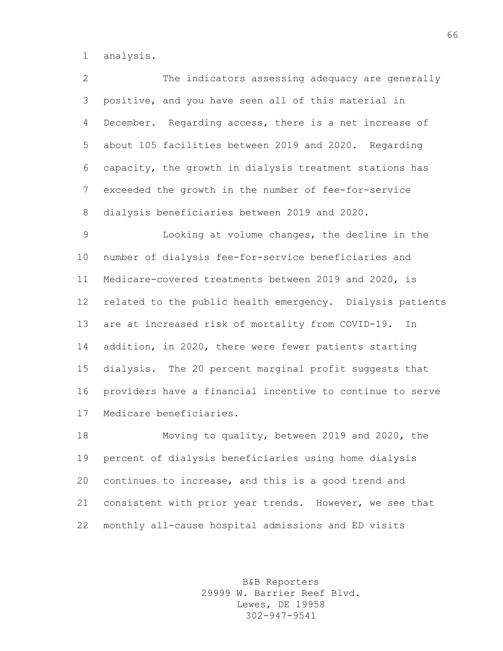analysis.

| $\overline{2}$  | The indicators assessing adequacy are generally           |
|-----------------|-----------------------------------------------------------|
| 3               | positive, and you have seen all of this material in       |
| 4               | December. Regarding access, there is a net increase of    |
| 5               | about 105 facilities between 2019 and 2020. Regarding     |
| 6               | capacity, the growth in dialysis treatment stations has   |
| 7               | exceeded the growth in the number of fee-for-service      |
| 8               | dialysis beneficiaries between 2019 and 2020.             |
| 9               | Looking at volume changes, the decline in the             |
| 10              | number of dialysis fee-for-service beneficiaries and      |
| 11              | Medicare-covered treatments between 2019 and 2020, is     |
| 12 <sup>°</sup> | related to the public health emergency. Dialysis patients |
|                 |                                                           |
| 13              | are at increased risk of mortality from COVID-19. In      |
| 14              | addition, in 2020, there were fewer patients starting     |
| 15 <sub>2</sub> | dialysis. The 20 percent marginal profit suggests that    |
| 16              | providers have a financial incentive to continue to serve |

 Moving to quality, between 2019 and 2020, the percent of dialysis beneficiaries using home dialysis continues to increase, and this is a good trend and consistent with prior year trends. However, we see that monthly all-cause hospital admissions and ED visits

> B&B Reporters 29999 W. Barrier Reef Blvd. Lewes, DE 19958 302-947-9541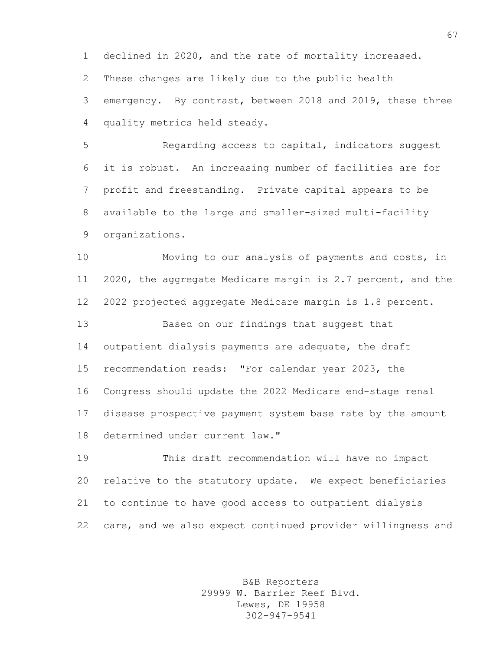declined in 2020, and the rate of mortality increased. These changes are likely due to the public health emergency. By contrast, between 2018 and 2019, these three quality metrics held steady.

 Regarding access to capital, indicators suggest it is robust. An increasing number of facilities are for profit and freestanding. Private capital appears to be available to the large and smaller-sized multi-facility organizations.

 Moving to our analysis of payments and costs, in 2020, the aggregate Medicare margin is 2.7 percent, and the 2022 projected aggregate Medicare margin is 1.8 percent.

 Based on our findings that suggest that outpatient dialysis payments are adequate, the draft recommendation reads: "For calendar year 2023, the Congress should update the 2022 Medicare end-stage renal disease prospective payment system base rate by the amount determined under current law."

 This draft recommendation will have no impact relative to the statutory update. We expect beneficiaries to continue to have good access to outpatient dialysis care, and we also expect continued provider willingness and

> B&B Reporters 29999 W. Barrier Reef Blvd. Lewes, DE 19958 302-947-9541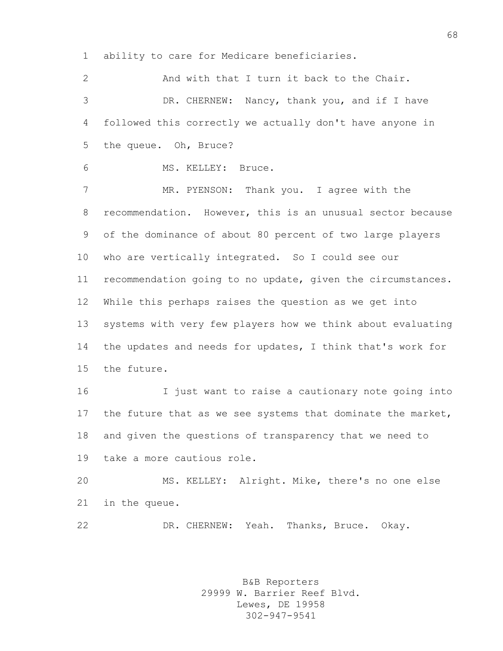ability to care for Medicare beneficiaries.

2 And with that I turn it back to the Chair. DR. CHERNEW: Nancy, thank you, and if I have followed this correctly we actually don't have anyone in the queue. Oh, Bruce? MS. KELLEY: Bruce. 7 MR. PYENSON: Thank you. I agree with the recommendation. However, this is an unusual sector because of the dominance of about 80 percent of two large players who are vertically integrated. So I could see our recommendation going to no update, given the circumstances. While this perhaps raises the question as we get into systems with very few players how we think about evaluating the updates and needs for updates, I think that's work for the future. I just want to raise a cautionary note going into 17 the future that as we see systems that dominate the market, and given the questions of transparency that we need to take a more cautious role. MS. KELLEY: Alright. Mike, there's no one else in the queue. DR. CHERNEW: Yeah. Thanks, Bruce. Okay.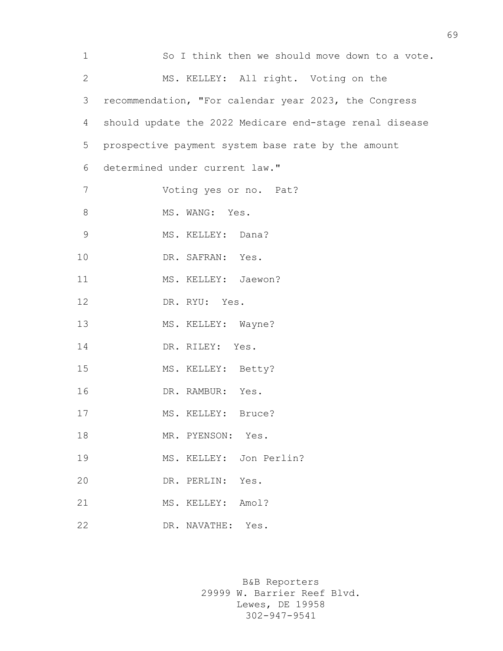| $\mathbf 1$    | So I think then we should move down to a vote.          |
|----------------|---------------------------------------------------------|
| $\overline{2}$ | MS. KELLEY: All right. Voting on the                    |
| 3              | recommendation, "For calendar year 2023, the Congress   |
| 4              | should update the 2022 Medicare end-stage renal disease |
| 5              | prospective payment system base rate by the amount      |
| 6              | determined under current law."                          |
| 7              | Voting yes or no. Pat?                                  |
| 8              | MS. WANG: Yes.                                          |
| $\mathcal{G}$  | MS. KELLEY: Dana?                                       |
| 10             | DR. SAFRAN: Yes.                                        |
| 11             | MS. KELLEY: Jaewon?                                     |
| 12             | DR. RYU: Yes.                                           |
| 13             | MS. KELLEY: Wayne?                                      |
| 14             | DR. RILEY: Yes.                                         |
| 15             | MS. KELLEY: Betty?                                      |
| 16             | DR. RAMBUR: Yes.                                        |
| 17             | MS. KELLEY: Bruce?                                      |
| 18             | MR. PYENSON: Yes.                                       |
| 19             | MS. KELLEY: Jon Perlin?                                 |
| 20             | DR. PERLIN:<br>Yes.                                     |
| 21             | MS. KELLEY: Amol?                                       |
| 22             | DR. NAVATHE: Yes.                                       |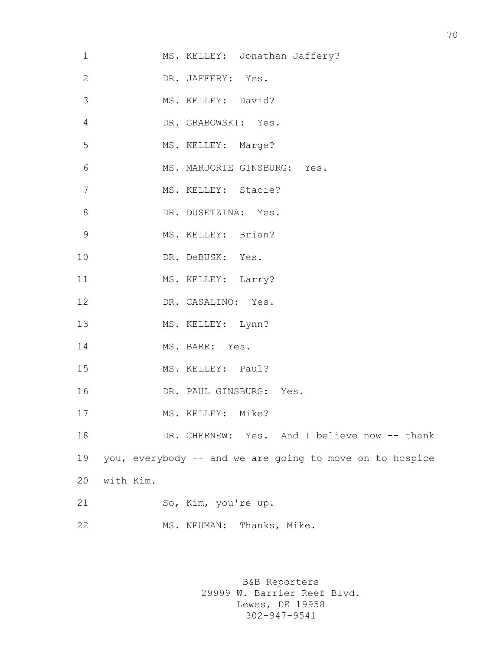| $\mathbf 1$    | MS. KELLEY: Jonathan Jaffery?                            |
|----------------|----------------------------------------------------------|
| $\overline{2}$ | DR. JAFFERY: Yes.                                        |
| 3              | MS. KELLEY: David?                                       |
| $\overline{4}$ | DR. GRABOWSKI: Yes.                                      |
| 5              | MS. KELLEY: Marge?                                       |
| 6              | MS. MARJORIE GINSBURG: Yes.                              |
| 7              | MS. KELLEY: Stacie?                                      |
| $8\,$          | DR. DUSETZINA: Yes.                                      |
| 9              | MS. KELLEY: Brian?                                       |
| 10             | DR. DeBUSK: Yes.                                         |
| 11             | MS. KELLEY: Larry?                                       |
| 12             | DR. CASALINO: Yes.                                       |
| 13             | MS. KELLEY: Lynn?                                        |
| 14             | MS. BARR: Yes.                                           |
| 15             | MS. KELLEY: Paul?                                        |
| 16             | DR. PAUL GINSBURG: Yes.                                  |
| 17             | MS. KELLEY: Mike?                                        |
| 18             | DR. CHERNEW: Yes. And I believe now -- thank             |
| 19             | you, everybody -- and we are going to move on to hospice |
| 20             | with Kim.                                                |
| 21             | So, Kim, you're up.                                      |
| 22             | MS. NEUMAN: Thanks, Mike.                                |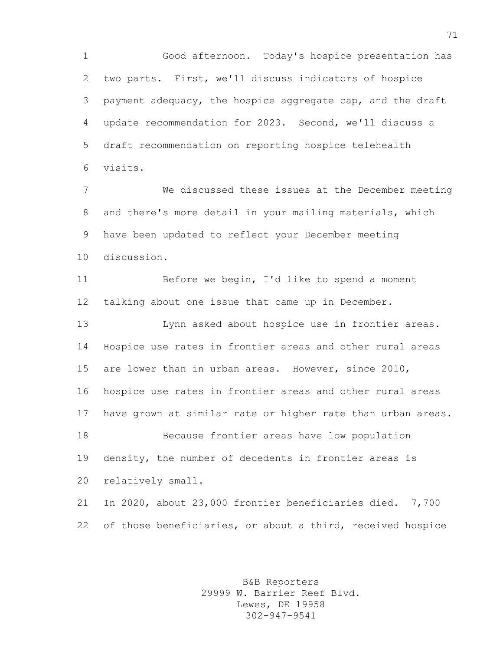Good afternoon. Today's hospice presentation has two parts. First, we'll discuss indicators of hospice payment adequacy, the hospice aggregate cap, and the draft update recommendation for 2023. Second, we'll discuss a draft recommendation on reporting hospice telehealth visits.

 We discussed these issues at the December meeting and there's more detail in your mailing materials, which have been updated to reflect your December meeting discussion.

 Before we begin, I'd like to spend a moment talking about one issue that came up in December.

 Lynn asked about hospice use in frontier areas. Hospice use rates in frontier areas and other rural areas are lower than in urban areas. However, since 2010, hospice use rates in frontier areas and other rural areas have grown at similar rate or higher rate than urban areas. Because frontier areas have low population density, the number of decedents in frontier areas is relatively small.

 In 2020, about 23,000 frontier beneficiaries died. 7,700 of those beneficiaries, or about a third, received hospice

> B&B Reporters 29999 W. Barrier Reef Blvd. Lewes, DE 19958 302-947-9541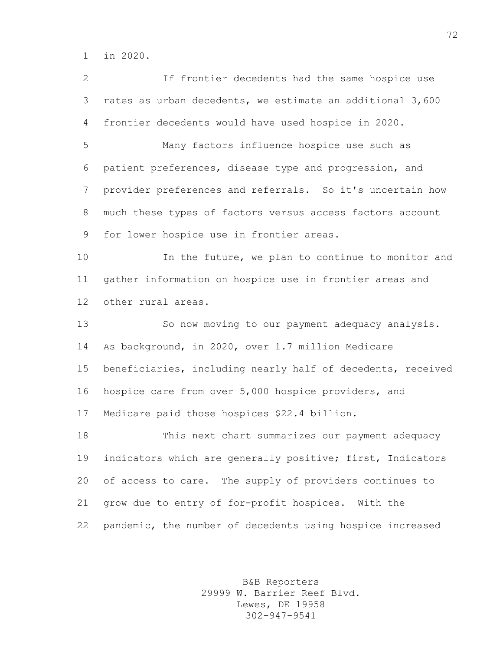in 2020.

 If frontier decedents had the same hospice use rates as urban decedents, we estimate an additional 3,600 frontier decedents would have used hospice in 2020.

 Many factors influence hospice use such as patient preferences, disease type and progression, and provider preferences and referrals. So it's uncertain how much these types of factors versus access factors account for lower hospice use in frontier areas.

 In the future, we plan to continue to monitor and gather information on hospice use in frontier areas and other rural areas.

 So now moving to our payment adequacy analysis. As background, in 2020, over 1.7 million Medicare beneficiaries, including nearly half of decedents, received hospice care from over 5,000 hospice providers, and Medicare paid those hospices \$22.4 billion.

 This next chart summarizes our payment adequacy 19 indicators which are generally positive; first, Indicators of access to care. The supply of providers continues to grow due to entry of for-profit hospices. With the pandemic, the number of decedents using hospice increased

> B&B Reporters 29999 W. Barrier Reef Blvd. Lewes, DE 19958 302-947-9541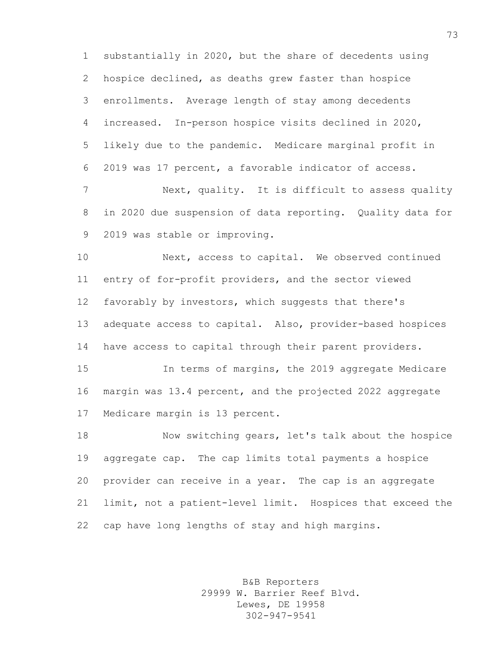substantially in 2020, but the share of decedents using hospice declined, as deaths grew faster than hospice enrollments. Average length of stay among decedents increased. In-person hospice visits declined in 2020, likely due to the pandemic. Medicare marginal profit in 2019 was 17 percent, a favorable indicator of access.

 Next, quality. It is difficult to assess quality in 2020 due suspension of data reporting. Quality data for 2019 was stable or improving.

 Next, access to capital. We observed continued entry of for-profit providers, and the sector viewed favorably by investors, which suggests that there's adequate access to capital. Also, provider-based hospices have access to capital through their parent providers.

 In terms of margins, the 2019 aggregate Medicare margin was 13.4 percent, and the projected 2022 aggregate Medicare margin is 13 percent.

 Now switching gears, let's talk about the hospice aggregate cap. The cap limits total payments a hospice provider can receive in a year. The cap is an aggregate limit, not a patient-level limit. Hospices that exceed the cap have long lengths of stay and high margins.

> B&B Reporters 29999 W. Barrier Reef Blvd. Lewes, DE 19958 302-947-9541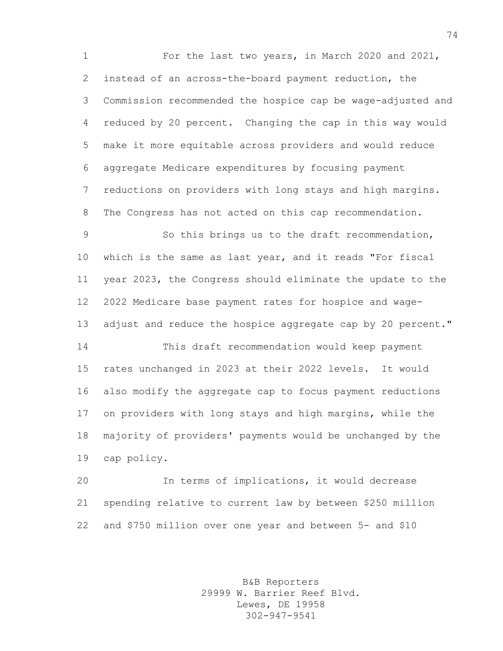For the last two years, in March 2020 and 2021, instead of an across-the-board payment reduction, the Commission recommended the hospice cap be wage-adjusted and reduced by 20 percent. Changing the cap in this way would make it more equitable across providers and would reduce aggregate Medicare expenditures by focusing payment reductions on providers with long stays and high margins. The Congress has not acted on this cap recommendation.

 So this brings us to the draft recommendation, which is the same as last year, and it reads "For fiscal year 2023, the Congress should eliminate the update to the 2022 Medicare base payment rates for hospice and wage-13 adjust and reduce the hospice aggregate cap by 20 percent."

 This draft recommendation would keep payment rates unchanged in 2023 at their 2022 levels. It would also modify the aggregate cap to focus payment reductions on providers with long stays and high margins, while the majority of providers' payments would be unchanged by the cap policy.

 In terms of implications, it would decrease spending relative to current law by between \$250 million and \$750 million over one year and between 5- and \$10

> B&B Reporters 29999 W. Barrier Reef Blvd. Lewes, DE 19958 302-947-9541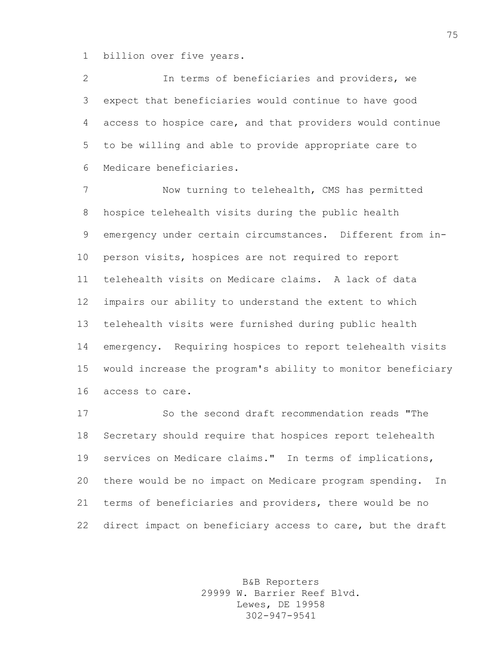billion over five years.

 In terms of beneficiaries and providers, we expect that beneficiaries would continue to have good access to hospice care, and that providers would continue to be willing and able to provide appropriate care to Medicare beneficiaries.

 Now turning to telehealth, CMS has permitted hospice telehealth visits during the public health emergency under certain circumstances. Different from in- person visits, hospices are not required to report telehealth visits on Medicare claims. A lack of data impairs our ability to understand the extent to which telehealth visits were furnished during public health emergency. Requiring hospices to report telehealth visits would increase the program's ability to monitor beneficiary access to care.

 So the second draft recommendation reads "The Secretary should require that hospices report telehealth services on Medicare claims." In terms of implications, there would be no impact on Medicare program spending. In terms of beneficiaries and providers, there would be no direct impact on beneficiary access to care, but the draft

> B&B Reporters 29999 W. Barrier Reef Blvd. Lewes, DE 19958 302-947-9541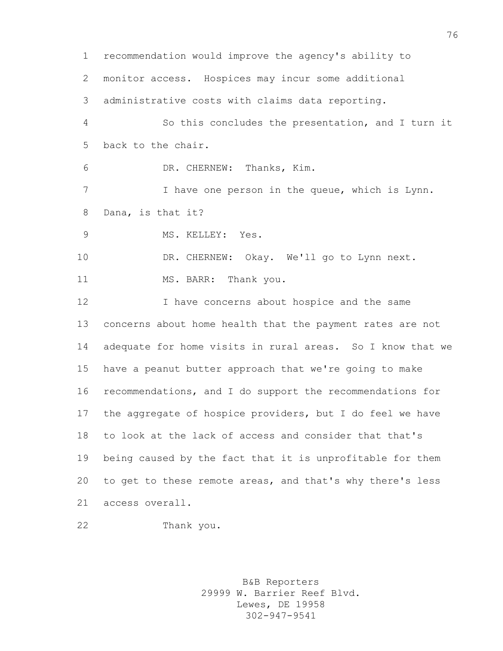recommendation would improve the agency's ability to monitor access. Hospices may incur some additional administrative costs with claims data reporting. So this concludes the presentation, and I turn it back to the chair. DR. CHERNEW: Thanks, Kim. 7 I have one person in the queue, which is Lynn. Dana, is that it? 9 MS. KELLEY: Yes. 10 DR. CHERNEW: Okay. We'll go to Lynn next. 11 MS. BARR: Thank you. I have concerns about hospice and the same concerns about home health that the payment rates are not adequate for home visits in rural areas. So I know that we have a peanut butter approach that we're going to make recommendations, and I do support the recommendations for the aggregate of hospice providers, but I do feel we have to look at the lack of access and consider that that's being caused by the fact that it is unprofitable for them to get to these remote areas, and that's why there's less access overall.

Thank you.

B&B Reporters 29999 W. Barrier Reef Blvd. Lewes, DE 19958 302-947-9541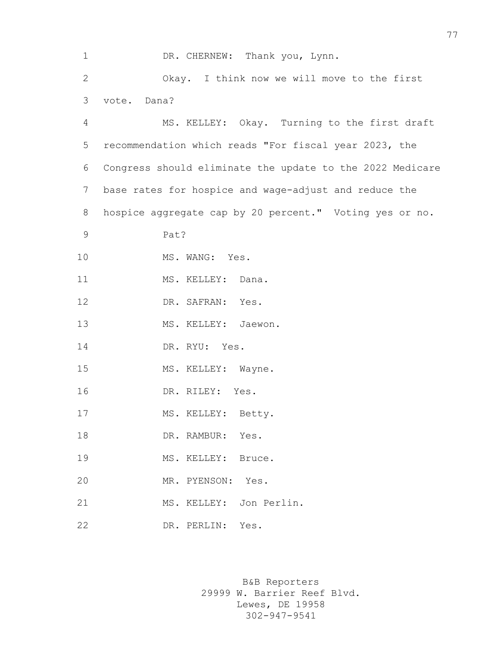1 DR. CHERNEW: Thank you, Lynn. 2 Okay. I think now we will move to the first 3 vote. Dana? 4 MS. KELLEY: Okay. Turning to the first draft 5 recommendation which reads "For fiscal year 2023, the 6 Congress should eliminate the update to the 2022 Medicare 7 base rates for hospice and wage-adjust and reduce the 8 hospice aggregate cap by 20 percent." Voting yes or no. 9 Pat? 10 MS. WANG: Yes. 11 MS. KELLEY: Dana. 12 DR. SAFRAN: Yes. 13 MS. KELLEY: Jaewon. 14 DR. RYU: Yes. 15 MS. KELLEY: Wayne. 16 DR. RILEY: Yes. 17 MS. KELLEY: Betty. 18 DR. RAMBUR: Yes. 19 MS. KELLEY: Bruce. 20 MR. PYENSON: Yes. 21 MS. KELLEY: Jon Perlin. 22 DR. PERLIN: Yes.

> B&B Reporters 29999 W. Barrier Reef Blvd. Lewes, DE 19958 302-947-9541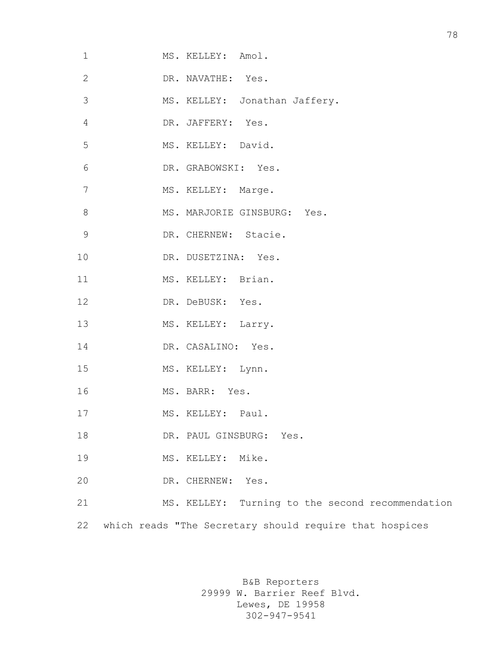| $\mathbf 1$    | MS. KELLEY: Amol.                                       |
|----------------|---------------------------------------------------------|
| $\mathbf{2}$   | DR. NAVATHE: Yes.                                       |
| $\mathfrak{Z}$ | MS. KELLEY: Jonathan Jaffery.                           |
| $\overline{4}$ | DR. JAFFERY: Yes.                                       |
| 5              | MS. KELLEY: David.                                      |
| 6              | DR. GRABOWSKI: Yes.                                     |
| 7              | MS. KELLEY: Marge.                                      |
| $\,8\,$        | MS. MARJORIE GINSBURG: Yes.                             |
| $\mathsf 9$    | DR. CHERNEW: Stacie.                                    |
| 10             | DR. DUSETZINA: Yes.                                     |
| 11             | MS. KELLEY: Brian.                                      |
| 12             | DR. DeBUSK: Yes.                                        |
| 13             | MS. KELLEY: Larry.                                      |
| 14             | DR. CASALINO: Yes.                                      |
| 15             | MS. KELLEY: Lynn.                                       |
| 16             | MS. BARR: Yes.                                          |
| 17             | MS. KELLEY: Paul.                                       |
| 18             | DR. PAUL GINSBURG: Yes.                                 |
| 19             | MS. KELLEY: Mike.                                       |
| 20             | DR. CHERNEW: Yes.                                       |
| 21             | MS. KELLEY: Turning to the second recommendation        |
| 22             | which reads "The Secretary should require that hospices |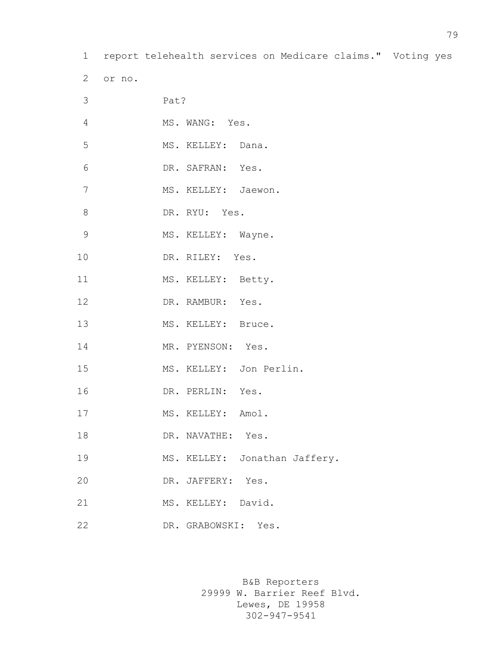report telehealth services on Medicare claims." Voting yes

| 3              | Pat?                          |
|----------------|-------------------------------|
| $\overline{4}$ | MS. WANG: Yes.                |
| 5              | MS. KELLEY: Dana.             |
| 6              | DR. SAFRAN: Yes.              |
| 7              | MS. KELLEY: Jaewon.           |
| 8              | DR. RYU: Yes.                 |
| $\mathsf 9$    | MS. KELLEY: Wayne.            |
| 10             | DR. RILEY: Yes.               |
| 11             | MS. KELLEY: Betty.            |
| 12             | DR. RAMBUR: Yes.              |
| 13             | MS. KELLEY: Bruce.            |
| 14             | MR. PYENSON: Yes.             |
| 15             | MS. KELLEY: Jon Perlin.       |
| 16             | DR. PERLIN: Yes.              |
| 17             | MS. KELLEY: Amol.             |
| 18             | DR. NAVATHE: Yes.             |
| 19             | MS. KELLEY: Jonathan Jaffery. |
| 20             | DR. JAFFERY: Yes.             |
| 21             | MS. KELLEY: David.            |
| 22             | DR. GRABOWSKI: Yes.           |

or no.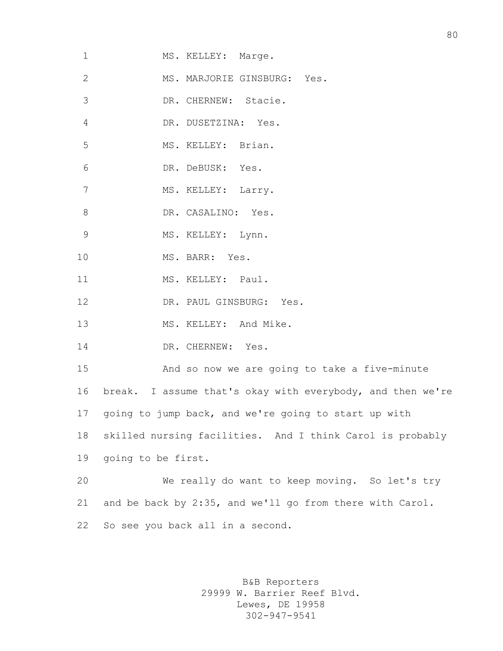| MS. MARJORIE GINSBURG: Yes.<br>DR. CHERNEW: Stacie.<br>DR. DUSETZINA: Yes.<br>MS. KELLEY: Brian. |
|--------------------------------------------------------------------------------------------------|
|                                                                                                  |
|                                                                                                  |
|                                                                                                  |
|                                                                                                  |
| DR. DeBUSK: Yes.                                                                                 |
| MS. KELLEY: Larry.                                                                               |
| DR. CASALINO: Yes.                                                                               |
| MS. KELLEY: Lynn.                                                                                |
| MS. BARR: Yes.                                                                                   |
| MS. KELLEY: Paul.                                                                                |
| DR. PAUL GINSBURG: Yes.                                                                          |
| MS. KELLEY: And Mike.                                                                            |
| DR. CHERNEW: Yes.                                                                                |
| And so now we are going to take a five-minute                                                    |
| break. I assume that's okay with everybody, and then we're                                       |
| going to jump back, and we're going to start up with                                             |
| skilled nursing facilities. And I think Carol is probably                                        |
| going to be first.                                                                               |
| We really do want to keep moving. So let's try                                                   |
| and be back by 2:35, and we'll go from there with Carol.                                         |
| So see you back all in a second.                                                                 |
|                                                                                                  |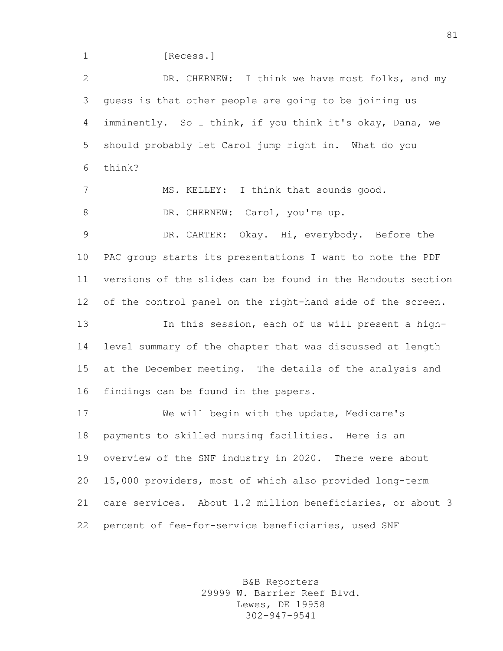1 [Recess.]

 DR. CHERNEW: I think we have most folks, and my guess is that other people are going to be joining us imminently. So I think, if you think it's okay, Dana, we should probably let Carol jump right in. What do you think? MS. KELLEY: I think that sounds good. 8 DR. CHERNEW: Carol, you're up. DR. CARTER: Okay. Hi, everybody. Before the PAC group starts its presentations I want to note the PDF versions of the slides can be found in the Handouts section 12 of the control panel on the right-hand side of the screen. In this session, each of us will present a high- level summary of the chapter that was discussed at length at the December meeting. The details of the analysis and findings can be found in the papers. We will begin with the update, Medicare's payments to skilled nursing facilities. Here is an overview of the SNF industry in 2020. There were about 15,000 providers, most of which also provided long-term care services. About 1.2 million beneficiaries, or about 3 percent of fee-for-service beneficiaries, used SNF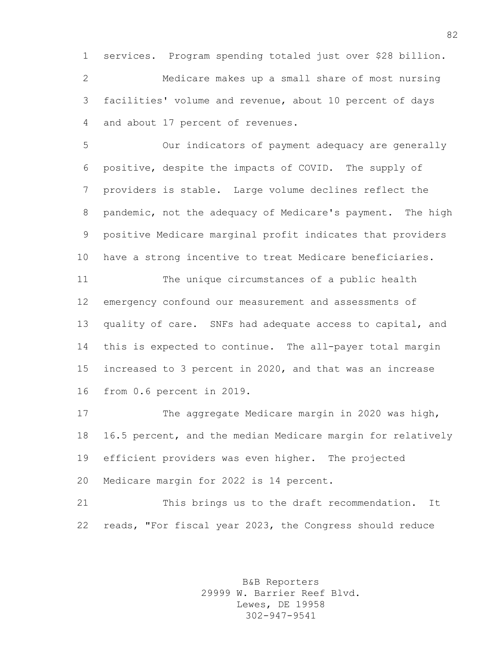services. Program spending totaled just over \$28 billion. Medicare makes up a small share of most nursing facilities' volume and revenue, about 10 percent of days and about 17 percent of revenues.

 Our indicators of payment adequacy are generally positive, despite the impacts of COVID. The supply of providers is stable. Large volume declines reflect the pandemic, not the adequacy of Medicare's payment. The high positive Medicare marginal profit indicates that providers have a strong incentive to treat Medicare beneficiaries.

 The unique circumstances of a public health emergency confound our measurement and assessments of quality of care. SNFs had adequate access to capital, and this is expected to continue. The all-payer total margin increased to 3 percent in 2020, and that was an increase from 0.6 percent in 2019.

 The aggregate Medicare margin in 2020 was high, 16.5 percent, and the median Medicare margin for relatively efficient providers was even higher. The projected Medicare margin for 2022 is 14 percent.

 This brings us to the draft recommendation. It reads, "For fiscal year 2023, the Congress should reduce

> B&B Reporters 29999 W. Barrier Reef Blvd. Lewes, DE 19958 302-947-9541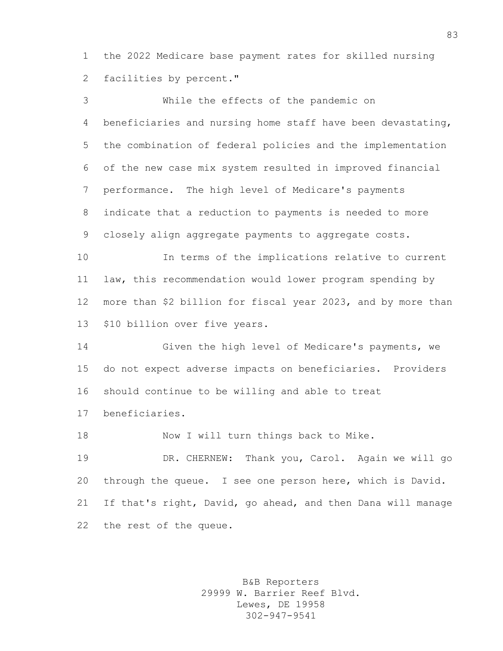the 2022 Medicare base payment rates for skilled nursing facilities by percent."

 While the effects of the pandemic on beneficiaries and nursing home staff have been devastating, the combination of federal policies and the implementation of the new case mix system resulted in improved financial performance. The high level of Medicare's payments indicate that a reduction to payments is needed to more closely align aggregate payments to aggregate costs. In terms of the implications relative to current law, this recommendation would lower program spending by more than \$2 billion for fiscal year 2023, and by more than \$10 billion over five years. Given the high level of Medicare's payments, we do not expect adverse impacts on beneficiaries. Providers should continue to be willing and able to treat beneficiaries. 18 Now I will turn things back to Mike. DR. CHERNEW: Thank you, Carol. Again we will go through the queue. I see one person here, which is David. If that's right, David, go ahead, and then Dana will manage the rest of the queue.

> B&B Reporters 29999 W. Barrier Reef Blvd. Lewes, DE 19958 302-947-9541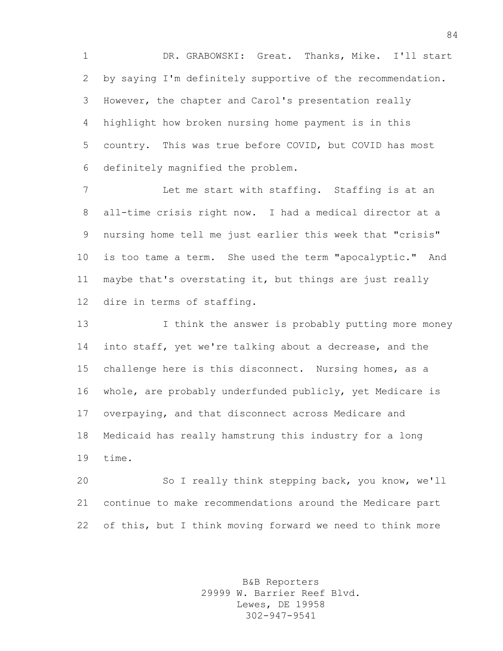DR. GRABOWSKI: Great. Thanks, Mike. I'll start by saying I'm definitely supportive of the recommendation. However, the chapter and Carol's presentation really highlight how broken nursing home payment is in this country. This was true before COVID, but COVID has most definitely magnified the problem.

 Let me start with staffing. Staffing is at an all-time crisis right now. I had a medical director at a nursing home tell me just earlier this week that "crisis" is too tame a term. She used the term "apocalyptic." And maybe that's overstating it, but things are just really dire in terms of staffing.

13 13 I think the answer is probably putting more money into staff, yet we're talking about a decrease, and the challenge here is this disconnect. Nursing homes, as a whole, are probably underfunded publicly, yet Medicare is overpaying, and that disconnect across Medicare and Medicaid has really hamstrung this industry for a long time.

 So I really think stepping back, you know, we'll continue to make recommendations around the Medicare part of this, but I think moving forward we need to think more

> B&B Reporters 29999 W. Barrier Reef Blvd. Lewes, DE 19958 302-947-9541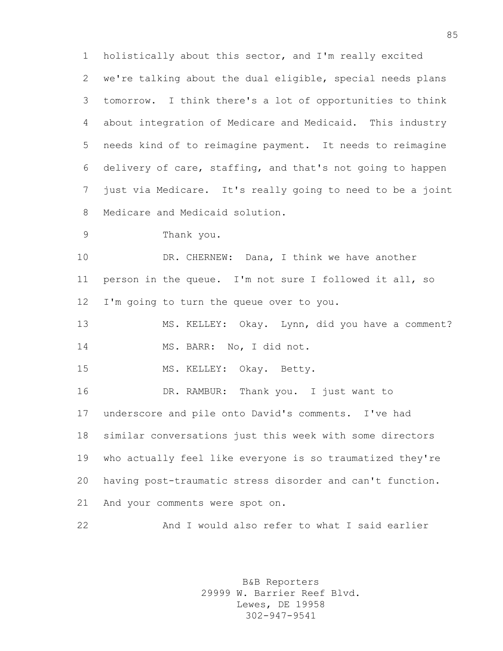holistically about this sector, and I'm really excited we're talking about the dual eligible, special needs plans tomorrow. I think there's a lot of opportunities to think about integration of Medicare and Medicaid. This industry needs kind of to reimagine payment. It needs to reimagine delivery of care, staffing, and that's not going to happen just via Medicare. It's really going to need to be a joint Medicare and Medicaid solution.

Thank you.

 DR. CHERNEW: Dana, I think we have another person in the queue. I'm not sure I followed it all, so I'm going to turn the queue over to you.

 MS. KELLEY: Okay. Lynn, did you have a comment? MS. BARR: No, I did not.

MS. KELLEY: Okay. Betty.

 DR. RAMBUR: Thank you. I just want to underscore and pile onto David's comments. I've had similar conversations just this week with some directors who actually feel like everyone is so traumatized they're having post-traumatic stress disorder and can't function. And your comments were spot on.

And I would also refer to what I said earlier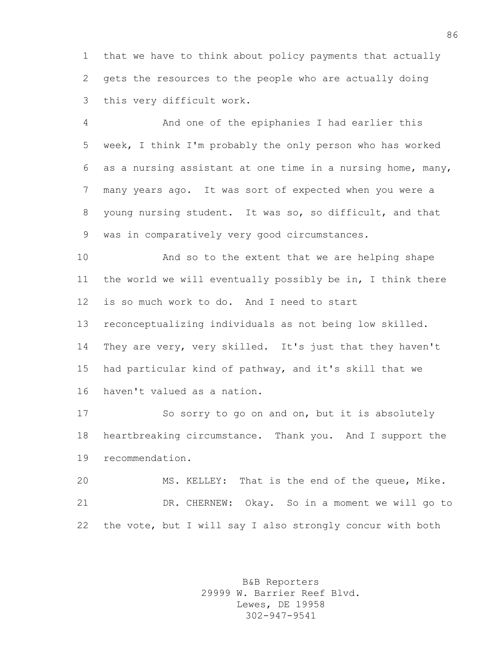that we have to think about policy payments that actually gets the resources to the people who are actually doing this very difficult work.

 And one of the epiphanies I had earlier this week, I think I'm probably the only person who has worked as a nursing assistant at one time in a nursing home, many, many years ago. It was sort of expected when you were a young nursing student. It was so, so difficult, and that was in comparatively very good circumstances.

 And so to the extent that we are helping shape the world we will eventually possibly be in, I think there is so much work to do. And I need to start reconceptualizing individuals as not being low skilled. They are very, very skilled. It's just that they haven't had particular kind of pathway, and it's skill that we haven't valued as a nation.

 So sorry to go on and on, but it is absolutely heartbreaking circumstance. Thank you. And I support the recommendation.

 MS. KELLEY: That is the end of the queue, Mike. DR. CHERNEW: Okay. So in a moment we will go to the vote, but I will say I also strongly concur with both

> B&B Reporters 29999 W. Barrier Reef Blvd. Lewes, DE 19958 302-947-9541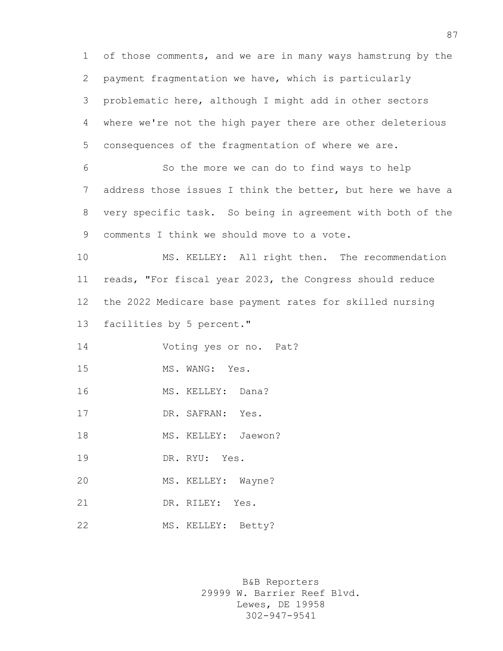of those comments, and we are in many ways hamstrung by the payment fragmentation we have, which is particularly problematic here, although I might add in other sectors where we're not the high payer there are other deleterious consequences of the fragmentation of where we are. So the more we can do to find ways to help address those issues I think the better, but here we have a very specific task. So being in agreement with both of the comments I think we should move to a vote. MS. KELLEY: All right then. The recommendation reads, "For fiscal year 2023, the Congress should reduce the 2022 Medicare base payment rates for skilled nursing facilities by 5 percent." Voting yes or no. Pat? 15 MS. WANG: Yes. MS. KELLEY: Dana? 17 DR. SAFRAN: Yes. 18 MS. KELLEY: Jaewon? DR. RYU: Yes. MS. KELLEY: Wayne? DR. RILEY: Yes. MS. KELLEY: Betty?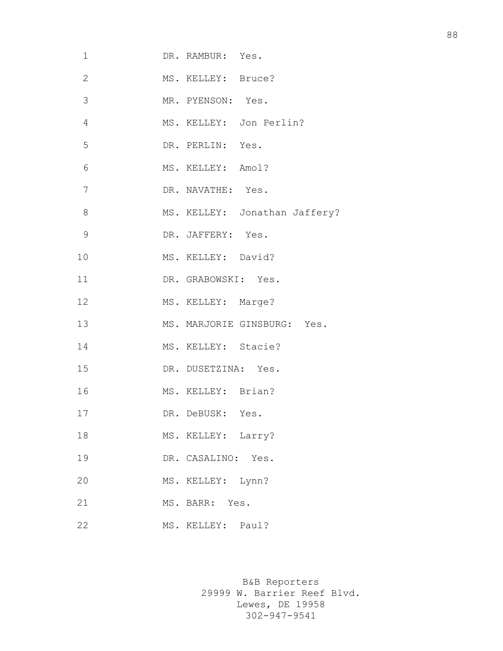| $\mathbf 1$    | DR. RAMBUR: Yes.    |                               |
|----------------|---------------------|-------------------------------|
| $\overline{2}$ | MS. KELLEY: Bruce?  |                               |
| 3              | MR. PYENSON: Yes.   |                               |
| $\overline{4}$ |                     | MS. KELLEY: Jon Perlin?       |
| 5              | DR. PERLIN: Yes.    |                               |
| 6              | MS. KELLEY: Amol?   |                               |
| 7              | DR. NAVATHE: Yes.   |                               |
| 8              |                     | MS. KELLEY: Jonathan Jaffery? |
| $\mathcal{G}$  | DR. JAFFERY: Yes.   |                               |
| 10             | MS. KELLEY: David?  |                               |
| 11             | DR. GRABOWSKI: Yes. |                               |
| 12             | MS. KELLEY: Marge?  |                               |
| 13             |                     | MS. MARJORIE GINSBURG: Yes.   |
| 14             | MS. KELLEY: Stacie? |                               |
| 15             | DR. DUSETZINA: Yes. |                               |
| 16             | MS. KELLEY: Brian?  |                               |
| 17             | DR. DeBUSK: Yes.    |                               |
| 18             | MS. KELLEY: Larry?  |                               |
| 19             | DR. CASALINO: Yes.  |                               |
| 20             | MS. KELLEY: Lynn?   |                               |
| 21             | MS. BARR: Yes.      |                               |
| 22             | MS. KELLEY: Paul?   |                               |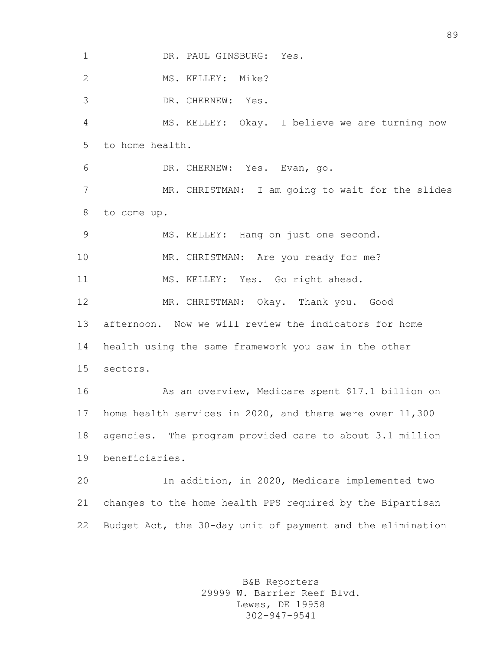1 DR. PAUL GINSBURG: Yes. 2 MS. KELLEY: Mike? DR. CHERNEW: Yes. MS. KELLEY: Okay. I believe we are turning now to home health. DR. CHERNEW: Yes. Evan, go. MR. CHRISTMAN: I am going to wait for the slides to come up. MS. KELLEY: Hang on just one second. MR. CHRISTMAN: Are you ready for me? MS. KELLEY: Yes. Go right ahead. MR. CHRISTMAN: Okay. Thank you. Good afternoon. Now we will review the indicators for home health using the same framework you saw in the other sectors. As an overview, Medicare spent \$17.1 billion on home health services in 2020, and there were over 11,300 agencies. The program provided care to about 3.1 million beneficiaries. In addition, in 2020, Medicare implemented two changes to the home health PPS required by the Bipartisan Budget Act, the 30-day unit of payment and the elimination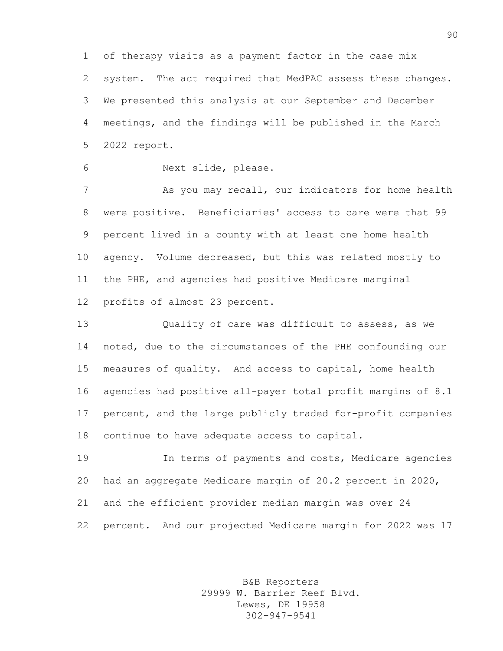of therapy visits as a payment factor in the case mix system. The act required that MedPAC assess these changes. We presented this analysis at our September and December meetings, and the findings will be published in the March 2022 report.

Next slide, please.

7 As you may recall, our indicators for home health were positive. Beneficiaries' access to care were that 99 percent lived in a county with at least one home health agency. Volume decreased, but this was related mostly to the PHE, and agencies had positive Medicare marginal profits of almost 23 percent.

 Quality of care was difficult to assess, as we noted, due to the circumstances of the PHE confounding our measures of quality. And access to capital, home health agencies had positive all-payer total profit margins of 8.1 percent, and the large publicly traded for-profit companies continue to have adequate access to capital.

 In terms of payments and costs, Medicare agencies had an aggregate Medicare margin of 20.2 percent in 2020, and the efficient provider median margin was over 24 percent. And our projected Medicare margin for 2022 was 17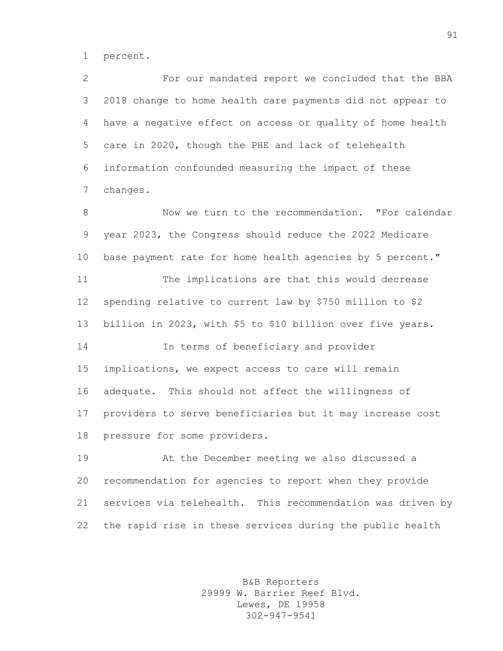percent.

 For our mandated report we concluded that the BBA 2018 change to home health care payments did not appear to have a negative effect on access or quality of home health care in 2020, though the PHE and lack of telehealth information confounded measuring the impact of these changes.

8 Now we turn to the recommendation. "For calendar year 2023, the Congress should reduce the 2022 Medicare base payment rate for home health agencies by 5 percent." The implications are that this would decrease spending relative to current law by \$750 million to \$2 billion in 2023, with \$5 to \$10 billion over five years. In terms of beneficiary and provider implications, we expect access to care will remain adequate. This should not affect the willingness of providers to serve beneficiaries but it may increase cost pressure for some providers.

 At the December meeting we also discussed a recommendation for agencies to report when they provide services via telehealth. This recommendation was driven by the rapid rise in these services during the public health

> B&B Reporters 29999 W. Barrier Reef Blvd. Lewes, DE 19958 302-947-9541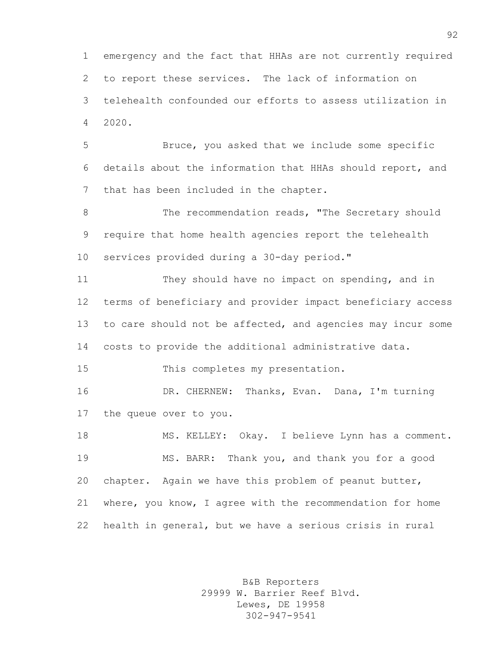emergency and the fact that HHAs are not currently required to report these services. The lack of information on telehealth confounded our efforts to assess utilization in 2020.

 Bruce, you asked that we include some specific details about the information that HHAs should report, and that has been included in the chapter.

8 The recommendation reads, "The Secretary should require that home health agencies report the telehealth services provided during a 30-day period."

 They should have no impact on spending, and in terms of beneficiary and provider impact beneficiary access 13 to care should not be affected, and agencies may incur some costs to provide the additional administrative data.

This completes my presentation.

 DR. CHERNEW: Thanks, Evan. Dana, I'm turning the queue over to you.

 MS. KELLEY: Okay. I believe Lynn has a comment. MS. BARR: Thank you, and thank you for a good 20 chapter. Again we have this problem of peanut butter, where, you know, I agree with the recommendation for home health in general, but we have a serious crisis in rural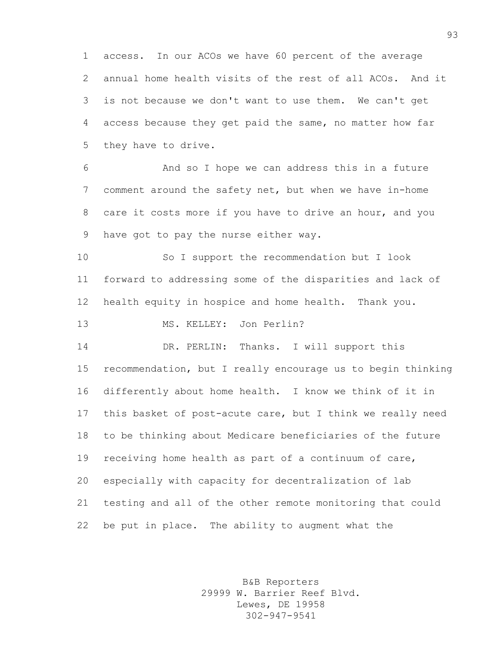access. In our ACOs we have 60 percent of the average annual home health visits of the rest of all ACOs. And it is not because we don't want to use them. We can't get access because they get paid the same, no matter how far they have to drive.

 And so I hope we can address this in a future comment around the safety net, but when we have in-home care it costs more if you have to drive an hour, and you have got to pay the nurse either way.

 So I support the recommendation but I look forward to addressing some of the disparities and lack of health equity in hospice and home health. Thank you.

MS. KELLEY: Jon Perlin?

 DR. PERLIN: Thanks. I will support this recommendation, but I really encourage us to begin thinking differently about home health. I know we think of it in this basket of post-acute care, but I think we really need to be thinking about Medicare beneficiaries of the future receiving home health as part of a continuum of care, especially with capacity for decentralization of lab testing and all of the other remote monitoring that could be put in place. The ability to augment what the

> B&B Reporters 29999 W. Barrier Reef Blvd. Lewes, DE 19958 302-947-9541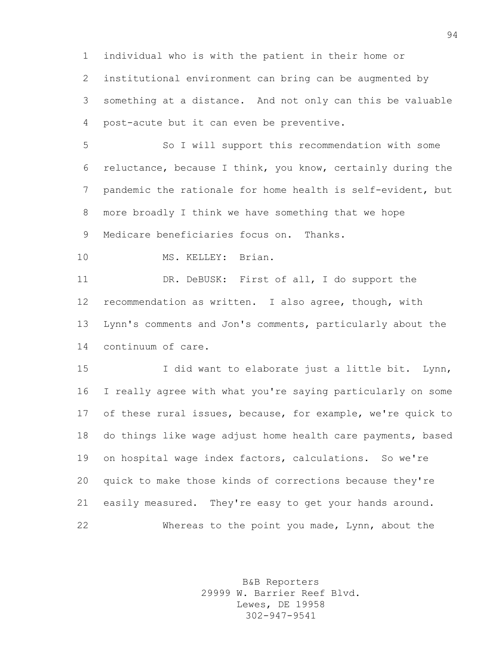individual who is with the patient in their home or institutional environment can bring can be augmented by something at a distance. And not only can this be valuable post-acute but it can even be preventive.

 So I will support this recommendation with some reluctance, because I think, you know, certainly during the pandemic the rationale for home health is self-evident, but more broadly I think we have something that we hope Medicare beneficiaries focus on. Thanks.

MS. KELLEY: Brian.

 DR. DeBUSK: First of all, I do support the recommendation as written. I also agree, though, with Lynn's comments and Jon's comments, particularly about the continuum of care.

15 I did want to elaborate just a little bit. Lynn, I really agree with what you're saying particularly on some of these rural issues, because, for example, we're quick to do things like wage adjust home health care payments, based on hospital wage index factors, calculations. So we're quick to make those kinds of corrections because they're easily measured. They're easy to get your hands around. Whereas to the point you made, Lynn, about the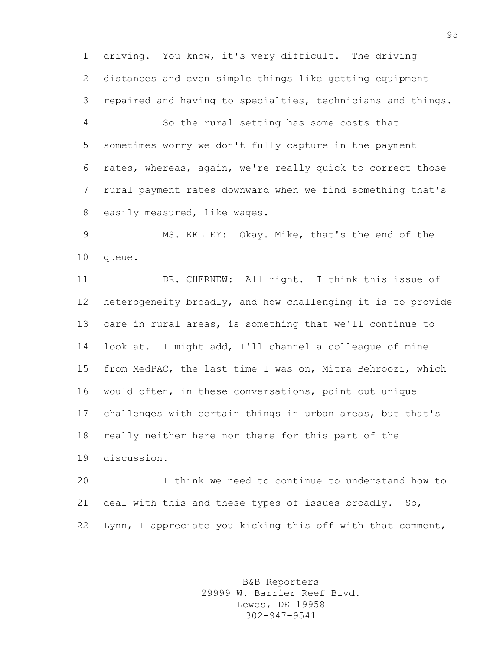driving. You know, it's very difficult. The driving distances and even simple things like getting equipment repaired and having to specialties, technicians and things.

 So the rural setting has some costs that I sometimes worry we don't fully capture in the payment rates, whereas, again, we're really quick to correct those rural payment rates downward when we find something that's easily measured, like wages.

 MS. KELLEY: Okay. Mike, that's the end of the queue.

 DR. CHERNEW: All right. I think this issue of heterogeneity broadly, and how challenging it is to provide care in rural areas, is something that we'll continue to look at. I might add, I'll channel a colleague of mine from MedPAC, the last time I was on, Mitra Behroozi, which would often, in these conversations, point out unique challenges with certain things in urban areas, but that's really neither here nor there for this part of the discussion.

 I think we need to continue to understand how to deal with this and these types of issues broadly. So, Lynn, I appreciate you kicking this off with that comment,

> B&B Reporters 29999 W. Barrier Reef Blvd. Lewes, DE 19958 302-947-9541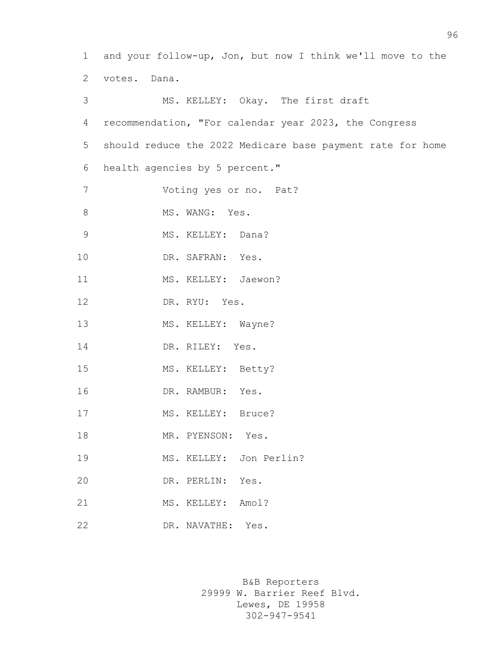1 and your follow-up, Jon, but now I think we'll move to the 2 votes. Dana. 3 MS. KELLEY: Okay. The first draft 4 recommendation, "For calendar year 2023, the Congress 5 should reduce the 2022 Medicare base payment rate for home 6 health agencies by 5 percent." 7 Voting yes or no. Pat? 8 MS. WANG: Yes. 9 MS. KELLEY: Dana? 10 DR. SAFRAN: Yes. 11 MS. KELLEY: Jaewon? 12 DR. RYU: Yes. 13 MS. KELLEY: Wayne? 14 DR. RILEY: Yes. 15 MS. KELLEY: Betty? 16 DR. RAMBUR: Yes. 17 MS. KELLEY: Bruce? 18 MR. PYENSON: Yes. 19 MS. KELLEY: Jon Perlin? 20 DR. PERLIN: Yes. 21 MS. KELLEY: Amol? 22 DR. NAVATHE: Yes.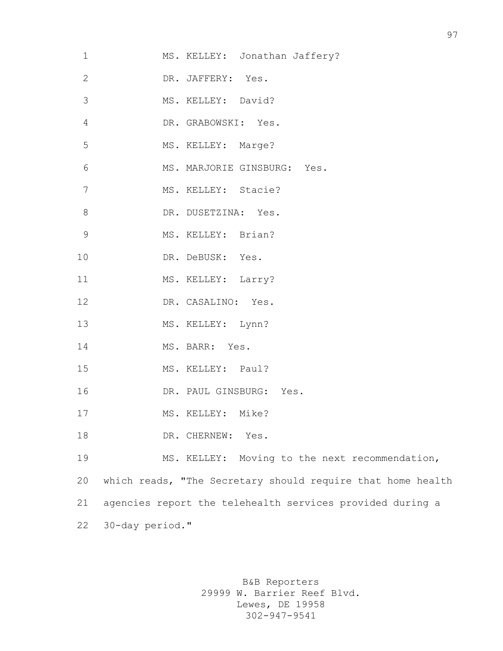| MS. KELLEY: Jonathan Jaffery?                               |
|-------------------------------------------------------------|
| DR. JAFFERY: Yes.                                           |
| MS. KELLEY: David?                                          |
| DR. GRABOWSKI: Yes.                                         |
| MS. KELLEY: Marge?                                          |
| MS. MARJORIE GINSBURG: Yes.                                 |
| MS. KELLEY: Stacie?                                         |
| DR. DUSETZINA: Yes.                                         |
| MS. KELLEY: Brian?                                          |
| DR. DeBUSK: Yes.                                            |
| MS. KELLEY: Larry?                                          |
| DR. CASALINO: Yes.                                          |
| MS. KELLEY: Lynn?                                           |
| MS. BARR: Yes.                                              |
| MS. KELLEY: Paul?                                           |
| DR. PAUL GINSBURG: Yes.                                     |
| MS. KELLEY: Mike?                                           |
| DR. CHERNEW:<br>Yes.                                        |
| MS. KELLEY: Moving to the next recommendation,              |
| which reads, "The Secretary should require that home health |
| agencies report the telehealth services provided during a   |
| 30-day period."                                             |
|                                                             |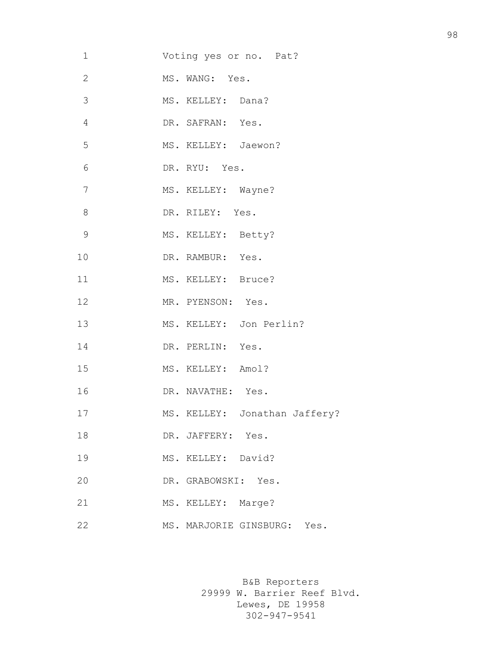| 1              | Voting yes or no. Pat?        |
|----------------|-------------------------------|
| $\mathbf{2}$   | MS. WANG: Yes.                |
| 3              | MS. KELLEY: Dana?             |
| 4              | DR. SAFRAN: Yes.              |
| 5              | MS. KELLEY: Jaewon?           |
| 6              | DR. RYU: Yes.                 |
| $\overline{7}$ | MS. KELLEY: Wayne?            |
| 8              | DR. RILEY: Yes.               |
| $\mathcal{G}$  | MS. KELLEY: Betty?            |
| 10             | DR. RAMBUR: Yes.              |
| 11             | MS. KELLEY: Bruce?            |
| 12             | MR. PYENSON: Yes.             |
| 13             | MS. KELLEY: Jon Perlin?       |
| 14             | DR. PERLIN: Yes.              |
| 15             | MS. KELLEY: Amol?             |
| 16             | DR. NAVATHE: Yes.             |
| 17             | MS. KELLEY: Jonathan Jaffery? |
| 18             | DR. JAFFERY: Yes.             |
| 19             | MS. KELLEY: David?            |
| 20             | DR. GRABOWSKI: Yes.           |
| 21             | MS. KELLEY: Marge?            |
| 22             | MS. MARJORIE GINSBURG: Yes.   |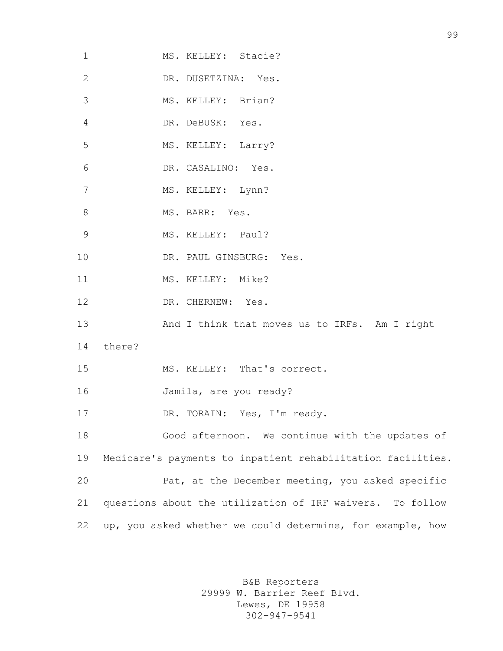| 1            | MS. KELLEY: Stacie?                                         |
|--------------|-------------------------------------------------------------|
| $\mathbf{2}$ | DR. DUSETZINA: Yes.                                         |
| 3            | MS. KELLEY: Brian?                                          |
| 4            | DR. DeBUSK: Yes.                                            |
| 5            | MS. KELLEY: Larry?                                          |
| 6            | DR. CASALINO: Yes.                                          |
| 7            | MS. KELLEY: Lynn?                                           |
| 8            | MS. BARR: Yes.                                              |
| 9            | MS. KELLEY: Paul?                                           |
| 10           | DR. PAUL GINSBURG: Yes.                                     |
| 11           | MS. KELLEY: Mike?                                           |
| 12           | DR. CHERNEW: Yes.                                           |
| 13           | And I think that moves us to IRFs. Am I right               |
| 14           | there?                                                      |
| 15           | MS. KELLEY: That's correct.                                 |
| 16           | Jamila, are you ready?                                      |
| 17           | DR. TORAIN: Yes, I'm ready.                                 |
| 18           | Good afternoon. We continue with the updates of             |
| 19           | Medicare's payments to inpatient rehabilitation facilities. |
| 20           | Pat, at the December meeting, you asked specific            |
| 21           | questions about the utilization of IRF waivers. To follow   |
| 22           | up, you asked whether we could determine, for example, how  |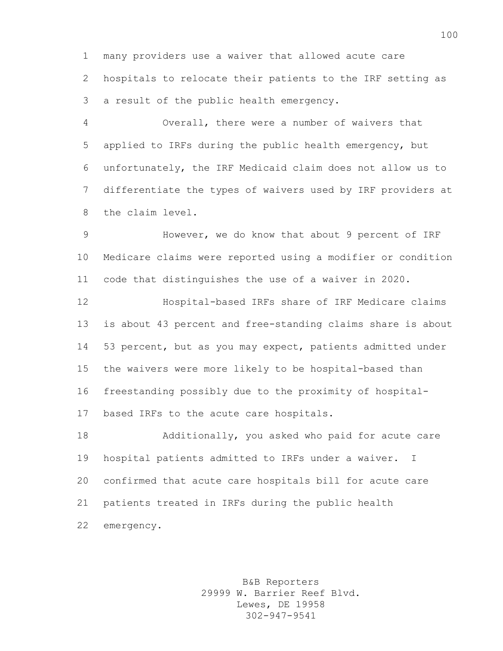many providers use a waiver that allowed acute care hospitals to relocate their patients to the IRF setting as a result of the public health emergency.

 Overall, there were a number of waivers that applied to IRFs during the public health emergency, but unfortunately, the IRF Medicaid claim does not allow us to differentiate the types of waivers used by IRF providers at the claim level.

 However, we do know that about 9 percent of IRF Medicare claims were reported using a modifier or condition code that distinguishes the use of a waiver in 2020.

 Hospital-based IRFs share of IRF Medicare claims is about 43 percent and free-standing claims share is about 53 percent, but as you may expect, patients admitted under the waivers were more likely to be hospital-based than freestanding possibly due to the proximity of hospital-based IRFs to the acute care hospitals.

 Additionally, you asked who paid for acute care hospital patients admitted to IRFs under a waiver. I confirmed that acute care hospitals bill for acute care patients treated in IRFs during the public health emergency.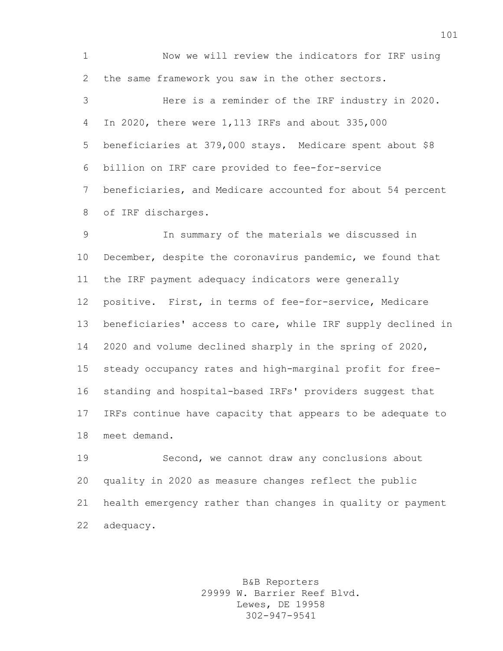Now we will review the indicators for IRF using the same framework you saw in the other sectors. Here is a reminder of the IRF industry in 2020. In 2020, there were 1,113 IRFs and about 335,000 beneficiaries at 379,000 stays. Medicare spent about \$8 billion on IRF care provided to fee-for-service beneficiaries, and Medicare accounted for about 54 percent of IRF discharges.

 In summary of the materials we discussed in December, despite the coronavirus pandemic, we found that the IRF payment adequacy indicators were generally positive. First, in terms of fee-for-service, Medicare beneficiaries' access to care, while IRF supply declined in 2020 and volume declined sharply in the spring of 2020, steady occupancy rates and high-marginal profit for free- standing and hospital-based IRFs' providers suggest that IRFs continue have capacity that appears to be adequate to meet demand.

 Second, we cannot draw any conclusions about quality in 2020 as measure changes reflect the public health emergency rather than changes in quality or payment adequacy.

> B&B Reporters 29999 W. Barrier Reef Blvd. Lewes, DE 19958 302-947-9541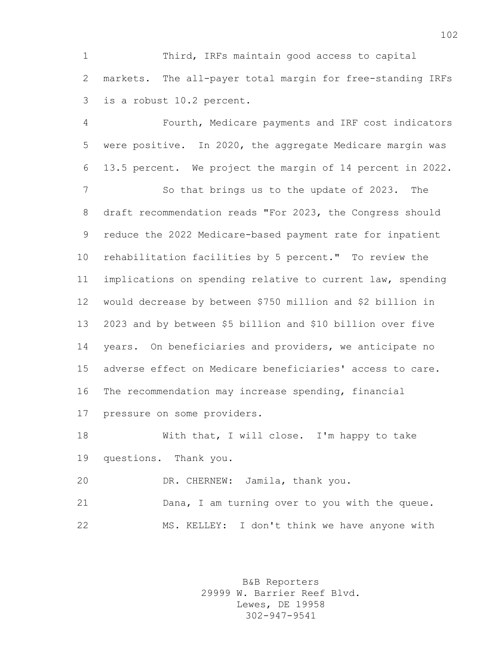Third, IRFs maintain good access to capital markets. The all-payer total margin for free-standing IRFs is a robust 10.2 percent.

 Fourth, Medicare payments and IRF cost indicators were positive. In 2020, the aggregate Medicare margin was 13.5 percent. We project the margin of 14 percent in 2022.

 So that brings us to the update of 2023. The draft recommendation reads "For 2023, the Congress should reduce the 2022 Medicare-based payment rate for inpatient rehabilitation facilities by 5 percent." To review the implications on spending relative to current law, spending would decrease by between \$750 million and \$2 billion in 2023 and by between \$5 billion and \$10 billion over five years. On beneficiaries and providers, we anticipate no adverse effect on Medicare beneficiaries' access to care. The recommendation may increase spending, financial pressure on some providers.

 With that, I will close. I'm happy to take questions. Thank you.

DR. CHERNEW: Jamila, thank you.

 Dana, I am turning over to you with the queue. MS. KELLEY: I don't think we have anyone with

> B&B Reporters 29999 W. Barrier Reef Blvd. Lewes, DE 19958 302-947-9541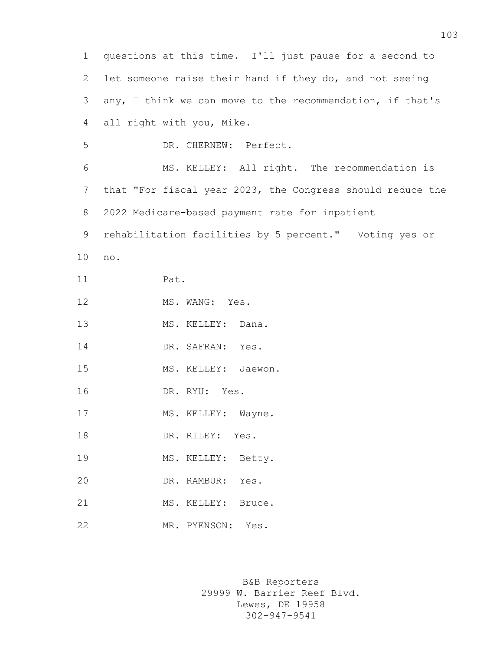questions at this time. I'll just pause for a second to let someone raise their hand if they do, and not seeing any, I think we can move to the recommendation, if that's all right with you, Mike. DR. CHERNEW: Perfect. MS. KELLEY: All right. The recommendation is that "For fiscal year 2023, the Congress should reduce the 2022 Medicare-based payment rate for inpatient rehabilitation facilities by 5 percent." Voting yes or no. Pat. 12 MS. WANG: Yes. 13 MS. KELLEY: Dana. 14 DR. SAFRAN: Yes. MS. KELLEY: Jaewon. DR. RYU: Yes. 17 MS. KELLEY: Wayne. 18 DR. RILEY: Yes. MS. KELLEY: Betty. DR. RAMBUR: Yes. 21 MS. KELLEY: Bruce. MR. PYENSON: Yes.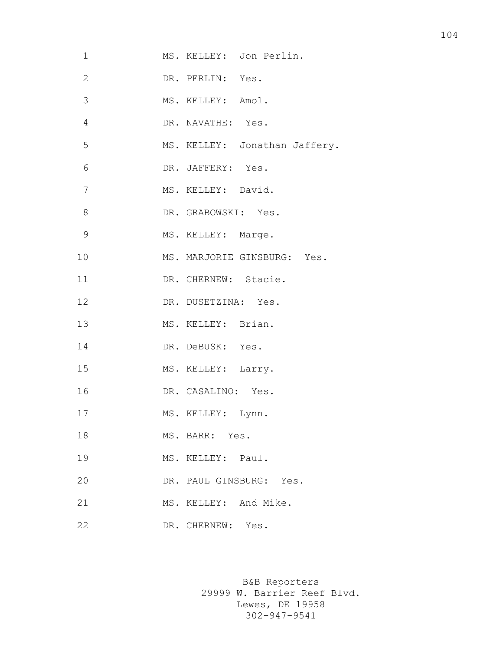| 1              | MS. KELLEY: Jon Perlin.       |
|----------------|-------------------------------|
| $\mathbf{2}$   | DR. PERLIN: Yes.              |
| $\mathcal{S}$  | MS. KELLEY: Amol.             |
| $\overline{4}$ | DR. NAVATHE: Yes.             |
| 5              | MS. KELLEY: Jonathan Jaffery. |
| 6              | DR. JAFFERY: Yes.             |
| 7              | MS. KELLEY: David.            |
| $\,8\,$        | DR. GRABOWSKI: Yes.           |
| $\mathcal{G}$  | MS. KELLEY: Marge.            |
| 10             | MS. MARJORIE GINSBURG: Yes.   |
| 11             | DR. CHERNEW: Stacie.          |
| 12             | DR. DUSETZINA: Yes.           |
| 13             | MS. KELLEY: Brian.            |
| 14             | DR. DeBUSK: Yes.              |
| 15             | MS. KELLEY: Larry.            |
| 16             | DR. CASALINO: Yes.            |
| 17             | MS. KELLEY: Lynn.             |
| 18             | MS. BARR: Yes.                |
| 19             | MS. KELLEY: Paul.             |
| 20             | DR. PAUL GINSBURG: Yes.       |
| 21             | MS. KELLEY: And Mike.         |
| 22             | DR. CHERNEW: Yes.             |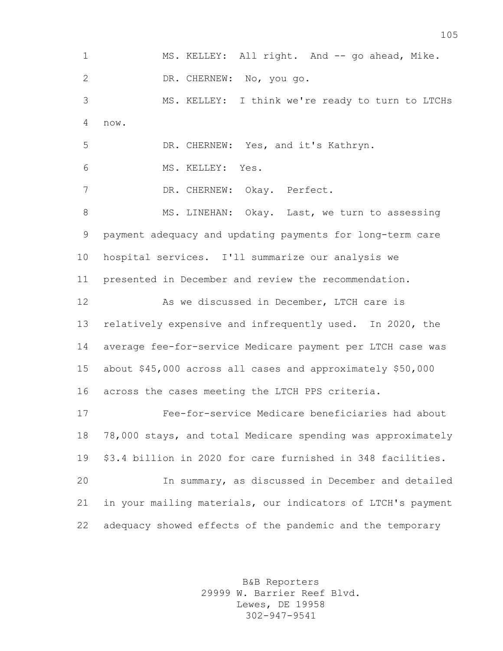1 MS. KELLEY: All right. And -- go ahead, Mike. DR. CHERNEW: No, you go. MS. KELLEY: I think we're ready to turn to LTCHs now. DR. CHERNEW: Yes, and it's Kathryn. MS. KELLEY: Yes. DR. CHERNEW: Okay. Perfect. 8 MS. LINEHAN: Okay. Last, we turn to assessing payment adequacy and updating payments for long-term care hospital services. I'll summarize our analysis we presented in December and review the recommendation. As we discussed in December, LTCH care is relatively expensive and infrequently used. In 2020, the average fee-for-service Medicare payment per LTCH case was about \$45,000 across all cases and approximately \$50,000 across the cases meeting the LTCH PPS criteria. Fee-for-service Medicare beneficiaries had about 78,000 stays, and total Medicare spending was approximately \$3.4 billion in 2020 for care furnished in 348 facilities. In summary, as discussed in December and detailed in your mailing materials, our indicators of LTCH's payment adequacy showed effects of the pandemic and the temporary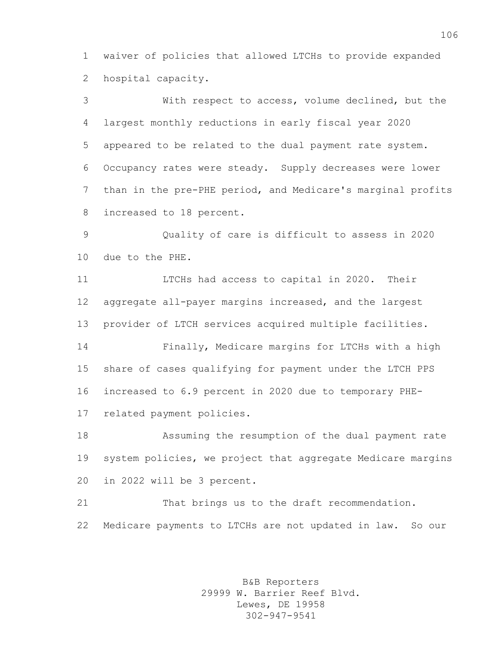waiver of policies that allowed LTCHs to provide expanded hospital capacity.

 With respect to access, volume declined, but the largest monthly reductions in early fiscal year 2020 appeared to be related to the dual payment rate system. Occupancy rates were steady. Supply decreases were lower than in the pre-PHE period, and Medicare's marginal profits increased to 18 percent.

 Quality of care is difficult to assess in 2020 due to the PHE.

 LTCHs had access to capital in 2020. Their aggregate all-payer margins increased, and the largest provider of LTCH services acquired multiple facilities.

 Finally, Medicare margins for LTCHs with a high share of cases qualifying for payment under the LTCH PPS increased to 6.9 percent in 2020 due to temporary PHE-related payment policies.

 Assuming the resumption of the dual payment rate 19 system policies, we project that aggregate Medicare margins in 2022 will be 3 percent.

 That brings us to the draft recommendation. Medicare payments to LTCHs are not updated in law. So our

> B&B Reporters 29999 W. Barrier Reef Blvd. Lewes, DE 19958 302-947-9541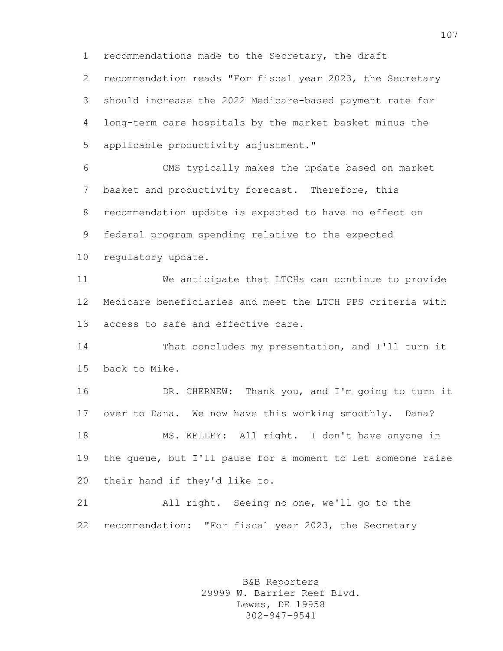recommendations made to the Secretary, the draft

 recommendation reads "For fiscal year 2023, the Secretary should increase the 2022 Medicare-based payment rate for long-term care hospitals by the market basket minus the applicable productivity adjustment."

 CMS typically makes the update based on market basket and productivity forecast. Therefore, this recommendation update is expected to have no effect on federal program spending relative to the expected

regulatory update.

 We anticipate that LTCHs can continue to provide Medicare beneficiaries and meet the LTCH PPS criteria with access to safe and effective care.

 That concludes my presentation, and I'll turn it back to Mike.

 DR. CHERNEW: Thank you, and I'm going to turn it over to Dana. We now have this working smoothly. Dana? MS. KELLEY: All right. I don't have anyone in the queue, but I'll pause for a moment to let someone raise their hand if they'd like to.

 All right. Seeing no one, we'll go to the recommendation: "For fiscal year 2023, the Secretary

> B&B Reporters 29999 W. Barrier Reef Blvd. Lewes, DE 19958 302-947-9541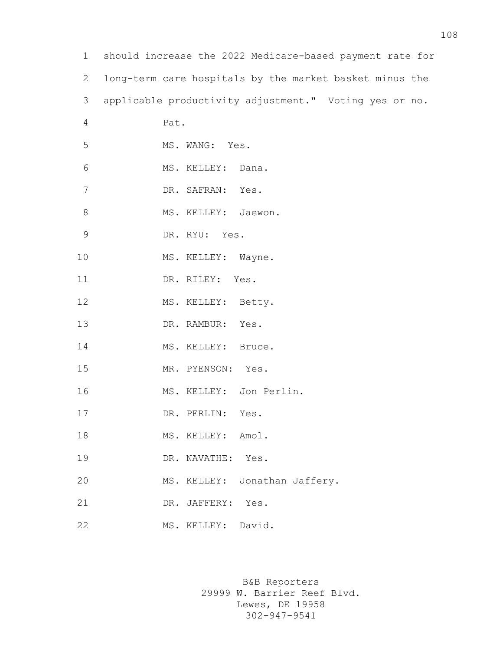| $\mathbf 1$    | should increase the 2022 Medicare-based payment rate for |
|----------------|----------------------------------------------------------|
| $\overline{2}$ | long-term care hospitals by the market basket minus the  |
| 3              | applicable productivity adjustment." Voting yes or no.   |
| 4              | Pat.                                                     |
| 5              | MS. WANG: Yes.                                           |
| 6              | MS. KELLEY: Dana.                                        |
| 7              | DR. SAFRAN: Yes.                                         |
| 8              | MS. KELLEY: Jaewon.                                      |
| $\mathcal{G}$  | DR. RYU: Yes.                                            |
| 10             | MS. KELLEY: Wayne.                                       |
| 11             | DR. RILEY: Yes.                                          |
| 12             | MS. KELLEY: Betty.                                       |
| 13             | DR. RAMBUR: Yes.                                         |
| 14             | MS. KELLEY: Bruce.                                       |
| 15             | MR. PYENSON: Yes.                                        |
| 16             | MS. KELLEY: Jon Perlin.                                  |
| 17             | DR. PERLIN:<br>Yes.                                      |
| 18             | MS. KELLEY: Amol.                                        |
| 19             | DR. NAVATHE: Yes.                                        |
| 20             | MS. KELLEY: Jonathan Jaffery.                            |
| 21             | DR. JAFFERY:<br>Yes.                                     |
| 22             | MS. KELLEY: David.                                       |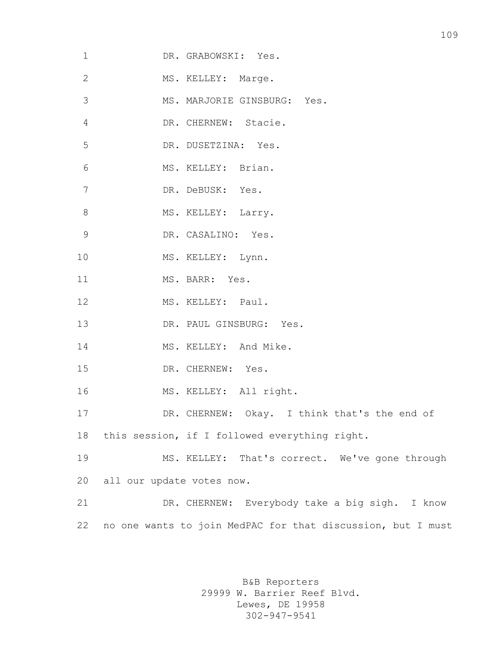| $\mathbf 1$  | DR. GRABOWSKI: Yes.                                         |
|--------------|-------------------------------------------------------------|
| $\mathbf{2}$ | MS. KELLEY: Marge.                                          |
| 3            | MS. MARJORIE GINSBURG: Yes.                                 |
| 4            | DR. CHERNEW: Stacie.                                        |
| 5            | DR. DUSETZINA: Yes.                                         |
| 6            | MS. KELLEY: Brian.                                          |
| 7            | DR. DeBUSK: Yes.                                            |
| 8            | MS. KELLEY: Larry.                                          |
| 9            | DR. CASALINO: Yes.                                          |
| 10           | MS. KELLEY: Lynn.                                           |
| 11           | MS. BARR: Yes.                                              |
| 12           | MS. KELLEY: Paul.                                           |
| 13           | DR. PAUL GINSBURG: Yes.                                     |
| 14           | MS. KELLEY: And Mike.                                       |
| 15           | DR. CHERNEW: Yes.                                           |
| 16           | MS. KELLEY: All right.                                      |
| 17           | DR. CHERNEW: Okay. I think that's the end of                |
| 18           | this session, if I followed everything right.               |
| 19           | MS. KELLEY: That's correct. We've gone through              |
| 20           | all our update votes now.                                   |
| 21           | DR. CHERNEW: Everybody take a big sigh. I know              |
| 22           | no one wants to join MedPAC for that discussion, but I must |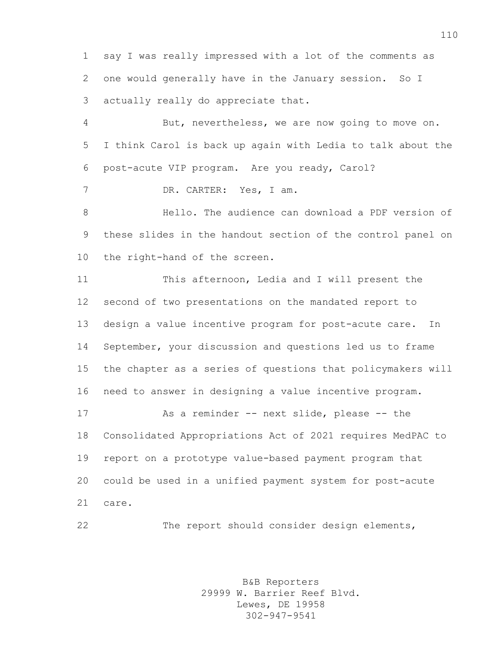say I was really impressed with a lot of the comments as one would generally have in the January session. So I actually really do appreciate that.

 But, nevertheless, we are now going to move on. I think Carol is back up again with Ledia to talk about the post-acute VIP program. Are you ready, Carol?

DR. CARTER: Yes, I am.

 Hello. The audience can download a PDF version of these slides in the handout section of the control panel on the right-hand of the screen.

 This afternoon, Ledia and I will present the second of two presentations on the mandated report to design a value incentive program for post-acute care. In September, your discussion and questions led us to frame the chapter as a series of questions that policymakers will need to answer in designing a value incentive program. As a reminder -- next slide, please -- the

 Consolidated Appropriations Act of 2021 requires MedPAC to report on a prototype value-based payment program that could be used in a unified payment system for post-acute care.

The report should consider design elements,

B&B Reporters 29999 W. Barrier Reef Blvd. Lewes, DE 19958 302-947-9541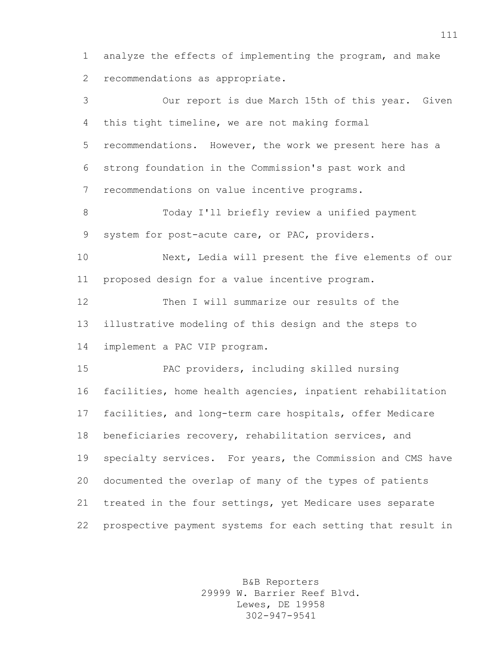analyze the effects of implementing the program, and make recommendations as appropriate.

 Our report is due March 15th of this year. Given this tight timeline, we are not making formal recommendations. However, the work we present here has a strong foundation in the Commission's past work and recommendations on value incentive programs. Today I'll briefly review a unified payment system for post-acute care, or PAC, providers. Next, Ledia will present the five elements of our proposed design for a value incentive program. Then I will summarize our results of the illustrative modeling of this design and the steps to implement a PAC VIP program. PAC providers, including skilled nursing facilities, home health agencies, inpatient rehabilitation facilities, and long-term care hospitals, offer Medicare beneficiaries recovery, rehabilitation services, and specialty services. For years, the Commission and CMS have documented the overlap of many of the types of patients treated in the four settings, yet Medicare uses separate prospective payment systems for each setting that result in

> B&B Reporters 29999 W. Barrier Reef Blvd. Lewes, DE 19958 302-947-9541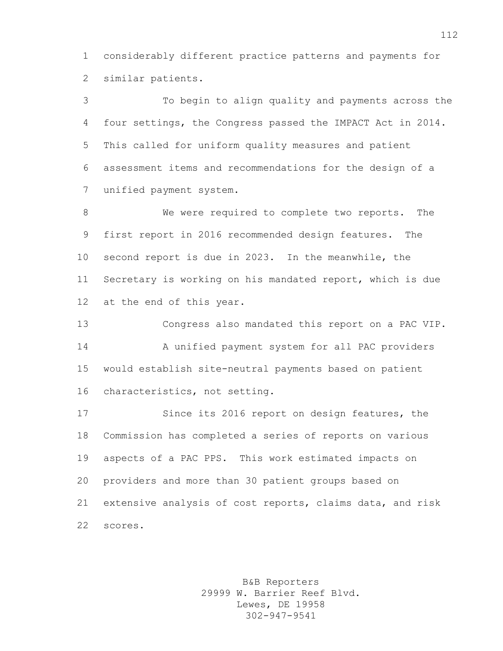considerably different practice patterns and payments for similar patients.

 To begin to align quality and payments across the four settings, the Congress passed the IMPACT Act in 2014. This called for uniform quality measures and patient assessment items and recommendations for the design of a unified payment system.

 We were required to complete two reports. The first report in 2016 recommended design features. The second report is due in 2023. In the meanwhile, the Secretary is working on his mandated report, which is due at the end of this year.

 Congress also mandated this report on a PAC VIP. A unified payment system for all PAC providers would establish site-neutral payments based on patient characteristics, not setting.

 Since its 2016 report on design features, the Commission has completed a series of reports on various aspects of a PAC PPS. This work estimated impacts on providers and more than 30 patient groups based on extensive analysis of cost reports, claims data, and risk scores.

> B&B Reporters 29999 W. Barrier Reef Blvd. Lewes, DE 19958 302-947-9541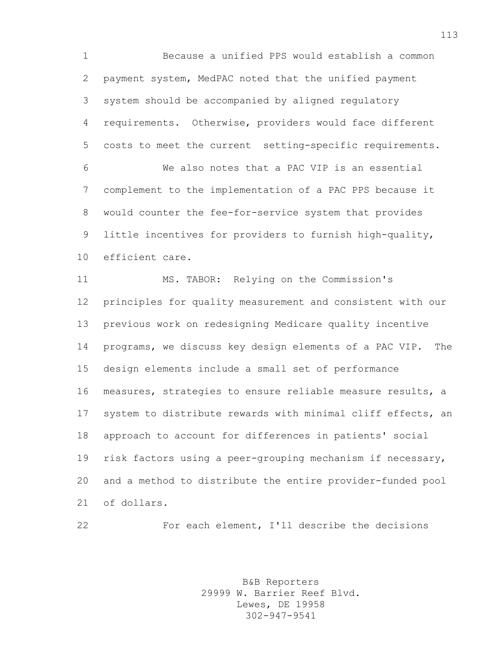Because a unified PPS would establish a common payment system, MedPAC noted that the unified payment system should be accompanied by aligned regulatory requirements. Otherwise, providers would face different costs to meet the current setting-specific requirements. We also notes that a PAC VIP is an essential complement to the implementation of a PAC PPS because it would counter the fee-for-service system that provides little incentives for providers to furnish high-quality, efficient care.

 MS. TABOR: Relying on the Commission's principles for quality measurement and consistent with our previous work on redesigning Medicare quality incentive programs, we discuss key design elements of a PAC VIP. The design elements include a small set of performance measures, strategies to ensure reliable measure results, a system to distribute rewards with minimal cliff effects, an approach to account for differences in patients' social risk factors using a peer-grouping mechanism if necessary, and a method to distribute the entire provider-funded pool of dollars.

For each element, I'll describe the decisions

B&B Reporters 29999 W. Barrier Reef Blvd. Lewes, DE 19958 302-947-9541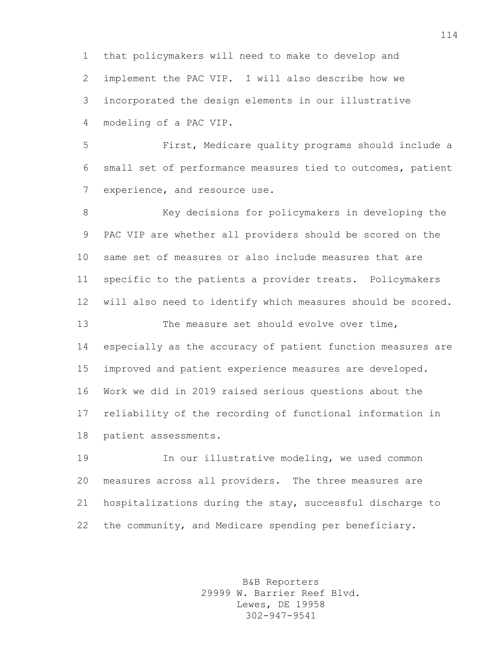that policymakers will need to make to develop and implement the PAC VIP. I will also describe how we incorporated the design elements in our illustrative modeling of a PAC VIP.

 First, Medicare quality programs should include a small set of performance measures tied to outcomes, patient 7 experience, and resource use.

8 Key decisions for policymakers in developing the PAC VIP are whether all providers should be scored on the same set of measures or also include measures that are specific to the patients a provider treats. Policymakers will also need to identify which measures should be scored. 13 The measure set should evolve over time, especially as the accuracy of patient function measures are improved and patient experience measures are developed. Work we did in 2019 raised serious questions about the reliability of the recording of functional information in patient assessments.

 In our illustrative modeling, we used common measures across all providers. The three measures are hospitalizations during the stay, successful discharge to the community, and Medicare spending per beneficiary.

> B&B Reporters 29999 W. Barrier Reef Blvd. Lewes, DE 19958 302-947-9541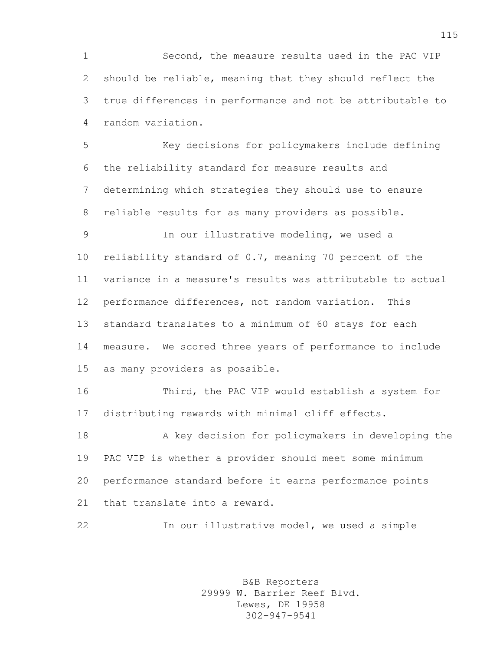Second, the measure results used in the PAC VIP should be reliable, meaning that they should reflect the true differences in performance and not be attributable to random variation.

 Key decisions for policymakers include defining the reliability standard for measure results and determining which strategies they should use to ensure reliable results for as many providers as possible.

 In our illustrative modeling, we used a reliability standard of 0.7, meaning 70 percent of the variance in a measure's results was attributable to actual performance differences, not random variation. This standard translates to a minimum of 60 stays for each measure. We scored three years of performance to include as many providers as possible.

 Third, the PAC VIP would establish a system for distributing rewards with minimal cliff effects.

 A key decision for policymakers in developing the PAC VIP is whether a provider should meet some minimum performance standard before it earns performance points that translate into a reward.

In our illustrative model, we used a simple

B&B Reporters 29999 W. Barrier Reef Blvd. Lewes, DE 19958 302-947-9541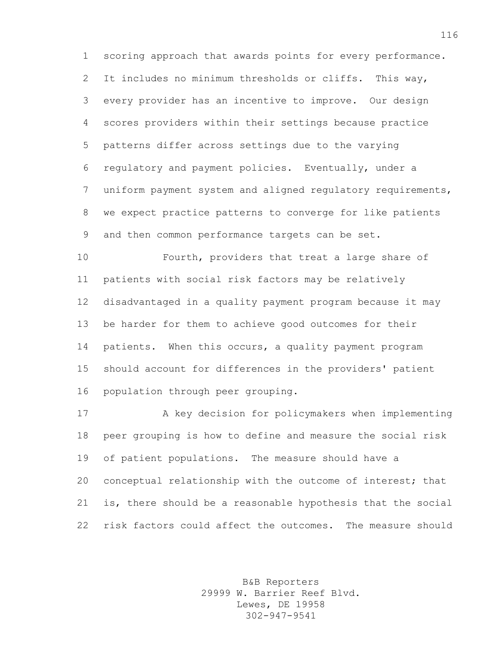scoring approach that awards points for every performance. It includes no minimum thresholds or cliffs. This way, every provider has an incentive to improve. Our design scores providers within their settings because practice patterns differ across settings due to the varying regulatory and payment policies. Eventually, under a uniform payment system and aligned regulatory requirements, we expect practice patterns to converge for like patients and then common performance targets can be set.

 Fourth, providers that treat a large share of patients with social risk factors may be relatively disadvantaged in a quality payment program because it may be harder for them to achieve good outcomes for their patients. When this occurs, a quality payment program should account for differences in the providers' patient population through peer grouping.

 A key decision for policymakers when implementing peer grouping is how to define and measure the social risk of patient populations. The measure should have a conceptual relationship with the outcome of interest; that is, there should be a reasonable hypothesis that the social risk factors could affect the outcomes. The measure should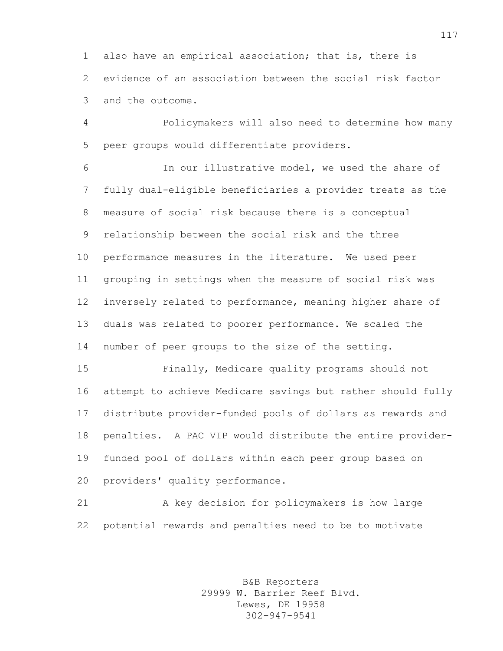also have an empirical association; that is, there is evidence of an association between the social risk factor and the outcome.

 Policymakers will also need to determine how many peer groups would differentiate providers.

 In our illustrative model, we used the share of fully dual-eligible beneficiaries a provider treats as the measure of social risk because there is a conceptual relationship between the social risk and the three performance measures in the literature. We used peer grouping in settings when the measure of social risk was inversely related to performance, meaning higher share of duals was related to poorer performance. We scaled the number of peer groups to the size of the setting.

 Finally, Medicare quality programs should not attempt to achieve Medicare savings but rather should fully distribute provider-funded pools of dollars as rewards and penalties. A PAC VIP would distribute the entire provider- funded pool of dollars within each peer group based on providers' quality performance.

 A key decision for policymakers is how large potential rewards and penalties need to be to motivate

> B&B Reporters 29999 W. Barrier Reef Blvd. Lewes, DE 19958 302-947-9541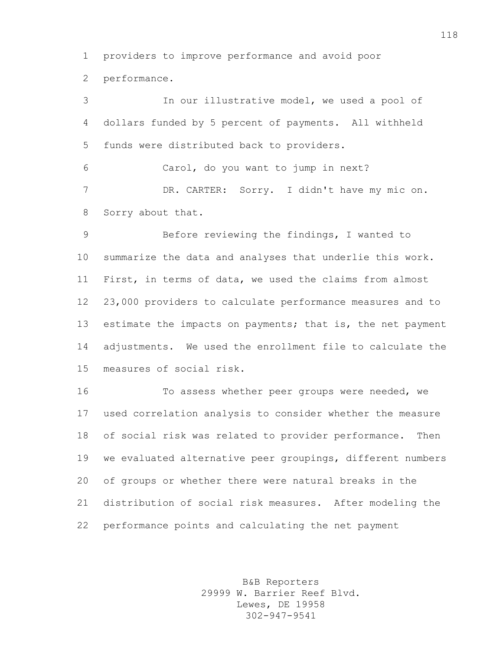providers to improve performance and avoid poor

performance.

 In our illustrative model, we used a pool of dollars funded by 5 percent of payments. All withheld funds were distributed back to providers. Carol, do you want to jump in next?

 DR. CARTER: Sorry. I didn't have my mic on. Sorry about that.

 Before reviewing the findings, I wanted to summarize the data and analyses that underlie this work. First, in terms of data, we used the claims from almost 23,000 providers to calculate performance measures and to 13 estimate the impacts on payments; that is, the net payment adjustments. We used the enrollment file to calculate the measures of social risk.

 To assess whether peer groups were needed, we used correlation analysis to consider whether the measure of social risk was related to provider performance. Then we evaluated alternative peer groupings, different numbers of groups or whether there were natural breaks in the distribution of social risk measures. After modeling the performance points and calculating the net payment

> B&B Reporters 29999 W. Barrier Reef Blvd. Lewes, DE 19958 302-947-9541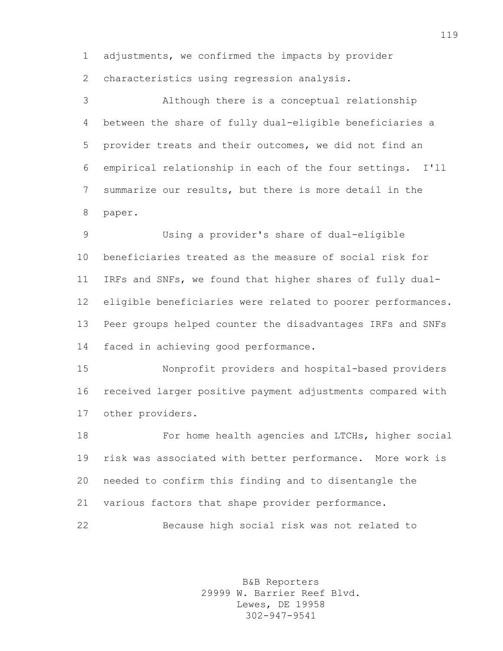adjustments, we confirmed the impacts by provider characteristics using regression analysis.

 Although there is a conceptual relationship between the share of fully dual-eligible beneficiaries a provider treats and their outcomes, we did not find an empirical relationship in each of the four settings. I'll summarize our results, but there is more detail in the paper.

 Using a provider's share of dual-eligible beneficiaries treated as the measure of social risk for IRFs and SNFs, we found that higher shares of fully dual- eligible beneficiaries were related to poorer performances. Peer groups helped counter the disadvantages IRFs and SNFs faced in achieving good performance.

 Nonprofit providers and hospital-based providers received larger positive payment adjustments compared with other providers.

 For home health agencies and LTCHs, higher social risk was associated with better performance. More work is needed to confirm this finding and to disentangle the various factors that shape provider performance.

Because high social risk was not related to

B&B Reporters 29999 W. Barrier Reef Blvd. Lewes, DE 19958 302-947-9541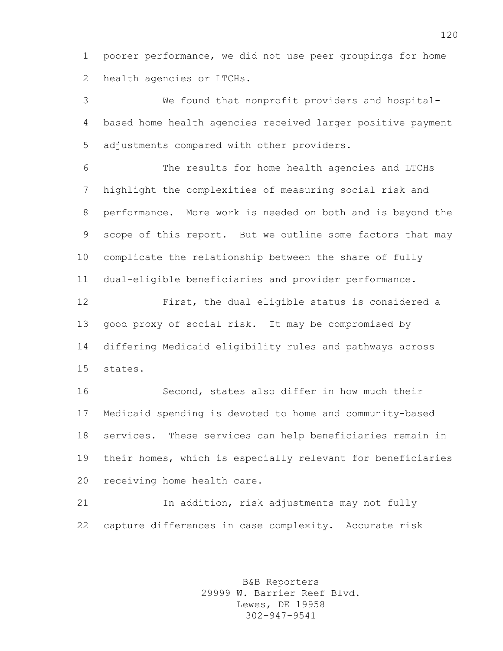poorer performance, we did not use peer groupings for home health agencies or LTCHs.

 We found that nonprofit providers and hospital- based home health agencies received larger positive payment adjustments compared with other providers.

 The results for home health agencies and LTCHs highlight the complexities of measuring social risk and performance. More work is needed on both and is beyond the scope of this report. But we outline some factors that may complicate the relationship between the share of fully dual-eligible beneficiaries and provider performance.

 First, the dual eligible status is considered a good proxy of social risk. It may be compromised by differing Medicaid eligibility rules and pathways across states.

 Second, states also differ in how much their Medicaid spending is devoted to home and community-based services. These services can help beneficiaries remain in their homes, which is especially relevant for beneficiaries receiving home health care.

 In addition, risk adjustments may not fully capture differences in case complexity. Accurate risk

> B&B Reporters 29999 W. Barrier Reef Blvd. Lewes, DE 19958 302-947-9541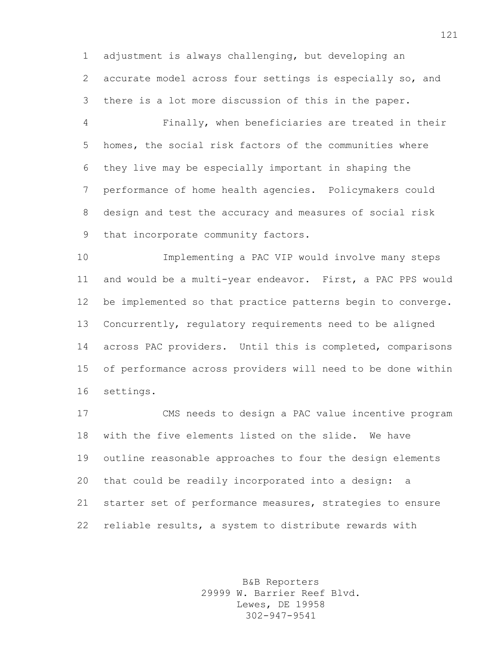adjustment is always challenging, but developing an accurate model across four settings is especially so, and there is a lot more discussion of this in the paper.

 Finally, when beneficiaries are treated in their homes, the social risk factors of the communities where they live may be especially important in shaping the performance of home health agencies. Policymakers could design and test the accuracy and measures of social risk that incorporate community factors.

 Implementing a PAC VIP would involve many steps and would be a multi-year endeavor. First, a PAC PPS would be implemented so that practice patterns begin to converge. Concurrently, regulatory requirements need to be aligned across PAC providers. Until this is completed, comparisons of performance across providers will need to be done within settings.

 CMS needs to design a PAC value incentive program with the five elements listed on the slide. We have outline reasonable approaches to four the design elements that could be readily incorporated into a design: a starter set of performance measures, strategies to ensure reliable results, a system to distribute rewards with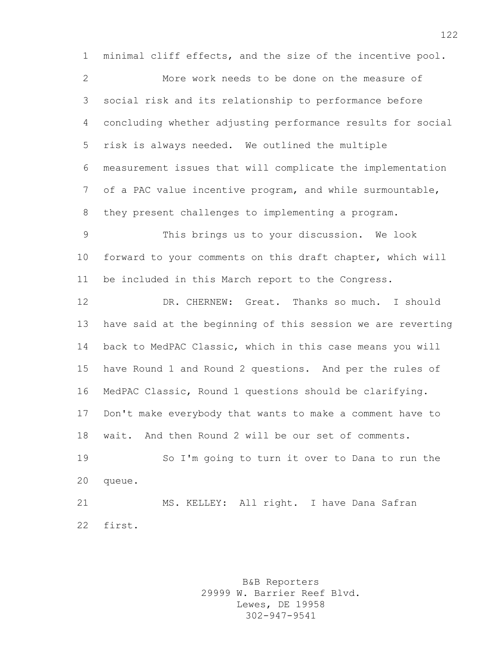minimal cliff effects, and the size of the incentive pool.

 More work needs to be done on the measure of social risk and its relationship to performance before concluding whether adjusting performance results for social risk is always needed. We outlined the multiple measurement issues that will complicate the implementation of a PAC value incentive program, and while surmountable, they present challenges to implementing a program.

 This brings us to your discussion. We look forward to your comments on this draft chapter, which will be included in this March report to the Congress.

 DR. CHERNEW: Great. Thanks so much. I should have said at the beginning of this session we are reverting back to MedPAC Classic, which in this case means you will have Round 1 and Round 2 questions. And per the rules of MedPAC Classic, Round 1 questions should be clarifying. Don't make everybody that wants to make a comment have to wait. And then Round 2 will be our set of comments.

 So I'm going to turn it over to Dana to run the queue.

 MS. KELLEY: All right. I have Dana Safran first.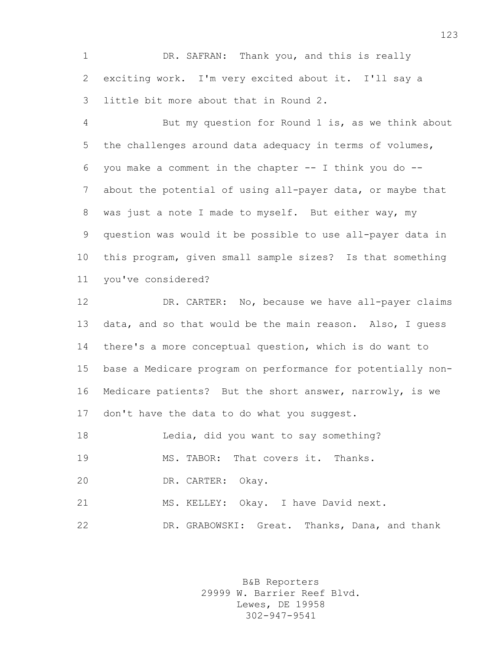DR. SAFRAN: Thank you, and this is really exciting work. I'm very excited about it. I'll say a little bit more about that in Round 2.

 But my question for Round 1 is, as we think about the challenges around data adequacy in terms of volumes, you make a comment in the chapter -- I think you do -- about the potential of using all-payer data, or maybe that was just a note I made to myself. But either way, my question was would it be possible to use all-payer data in this program, given small sample sizes? Is that something you've considered?

 DR. CARTER: No, because we have all-payer claims data, and so that would be the main reason. Also, I guess there's a more conceptual question, which is do want to base a Medicare program on performance for potentially non- Medicare patients? But the short answer, narrowly, is we 17 don't have the data to do what you suggest.

Ledia, did you want to say something?

MS. TABOR: That covers it. Thanks.

DR. CARTER: Okay.

MS. KELLEY: Okay. I have David next.

DR. GRABOWSKI: Great. Thanks, Dana, and thank

B&B Reporters 29999 W. Barrier Reef Blvd. Lewes, DE 19958 302-947-9541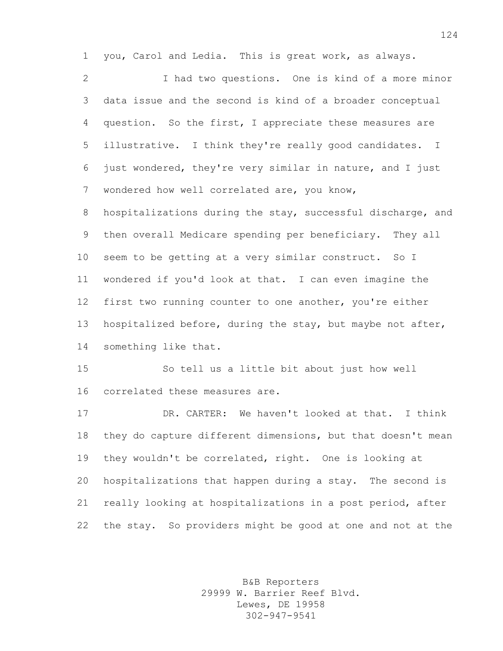you, Carol and Ledia. This is great work, as always.

 I had two questions. One is kind of a more minor data issue and the second is kind of a broader conceptual question. So the first, I appreciate these measures are illustrative. I think they're really good candidates. I just wondered, they're very similar in nature, and I just wondered how well correlated are, you know,

8 hospitalizations during the stay, successful discharge, and then overall Medicare spending per beneficiary. They all seem to be getting at a very similar construct. So I wondered if you'd look at that. I can even imagine the first two running counter to one another, you're either hospitalized before, during the stay, but maybe not after, something like that.

 So tell us a little bit about just how well correlated these measures are.

 DR. CARTER: We haven't looked at that. I think they do capture different dimensions, but that doesn't mean they wouldn't be correlated, right. One is looking at hospitalizations that happen during a stay. The second is really looking at hospitalizations in a post period, after the stay. So providers might be good at one and not at the

> B&B Reporters 29999 W. Barrier Reef Blvd. Lewes, DE 19958 302-947-9541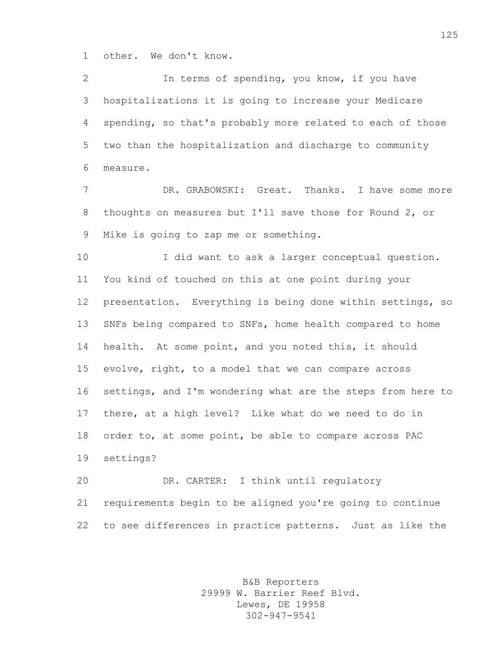other. We don't know.

 In terms of spending, you know, if you have hospitalizations it is going to increase your Medicare spending, so that's probably more related to each of those two than the hospitalization and discharge to community measure.

 DR. GRABOWSKI: Great. Thanks. I have some more thoughts on measures but I'll save those for Round 2, or Mike is going to zap me or something.

 I did want to ask a larger conceptual question. You kind of touched on this at one point during your presentation. Everything is being done within settings, so SNFs being compared to SNFs, home health compared to home health. At some point, and you noted this, it should evolve, right, to a model that we can compare across settings, and I'm wondering what are the steps from here to there, at a high level? Like what do we need to do in order to, at some point, be able to compare across PAC settings?

 DR. CARTER: I think until regulatory requirements begin to be aligned you're going to continue to see differences in practice patterns. Just as like the

> B&B Reporters 29999 W. Barrier Reef Blvd. Lewes, DE 19958 302-947-9541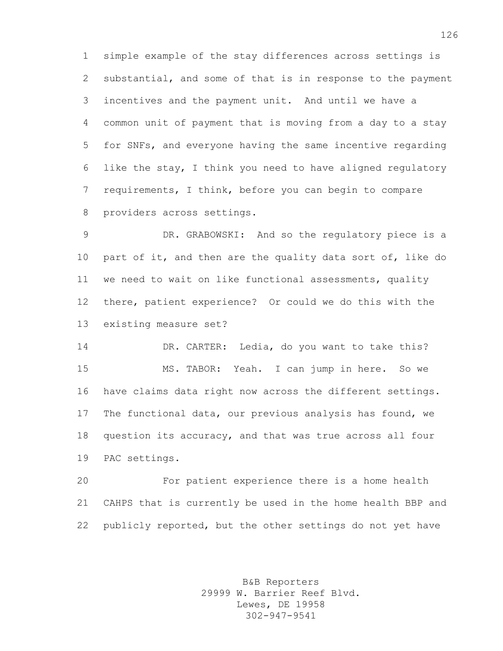simple example of the stay differences across settings is substantial, and some of that is in response to the payment incentives and the payment unit. And until we have a common unit of payment that is moving from a day to a stay for SNFs, and everyone having the same incentive regarding like the stay, I think you need to have aligned regulatory requirements, I think, before you can begin to compare providers across settings.

 DR. GRABOWSKI: And so the regulatory piece is a part of it, and then are the quality data sort of, like do we need to wait on like functional assessments, quality there, patient experience? Or could we do this with the existing measure set?

 DR. CARTER: Ledia, do you want to take this? MS. TABOR: Yeah. I can jump in here. So we have claims data right now across the different settings. The functional data, our previous analysis has found, we question its accuracy, and that was true across all four PAC settings.

 For patient experience there is a home health CAHPS that is currently be used in the home health BBP and publicly reported, but the other settings do not yet have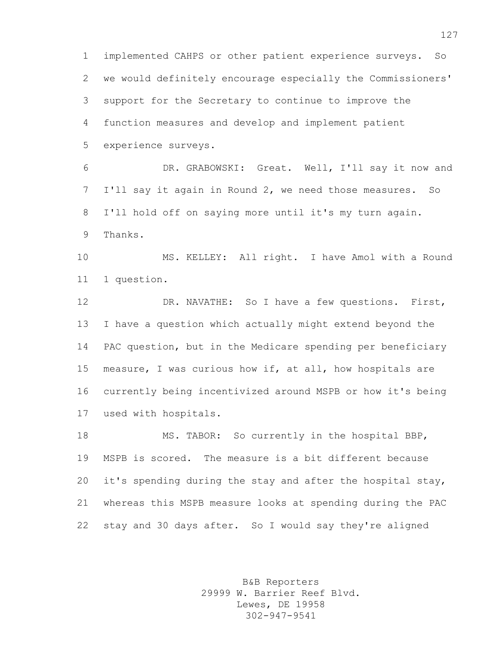implemented CAHPS or other patient experience surveys. So we would definitely encourage especially the Commissioners' support for the Secretary to continue to improve the function measures and develop and implement patient experience surveys.

 DR. GRABOWSKI: Great. Well, I'll say it now and I'll say it again in Round 2, we need those measures. So I'll hold off on saying more until it's my turn again. Thanks.

 MS. KELLEY: All right. I have Amol with a Round 1 question.

 DR. NAVATHE: So I have a few questions. First, I have a question which actually might extend beyond the PAC question, but in the Medicare spending per beneficiary measure, I was curious how if, at all, how hospitals are currently being incentivized around MSPB or how it's being used with hospitals.

 MS. TABOR: So currently in the hospital BBP, MSPB is scored. The measure is a bit different because it's spending during the stay and after the hospital stay, whereas this MSPB measure looks at spending during the PAC stay and 30 days after. So I would say they're aligned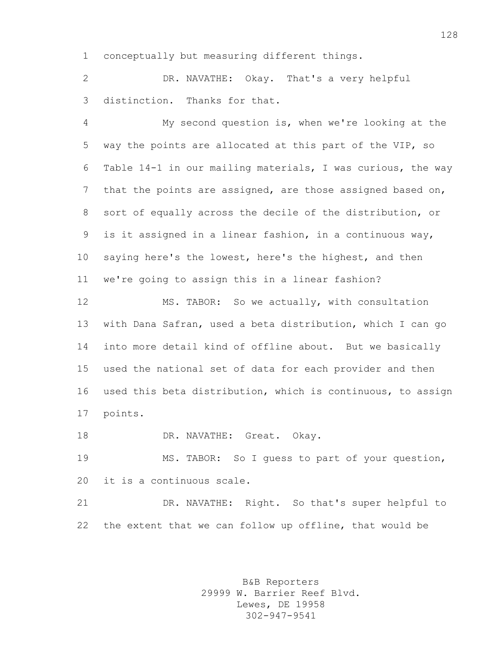conceptually but measuring different things.

 DR. NAVATHE: Okay. That's a very helpful distinction. Thanks for that.

 My second question is, when we're looking at the way the points are allocated at this part of the VIP, so Table 14-1 in our mailing materials, I was curious, the way that the points are assigned, are those assigned based on, sort of equally across the decile of the distribution, or is it assigned in a linear fashion, in a continuous way, saying here's the lowest, here's the highest, and then we're going to assign this in a linear fashion?

 MS. TABOR: So we actually, with consultation with Dana Safran, used a beta distribution, which I can go into more detail kind of offline about. But we basically used the national set of data for each provider and then used this beta distribution, which is continuous, to assign points.

DR. NAVATHE: Great. Okay.

 MS. TABOR: So I guess to part of your question, it is a continuous scale.

 DR. NAVATHE: Right. So that's super helpful to the extent that we can follow up offline, that would be

> B&B Reporters 29999 W. Barrier Reef Blvd. Lewes, DE 19958 302-947-9541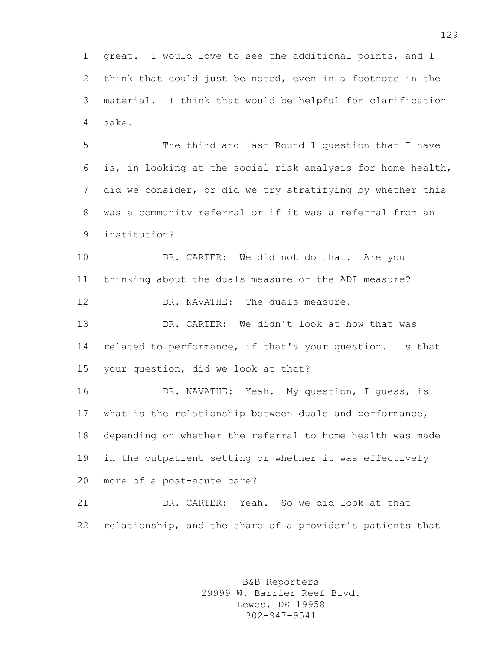great. I would love to see the additional points, and I think that could just be noted, even in a footnote in the material. I think that would be helpful for clarification sake.

 The third and last Round 1 question that I have is, in looking at the social risk analysis for home health, did we consider, or did we try stratifying by whether this was a community referral or if it was a referral from an institution?

 DR. CARTER: We did not do that. Are you thinking about the duals measure or the ADI measure? DR. NAVATHE: The duals measure.

 DR. CARTER: We didn't look at how that was related to performance, if that's your question. Is that your question, did we look at that?

 DR. NAVATHE: Yeah. My question, I guess, is what is the relationship between duals and performance, depending on whether the referral to home health was made in the outpatient setting or whether it was effectively more of a post-acute care?

 DR. CARTER: Yeah. So we did look at that relationship, and the share of a provider's patients that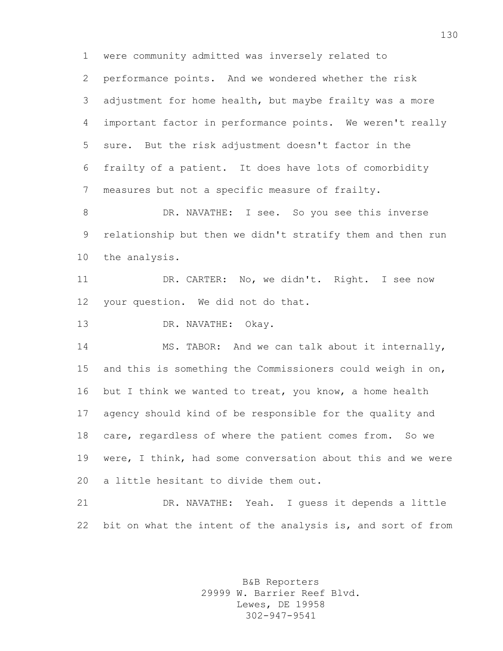were community admitted was inversely related to performance points. And we wondered whether the risk adjustment for home health, but maybe frailty was a more important factor in performance points. We weren't really sure. But the risk adjustment doesn't factor in the frailty of a patient. It does have lots of comorbidity measures but not a specific measure of frailty.

8 DR. NAVATHE: I see. So you see this inverse relationship but then we didn't stratify them and then run the analysis.

 DR. CARTER: No, we didn't. Right. I see now your question. We did not do that.

DR. NAVATHE: Okay.

 MS. TABOR: And we can talk about it internally, and this is something the Commissioners could weigh in on, 16 but I think we wanted to treat, you know, a home health agency should kind of be responsible for the quality and care, regardless of where the patient comes from. So we were, I think, had some conversation about this and we were a little hesitant to divide them out.

 DR. NAVATHE: Yeah. I guess it depends a little bit on what the intent of the analysis is, and sort of from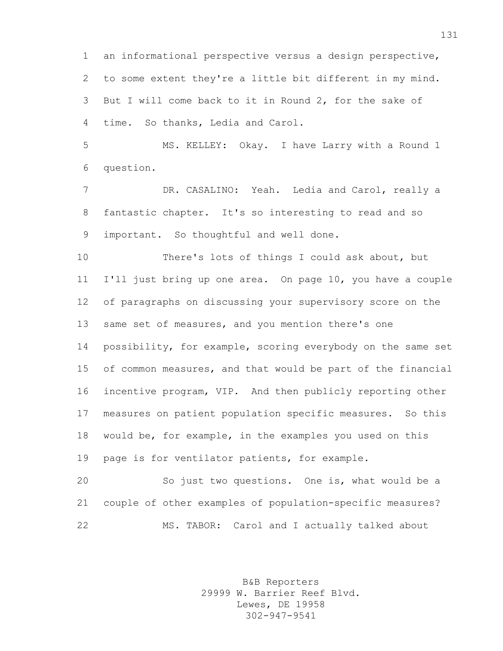an informational perspective versus a design perspective, to some extent they're a little bit different in my mind. But I will come back to it in Round 2, for the sake of time. So thanks, Ledia and Carol.

 MS. KELLEY: Okay. I have Larry with a Round 1 question.

 DR. CASALINO: Yeah. Ledia and Carol, really a fantastic chapter. It's so interesting to read and so important. So thoughtful and well done.

 There's lots of things I could ask about, but I'll just bring up one area. On page 10, you have a couple of paragraphs on discussing your supervisory score on the same set of measures, and you mention there's one 14 possibility, for example, scoring everybody on the same set of common measures, and that would be part of the financial incentive program, VIP. And then publicly reporting other measures on patient population specific measures. So this would be, for example, in the examples you used on this page is for ventilator patients, for example.

 So just two questions. One is, what would be a couple of other examples of population-specific measures? MS. TABOR: Carol and I actually talked about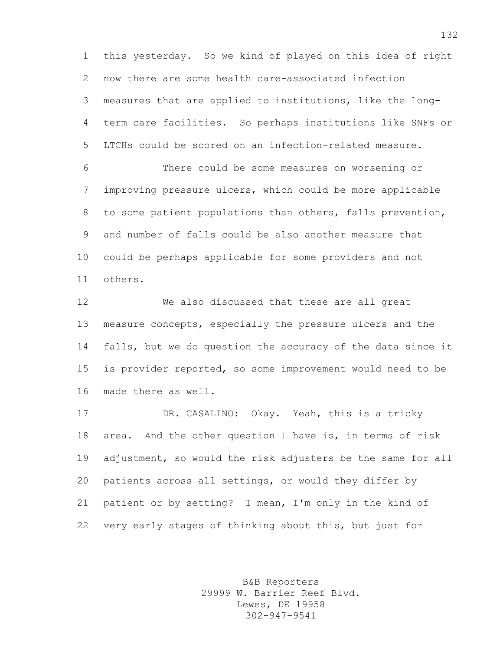this yesterday. So we kind of played on this idea of right now there are some health care-associated infection measures that are applied to institutions, like the long- term care facilities. So perhaps institutions like SNFs or LTCHs could be scored on an infection-related measure.

 There could be some measures on worsening or improving pressure ulcers, which could be more applicable to some patient populations than others, falls prevention, and number of falls could be also another measure that could be perhaps applicable for some providers and not others.

 We also discussed that these are all great measure concepts, especially the pressure ulcers and the falls, but we do question the accuracy of the data since it is provider reported, so some improvement would need to be made there as well.

 DR. CASALINO: Okay. Yeah, this is a tricky area. And the other question I have is, in terms of risk adjustment, so would the risk adjusters be the same for all patients across all settings, or would they differ by patient or by setting? I mean, I'm only in the kind of very early stages of thinking about this, but just for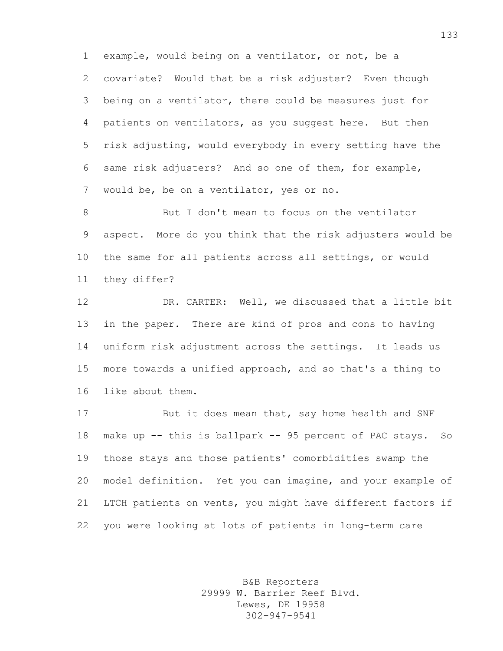example, would being on a ventilator, or not, be a covariate? Would that be a risk adjuster? Even though being on a ventilator, there could be measures just for patients on ventilators, as you suggest here. But then risk adjusting, would everybody in every setting have the same risk adjusters? And so one of them, for example, would be, be on a ventilator, yes or no.

8 But I don't mean to focus on the ventilator aspect. More do you think that the risk adjusters would be the same for all patients across all settings, or would they differ?

 DR. CARTER: Well, we discussed that a little bit in the paper. There are kind of pros and cons to having uniform risk adjustment across the settings. It leads us more towards a unified approach, and so that's a thing to like about them.

 But it does mean that, say home health and SNF make up -- this is ballpark -- 95 percent of PAC stays. So those stays and those patients' comorbidities swamp the model definition. Yet you can imagine, and your example of LTCH patients on vents, you might have different factors if you were looking at lots of patients in long-term care

> B&B Reporters 29999 W. Barrier Reef Blvd. Lewes, DE 19958 302-947-9541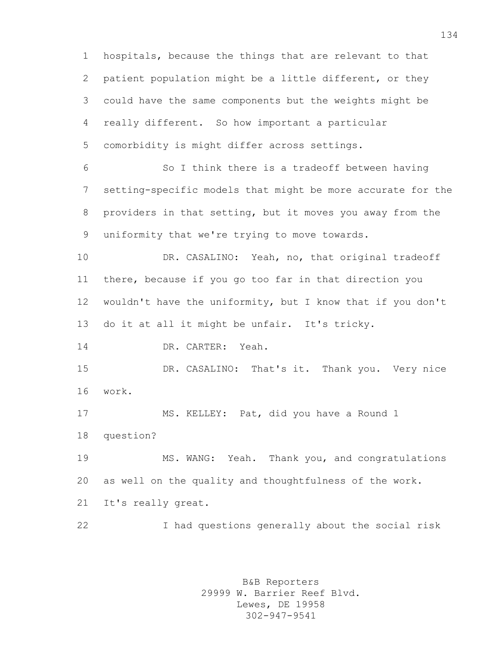hospitals, because the things that are relevant to that patient population might be a little different, or they could have the same components but the weights might be really different. So how important a particular comorbidity is might differ across settings. So I think there is a tradeoff between having setting-specific models that might be more accurate for the providers in that setting, but it moves you away from the uniformity that we're trying to move towards. DR. CASALINO: Yeah, no, that original tradeoff there, because if you go too far in that direction you wouldn't have the uniformity, but I know that if you don't do it at all it might be unfair. It's tricky. 14 DR. CARTER: Yeah. DR. CASALINO: That's it. Thank you. Very nice work. MS. KELLEY: Pat, did you have a Round 1 question? MS. WANG: Yeah. Thank you, and congratulations as well on the quality and thoughtfulness of the work. It's really great. I had questions generally about the social risk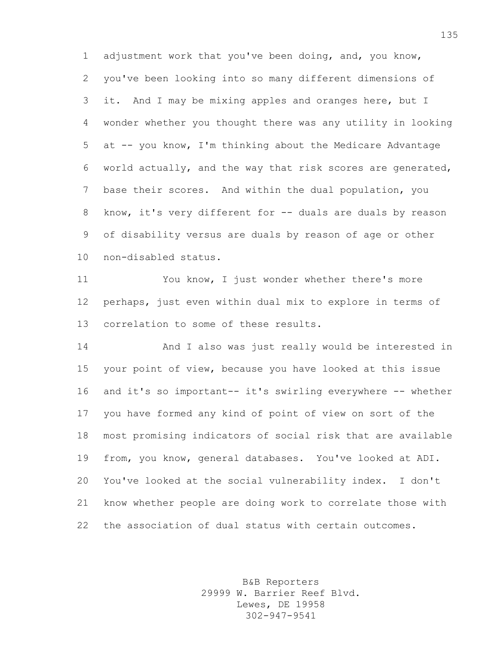adjustment work that you've been doing, and, you know, you've been looking into so many different dimensions of it. And I may be mixing apples and oranges here, but I wonder whether you thought there was any utility in looking at -- you know, I'm thinking about the Medicare Advantage world actually, and the way that risk scores are generated, base their scores. And within the dual population, you 8 know, it's very different for -- duals are duals by reason of disability versus are duals by reason of age or other non-disabled status.

 You know, I just wonder whether there's more perhaps, just even within dual mix to explore in terms of correlation to some of these results.

 And I also was just really would be interested in your point of view, because you have looked at this issue 16 and it's so important-- it's swirling everywhere -- whether you have formed any kind of point of view on sort of the most promising indicators of social risk that are available from, you know, general databases. You've looked at ADI. You've looked at the social vulnerability index. I don't know whether people are doing work to correlate those with the association of dual status with certain outcomes.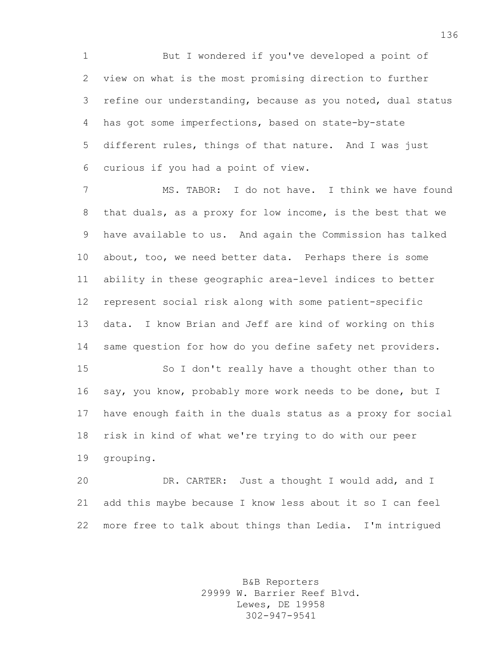But I wondered if you've developed a point of view on what is the most promising direction to further refine our understanding, because as you noted, dual status has got some imperfections, based on state-by-state different rules, things of that nature. And I was just curious if you had a point of view.

 MS. TABOR: I do not have. I think we have found that duals, as a proxy for low income, is the best that we have available to us. And again the Commission has talked about, too, we need better data. Perhaps there is some ability in these geographic area-level indices to better represent social risk along with some patient-specific data. I know Brian and Jeff are kind of working on this same question for how do you define safety net providers.

 So I don't really have a thought other than to say, you know, probably more work needs to be done, but I have enough faith in the duals status as a proxy for social risk in kind of what we're trying to do with our peer grouping.

 DR. CARTER: Just a thought I would add, and I add this maybe because I know less about it so I can feel more free to talk about things than Ledia. I'm intrigued

> B&B Reporters 29999 W. Barrier Reef Blvd. Lewes, DE 19958 302-947-9541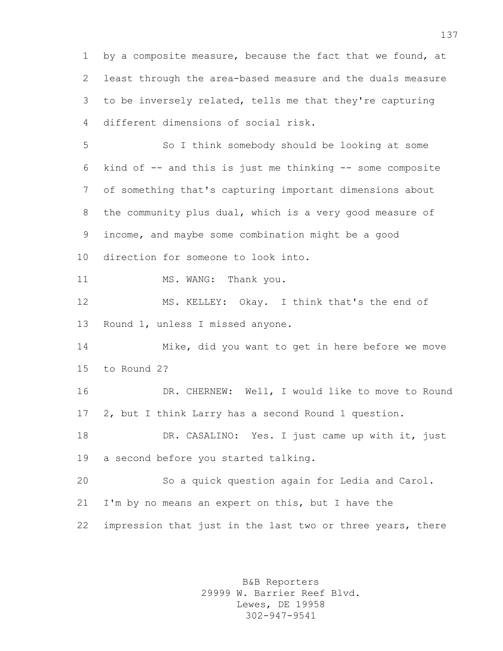by a composite measure, because the fact that we found, at least through the area-based measure and the duals measure to be inversely related, tells me that they're capturing different dimensions of social risk.

 So I think somebody should be looking at some kind of -- and this is just me thinking -- some composite of something that's capturing important dimensions about the community plus dual, which is a very good measure of income, and maybe some combination might be a good direction for someone to look into. 11 MS. WANG: Thank you. MS. KELLEY: Okay. I think that's the end of Round 1, unless I missed anyone. Mike, did you want to get in here before we move to Round 2? DR. CHERNEW: Well, I would like to move to Round 2, but I think Larry has a second Round 1 question. DR. CASALINO: Yes. I just came up with it, just a second before you started talking. So a quick question again for Ledia and Carol. I'm by no means an expert on this, but I have the

22 impression that just in the last two or three years, there

B&B Reporters 29999 W. Barrier Reef Blvd. Lewes, DE 19958 302-947-9541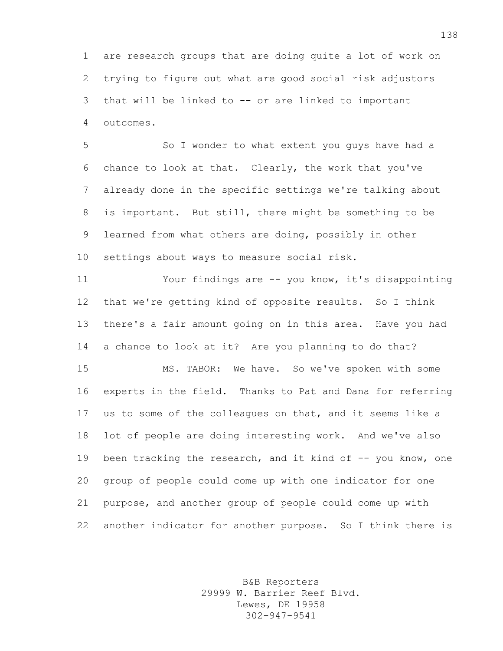are research groups that are doing quite a lot of work on trying to figure out what are good social risk adjustors that will be linked to -- or are linked to important outcomes.

 So I wonder to what extent you guys have had a chance to look at that. Clearly, the work that you've already done in the specific settings we're talking about is important. But still, there might be something to be learned from what others are doing, possibly in other settings about ways to measure social risk.

 Your findings are -- you know, it's disappointing that we're getting kind of opposite results. So I think there's a fair amount going on in this area. Have you had a chance to look at it? Are you planning to do that?

 MS. TABOR: We have. So we've spoken with some experts in the field. Thanks to Pat and Dana for referring us to some of the colleagues on that, and it seems like a lot of people are doing interesting work. And we've also 19 been tracking the research, and it kind of -- you know, one group of people could come up with one indicator for one purpose, and another group of people could come up with another indicator for another purpose. So I think there is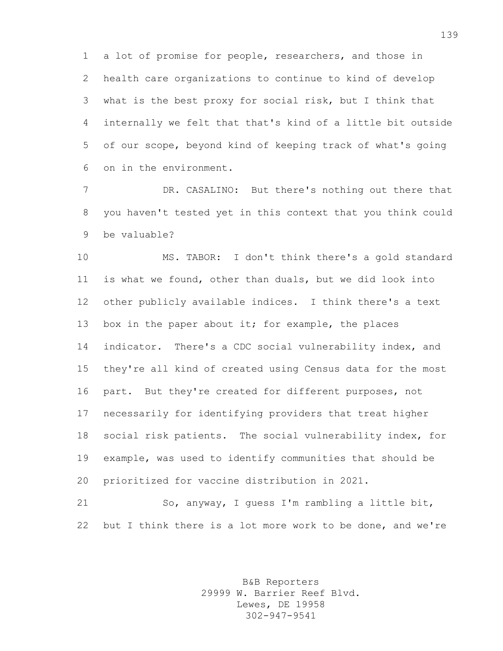a lot of promise for people, researchers, and those in health care organizations to continue to kind of develop what is the best proxy for social risk, but I think that internally we felt that that's kind of a little bit outside of our scope, beyond kind of keeping track of what's going on in the environment.

 DR. CASALINO: But there's nothing out there that you haven't tested yet in this context that you think could be valuable?

 MS. TABOR: I don't think there's a gold standard is what we found, other than duals, but we did look into other publicly available indices. I think there's a text box in the paper about it; for example, the places indicator. There's a CDC social vulnerability index, and they're all kind of created using Census data for the most part. But they're created for different purposes, not necessarily for identifying providers that treat higher social risk patients. The social vulnerability index, for example, was used to identify communities that should be prioritized for vaccine distribution in 2021.

 So, anyway, I guess I'm rambling a little bit, but I think there is a lot more work to be done, and we're

> B&B Reporters 29999 W. Barrier Reef Blvd. Lewes, DE 19958 302-947-9541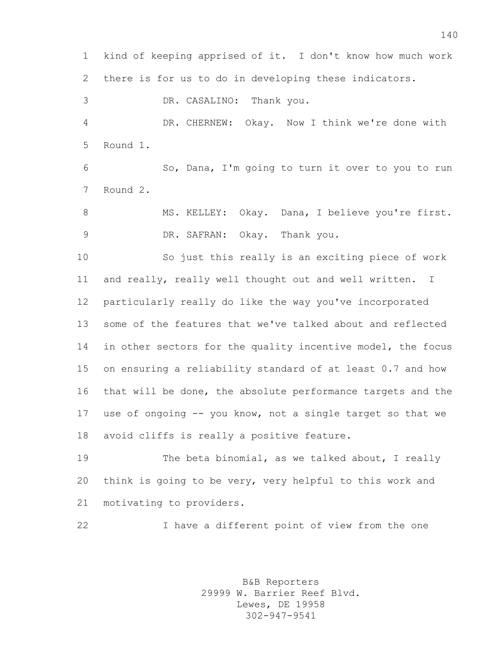kind of keeping apprised of it. I don't know how much work there is for us to do in developing these indicators.

 DR. CASALINO: Thank you. DR. CHERNEW: Okay. Now I think we're done with Round 1.

 So, Dana, I'm going to turn it over to you to run Round 2.

8 MS. KELLEY: Okay. Dana, I believe you're first. DR. SAFRAN: Okay. Thank you.

 So just this really is an exciting piece of work and really, really well thought out and well written. I particularly really do like the way you've incorporated some of the features that we've talked about and reflected in other sectors for the quality incentive model, the focus on ensuring a reliability standard of at least 0.7 and how that will be done, the absolute performance targets and the use of ongoing -- you know, not a single target so that we avoid cliffs is really a positive feature.

19 The beta binomial, as we talked about, I really think is going to be very, very helpful to this work and motivating to providers.

I have a different point of view from the one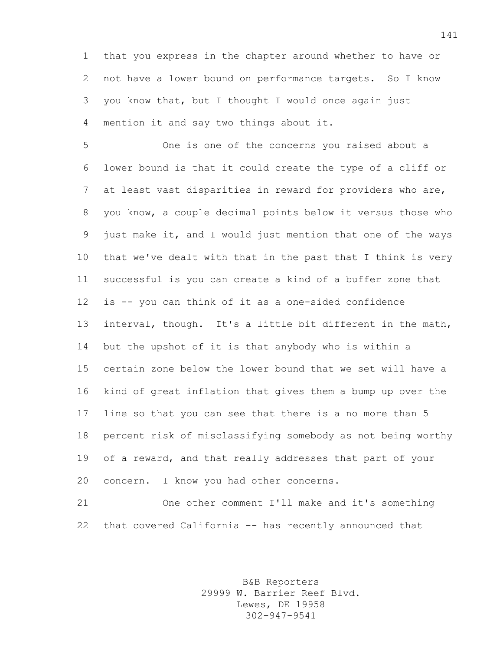that you express in the chapter around whether to have or not have a lower bound on performance targets. So I know you know that, but I thought I would once again just mention it and say two things about it.

 One is one of the concerns you raised about a lower bound is that it could create the type of a cliff or at least vast disparities in reward for providers who are, you know, a couple decimal points below it versus those who just make it, and I would just mention that one of the ways that we've dealt with that in the past that I think is very successful is you can create a kind of a buffer zone that is -- you can think of it as a one-sided confidence interval, though. It's a little bit different in the math, but the upshot of it is that anybody who is within a certain zone below the lower bound that we set will have a kind of great inflation that gives them a bump up over the line so that you can see that there is a no more than 5 percent risk of misclassifying somebody as not being worthy of a reward, and that really addresses that part of your concern. I know you had other concerns.

 One other comment I'll make and it's something that covered California -- has recently announced that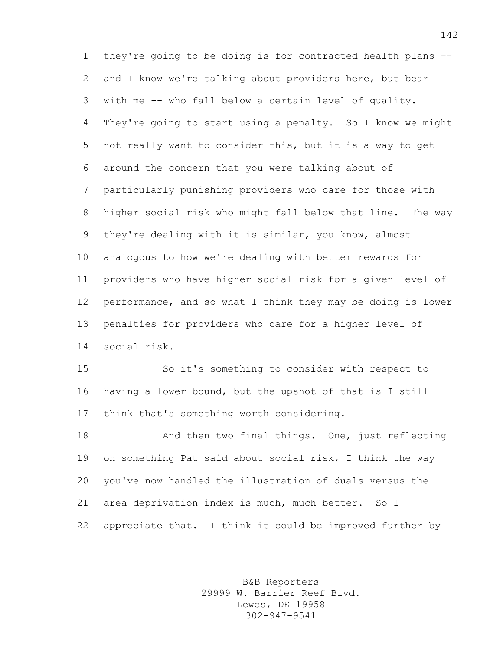they're going to be doing is for contracted health plans -- and I know we're talking about providers here, but bear with me -- who fall below a certain level of quality. They're going to start using a penalty. So I know we might not really want to consider this, but it is a way to get around the concern that you were talking about of particularly punishing providers who care for those with higher social risk who might fall below that line. The way they're dealing with it is similar, you know, almost analogous to how we're dealing with better rewards for providers who have higher social risk for a given level of performance, and so what I think they may be doing is lower penalties for providers who care for a higher level of social risk.

 So it's something to consider with respect to having a lower bound, but the upshot of that is I still think that's something worth considering.

18 And then two final things. One, just reflecting on something Pat said about social risk, I think the way you've now handled the illustration of duals versus the 21 area deprivation index is much, much better. So I appreciate that. I think it could be improved further by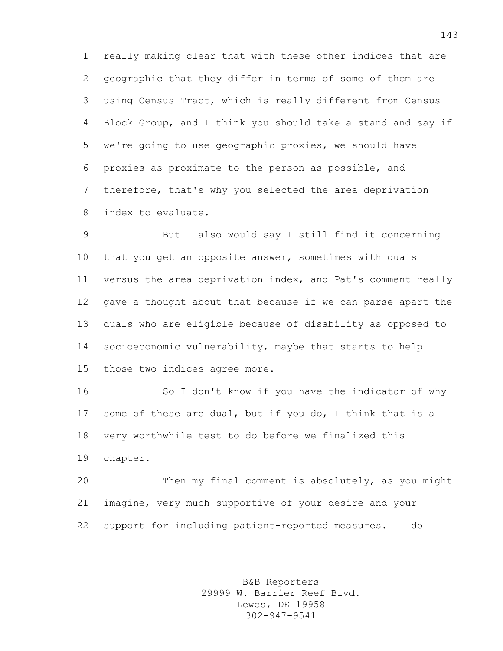really making clear that with these other indices that are geographic that they differ in terms of some of them are using Census Tract, which is really different from Census Block Group, and I think you should take a stand and say if we're going to use geographic proxies, we should have proxies as proximate to the person as possible, and therefore, that's why you selected the area deprivation index to evaluate.

 But I also would say I still find it concerning that you get an opposite answer, sometimes with duals versus the area deprivation index, and Pat's comment really gave a thought about that because if we can parse apart the duals who are eligible because of disability as opposed to socioeconomic vulnerability, maybe that starts to help those two indices agree more.

 So I don't know if you have the indicator of why some of these are dual, but if you do, I think that is a very worthwhile test to do before we finalized this chapter.

 Then my final comment is absolutely, as you might imagine, very much supportive of your desire and your support for including patient-reported measures. I do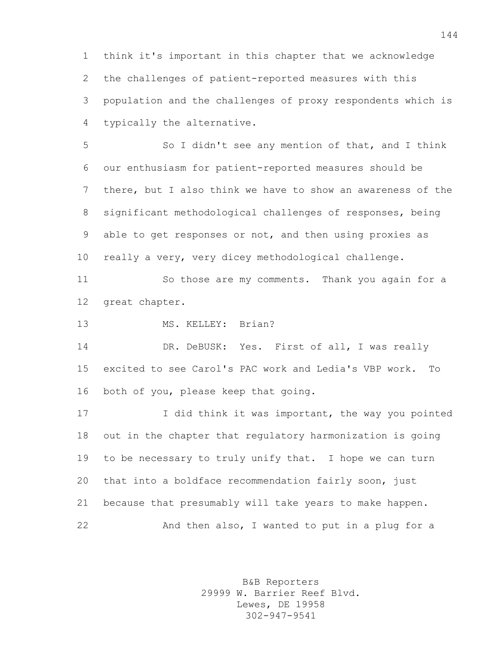think it's important in this chapter that we acknowledge the challenges of patient-reported measures with this population and the challenges of proxy respondents which is typically the alternative.

 So I didn't see any mention of that, and I think our enthusiasm for patient-reported measures should be there, but I also think we have to show an awareness of the significant methodological challenges of responses, being able to get responses or not, and then using proxies as really a very, very dicey methodological challenge.

 So those are my comments. Thank you again for a great chapter.

13 MS. KELLEY: Brian?

 DR. DeBUSK: Yes. First of all, I was really excited to see Carol's PAC work and Ledia's VBP work. To both of you, please keep that going.

 I did think it was important, the way you pointed out in the chapter that regulatory harmonization is going to be necessary to truly unify that. I hope we can turn that into a boldface recommendation fairly soon, just because that presumably will take years to make happen. And then also, I wanted to put in a plug for a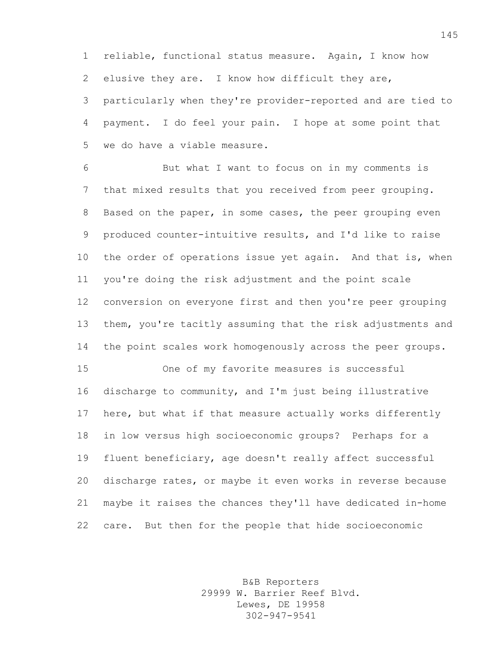reliable, functional status measure. Again, I know how elusive they are. I know how difficult they are,

 particularly when they're provider-reported and are tied to payment. I do feel your pain. I hope at some point that we do have a viable measure.

 But what I want to focus on in my comments is that mixed results that you received from peer grouping. Based on the paper, in some cases, the peer grouping even produced counter-intuitive results, and I'd like to raise 10 the order of operations issue yet again. And that is, when you're doing the risk adjustment and the point scale conversion on everyone first and then you're peer grouping them, you're tacitly assuming that the risk adjustments and the point scales work homogenously across the peer groups.

 discharge to community, and I'm just being illustrative here, but what if that measure actually works differently in low versus high socioeconomic groups? Perhaps for a fluent beneficiary, age doesn't really affect successful discharge rates, or maybe it even works in reverse because maybe it raises the chances they'll have dedicated in-home care. But then for the people that hide socioeconomic

One of my favorite measures is successful

B&B Reporters 29999 W. Barrier Reef Blvd. Lewes, DE 19958 302-947-9541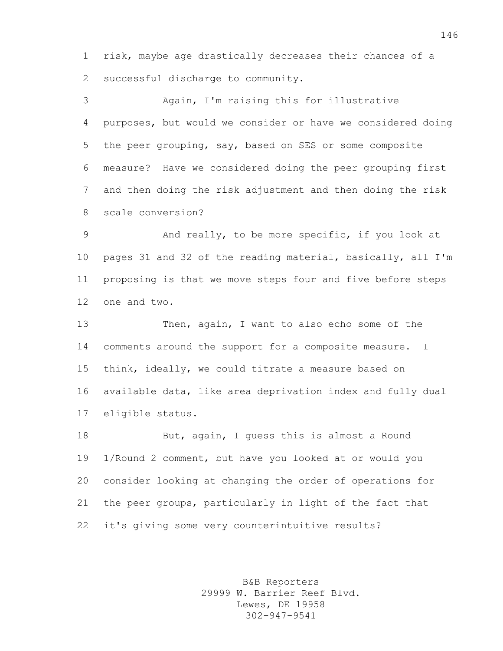risk, maybe age drastically decreases their chances of a successful discharge to community.

 Again, I'm raising this for illustrative purposes, but would we consider or have we considered doing the peer grouping, say, based on SES or some composite measure? Have we considered doing the peer grouping first and then doing the risk adjustment and then doing the risk scale conversion?

 And really, to be more specific, if you look at pages 31 and 32 of the reading material, basically, all I'm proposing is that we move steps four and five before steps one and two.

 Then, again, I want to also echo some of the comments around the support for a composite measure. I think, ideally, we could titrate a measure based on available data, like area deprivation index and fully dual eligible status.

 But, again, I guess this is almost a Round 1/Round 2 comment, but have you looked at or would you consider looking at changing the order of operations for the peer groups, particularly in light of the fact that it's giving some very counterintuitive results?

> B&B Reporters 29999 W. Barrier Reef Blvd. Lewes, DE 19958 302-947-9541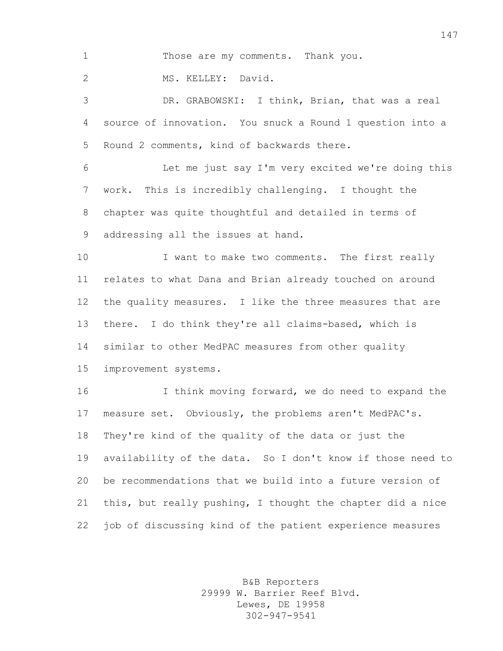Those are my comments. Thank you.

MS. KELLEY: David.

 DR. GRABOWSKI: I think, Brian, that was a real source of innovation. You snuck a Round 1 question into a Round 2 comments, kind of backwards there.

 Let me just say I'm very excited we're doing this work. This is incredibly challenging. I thought the chapter was quite thoughtful and detailed in terms of addressing all the issues at hand.

10 I want to make two comments. The first really relates to what Dana and Brian already touched on around the quality measures. I like the three measures that are there. I do think they're all claims-based, which is similar to other MedPAC measures from other quality improvement systems.

16 16 I think moving forward, we do need to expand the measure set. Obviously, the problems aren't MedPAC's. They're kind of the quality of the data or just the availability of the data. So I don't know if those need to be recommendations that we build into a future version of this, but really pushing, I thought the chapter did a nice job of discussing kind of the patient experience measures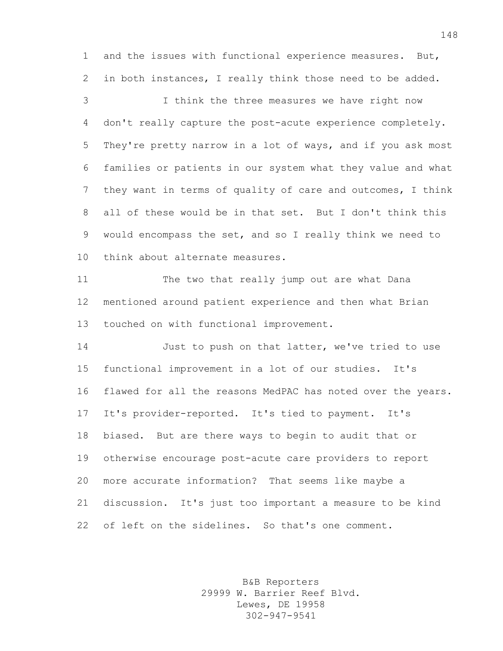and the issues with functional experience measures. But, in both instances, I really think those need to be added.

 I think the three measures we have right now don't really capture the post-acute experience completely. They're pretty narrow in a lot of ways, and if you ask most families or patients in our system what they value and what they want in terms of quality of care and outcomes, I think all of these would be in that set. But I don't think this would encompass the set, and so I really think we need to think about alternate measures.

 The two that really jump out are what Dana mentioned around patient experience and then what Brian touched on with functional improvement.

 Just to push on that latter, we've tried to use functional improvement in a lot of our studies. It's flawed for all the reasons MedPAC has noted over the years. It's provider-reported. It's tied to payment. It's biased. But are there ways to begin to audit that or otherwise encourage post-acute care providers to report more accurate information? That seems like maybe a discussion. It's just too important a measure to be kind of left on the sidelines. So that's one comment.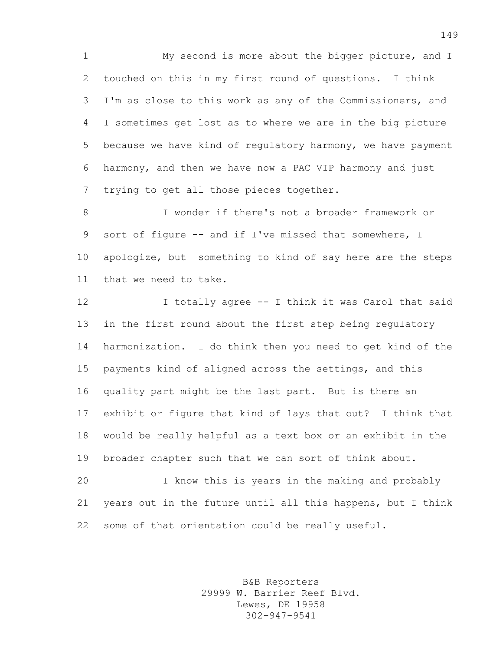My second is more about the bigger picture, and I touched on this in my first round of questions. I think I'm as close to this work as any of the Commissioners, and I sometimes get lost as to where we are in the big picture because we have kind of regulatory harmony, we have payment harmony, and then we have now a PAC VIP harmony and just trying to get all those pieces together.

 I wonder if there's not a broader framework or 9 sort of figure -- and if I've missed that somewhere, I apologize, but something to kind of say here are the steps that we need to take.

 I totally agree -- I think it was Carol that said in the first round about the first step being regulatory harmonization. I do think then you need to get kind of the payments kind of aligned across the settings, and this quality part might be the last part. But is there an exhibit or figure that kind of lays that out? I think that would be really helpful as a text box or an exhibit in the broader chapter such that we can sort of think about.

 I know this is years in the making and probably years out in the future until all this happens, but I think some of that orientation could be really useful.

> B&B Reporters 29999 W. Barrier Reef Blvd. Lewes, DE 19958 302-947-9541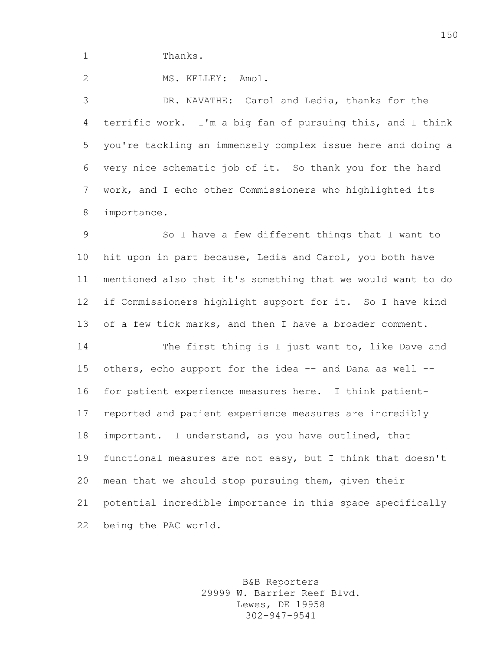1 Thanks.

2 MS. KELLEY: Amol.

 DR. NAVATHE: Carol and Ledia, thanks for the terrific work. I'm a big fan of pursuing this, and I think you're tackling an immensely complex issue here and doing a very nice schematic job of it. So thank you for the hard work, and I echo other Commissioners who highlighted its importance.

 So I have a few different things that I want to hit upon in part because, Ledia and Carol, you both have mentioned also that it's something that we would want to do if Commissioners highlight support for it. So I have kind of a few tick marks, and then I have a broader comment.

 The first thing is I just want to, like Dave and 15 others, echo support for the idea -- and Dana as well -- for patient experience measures here. I think patient- reported and patient experience measures are incredibly important. I understand, as you have outlined, that functional measures are not easy, but I think that doesn't mean that we should stop pursuing them, given their potential incredible importance in this space specifically being the PAC world.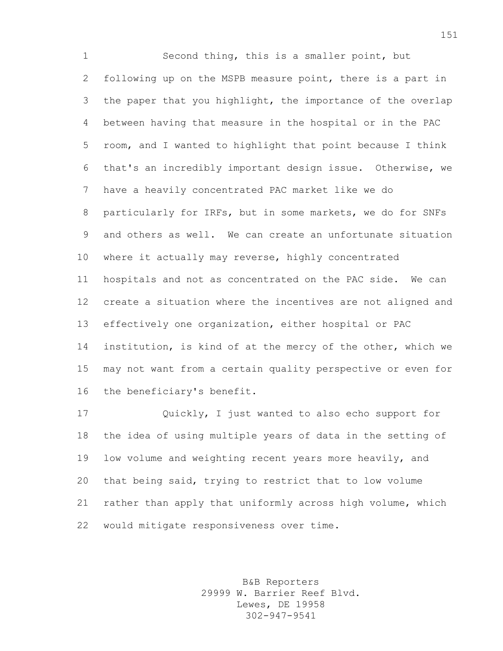Second thing, this is a smaller point, but following up on the MSPB measure point, there is a part in the paper that you highlight, the importance of the overlap between having that measure in the hospital or in the PAC room, and I wanted to highlight that point because I think that's an incredibly important design issue. Otherwise, we have a heavily concentrated PAC market like we do particularly for IRFs, but in some markets, we do for SNFs and others as well. We can create an unfortunate situation where it actually may reverse, highly concentrated hospitals and not as concentrated on the PAC side. We can create a situation where the incentives are not aligned and effectively one organization, either hospital or PAC institution, is kind of at the mercy of the other, which we may not want from a certain quality perspective or even for the beneficiary's benefit.

 Quickly, I just wanted to also echo support for the idea of using multiple years of data in the setting of low volume and weighting recent years more heavily, and that being said, trying to restrict that to low volume rather than apply that uniformly across high volume, which would mitigate responsiveness over time.

> B&B Reporters 29999 W. Barrier Reef Blvd. Lewes, DE 19958 302-947-9541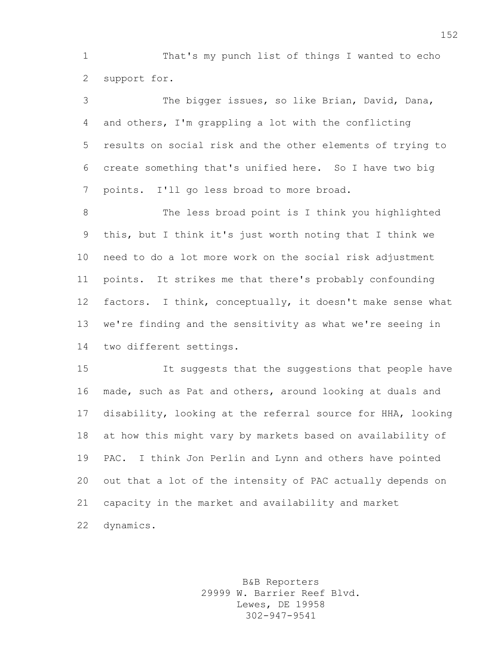That's my punch list of things I wanted to echo support for.

 The bigger issues, so like Brian, David, Dana, and others, I'm grappling a lot with the conflicting results on social risk and the other elements of trying to create something that's unified here. So I have two big points. I'll go less broad to more broad.

8 The less broad point is I think you highlighted this, but I think it's just worth noting that I think we need to do a lot more work on the social risk adjustment points. It strikes me that there's probably confounding factors. I think, conceptually, it doesn't make sense what we're finding and the sensitivity as what we're seeing in two different settings.

 It suggests that the suggestions that people have made, such as Pat and others, around looking at duals and disability, looking at the referral source for HHA, looking at how this might vary by markets based on availability of PAC. I think Jon Perlin and Lynn and others have pointed out that a lot of the intensity of PAC actually depends on capacity in the market and availability and market dynamics.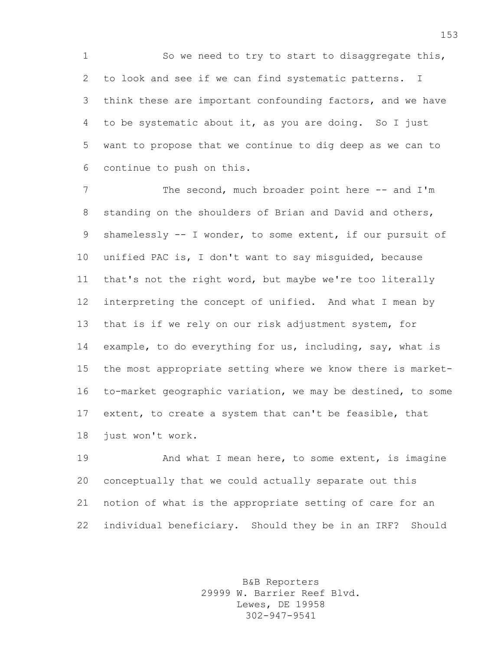1 So we need to try to start to disaggregate this, to look and see if we can find systematic patterns. I think these are important confounding factors, and we have to be systematic about it, as you are doing. So I just want to propose that we continue to dig deep as we can to continue to push on this.

7 The second, much broader point here -- and I'm 8 standing on the shoulders of Brian and David and others, shamelessly -- I wonder, to some extent, if our pursuit of unified PAC is, I don't want to say misguided, because that's not the right word, but maybe we're too literally interpreting the concept of unified. And what I mean by that is if we rely on our risk adjustment system, for example, to do everything for us, including, say, what is the most appropriate setting where we know there is market- to-market geographic variation, we may be destined, to some extent, to create a system that can't be feasible, that just won't work.

19 And what I mean here, to some extent, is imagine conceptually that we could actually separate out this notion of what is the appropriate setting of care for an individual beneficiary. Should they be in an IRF? Should

> B&B Reporters 29999 W. Barrier Reef Blvd. Lewes, DE 19958 302-947-9541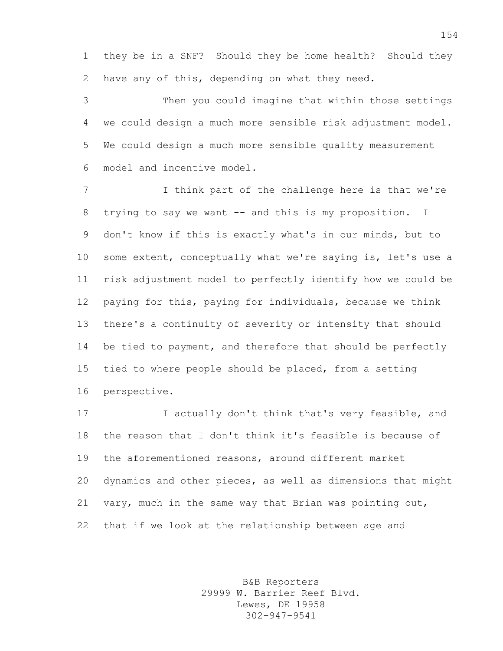they be in a SNF? Should they be home health? Should they have any of this, depending on what they need.

 Then you could imagine that within those settings we could design a much more sensible risk adjustment model. We could design a much more sensible quality measurement model and incentive model.

7 I think part of the challenge here is that we're 8 trying to say we want -- and this is my proposition. I don't know if this is exactly what's in our minds, but to some extent, conceptually what we're saying is, let's use a risk adjustment model to perfectly identify how we could be paying for this, paying for individuals, because we think there's a continuity of severity or intensity that should 14 be tied to payment, and therefore that should be perfectly tied to where people should be placed, from a setting perspective.

**I** actually don't think that's very feasible, and the reason that I don't think it's feasible is because of the aforementioned reasons, around different market dynamics and other pieces, as well as dimensions that might vary, much in the same way that Brian was pointing out, that if we look at the relationship between age and

> B&B Reporters 29999 W. Barrier Reef Blvd. Lewes, DE 19958 302-947-9541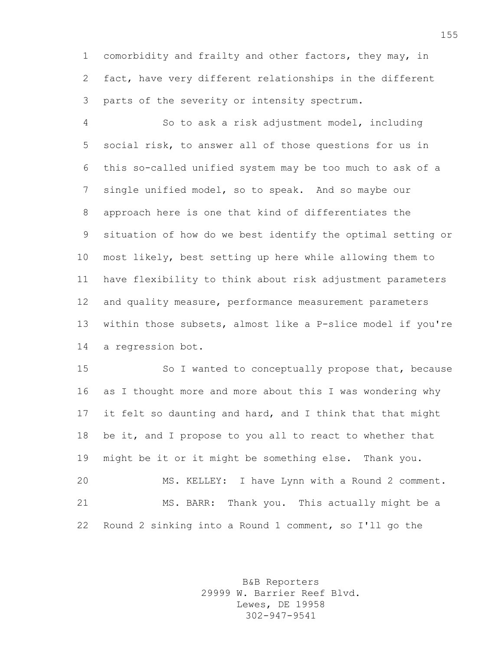comorbidity and frailty and other factors, they may, in fact, have very different relationships in the different parts of the severity or intensity spectrum.

 So to ask a risk adjustment model, including social risk, to answer all of those questions for us in this so-called unified system may be too much to ask of a single unified model, so to speak. And so maybe our approach here is one that kind of differentiates the situation of how do we best identify the optimal setting or most likely, best setting up here while allowing them to have flexibility to think about risk adjustment parameters and quality measure, performance measurement parameters within those subsets, almost like a P-slice model if you're a regression bot.

 So I wanted to conceptually propose that, because as I thought more and more about this I was wondering why 17 it felt so daunting and hard, and I think that that might be it, and I propose to you all to react to whether that might be it or it might be something else. Thank you. MS. KELLEY: I have Lynn with a Round 2 comment. MS. BARR: Thank you. This actually might be a Round 2 sinking into a Round 1 comment, so I'll go the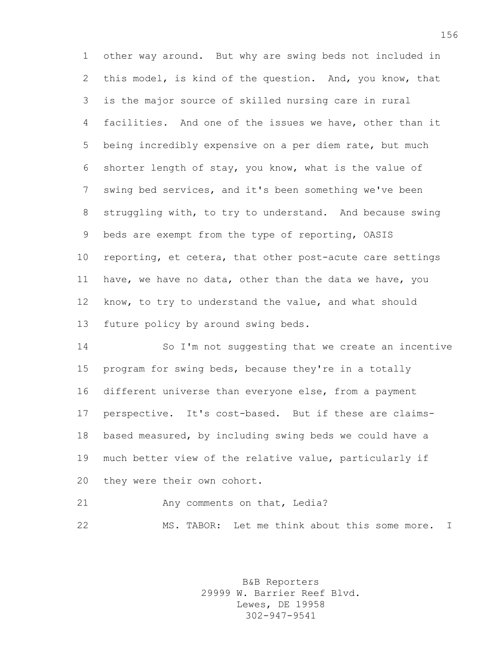other way around. But why are swing beds not included in this model, is kind of the question. And, you know, that is the major source of skilled nursing care in rural facilities. And one of the issues we have, other than it being incredibly expensive on a per diem rate, but much shorter length of stay, you know, what is the value of swing bed services, and it's been something we've been struggling with, to try to understand. And because swing beds are exempt from the type of reporting, OASIS reporting, et cetera, that other post-acute care settings have, we have no data, other than the data we have, you know, to try to understand the value, and what should future policy by around swing beds.

 So I'm not suggesting that we create an incentive program for swing beds, because they're in a totally different universe than everyone else, from a payment perspective. It's cost-based. But if these are claims- based measured, by including swing beds we could have a much better view of the relative value, particularly if they were their own cohort.

21 Any comments on that, Ledia?

MS. TABOR: Let me think about this some more. I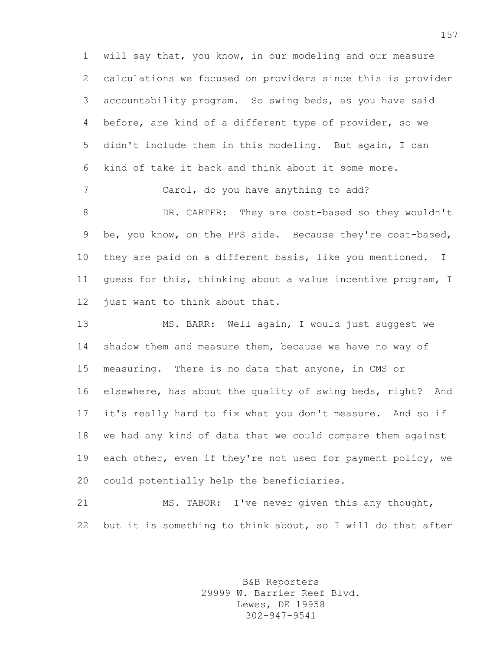will say that, you know, in our modeling and our measure calculations we focused on providers since this is provider accountability program. So swing beds, as you have said before, are kind of a different type of provider, so we didn't include them in this modeling. But again, I can kind of take it back and think about it some more.

 DR. CARTER: They are cost-based so they wouldn't be, you know, on the PPS side. Because they're cost-based, they are paid on a different basis, like you mentioned. I guess for this, thinking about a value incentive program, I 12 just want to think about that.

Carol, do you have anything to add?

 MS. BARR: Well again, I would just suggest we shadow them and measure them, because we have no way of measuring. There is no data that anyone, in CMS or elsewhere, has about the quality of swing beds, right? And it's really hard to fix what you don't measure. And so if we had any kind of data that we could compare them against each other, even if they're not used for payment policy, we could potentially help the beneficiaries.

 MS. TABOR: I've never given this any thought, but it is something to think about, so I will do that after

> B&B Reporters 29999 W. Barrier Reef Blvd. Lewes, DE 19958 302-947-9541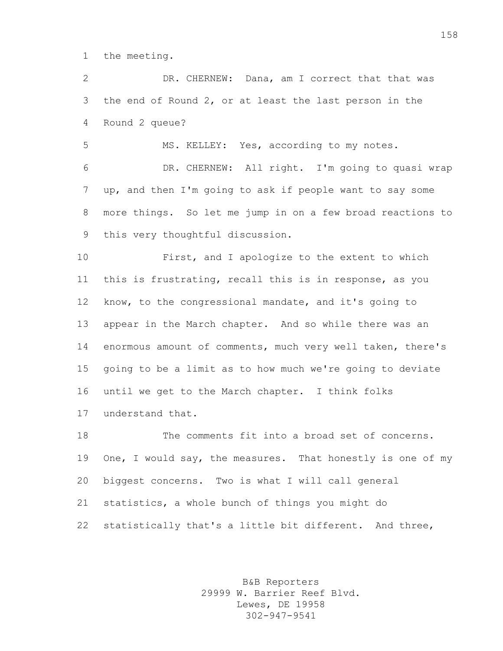the meeting.

 DR. CHERNEW: Dana, am I correct that that was the end of Round 2, or at least the last person in the Round 2 queue?

MS. KELLEY: Yes, according to my notes.

 DR. CHERNEW: All right. I'm going to quasi wrap up, and then I'm going to ask if people want to say some more things. So let me jump in on a few broad reactions to this very thoughtful discussion.

 First, and I apologize to the extent to which this is frustrating, recall this is in response, as you know, to the congressional mandate, and it's going to appear in the March chapter. And so while there was an enormous amount of comments, much very well taken, there's going to be a limit as to how much we're going to deviate until we get to the March chapter. I think folks understand that.

 The comments fit into a broad set of concerns. One, I would say, the measures. That honestly is one of my biggest concerns. Two is what I will call general statistics, a whole bunch of things you might do statistically that's a little bit different. And three,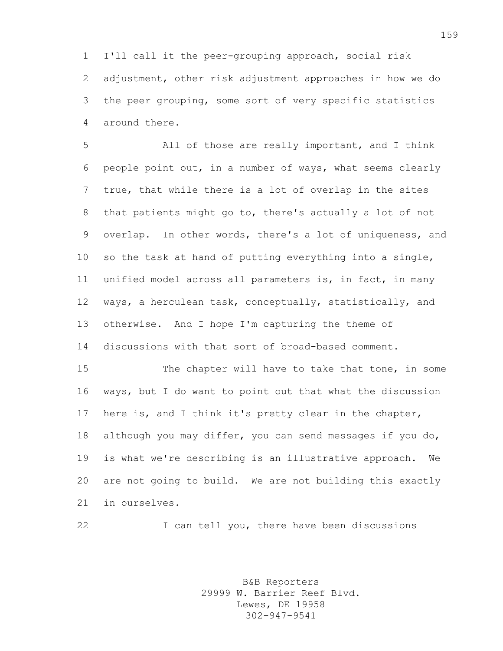I'll call it the peer-grouping approach, social risk adjustment, other risk adjustment approaches in how we do the peer grouping, some sort of very specific statistics around there.

 All of those are really important, and I think people point out, in a number of ways, what seems clearly true, that while there is a lot of overlap in the sites that patients might go to, there's actually a lot of not overlap. In other words, there's a lot of uniqueness, and so the task at hand of putting everything into a single, unified model across all parameters is, in fact, in many ways, a herculean task, conceptually, statistically, and otherwise. And I hope I'm capturing the theme of discussions with that sort of broad-based comment.

 The chapter will have to take that tone, in some ways, but I do want to point out that what the discussion here is, and I think it's pretty clear in the chapter, although you may differ, you can send messages if you do, is what we're describing is an illustrative approach. We are not going to build. We are not building this exactly in ourselves.

I can tell you, there have been discussions

B&B Reporters 29999 W. Barrier Reef Blvd. Lewes, DE 19958 302-947-9541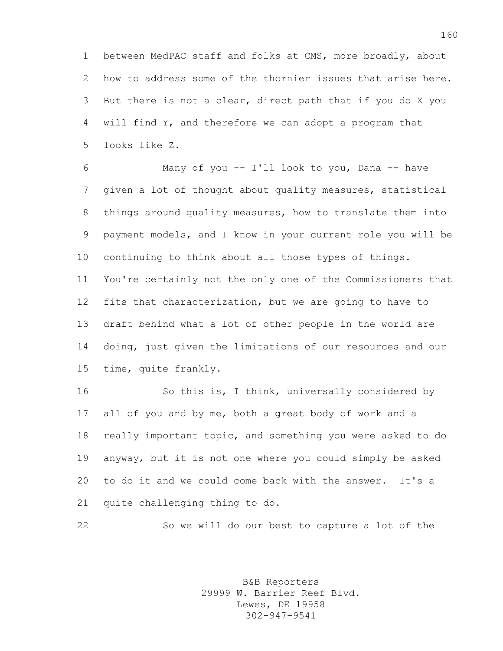between MedPAC staff and folks at CMS, more broadly, about how to address some of the thornier issues that arise here. But there is not a clear, direct path that if you do X you will find Y, and therefore we can adopt a program that looks like Z.

 Many of you -- I'll look to you, Dana -- have given a lot of thought about quality measures, statistical things around quality measures, how to translate them into payment models, and I know in your current role you will be continuing to think about all those types of things. You're certainly not the only one of the Commissioners that fits that characterization, but we are going to have to draft behind what a lot of other people in the world are doing, just given the limitations of our resources and our time, quite frankly.

 So this is, I think, universally considered by all of you and by me, both a great body of work and a really important topic, and something you were asked to do anyway, but it is not one where you could simply be asked to do it and we could come back with the answer. It's a quite challenging thing to do.

So we will do our best to capture a lot of the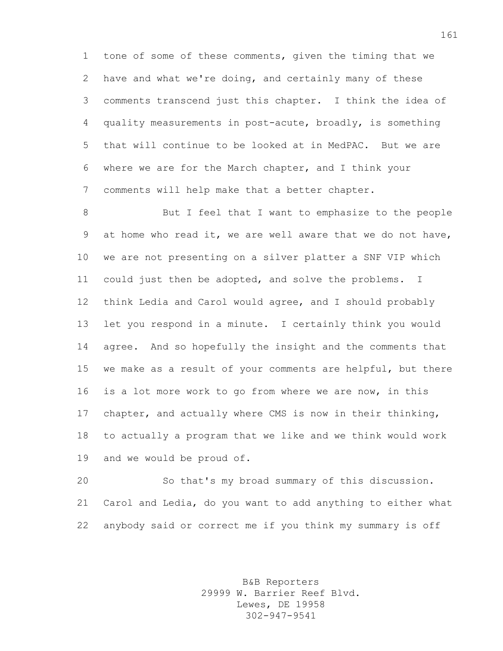tone of some of these comments, given the timing that we have and what we're doing, and certainly many of these comments transcend just this chapter. I think the idea of quality measurements in post-acute, broadly, is something that will continue to be looked at in MedPAC. But we are where we are for the March chapter, and I think your comments will help make that a better chapter.

 But I feel that I want to emphasize to the people at home who read it, we are well aware that we do not have, we are not presenting on a silver platter a SNF VIP which could just then be adopted, and solve the problems. I think Ledia and Carol would agree, and I should probably let you respond in a minute. I certainly think you would agree. And so hopefully the insight and the comments that we make as a result of your comments are helpful, but there is a lot more work to go from where we are now, in this chapter, and actually where CMS is now in their thinking, to actually a program that we like and we think would work and we would be proud of.

 So that's my broad summary of this discussion. Carol and Ledia, do you want to add anything to either what anybody said or correct me if you think my summary is off

> B&B Reporters 29999 W. Barrier Reef Blvd. Lewes, DE 19958 302-947-9541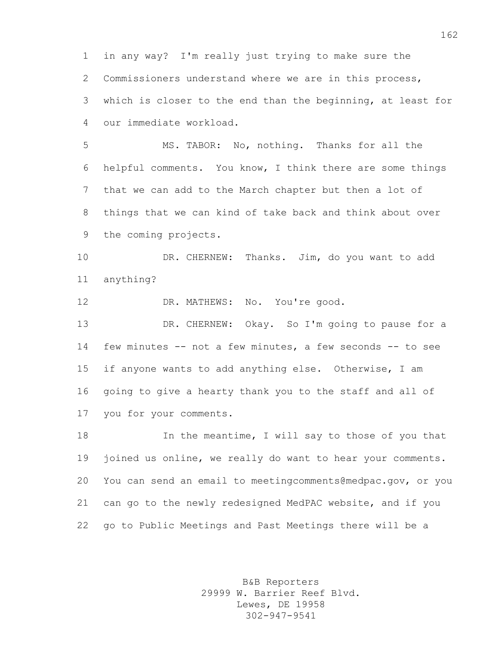in any way? I'm really just trying to make sure the Commissioners understand where we are in this process, which is closer to the end than the beginning, at least for our immediate workload.

 MS. TABOR: No, nothing. Thanks for all the helpful comments. You know, I think there are some things that we can add to the March chapter but then a lot of things that we can kind of take back and think about over the coming projects.

 DR. CHERNEW: Thanks. Jim, do you want to add anything?

12 DR. MATHEWS: No. You're good.

 DR. CHERNEW: Okay. So I'm going to pause for a few minutes -- not a few minutes, a few seconds -- to see if anyone wants to add anything else. Otherwise, I am going to give a hearty thank you to the staff and all of you for your comments.

 In the meantime, I will say to those of you that 19 joined us online, we really do want to hear your comments. You can send an email to meetingcomments@medpac.gov, or you can go to the newly redesigned MedPAC website, and if you go to Public Meetings and Past Meetings there will be a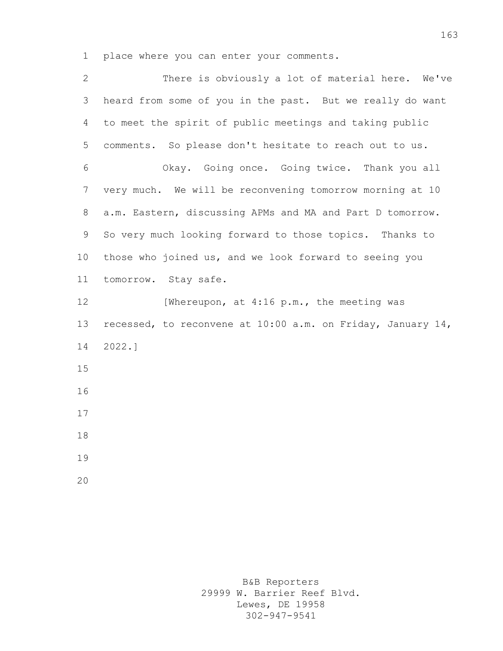place where you can enter your comments.

| $\mathbf{2}$    | There is obviously a lot of material here. We've            |
|-----------------|-------------------------------------------------------------|
| 3               | heard from some of you in the past. But we really do want   |
| 4               | to meet the spirit of public meetings and taking public     |
| 5               | comments. So please don't hesitate to reach out to us.      |
| 6               | Okay. Going once. Going twice. Thank you all                |
| 7               | very much. We will be reconvening tomorrow morning at 10    |
| 8               | a.m. Eastern, discussing APMs and MA and Part D tomorrow.   |
| 9               | So very much looking forward to those topics. Thanks to     |
| 10 <sub>o</sub> | those who joined us, and we look forward to seeing you      |
| 11              | tomorrow. Stay safe.                                        |
| 12              | [Whereupon, at 4:16 p.m., the meeting was                   |
| 13              | recessed, to reconvene at 10:00 a.m. on Friday, January 14, |
| 14              | 2022.                                                       |
| 15              |                                                             |
| 16              |                                                             |
| 17              |                                                             |
| 18              |                                                             |
| 19              |                                                             |
| 20              |                                                             |

B&B Reporters 29999 W. Barrier Reef Blvd. Lewes, DE 19958 302-947-9541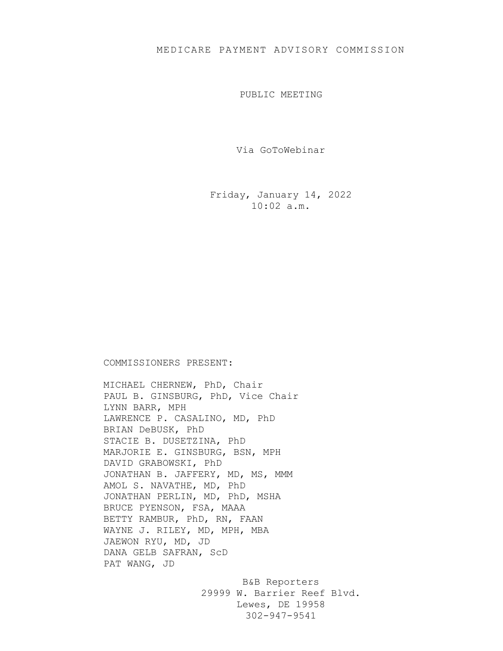## MEDICARE PAYMENT ADVISORY COMMISSION

PUBLIC MEETING

Via GoToWebinar

Friday, January 14, 2022 10:02 a.m.

## COMMISSIONERS PRESENT:

MICHAEL CHERNEW, PhD, Chair PAUL B. GINSBURG, PhD, Vice Chair LYNN BARR, MPH LAWRENCE P. CASALINO, MD, PhD BRIAN DeBUSK, PhD STACIE B. DUSETZINA, PhD MARJORIE E. GINSBURG, BSN, MPH DAVID GRABOWSKI, PhD JONATHAN B. JAFFERY, MD, MS, MMM AMOL S. NAVATHE, MD, PhD JONATHAN PERLIN, MD, PhD, MSHA BRUCE PYENSON, FSA, MAAA BETTY RAMBUR, PhD, RN, FAAN WAYNE J. RILEY, MD, MPH, MBA JAEWON RYU, MD, JD DANA GELB SAFRAN, ScD PAT WANG, JD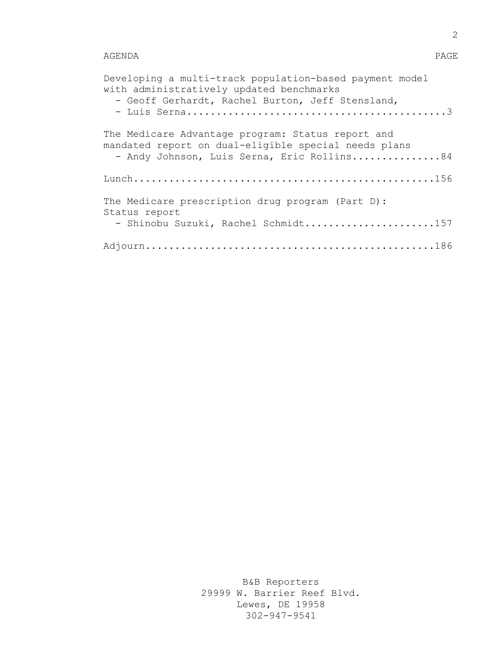## AGENDA PAGE

| Developing a multi-track population-based payment model<br>with administratively updated benchmarks<br>- Geoff Gerhardt, Rachel Burton, Jeff Stensland, |
|---------------------------------------------------------------------------------------------------------------------------------------------------------|
| The Medicare Advantage program: Status report and<br>mandated report on dual-eligible special needs plans<br>- Andy Johnson, Luis Serna, Eric Rollins84 |
|                                                                                                                                                         |
| The Medicare prescription drug program (Part D):<br>Status report<br>- Shinobu Suzuki, Rachel Schmidt157                                                |
|                                                                                                                                                         |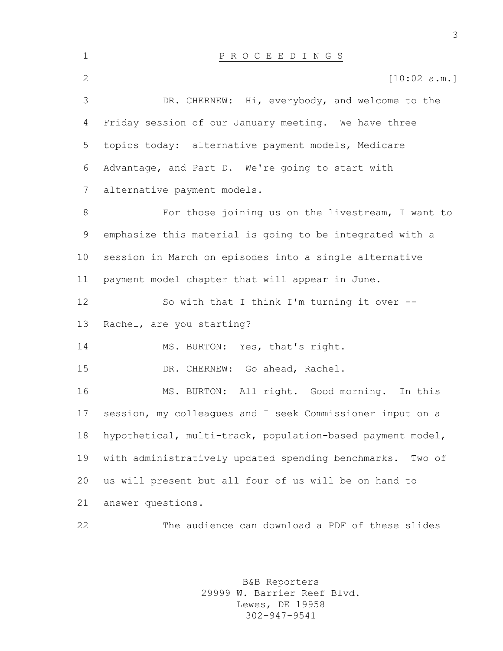| $\mathbf 1$    | P R O C E E D I N G S                                        |
|----------------|--------------------------------------------------------------|
| $\overline{2}$ | [10:02 a.m.]                                                 |
| 3              | DR. CHERNEW: Hi, everybody, and welcome to the               |
| 4              | Friday session of our January meeting. We have three         |
| 5              | topics today: alternative payment models, Medicare           |
| 6              | Advantage, and Part D. We're going to start with             |
| 7              | alternative payment models.                                  |
| 8              | For those joining us on the livestream, I want to            |
| 9              | emphasize this material is going to be integrated with a     |
| 10             | session in March on episodes into a single alternative       |
| 11             | payment model chapter that will appear in June.              |
| 12             | So with that I think I'm turning it over --                  |
| 13             | Rachel, are you starting?                                    |
| 14             | MS. BURTON: Yes, that's right.                               |
| 15             | DR. CHERNEW: Go ahead, Rachel.                               |
| 16             | MS. BURTON: All right. Good morning. In this                 |
| 17             | session, my colleagues and I seek Commissioner input on a    |
| 18             | hypothetical, multi-track, population-based payment model,   |
| 19             | with administratively updated spending benchmarks.<br>Two of |
| 20             | us will present but all four of us will be on hand to        |
| 21             | answer questions.                                            |
| 22             | The audience can download a PDF of these slides              |

B&B Reporters 29999 W. Barrier Reef Blvd. Lewes, DE 19958 302-947-9541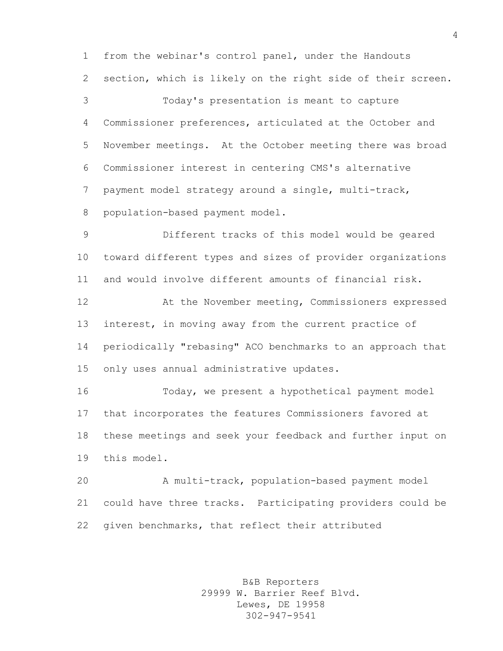from the webinar's control panel, under the Handouts section, which is likely on the right side of their screen.

 Today's presentation is meant to capture Commissioner preferences, articulated at the October and November meetings. At the October meeting there was broad Commissioner interest in centering CMS's alternative payment model strategy around a single, multi-track, population-based payment model.

 Different tracks of this model would be geared toward different types and sizes of provider organizations and would involve different amounts of financial risk.

 At the November meeting, Commissioners expressed interest, in moving away from the current practice of periodically "rebasing" ACO benchmarks to an approach that only uses annual administrative updates.

 Today, we present a hypothetical payment model that incorporates the features Commissioners favored at these meetings and seek your feedback and further input on this model.

 A multi-track, population-based payment model could have three tracks. Participating providers could be given benchmarks, that reflect their attributed

> B&B Reporters 29999 W. Barrier Reef Blvd. Lewes, DE 19958 302-947-9541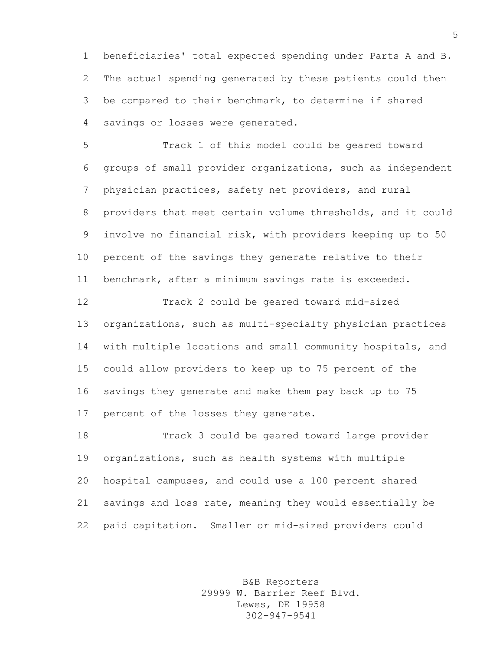beneficiaries' total expected spending under Parts A and B. The actual spending generated by these patients could then be compared to their benchmark, to determine if shared savings or losses were generated.

 Track 1 of this model could be geared toward groups of small provider organizations, such as independent physician practices, safety net providers, and rural providers that meet certain volume thresholds, and it could involve no financial risk, with providers keeping up to 50 percent of the savings they generate relative to their benchmark, after a minimum savings rate is exceeded.

 Track 2 could be geared toward mid-sized organizations, such as multi-specialty physician practices with multiple locations and small community hospitals, and could allow providers to keep up to 75 percent of the savings they generate and make them pay back up to 75 percent of the losses they generate.

 Track 3 could be geared toward large provider organizations, such as health systems with multiple hospital campuses, and could use a 100 percent shared savings and loss rate, meaning they would essentially be paid capitation. Smaller or mid-sized providers could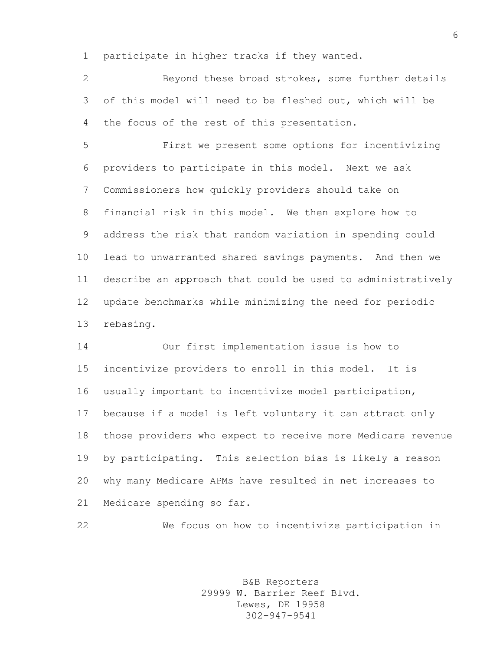participate in higher tracks if they wanted.

 Beyond these broad strokes, some further details of this model will need to be fleshed out, which will be the focus of the rest of this presentation.

 First we present some options for incentivizing providers to participate in this model. Next we ask Commissioners how quickly providers should take on financial risk in this model. We then explore how to address the risk that random variation in spending could lead to unwarranted shared savings payments. And then we describe an approach that could be used to administratively update benchmarks while minimizing the need for periodic rebasing.

 Our first implementation issue is how to incentivize providers to enroll in this model. It is usually important to incentivize model participation, because if a model is left voluntary it can attract only those providers who expect to receive more Medicare revenue by participating. This selection bias is likely a reason why many Medicare APMs have resulted in net increases to Medicare spending so far.

We focus on how to incentivize participation in

B&B Reporters 29999 W. Barrier Reef Blvd. Lewes, DE 19958 302-947-9541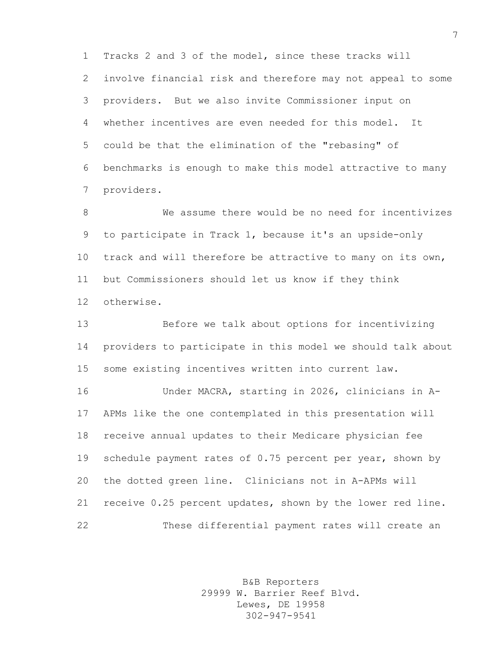Tracks 2 and 3 of the model, since these tracks will involve financial risk and therefore may not appeal to some providers. But we also invite Commissioner input on whether incentives are even needed for this model. It could be that the elimination of the "rebasing" of benchmarks is enough to make this model attractive to many providers.

 We assume there would be no need for incentivizes to participate in Track 1, because it's an upside-only track and will therefore be attractive to many on its own, but Commissioners should let us know if they think otherwise.

 Before we talk about options for incentivizing providers to participate in this model we should talk about some existing incentives written into current law.

 Under MACRA, starting in 2026, clinicians in A- APMs like the one contemplated in this presentation will receive annual updates to their Medicare physician fee schedule payment rates of 0.75 percent per year, shown by the dotted green line. Clinicians not in A-APMs will receive 0.25 percent updates, shown by the lower red line. These differential payment rates will create an

> B&B Reporters 29999 W. Barrier Reef Blvd. Lewes, DE 19958 302-947-9541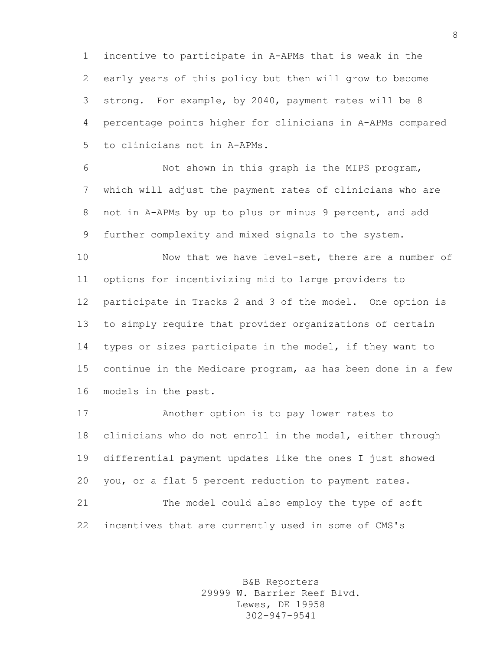incentive to participate in A-APMs that is weak in the early years of this policy but then will grow to become strong. For example, by 2040, payment rates will be 8 percentage points higher for clinicians in A-APMs compared to clinicians not in A-APMs.

 Not shown in this graph is the MIPS program, which will adjust the payment rates of clinicians who are not in A-APMs by up to plus or minus 9 percent, and add further complexity and mixed signals to the system.

 Now that we have level-set, there are a number of options for incentivizing mid to large providers to participate in Tracks 2 and 3 of the model. One option is to simply require that provider organizations of certain types or sizes participate in the model, if they want to continue in the Medicare program, as has been done in a few models in the past.

 Another option is to pay lower rates to clinicians who do not enroll in the model, either through differential payment updates like the ones I just showed you, or a flat 5 percent reduction to payment rates. The model could also employ the type of soft

incentives that are currently used in some of CMS's

B&B Reporters 29999 W. Barrier Reef Blvd. Lewes, DE 19958 302-947-9541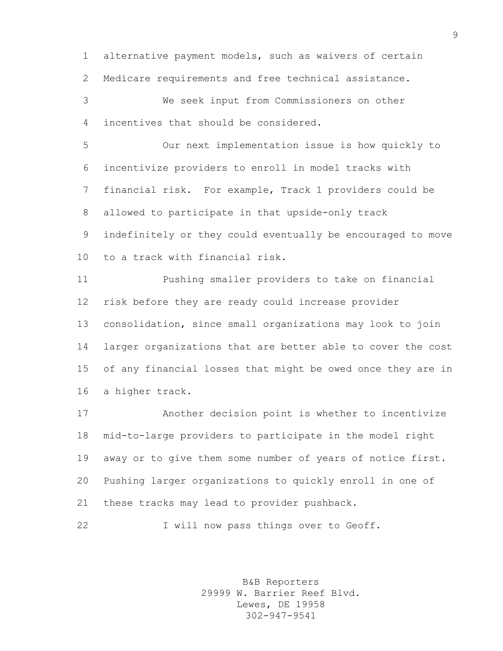alternative payment models, such as waivers of certain Medicare requirements and free technical assistance.

 We seek input from Commissioners on other incentives that should be considered.

 Our next implementation issue is how quickly to incentivize providers to enroll in model tracks with financial risk. For example, Track 1 providers could be allowed to participate in that upside-only track indefinitely or they could eventually be encouraged to move to a track with financial risk.

 Pushing smaller providers to take on financial risk before they are ready could increase provider consolidation, since small organizations may look to join larger organizations that are better able to cover the cost of any financial losses that might be owed once they are in a higher track.

 Another decision point is whether to incentivize mid-to-large providers to participate in the model right away or to give them some number of years of notice first. Pushing larger organizations to quickly enroll in one of these tracks may lead to provider pushback.

22 I will now pass things over to Geoff.

B&B Reporters 29999 W. Barrier Reef Blvd. Lewes, DE 19958 302-947-9541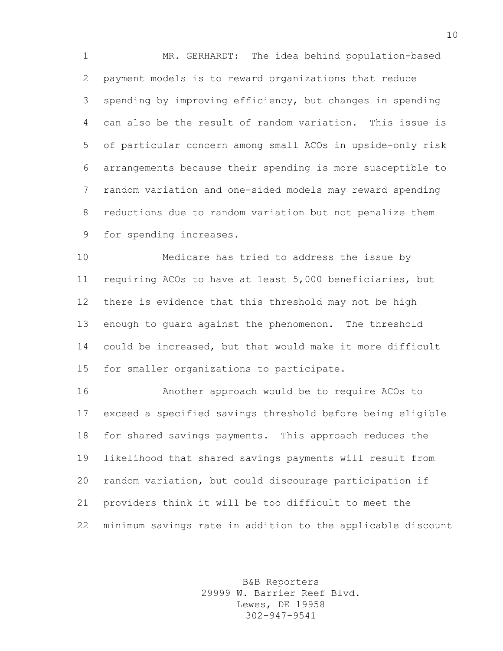MR. GERHARDT: The idea behind population-based payment models is to reward organizations that reduce spending by improving efficiency, but changes in spending can also be the result of random variation. This issue is of particular concern among small ACOs in upside-only risk arrangements because their spending is more susceptible to random variation and one-sided models may reward spending reductions due to random variation but not penalize them for spending increases.

 Medicare has tried to address the issue by requiring ACOs to have at least 5,000 beneficiaries, but there is evidence that this threshold may not be high enough to guard against the phenomenon. The threshold could be increased, but that would make it more difficult for smaller organizations to participate.

 Another approach would be to require ACOs to exceed a specified savings threshold before being eligible for shared savings payments. This approach reduces the likelihood that shared savings payments will result from random variation, but could discourage participation if providers think it will be too difficult to meet the minimum savings rate in addition to the applicable discount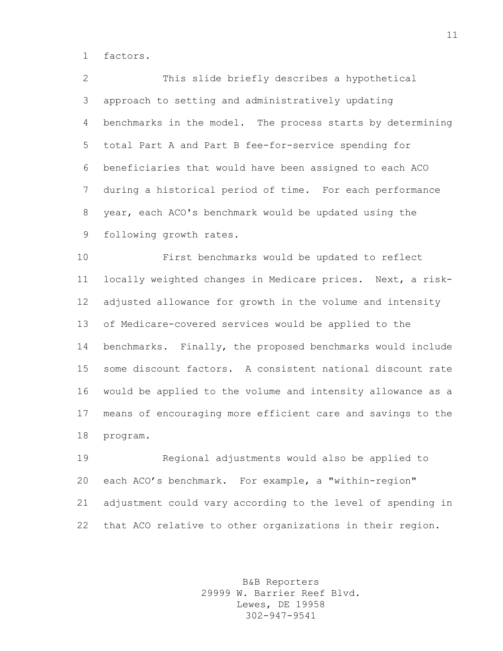factors.

 This slide briefly describes a hypothetical approach to setting and administratively updating benchmarks in the model. The process starts by determining total Part A and Part B fee-for-service spending for beneficiaries that would have been assigned to each ACO during a historical period of time. For each performance year, each ACO's benchmark would be updated using the following growth rates.

 First benchmarks would be updated to reflect locally weighted changes in Medicare prices. Next, a risk- adjusted allowance for growth in the volume and intensity of Medicare-covered services would be applied to the benchmarks. Finally, the proposed benchmarks would include some discount factors. A consistent national discount rate would be applied to the volume and intensity allowance as a means of encouraging more efficient care and savings to the program.

 Regional adjustments would also be applied to each ACO's benchmark. For example, a "within-region" adjustment could vary according to the level of spending in that ACO relative to other organizations in their region.

> B&B Reporters 29999 W. Barrier Reef Blvd. Lewes, DE 19958 302-947-9541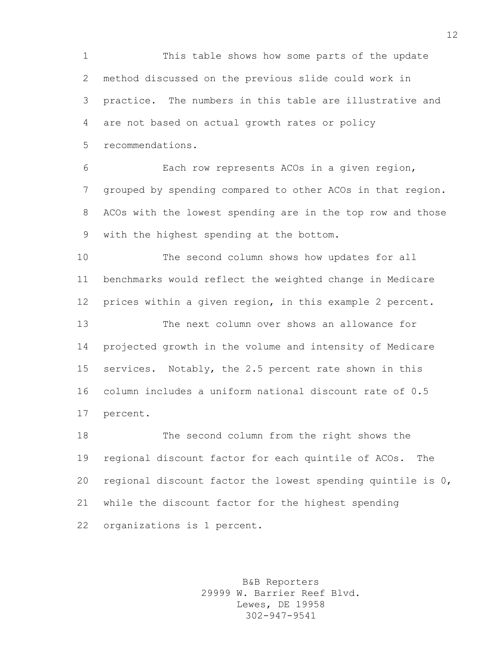This table shows how some parts of the update method discussed on the previous slide could work in practice. The numbers in this table are illustrative and are not based on actual growth rates or policy recommendations.

 Each row represents ACOs in a given region, grouped by spending compared to other ACOs in that region. ACOs with the lowest spending are in the top row and those with the highest spending at the bottom.

 The second column shows how updates for all benchmarks would reflect the weighted change in Medicare prices within a given region, in this example 2 percent.

 The next column over shows an allowance for projected growth in the volume and intensity of Medicare services. Notably, the 2.5 percent rate shown in this column includes a uniform national discount rate of 0.5 percent.

 The second column from the right shows the regional discount factor for each quintile of ACOs. The regional discount factor the lowest spending quintile is 0, while the discount factor for the highest spending organizations is 1 percent.

> B&B Reporters 29999 W. Barrier Reef Blvd. Lewes, DE 19958 302-947-9541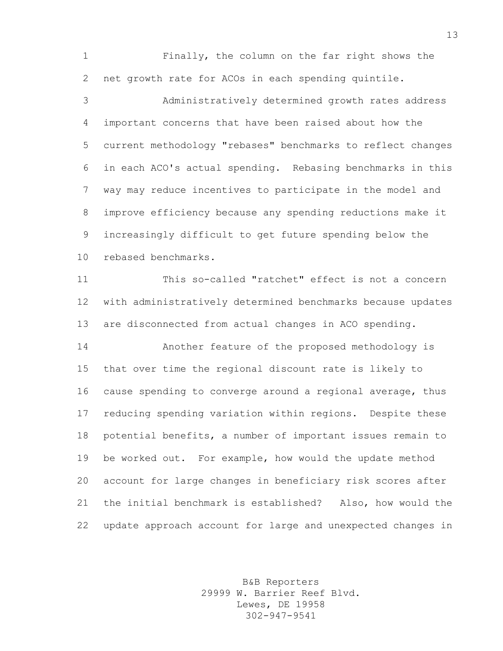Finally, the column on the far right shows the net growth rate for ACOs in each spending quintile.

 Administratively determined growth rates address important concerns that have been raised about how the current methodology "rebases" benchmarks to reflect changes in each ACO's actual spending. Rebasing benchmarks in this way may reduce incentives to participate in the model and improve efficiency because any spending reductions make it increasingly difficult to get future spending below the rebased benchmarks.

 This so-called "ratchet" effect is not a concern with administratively determined benchmarks because updates are disconnected from actual changes in ACO spending. Another feature of the proposed methodology is

 that over time the regional discount rate is likely to cause spending to converge around a regional average, thus reducing spending variation within regions. Despite these potential benefits, a number of important issues remain to be worked out. For example, how would the update method account for large changes in beneficiary risk scores after the initial benchmark is established? Also, how would the update approach account for large and unexpected changes in

> B&B Reporters 29999 W. Barrier Reef Blvd. Lewes, DE 19958 302-947-9541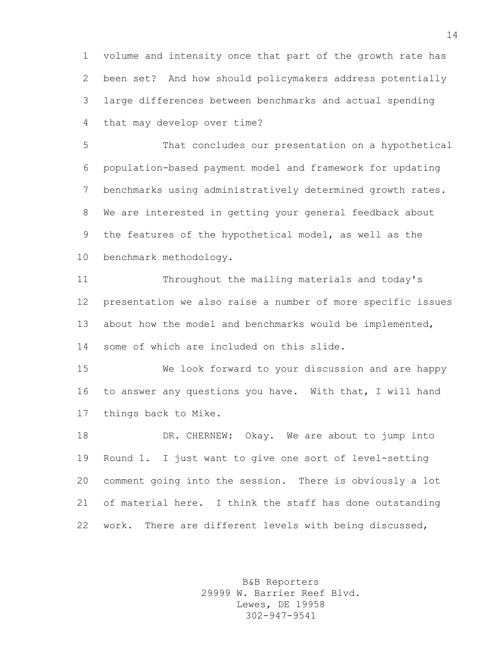volume and intensity once that part of the growth rate has been set? And how should policymakers address potentially large differences between benchmarks and actual spending that may develop over time?

 That concludes our presentation on a hypothetical population-based payment model and framework for updating benchmarks using administratively determined growth rates. We are interested in getting your general feedback about the features of the hypothetical model, as well as the benchmark methodology.

 Throughout the mailing materials and today's presentation we also raise a number of more specific issues about how the model and benchmarks would be implemented, some of which are included on this slide.

 We look forward to your discussion and are happy to answer any questions you have. With that, I will hand things back to Mike.

 DR. CHERNEW: Okay. We are about to jump into Round 1. I just want to give one sort of level-setting comment going into the session. There is obviously a lot of material here. I think the staff has done outstanding work. There are different levels with being discussed,

> B&B Reporters 29999 W. Barrier Reef Blvd. Lewes, DE 19958 302-947-9541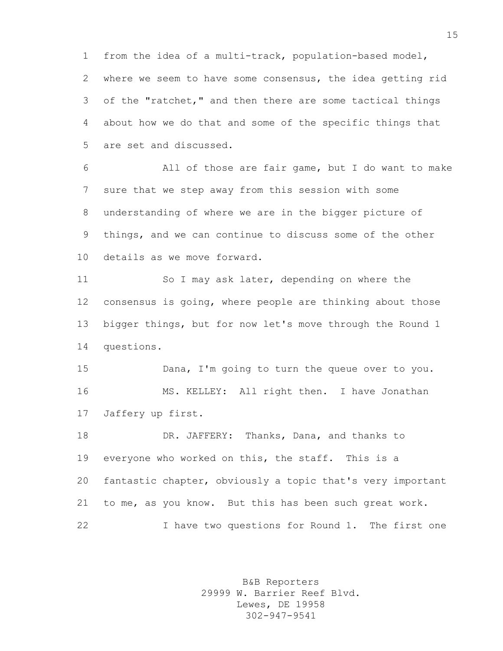from the idea of a multi-track, population-based model, where we seem to have some consensus, the idea getting rid of the "ratchet," and then there are some tactical things about how we do that and some of the specific things that are set and discussed.

 All of those are fair game, but I do want to make sure that we step away from this session with some understanding of where we are in the bigger picture of things, and we can continue to discuss some of the other details as we move forward.

 So I may ask later, depending on where the consensus is going, where people are thinking about those bigger things, but for now let's move through the Round 1 questions.

 Dana, I'm going to turn the queue over to you. MS. KELLEY: All right then. I have Jonathan Jaffery up first.

18 DR. JAFFERY: Thanks, Dana, and thanks to everyone who worked on this, the staff. This is a fantastic chapter, obviously a topic that's very important to me, as you know. But this has been such great work. I have two questions for Round 1. The first one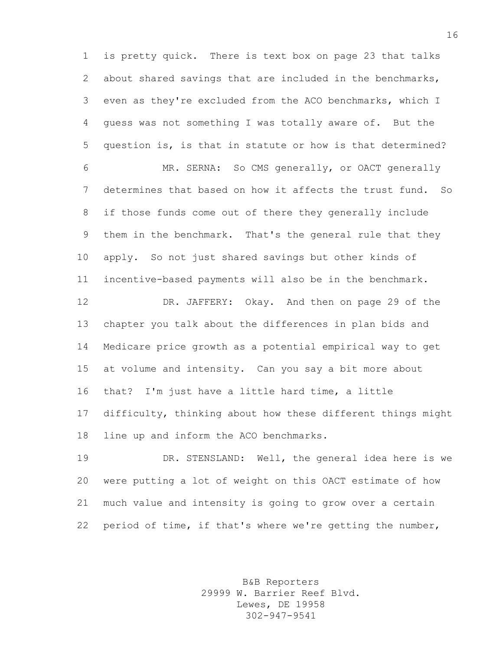is pretty quick. There is text box on page 23 that talks about shared savings that are included in the benchmarks, even as they're excluded from the ACO benchmarks, which I guess was not something I was totally aware of. But the question is, is that in statute or how is that determined? MR. SERNA: So CMS generally, or OACT generally determines that based on how it affects the trust fund. So if those funds come out of there they generally include them in the benchmark. That's the general rule that they apply. So not just shared savings but other kinds of incentive-based payments will also be in the benchmark. DR. JAFFERY: Okay. And then on page 29 of the chapter you talk about the differences in plan bids and Medicare price growth as a potential empirical way to get at volume and intensity. Can you say a bit more about that? I'm just have a little hard time, a little difficulty, thinking about how these different things might

line up and inform the ACO benchmarks.

 DR. STENSLAND: Well, the general idea here is we were putting a lot of weight on this OACT estimate of how much value and intensity is going to grow over a certain period of time, if that's where we're getting the number,

> B&B Reporters 29999 W. Barrier Reef Blvd. Lewes, DE 19958 302-947-9541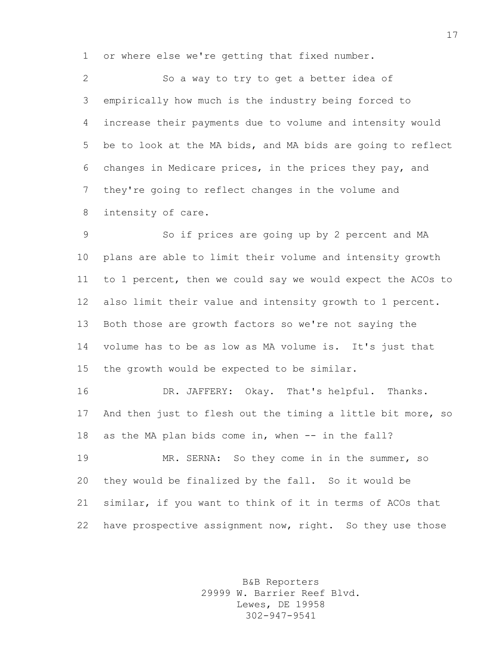or where else we're getting that fixed number.

 So a way to try to get a better idea of empirically how much is the industry being forced to increase their payments due to volume and intensity would be to look at the MA bids, and MA bids are going to reflect changes in Medicare prices, in the prices they pay, and they're going to reflect changes in the volume and intensity of care.

 So if prices are going up by 2 percent and MA plans are able to limit their volume and intensity growth to 1 percent, then we could say we would expect the ACOs to also limit their value and intensity growth to 1 percent. Both those are growth factors so we're not saying the volume has to be as low as MA volume is. It's just that the growth would be expected to be similar.

 DR. JAFFERY: Okay. That's helpful. Thanks. And then just to flesh out the timing a little bit more, so as the MA plan bids come in, when -- in the fall?

 MR. SERNA: So they come in in the summer, so they would be finalized by the fall. So it would be similar, if you want to think of it in terms of ACOs that 22 have prospective assignment now, right. So they use those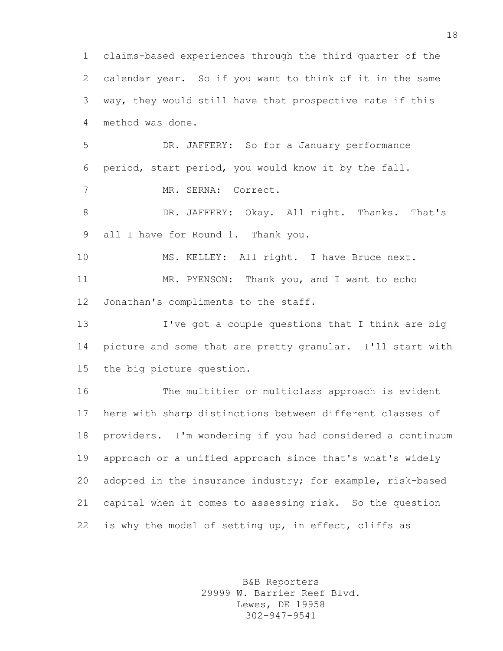claims-based experiences through the third quarter of the calendar year. So if you want to think of it in the same way, they would still have that prospective rate if this method was done. DR. JAFFERY: So for a January performance period, start period, you would know it by the fall. MR. SERNA: Correct. DR. JAFFERY: Okay. All right. Thanks. That's all I have for Round 1. Thank you. 10 MS. KELLEY: All right. I have Bruce next. MR. PYENSON: Thank you, and I want to echo Jonathan's compliments to the staff. I've got a couple questions that I think are big picture and some that are pretty granular. I'll start with the big picture question. The multitier or multiclass approach is evident here with sharp distinctions between different classes of providers. I'm wondering if you had considered a continuum approach or a unified approach since that's what's widely adopted in the insurance industry; for example, risk-based capital when it comes to assessing risk. So the question 22 is why the model of setting up, in effect, cliffs as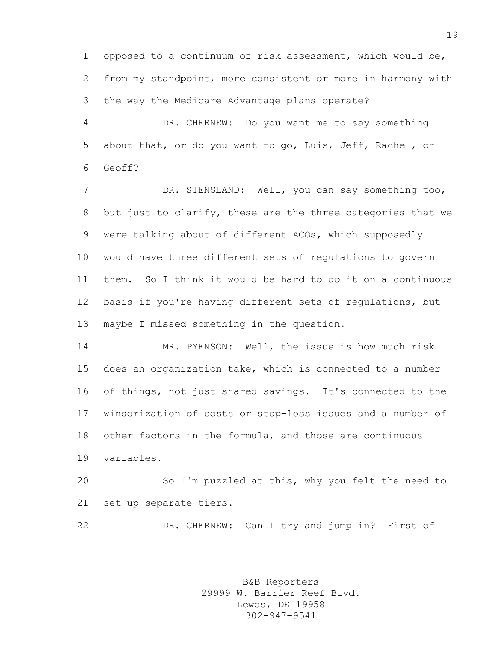opposed to a continuum of risk assessment, which would be, from my standpoint, more consistent or more in harmony with the way the Medicare Advantage plans operate?

 DR. CHERNEW: Do you want me to say something about that, or do you want to go, Luis, Jeff, Rachel, or Geoff?

 DR. STENSLAND: Well, you can say something too, but just to clarify, these are the three categories that we were talking about of different ACOs, which supposedly would have three different sets of regulations to govern them. So I think it would be hard to do it on a continuous basis if you're having different sets of regulations, but maybe I missed something in the question.

 MR. PYENSON: Well, the issue is how much risk does an organization take, which is connected to a number of things, not just shared savings. It's connected to the winsorization of costs or stop-loss issues and a number of other factors in the formula, and those are continuous variables.

 So I'm puzzled at this, why you felt the need to set up separate tiers.

DR. CHERNEW: Can I try and jump in? First of

B&B Reporters 29999 W. Barrier Reef Blvd. Lewes, DE 19958 302-947-9541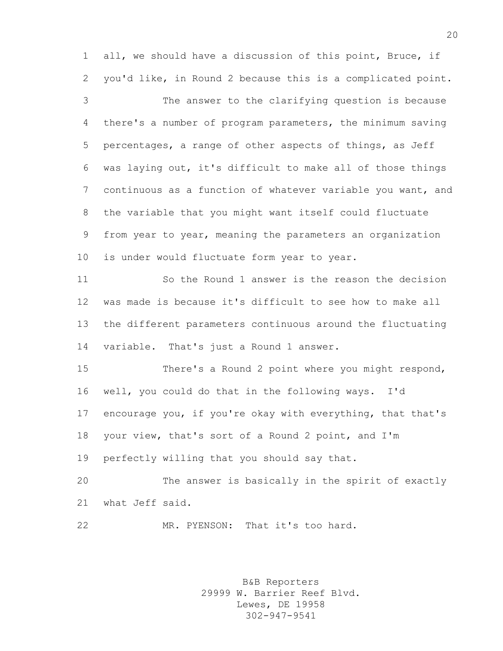all, we should have a discussion of this point, Bruce, if you'd like, in Round 2 because this is a complicated point.

 The answer to the clarifying question is because there's a number of program parameters, the minimum saving percentages, a range of other aspects of things, as Jeff was laying out, it's difficult to make all of those things continuous as a function of whatever variable you want, and the variable that you might want itself could fluctuate from year to year, meaning the parameters an organization is under would fluctuate form year to year.

 So the Round 1 answer is the reason the decision was made is because it's difficult to see how to make all the different parameters continuous around the fluctuating variable. That's just a Round 1 answer.

 There's a Round 2 point where you might respond, well, you could do that in the following ways. I'd encourage you, if you're okay with everything, that that's your view, that's sort of a Round 2 point, and I'm perfectly willing that you should say that.

 The answer is basically in the spirit of exactly what Jeff said.

MR. PYENSON: That it's too hard.

B&B Reporters 29999 W. Barrier Reef Blvd. Lewes, DE 19958 302-947-9541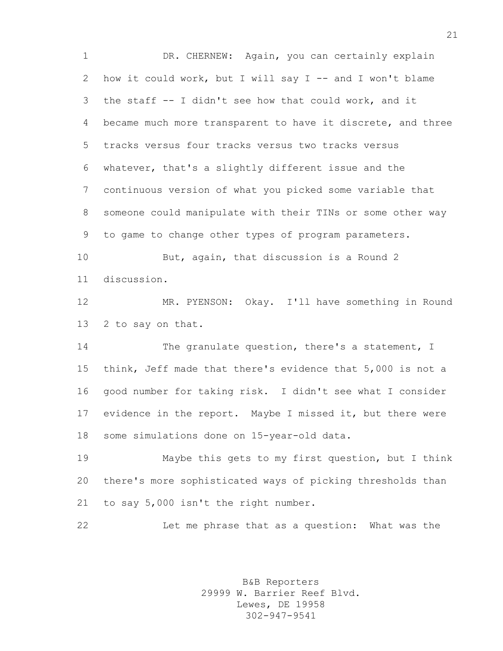DR. CHERNEW: Again, you can certainly explain how it could work, but I will say I -- and I won't blame the staff -- I didn't see how that could work, and it became much more transparent to have it discrete, and three tracks versus four tracks versus two tracks versus whatever, that's a slightly different issue and the continuous version of what you picked some variable that someone could manipulate with their TINs or some other way to game to change other types of program parameters.

10 But, again, that discussion is a Round 2 discussion.

 MR. PYENSON: Okay. I'll have something in Round 2 to say on that.

14 The granulate question, there's a statement, I think, Jeff made that there's evidence that 5,000 is not a good number for taking risk. I didn't see what I consider evidence in the report. Maybe I missed it, but there were some simulations done on 15-year-old data.

 Maybe this gets to my first question, but I think there's more sophisticated ways of picking thresholds than to say 5,000 isn't the right number.

Let me phrase that as a question: What was the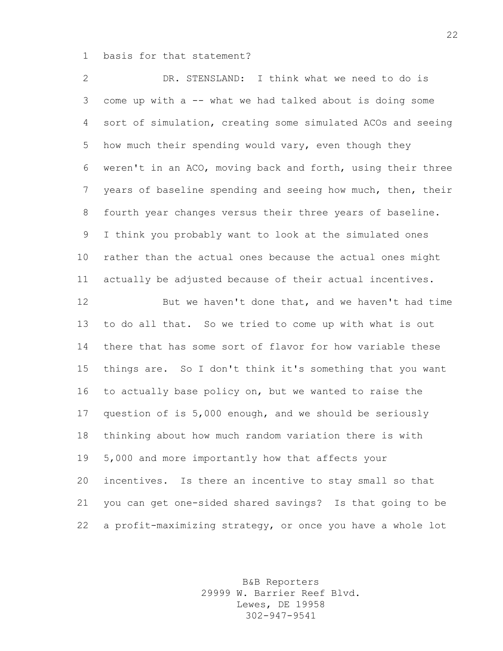basis for that statement?

 DR. STENSLAND: I think what we need to do is come up with a -- what we had talked about is doing some sort of simulation, creating some simulated ACOs and seeing how much their spending would vary, even though they weren't in an ACO, moving back and forth, using their three 7 years of baseline spending and seeing how much, then, their fourth year changes versus their three years of baseline. I think you probably want to look at the simulated ones rather than the actual ones because the actual ones might actually be adjusted because of their actual incentives.

 But we haven't done that, and we haven't had time to do all that. So we tried to come up with what is out there that has some sort of flavor for how variable these things are. So I don't think it's something that you want to actually base policy on, but we wanted to raise the question of is 5,000 enough, and we should be seriously thinking about how much random variation there is with 5,000 and more importantly how that affects your incentives. Is there an incentive to stay small so that you can get one-sided shared savings? Is that going to be a profit-maximizing strategy, or once you have a whole lot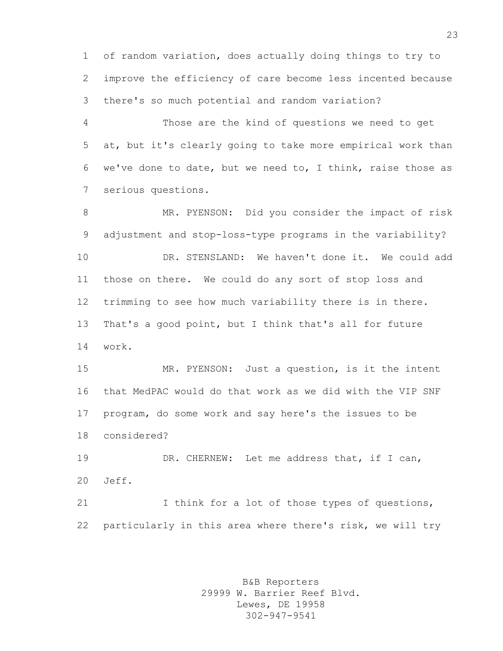of random variation, does actually doing things to try to improve the efficiency of care become less incented because there's so much potential and random variation?

 Those are the kind of questions we need to get at, but it's clearly going to take more empirical work than we've done to date, but we need to, I think, raise those as serious questions.

 MR. PYENSON: Did you consider the impact of risk adjustment and stop-loss-type programs in the variability? DR. STENSLAND: We haven't done it. We could add those on there. We could do any sort of stop loss and trimming to see how much variability there is in there. That's a good point, but I think that's all for future work.

 MR. PYENSON: Just a question, is it the intent that MedPAC would do that work as we did with the VIP SNF program, do some work and say here's the issues to be considered?

 DR. CHERNEW: Let me address that, if I can, Jeff.

 I think for a lot of those types of questions, particularly in this area where there's risk, we will try

> B&B Reporters 29999 W. Barrier Reef Blvd. Lewes, DE 19958 302-947-9541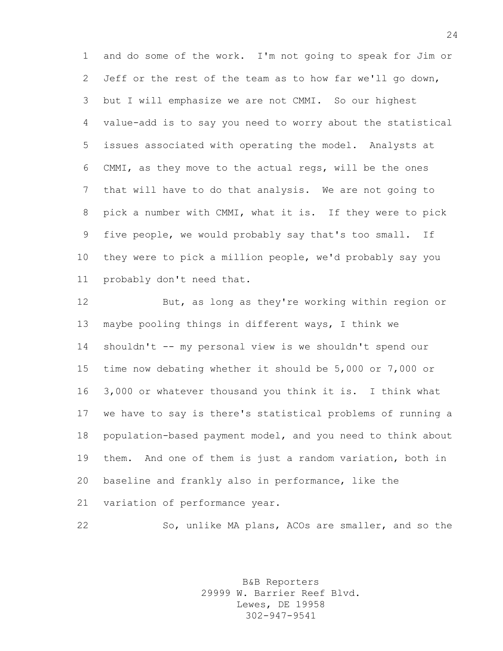and do some of the work. I'm not going to speak for Jim or Jeff or the rest of the team as to how far we'll go down, but I will emphasize we are not CMMI. So our highest value-add is to say you need to worry about the statistical issues associated with operating the model. Analysts at CMMI, as they move to the actual regs, will be the ones that will have to do that analysis. We are not going to pick a number with CMMI, what it is. If they were to pick five people, we would probably say that's too small. If they were to pick a million people, we'd probably say you probably don't need that.

 But, as long as they're working within region or maybe pooling things in different ways, I think we shouldn't -- my personal view is we shouldn't spend our time now debating whether it should be 5,000 or 7,000 or 3,000 or whatever thousand you think it is. I think what we have to say is there's statistical problems of running a population-based payment model, and you need to think about them. And one of them is just a random variation, both in baseline and frankly also in performance, like the variation of performance year.

So, unlike MA plans, ACOs are smaller, and so the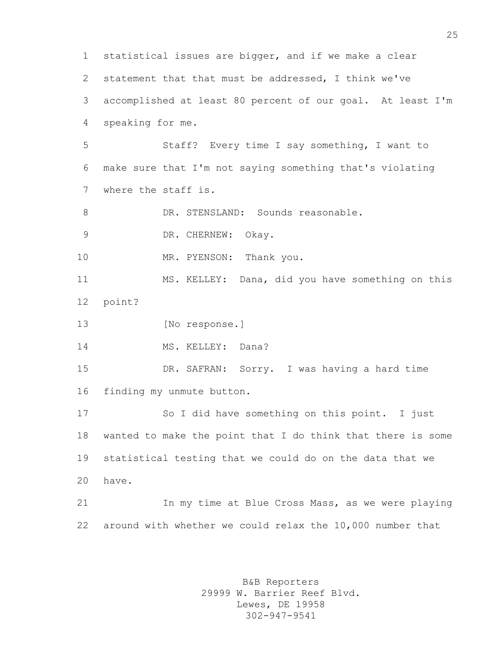statistical issues are bigger, and if we make a clear statement that that must be addressed, I think we've accomplished at least 80 percent of our goal. At least I'm speaking for me. Staff? Every time I say something, I want to make sure that I'm not saying something that's violating where the staff is. 8 DR. STENSLAND: Sounds reasonable. DR. CHERNEW: Okay. 10 MR. PYENSON: Thank you. MS. KELLEY: Dana, did you have something on this point? 13 [No response.] 14 MS. KELLEY: Dana? DR. SAFRAN: Sorry. I was having a hard time finding my unmute button. So I did have something on this point. I just wanted to make the point that I do think that there is some statistical testing that we could do on the data that we have. 21 In my time at Blue Cross Mass, as we were playing around with whether we could relax the 10,000 number that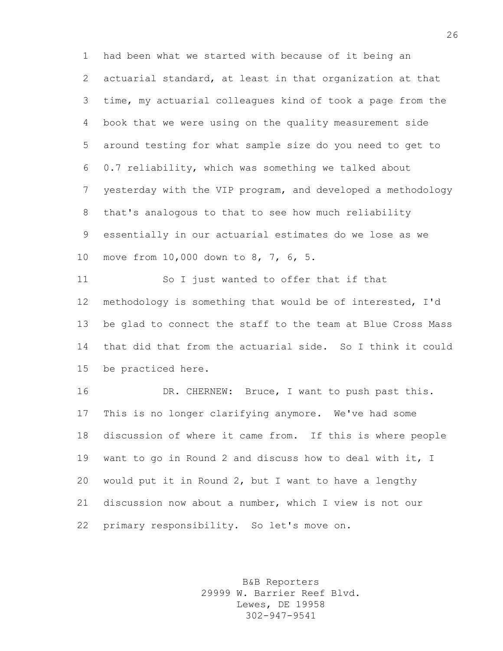had been what we started with because of it being an actuarial standard, at least in that organization at that time, my actuarial colleagues kind of took a page from the book that we were using on the quality measurement side around testing for what sample size do you need to get to 0.7 reliability, which was something we talked about yesterday with the VIP program, and developed a methodology that's analogous to that to see how much reliability essentially in our actuarial estimates do we lose as we move from 10,000 down to 8, 7, 6, 5.

 So I just wanted to offer that if that methodology is something that would be of interested, I'd be glad to connect the staff to the team at Blue Cross Mass that did that from the actuarial side. So I think it could be practiced here.

 DR. CHERNEW: Bruce, I want to push past this. This is no longer clarifying anymore. We've had some discussion of where it came from. If this is where people want to go in Round 2 and discuss how to deal with it, I would put it in Round 2, but I want to have a lengthy discussion now about a number, which I view is not our primary responsibility. So let's move on.

> B&B Reporters 29999 W. Barrier Reef Blvd. Lewes, DE 19958 302-947-9541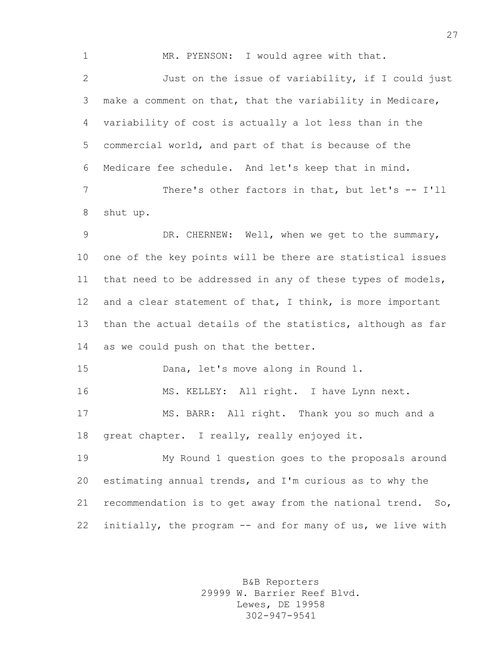1 MR. PYENSON: I would agree with that. Just on the issue of variability, if I could just make a comment on that, that the variability in Medicare, variability of cost is actually a lot less than in the commercial world, and part of that is because of the Medicare fee schedule. And let's keep that in mind. 7 There's other factors in that, but let's -- I'll shut up.

 DR. CHERNEW: Well, when we get to the summary, one of the key points will be there are statistical issues that need to be addressed in any of these types of models, 12 and a clear statement of that, I think, is more important than the actual details of the statistics, although as far as we could push on that the better.

Dana, let's move along in Round 1.

MS. KELLEY: All right. I have Lynn next.

 MS. BARR: All right. Thank you so much and a great chapter. I really, really enjoyed it.

 My Round 1 question goes to the proposals around estimating annual trends, and I'm curious as to why the recommendation is to get away from the national trend. So, initially, the program -- and for many of us, we live with

> B&B Reporters 29999 W. Barrier Reef Blvd. Lewes, DE 19958 302-947-9541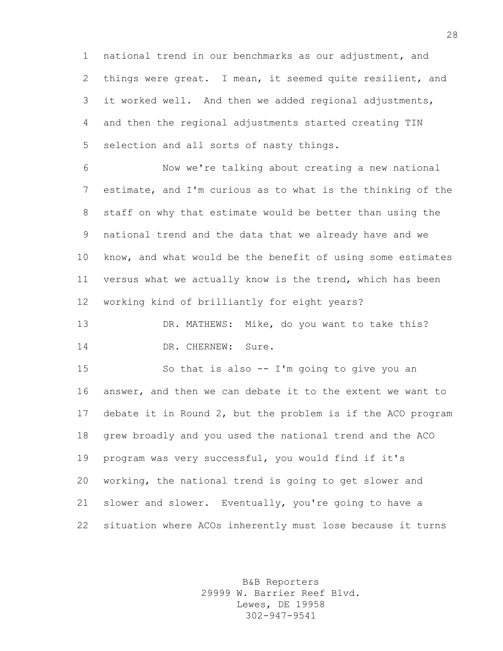national trend in our benchmarks as our adjustment, and things were great. I mean, it seemed quite resilient, and it worked well. And then we added regional adjustments, and then the regional adjustments started creating TIN selection and all sorts of nasty things.

 Now we're talking about creating a new national estimate, and I'm curious as to what is the thinking of the staff on why that estimate would be better than using the national trend and the data that we already have and we know, and what would be the benefit of using some estimates versus what we actually know is the trend, which has been working kind of brilliantly for eight years?

 DR. MATHEWS: Mike, do you want to take this? 14 DR. CHERNEW: Sure.

 So that is also -- I'm going to give you an answer, and then we can debate it to the extent we want to debate it in Round 2, but the problem is if the ACO program grew broadly and you used the national trend and the ACO program was very successful, you would find if it's working, the national trend is going to get slower and slower and slower. Eventually, you're going to have a situation where ACOs inherently must lose because it turns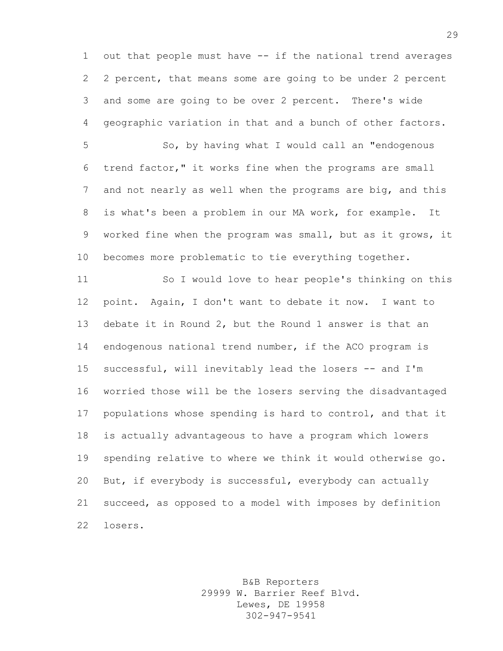out that people must have -- if the national trend averages 2 percent, that means some are going to be under 2 percent and some are going to be over 2 percent. There's wide geographic variation in that and a bunch of other factors.

 So, by having what I would call an "endogenous trend factor," it works fine when the programs are small and not nearly as well when the programs are big, and this is what's been a problem in our MA work, for example. It worked fine when the program was small, but as it grows, it becomes more problematic to tie everything together.

 So I would love to hear people's thinking on this point. Again, I don't want to debate it now. I want to debate it in Round 2, but the Round 1 answer is that an endogenous national trend number, if the ACO program is successful, will inevitably lead the losers -- and I'm worried those will be the losers serving the disadvantaged populations whose spending is hard to control, and that it is actually advantageous to have a program which lowers spending relative to where we think it would otherwise go. But, if everybody is successful, everybody can actually succeed, as opposed to a model with imposes by definition losers.

> B&B Reporters 29999 W. Barrier Reef Blvd. Lewes, DE 19958 302-947-9541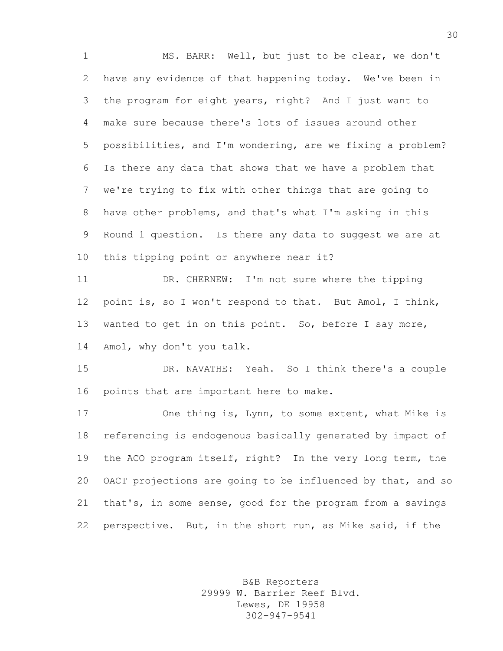MS. BARR: Well, but just to be clear, we don't have any evidence of that happening today. We've been in the program for eight years, right? And I just want to make sure because there's lots of issues around other possibilities, and I'm wondering, are we fixing a problem? Is there any data that shows that we have a problem that we're trying to fix with other things that are going to have other problems, and that's what I'm asking in this Round 1 question. Is there any data to suggest we are at this tipping point or anywhere near it? DR. CHERNEW: I'm not sure where the tipping point is, so I won't respond to that. But Amol, I think, wanted to get in on this point. So, before I say more, Amol, why don't you talk. DR. NAVATHE: Yeah. So I think there's a couple points that are important here to make. One thing is, Lynn, to some extent, what Mike is referencing is endogenous basically generated by impact of the ACO program itself, right? In the very long term, the OACT projections are going to be influenced by that, and so that's, in some sense, good for the program from a savings perspective. But, in the short run, as Mike said, if the

> B&B Reporters 29999 W. Barrier Reef Blvd. Lewes, DE 19958 302-947-9541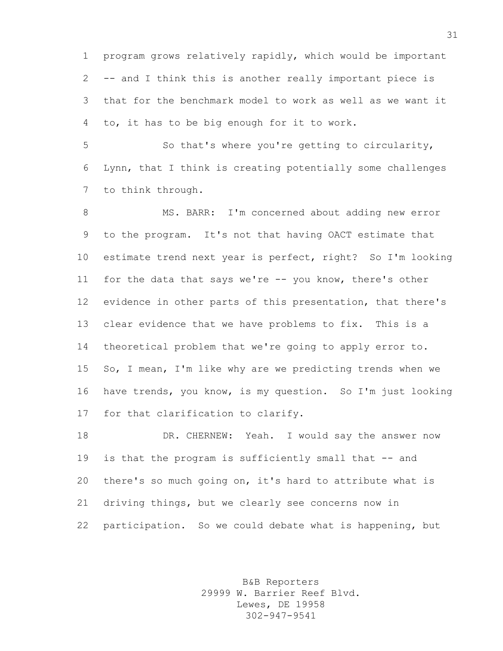program grows relatively rapidly, which would be important -- and I think this is another really important piece is that for the benchmark model to work as well as we want it to, it has to be big enough for it to work.

 So that's where you're getting to circularity, Lynn, that I think is creating potentially some challenges to think through.

 MS. BARR: I'm concerned about adding new error to the program. It's not that having OACT estimate that estimate trend next year is perfect, right? So I'm looking for the data that says we're -- you know, there's other evidence in other parts of this presentation, that there's clear evidence that we have problems to fix. This is a theoretical problem that we're going to apply error to. So, I mean, I'm like why are we predicting trends when we have trends, you know, is my question. So I'm just looking for that clarification to clarify.

 DR. CHERNEW: Yeah. I would say the answer now 19 is that the program is sufficiently small that -- and there's so much going on, it's hard to attribute what is driving things, but we clearly see concerns now in participation. So we could debate what is happening, but

> B&B Reporters 29999 W. Barrier Reef Blvd. Lewes, DE 19958 302-947-9541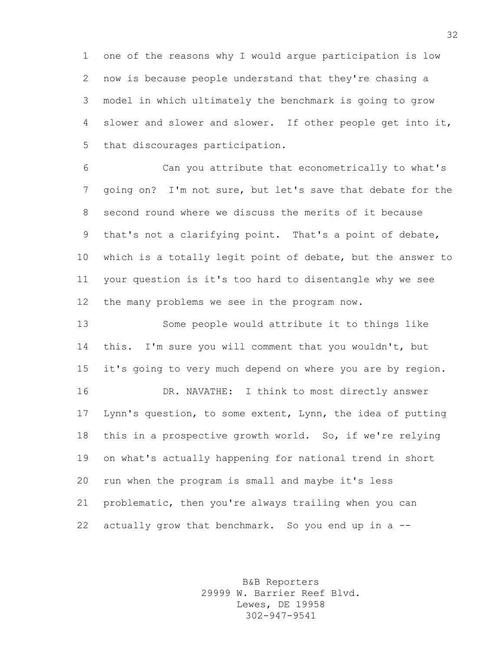one of the reasons why I would argue participation is low now is because people understand that they're chasing a model in which ultimately the benchmark is going to grow slower and slower and slower. If other people get into it, that discourages participation.

 Can you attribute that econometrically to what's going on? I'm not sure, but let's save that debate for the second round where we discuss the merits of it because that's not a clarifying point. That's a point of debate, which is a totally legit point of debate, but the answer to your question is it's too hard to disentangle why we see the many problems we see in the program now.

 Some people would attribute it to things like this. I'm sure you will comment that you wouldn't, but it's going to very much depend on where you are by region. DR. NAVATHE: I think to most directly answer Lynn's question, to some extent, Lynn, the idea of putting this in a prospective growth world. So, if we're relying on what's actually happening for national trend in short run when the program is small and maybe it's less problematic, then you're always trailing when you can actually grow that benchmark. So you end up in a --

> B&B Reporters 29999 W. Barrier Reef Blvd. Lewes, DE 19958 302-947-9541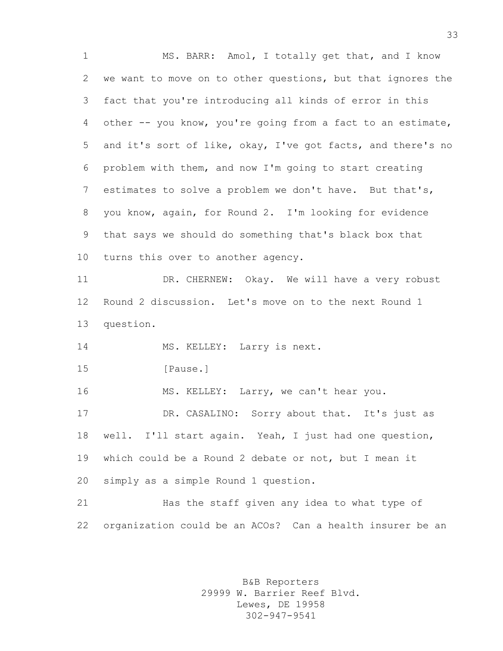MS. BARR: Amol, I totally get that, and I know we want to move on to other questions, but that ignores the fact that you're introducing all kinds of error in this other -- you know, you're going from a fact to an estimate, and it's sort of like, okay, I've got facts, and there's no problem with them, and now I'm going to start creating estimates to solve a problem we don't have. But that's, you know, again, for Round 2. I'm looking for evidence that says we should do something that's black box that turns this over to another agency. 11 DR. CHERNEW: Okay. We will have a very robust Round 2 discussion. Let's move on to the next Round 1 question. 14 MS. KELLEY: Larry is next. **I**Pause. MS. KELLEY: Larry, we can't hear you. DR. CASALINO: Sorry about that. It's just as well. I'll start again. Yeah, I just had one question, which could be a Round 2 debate or not, but I mean it simply as a simple Round 1 question. Has the staff given any idea to what type of organization could be an ACOs? Can a health insurer be an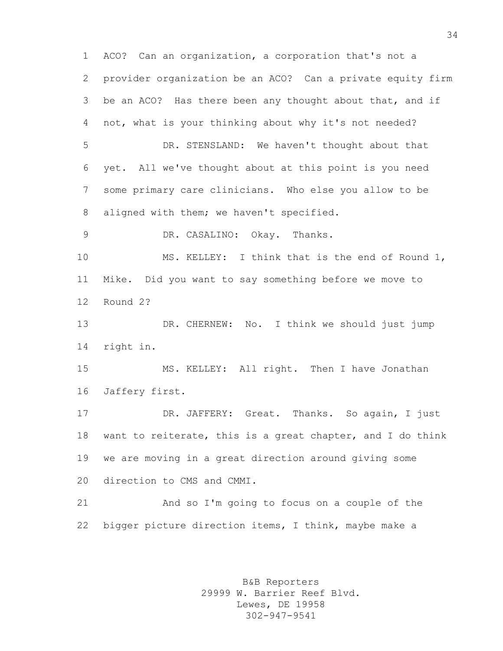ACO? Can an organization, a corporation that's not a provider organization be an ACO? Can a private equity firm be an ACO? Has there been any thought about that, and if not, what is your thinking about why it's not needed? DR. STENSLAND: We haven't thought about that yet. All we've thought about at this point is you need some primary care clinicians. Who else you allow to be 8 aligned with them; we haven't specified. DR. CASALINO: Okay. Thanks. MS. KELLEY: I think that is the end of Round 1, Mike. Did you want to say something before we move to Round 2? DR. CHERNEW: No. I think we should just jump right in. MS. KELLEY: All right. Then I have Jonathan Jaffery first. DR. JAFFERY: Great. Thanks. So again, I just want to reiterate, this is a great chapter, and I do think we are moving in a great direction around giving some direction to CMS and CMMI. And so I'm going to focus on a couple of the bigger picture direction items, I think, maybe make a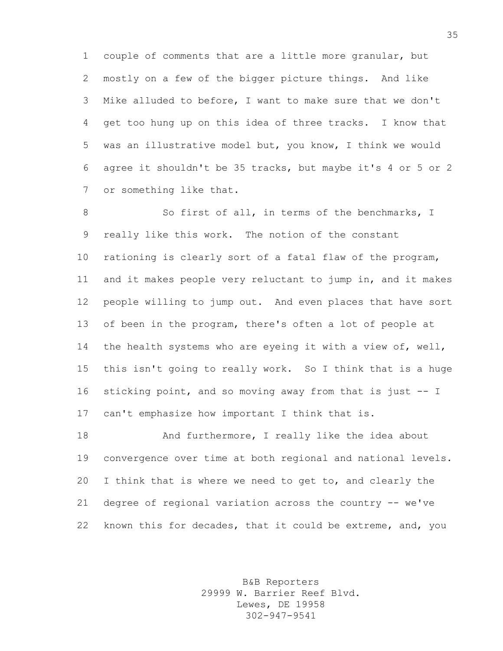couple of comments that are a little more granular, but mostly on a few of the bigger picture things. And like Mike alluded to before, I want to make sure that we don't get too hung up on this idea of three tracks. I know that was an illustrative model but, you know, I think we would agree it shouldn't be 35 tracks, but maybe it's 4 or 5 or 2 or something like that.

8 So first of all, in terms of the benchmarks, I really like this work. The notion of the constant rationing is clearly sort of a fatal flaw of the program, and it makes people very reluctant to jump in, and it makes people willing to jump out. And even places that have sort of been in the program, there's often a lot of people at 14 the health systems who are eyeing it with a view of, well, this isn't going to really work. So I think that is a huge sticking point, and so moving away from that is just -- I can't emphasize how important I think that is.

18 And furthermore, I really like the idea about convergence over time at both regional and national levels. I think that is where we need to get to, and clearly the degree of regional variation across the country -- we've known this for decades, that it could be extreme, and, you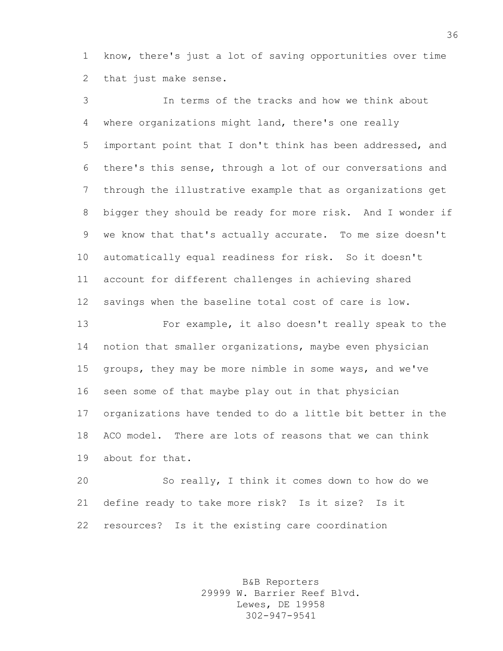know, there's just a lot of saving opportunities over time that just make sense.

 In terms of the tracks and how we think about where organizations might land, there's one really important point that I don't think has been addressed, and there's this sense, through a lot of our conversations and through the illustrative example that as organizations get bigger they should be ready for more risk. And I wonder if we know that that's actually accurate. To me size doesn't automatically equal readiness for risk. So it doesn't account for different challenges in achieving shared savings when the baseline total cost of care is low.

 For example, it also doesn't really speak to the notion that smaller organizations, maybe even physician groups, they may be more nimble in some ways, and we've seen some of that maybe play out in that physician organizations have tended to do a little bit better in the ACO model. There are lots of reasons that we can think about for that.

 So really, I think it comes down to how do we define ready to take more risk? Is it size? Is it resources? Is it the existing care coordination

> B&B Reporters 29999 W. Barrier Reef Blvd. Lewes, DE 19958 302-947-9541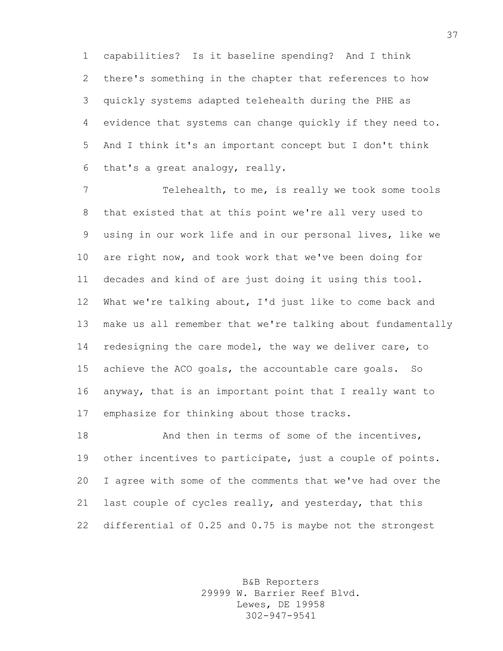capabilities? Is it baseline spending? And I think there's something in the chapter that references to how quickly systems adapted telehealth during the PHE as evidence that systems can change quickly if they need to. And I think it's an important concept but I don't think that's a great analogy, really.

 Telehealth, to me, is really we took some tools that existed that at this point we're all very used to using in our work life and in our personal lives, like we are right now, and took work that we've been doing for decades and kind of are just doing it using this tool. What we're talking about, I'd just like to come back and make us all remember that we're talking about fundamentally 14 redesigning the care model, the way we deliver care, to achieve the ACO goals, the accountable care goals. So anyway, that is an important point that I really want to emphasize for thinking about those tracks.

18 And then in terms of some of the incentives, other incentives to participate, just a couple of points. I agree with some of the comments that we've had over the 21 last couple of cycles really, and yesterday, that this differential of 0.25 and 0.75 is maybe not the strongest

> B&B Reporters 29999 W. Barrier Reef Blvd. Lewes, DE 19958 302-947-9541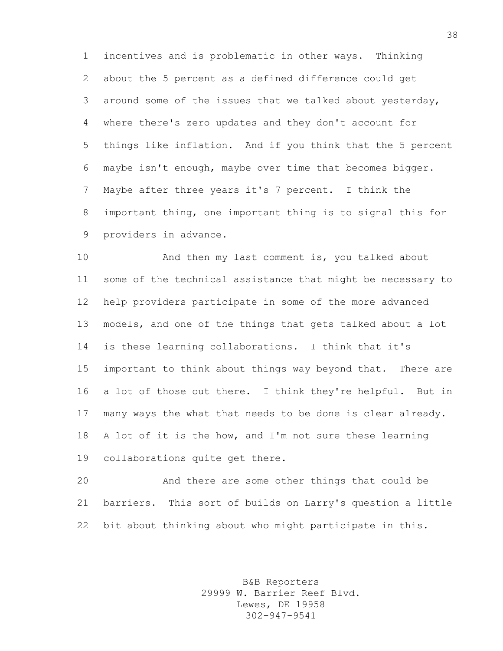incentives and is problematic in other ways. Thinking about the 5 percent as a defined difference could get around some of the issues that we talked about yesterday, where there's zero updates and they don't account for things like inflation. And if you think that the 5 percent maybe isn't enough, maybe over time that becomes bigger. Maybe after three years it's 7 percent. I think the important thing, one important thing is to signal this for providers in advance.

 And then my last comment is, you talked about some of the technical assistance that might be necessary to help providers participate in some of the more advanced models, and one of the things that gets talked about a lot is these learning collaborations. I think that it's important to think about things way beyond that. There are a lot of those out there. I think they're helpful. But in many ways the what that needs to be done is clear already. A lot of it is the how, and I'm not sure these learning collaborations quite get there.

 And there are some other things that could be barriers. This sort of builds on Larry's question a little bit about thinking about who might participate in this.

> B&B Reporters 29999 W. Barrier Reef Blvd. Lewes, DE 19958 302-947-9541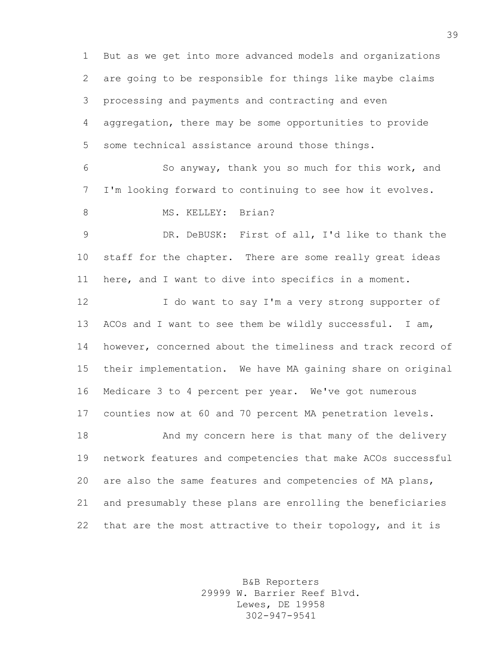But as we get into more advanced models and organizations are going to be responsible for things like maybe claims processing and payments and contracting and even aggregation, there may be some opportunities to provide some technical assistance around those things. So anyway, thank you so much for this work, and I'm looking forward to continuing to see how it evolves. 8 MS. KELLEY: Brian? DR. DeBUSK: First of all, I'd like to thank the staff for the chapter. There are some really great ideas here, and I want to dive into specifics in a moment. I do want to say I'm a very strong supporter of ACOs and I want to see them be wildly successful. I am, however, concerned about the timeliness and track record of their implementation. We have MA gaining share on original Medicare 3 to 4 percent per year. We've got numerous counties now at 60 and 70 percent MA penetration levels. 18 And my concern here is that many of the delivery network features and competencies that make ACOs successful are also the same features and competencies of MA plans, and presumably these plans are enrolling the beneficiaries that are the most attractive to their topology, and it is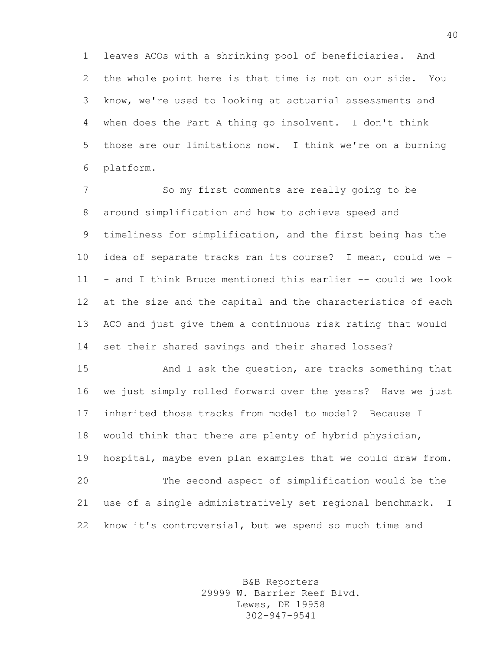leaves ACOs with a shrinking pool of beneficiaries. And the whole point here is that time is not on our side. You know, we're used to looking at actuarial assessments and when does the Part A thing go insolvent. I don't think those are our limitations now. I think we're on a burning platform.

 So my first comments are really going to be around simplification and how to achieve speed and timeliness for simplification, and the first being has the idea of separate tracks ran its course? I mean, could we - - and I think Bruce mentioned this earlier -- could we look at the size and the capital and the characteristics of each ACO and just give them a continuous risk rating that would set their shared savings and their shared losses?

 And I ask the question, are tracks something that we just simply rolled forward over the years? Have we just inherited those tracks from model to model? Because I would think that there are plenty of hybrid physician, hospital, maybe even plan examples that we could draw from. The second aspect of simplification would be the use of a single administratively set regional benchmark. I know it's controversial, but we spend so much time and

> B&B Reporters 29999 W. Barrier Reef Blvd. Lewes, DE 19958 302-947-9541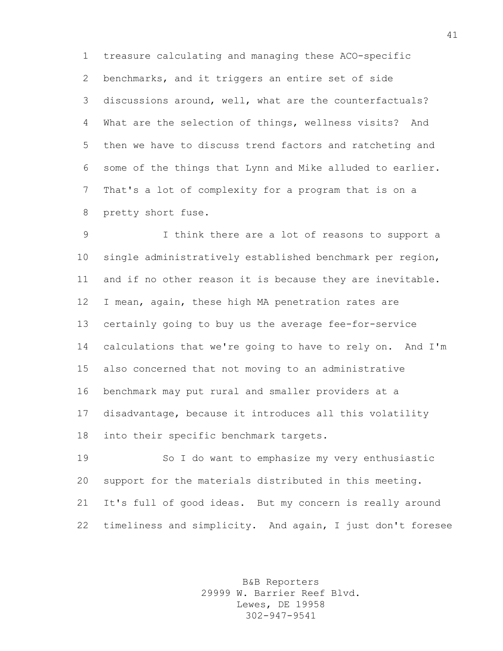treasure calculating and managing these ACO-specific benchmarks, and it triggers an entire set of side discussions around, well, what are the counterfactuals? What are the selection of things, wellness visits? And then we have to discuss trend factors and ratcheting and some of the things that Lynn and Mike alluded to earlier. That's a lot of complexity for a program that is on a pretty short fuse.

 I think there are a lot of reasons to support a single administratively established benchmark per region, and if no other reason it is because they are inevitable. I mean, again, these high MA penetration rates are certainly going to buy us the average fee-for-service calculations that we're going to have to rely on. And I'm also concerned that not moving to an administrative benchmark may put rural and smaller providers at a disadvantage, because it introduces all this volatility into their specific benchmark targets.

 So I do want to emphasize my very enthusiastic support for the materials distributed in this meeting. It's full of good ideas. But my concern is really around timeliness and simplicity. And again, I just don't foresee

> B&B Reporters 29999 W. Barrier Reef Blvd. Lewes, DE 19958 302-947-9541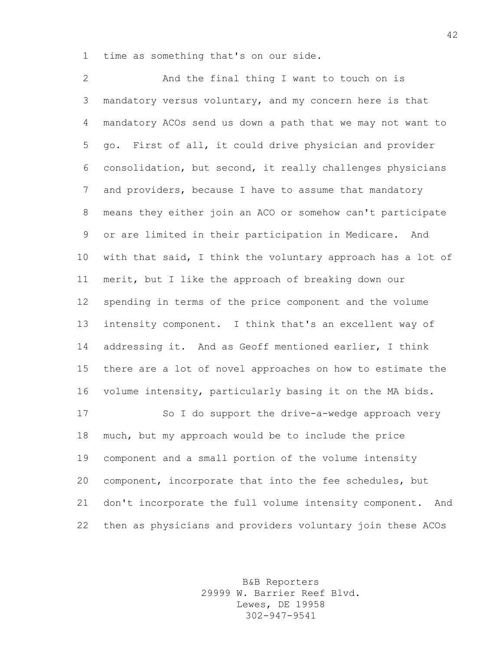time as something that's on our side.

 And the final thing I want to touch on is mandatory versus voluntary, and my concern here is that mandatory ACOs send us down a path that we may not want to go. First of all, it could drive physician and provider consolidation, but second, it really challenges physicians and providers, because I have to assume that mandatory means they either join an ACO or somehow can't participate or are limited in their participation in Medicare. And with that said, I think the voluntary approach has a lot of merit, but I like the approach of breaking down our spending in terms of the price component and the volume intensity component. I think that's an excellent way of addressing it. And as Geoff mentioned earlier, I think there are a lot of novel approaches on how to estimate the volume intensity, particularly basing it on the MA bids. So I do support the drive-a-wedge approach very much, but my approach would be to include the price component and a small portion of the volume intensity component, incorporate that into the fee schedules, but don't incorporate the full volume intensity component. And

> B&B Reporters 29999 W. Barrier Reef Blvd. Lewes, DE 19958 302-947-9541

then as physicians and providers voluntary join these ACOs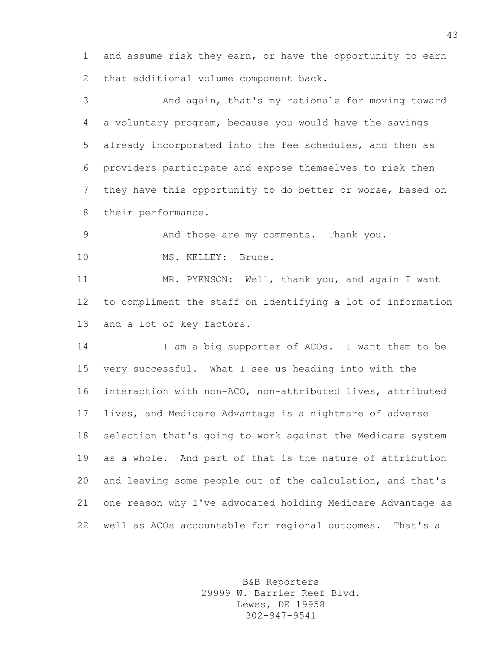and assume risk they earn, or have the opportunity to earn that additional volume component back.

 And again, that's my rationale for moving toward a voluntary program, because you would have the savings already incorporated into the fee schedules, and then as providers participate and expose themselves to risk then they have this opportunity to do better or worse, based on their performance.

And those are my comments. Thank you.

10 MS. KELLEY: Bruce.

 MR. PYENSON: Well, thank you, and again I want to compliment the staff on identifying a lot of information and a lot of key factors.

14 I am a big supporter of ACOs. I want them to be very successful. What I see us heading into with the interaction with non-ACO, non-attributed lives, attributed lives, and Medicare Advantage is a nightmare of adverse selection that's going to work against the Medicare system as a whole. And part of that is the nature of attribution and leaving some people out of the calculation, and that's one reason why I've advocated holding Medicare Advantage as well as ACOs accountable for regional outcomes. That's a

> B&B Reporters 29999 W. Barrier Reef Blvd. Lewes, DE 19958 302-947-9541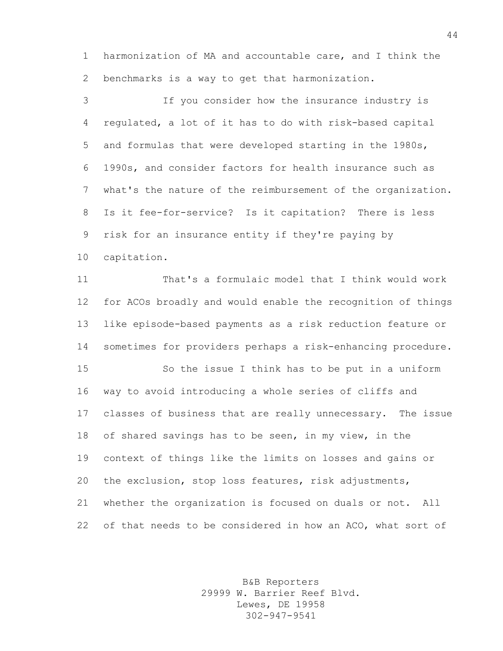harmonization of MA and accountable care, and I think the benchmarks is a way to get that harmonization.

 If you consider how the insurance industry is regulated, a lot of it has to do with risk-based capital and formulas that were developed starting in the 1980s, 1990s, and consider factors for health insurance such as what's the nature of the reimbursement of the organization. Is it fee-for-service? Is it capitation? There is less risk for an insurance entity if they're paying by capitation.

 That's a formulaic model that I think would work for ACOs broadly and would enable the recognition of things like episode-based payments as a risk reduction feature or sometimes for providers perhaps a risk-enhancing procedure.

 So the issue I think has to be put in a uniform way to avoid introducing a whole series of cliffs and classes of business that are really unnecessary. The issue of shared savings has to be seen, in my view, in the context of things like the limits on losses and gains or the exclusion, stop loss features, risk adjustments, whether the organization is focused on duals or not. All of that needs to be considered in how an ACO, what sort of

> B&B Reporters 29999 W. Barrier Reef Blvd. Lewes, DE 19958 302-947-9541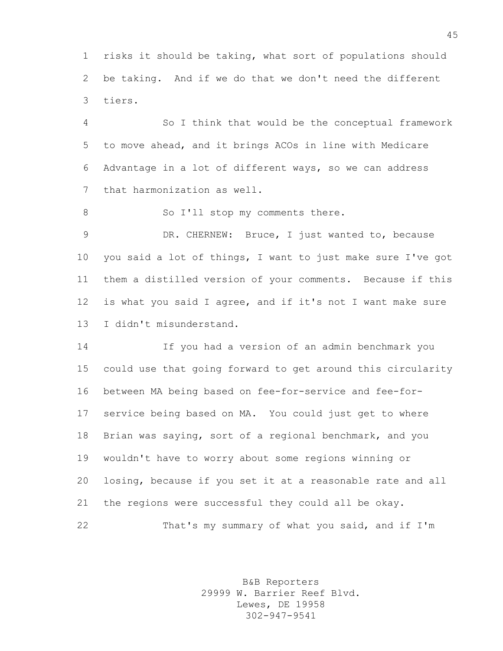risks it should be taking, what sort of populations should be taking. And if we do that we don't need the different tiers.

 So I think that would be the conceptual framework to move ahead, and it brings ACOs in line with Medicare Advantage in a lot of different ways, so we can address that harmonization as well.

8 So I'll stop my comments there.

 DR. CHERNEW: Bruce, I just wanted to, because you said a lot of things, I want to just make sure I've got them a distilled version of your comments. Because if this is what you said I agree, and if it's not I want make sure I didn't misunderstand.

 If you had a version of an admin benchmark you could use that going forward to get around this circularity between MA being based on fee-for-service and fee-for- service being based on MA. You could just get to where Brian was saying, sort of a regional benchmark, and you wouldn't have to worry about some regions winning or losing, because if you set it at a reasonable rate and all the regions were successful they could all be okay. That's my summary of what you said, and if I'm

> B&B Reporters 29999 W. Barrier Reef Blvd. Lewes, DE 19958 302-947-9541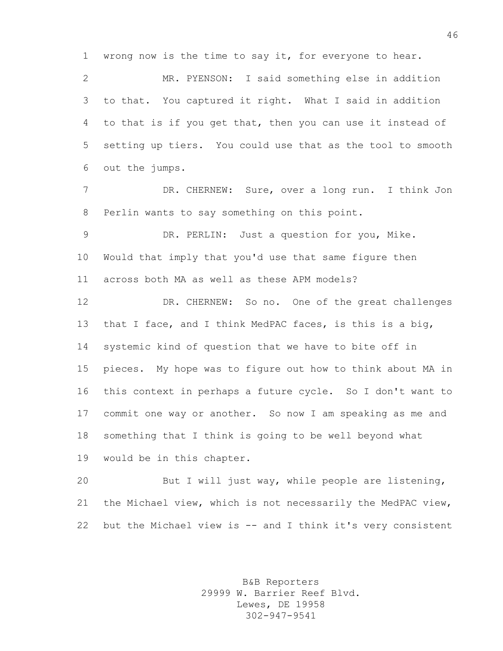wrong now is the time to say it, for everyone to hear.

 MR. PYENSON: I said something else in addition to that. You captured it right. What I said in addition to that is if you get that, then you can use it instead of setting up tiers. You could use that as the tool to smooth out the jumps.

 DR. CHERNEW: Sure, over a long run. I think Jon Perlin wants to say something on this point.

 DR. PERLIN: Just a question for you, Mike. Would that imply that you'd use that same figure then across both MA as well as these APM models?

 DR. CHERNEW: So no. One of the great challenges that I face, and I think MedPAC faces, is this is a big, systemic kind of question that we have to bite off in pieces. My hope was to figure out how to think about MA in this context in perhaps a future cycle. So I don't want to commit one way or another. So now I am speaking as me and something that I think is going to be well beyond what would be in this chapter.

 But I will just way, while people are listening, the Michael view, which is not necessarily the MedPAC view, but the Michael view is -- and I think it's very consistent

> B&B Reporters 29999 W. Barrier Reef Blvd. Lewes, DE 19958 302-947-9541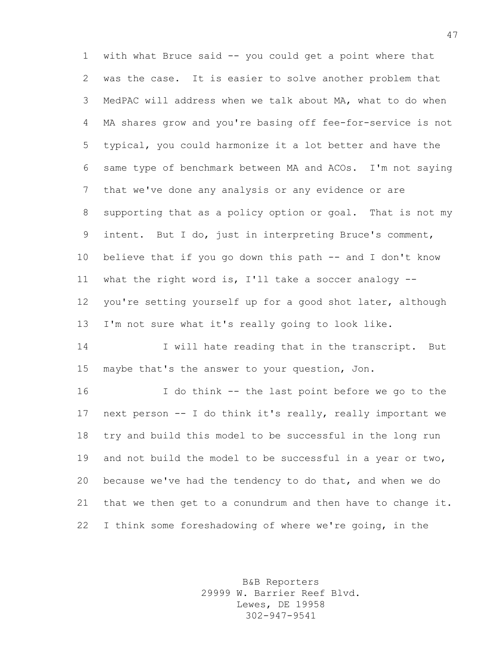with what Bruce said -- you could get a point where that was the case. It is easier to solve another problem that MedPAC will address when we talk about MA, what to do when MA shares grow and you're basing off fee-for-service is not typical, you could harmonize it a lot better and have the same type of benchmark between MA and ACOs. I'm not saying that we've done any analysis or any evidence or are supporting that as a policy option or goal. That is not my intent. But I do, just in interpreting Bruce's comment, believe that if you go down this path -- and I don't know what the right word is, I'll take a soccer analogy -- you're setting yourself up for a good shot later, although I'm not sure what it's really going to look like.

14 I will hate reading that in the transcript. But maybe that's the answer to your question, Jon.

 I do think -- the last point before we go to the next person -- I do think it's really, really important we try and build this model to be successful in the long run and not build the model to be successful in a year or two, because we've had the tendency to do that, and when we do that we then get to a conundrum and then have to change it. I think some foreshadowing of where we're going, in the

> B&B Reporters 29999 W. Barrier Reef Blvd. Lewes, DE 19958 302-947-9541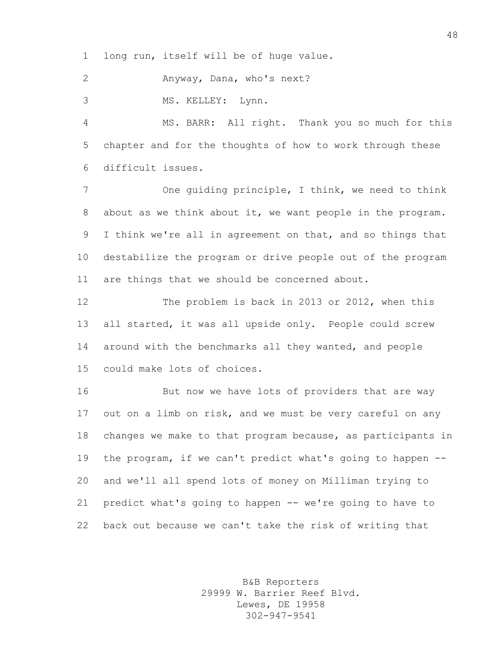long run, itself will be of huge value.

Anyway, Dana, who's next?

MS. KELLEY: Lynn.

 MS. BARR: All right. Thank you so much for this chapter and for the thoughts of how to work through these difficult issues.

 One guiding principle, I think, we need to think about as we think about it, we want people in the program. I think we're all in agreement on that, and so things that destabilize the program or drive people out of the program are things that we should be concerned about.

 The problem is back in 2013 or 2012, when this all started, it was all upside only. People could screw around with the benchmarks all they wanted, and people could make lots of choices.

16 But now we have lots of providers that are way out on a limb on risk, and we must be very careful on any changes we make to that program because, as participants in the program, if we can't predict what's going to happen -- and we'll all spend lots of money on Milliman trying to predict what's going to happen -- we're going to have to back out because we can't take the risk of writing that

> B&B Reporters 29999 W. Barrier Reef Blvd. Lewes, DE 19958 302-947-9541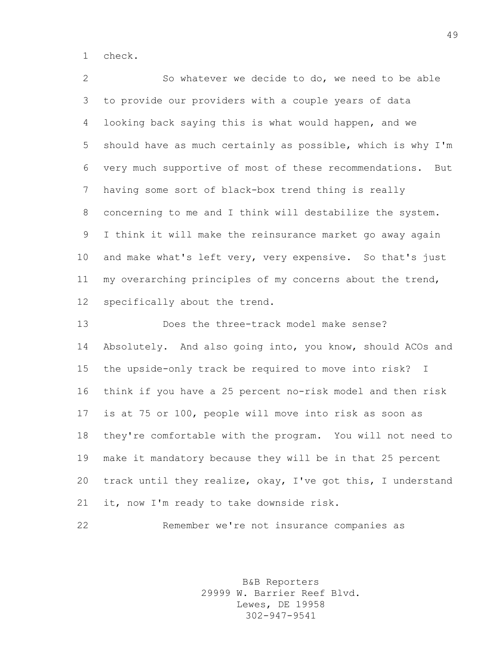check.

 So whatever we decide to do, we need to be able to provide our providers with a couple years of data looking back saying this is what would happen, and we should have as much certainly as possible, which is why I'm very much supportive of most of these recommendations. But having some sort of black-box trend thing is really concerning to me and I think will destabilize the system. I think it will make the reinsurance market go away again and make what's left very, very expensive. So that's just my overarching principles of my concerns about the trend, specifically about the trend.

 Does the three-track model make sense? Absolutely. And also going into, you know, should ACOs and the upside-only track be required to move into risk? I think if you have a 25 percent no-risk model and then risk is at 75 or 100, people will move into risk as soon as they're comfortable with the program. You will not need to make it mandatory because they will be in that 25 percent track until they realize, okay, I've got this, I understand it, now I'm ready to take downside risk.

Remember we're not insurance companies as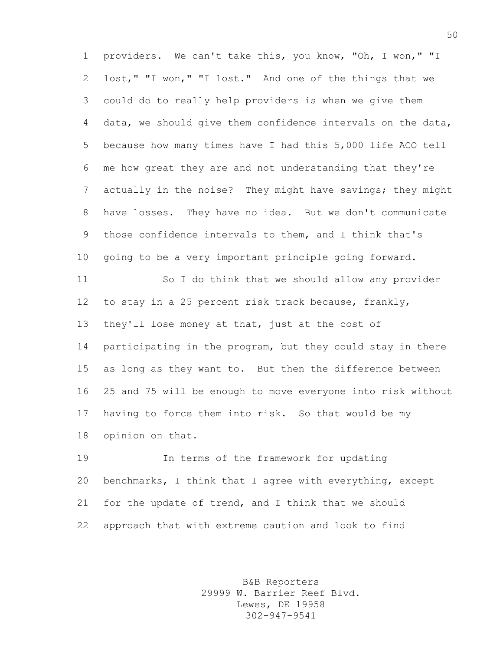providers. We can't take this, you know, "Oh, I won," "I lost," "I won," "I lost." And one of the things that we could do to really help providers is when we give them data, we should give them confidence intervals on the data, because how many times have I had this 5,000 life ACO tell me how great they are and not understanding that they're actually in the noise? They might have savings; they might have losses. They have no idea. But we don't communicate those confidence intervals to them, and I think that's going to be a very important principle going forward.

 So I do think that we should allow any provider to stay in a 25 percent risk track because, frankly, they'll lose money at that, just at the cost of participating in the program, but they could stay in there as long as they want to. But then the difference between 25 and 75 will be enough to move everyone into risk without having to force them into risk. So that would be my opinion on that.

 In terms of the framework for updating benchmarks, I think that I agree with everything, except for the update of trend, and I think that we should approach that with extreme caution and look to find

> B&B Reporters 29999 W. Barrier Reef Blvd. Lewes, DE 19958 302-947-9541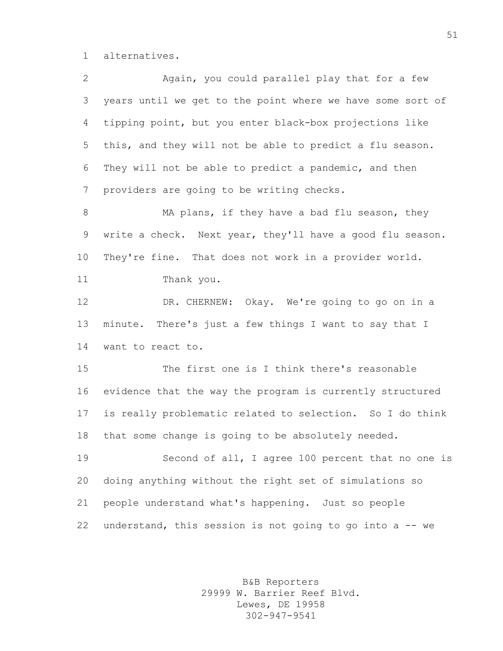alternatives.

| $\mathbf{2}$    | Again, you could parallel play that for a few              |
|-----------------|------------------------------------------------------------|
| 3               | years until we get to the point where we have some sort of |
| $\overline{4}$  | tipping point, but you enter black-box projections like    |
| 5               | this, and they will not be able to predict a flu season.   |
| 6               | They will not be able to predict a pandemic, and then      |
| 7               | providers are going to be writing checks.                  |
| 8               | MA plans, if they have a bad flu season, they              |
| 9               | write a check. Next year, they'll have a good flu season.  |
| 10 <sub>o</sub> | They're fine. That does not work in a provider world.      |
| 11              | Thank you.                                                 |
| 12              | DR. CHERNEW: Okay. We're going to go on in a               |
| 13              | minute. There's just a few things I want to say that I     |
| 14              | want to react to.                                          |
| 15              | The first one is I think there's reasonable                |
| 16              | evidence that the way the program is currently structured  |
| 17              | is really problematic related to selection. So I do think  |
| 18              | that some change is going to be absolutely needed.         |
| 19              | Second of all, I agree 100 percent that no one is          |
| 20              | doing anything without the right set of simulations so     |
| 21              | people understand what's happening. Just so people         |
| 22              | understand, this session is not going to go into a -- we   |

B&B Reporters 29999 W. Barrier Reef Blvd. Lewes, DE 19958 302-947-9541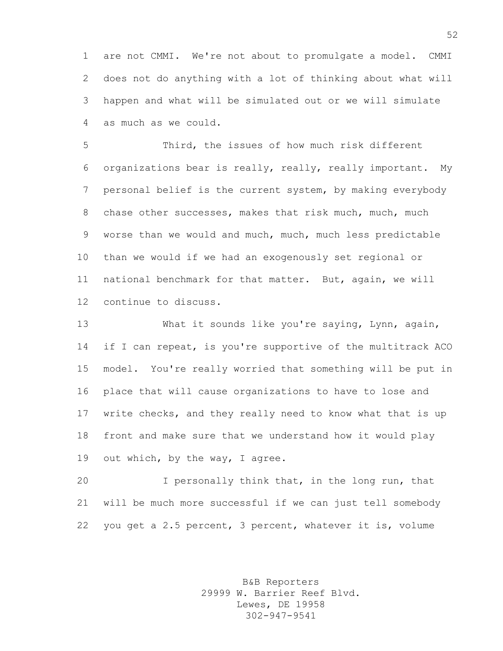are not CMMI. We're not about to promulgate a model. CMMI does not do anything with a lot of thinking about what will happen and what will be simulated out or we will simulate as much as we could.

 Third, the issues of how much risk different organizations bear is really, really, really important. My personal belief is the current system, by making everybody 8 chase other successes, makes that risk much, much, much worse than we would and much, much, much less predictable than we would if we had an exogenously set regional or national benchmark for that matter. But, again, we will continue to discuss.

 What it sounds like you're saying, Lynn, again, 14 if I can repeat, is you're supportive of the multitrack ACO model. You're really worried that something will be put in place that will cause organizations to have to lose and write checks, and they really need to know what that is up front and make sure that we understand how it would play 19 out which, by the way, I agree.

 I personally think that, in the long run, that will be much more successful if we can just tell somebody you get a 2.5 percent, 3 percent, whatever it is, volume

> B&B Reporters 29999 W. Barrier Reef Blvd. Lewes, DE 19958 302-947-9541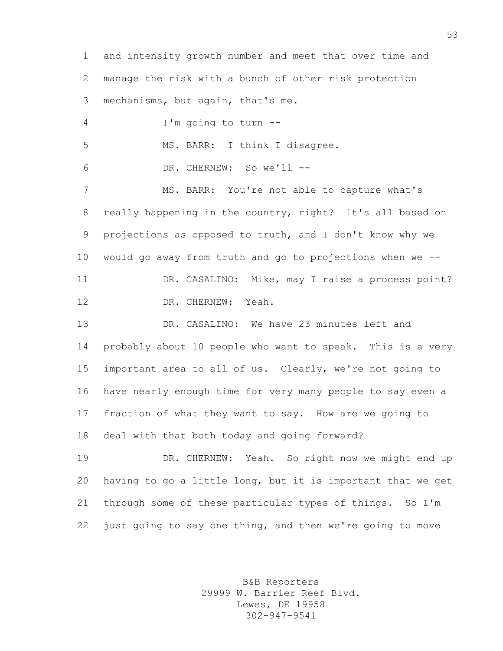and intensity growth number and meet that over time and manage the risk with a bunch of other risk protection mechanisms, but again, that's me. I'm going to turn -- 5 MS. BARR: I think I disagree. DR. CHERNEW: So we'll -- MS. BARR: You're not able to capture what's really happening in the country, right? It's all based on projections as opposed to truth, and I don't know why we would go away from truth and go to projections when we -- DR. CASALINO: Mike, may I raise a process point? DR. CHERNEW: Yeah. 13 DR. CASALINO: We have 23 minutes left and probably about 10 people who want to speak. This is a very important area to all of us. Clearly, we're not going to have nearly enough time for very many people to say even a fraction of what they want to say. How are we going to deal with that both today and going forward? DR. CHERNEW: Yeah. So right now we might end up having to go a little long, but it is important that we get through some of these particular types of things. So I'm

22 just going to say one thing, and then we're going to move

B&B Reporters 29999 W. Barrier Reef Blvd. Lewes, DE 19958 302-947-9541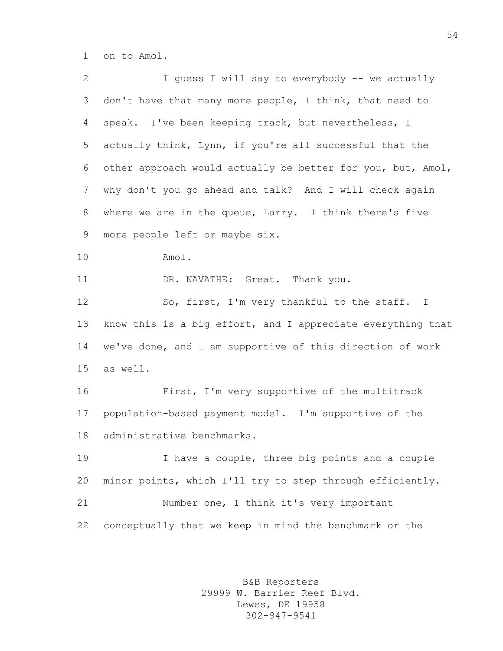on to Amol.

| $\overline{2}$ | I guess I will say to everybody -- we actually              |
|----------------|-------------------------------------------------------------|
| 3              | don't have that many more people, I think, that need to     |
| 4              | speak. I've been keeping track, but nevertheless, I         |
| 5              | actually think, Lynn, if you're all successful that the     |
| 6              | other approach would actually be better for you, but, Amol, |
| $\overline{7}$ | why don't you go ahead and talk? And I will check again     |
| 8              | where we are in the queue, Larry. I think there's five      |
| 9              | more people left or maybe six.                              |
| 10             | Amol.                                                       |
| 11             | DR. NAVATHE: Great. Thank you.                              |
| 12             | So, first, I'm very thankful to the staff. I                |
| 13             | know this is a big effort, and I appreciate everything that |
| 14             | we've done, and I am supportive of this direction of work   |
| 15             | as well.                                                    |
| 16             | First, I'm very supportive of the multitrack                |
| 17             | population-based payment model. I'm supportive of the       |
| 18             | administrative benchmarks.                                  |
| 19             | I have a couple, three big points and a couple              |
| 20             | minor points, which I'll try to step through efficiently.   |
| 21             | Number one, I think it's very important                     |
| 22             | conceptually that we keep in mind the benchmark or the      |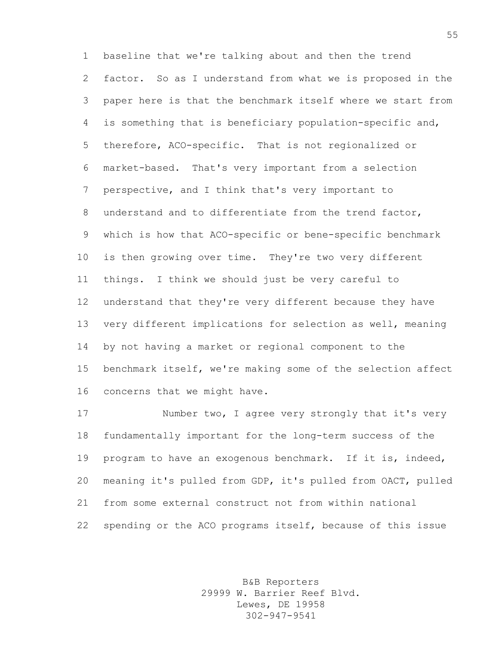baseline that we're talking about and then the trend factor. So as I understand from what we is proposed in the paper here is that the benchmark itself where we start from is something that is beneficiary population-specific and, therefore, ACO-specific. That is not regionalized or market-based. That's very important from a selection perspective, and I think that's very important to understand and to differentiate from the trend factor, which is how that ACO-specific or bene-specific benchmark is then growing over time. They're two very different things. I think we should just be very careful to understand that they're very different because they have very different implications for selection as well, meaning by not having a market or regional component to the benchmark itself, we're making some of the selection affect concerns that we might have.

17 Number two, I agree very strongly that it's very fundamentally important for the long-term success of the program to have an exogenous benchmark. If it is, indeed, meaning it's pulled from GDP, it's pulled from OACT, pulled from some external construct not from within national spending or the ACO programs itself, because of this issue

> B&B Reporters 29999 W. Barrier Reef Blvd. Lewes, DE 19958 302-947-9541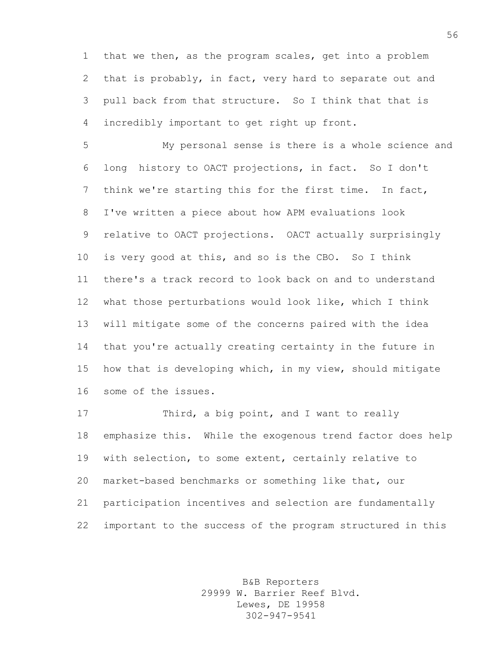that we then, as the program scales, get into a problem that is probably, in fact, very hard to separate out and pull back from that structure. So I think that that is incredibly important to get right up front.

 My personal sense is there is a whole science and long history to OACT projections, in fact. So I don't think we're starting this for the first time. In fact, I've written a piece about how APM evaluations look relative to OACT projections. OACT actually surprisingly is very good at this, and so is the CBO. So I think there's a track record to look back on and to understand what those perturbations would look like, which I think will mitigate some of the concerns paired with the idea that you're actually creating certainty in the future in how that is developing which, in my view, should mitigate some of the issues.

17 Third, a big point, and I want to really emphasize this. While the exogenous trend factor does help with selection, to some extent, certainly relative to market-based benchmarks or something like that, our participation incentives and selection are fundamentally important to the success of the program structured in this

> B&B Reporters 29999 W. Barrier Reef Blvd. Lewes, DE 19958 302-947-9541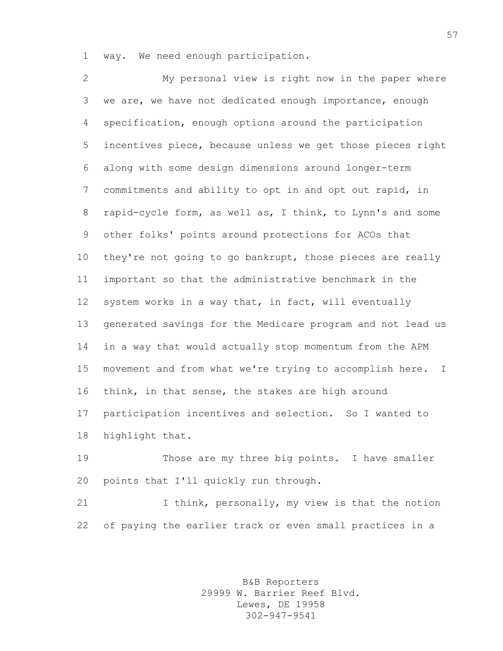way. We need enough participation.

 My personal view is right now in the paper where we are, we have not dedicated enough importance, enough specification, enough options around the participation incentives piece, because unless we get those pieces right along with some design dimensions around longer-term commitments and ability to opt in and opt out rapid, in rapid-cycle form, as well as, I think, to Lynn's and some other folks' points around protections for ACOs that they're not going to go bankrupt, those pieces are really important so that the administrative benchmark in the system works in a way that, in fact, will eventually generated savings for the Medicare program and not lead us in a way that would actually stop momentum from the APM movement and from what we're trying to accomplish here. I think, in that sense, the stakes are high around participation incentives and selection. So I wanted to highlight that.

 Those are my three big points. I have smaller points that I'll quickly run through.

21 I think, personally, my view is that the notion of paying the earlier track or even small practices in a

> B&B Reporters 29999 W. Barrier Reef Blvd. Lewes, DE 19958 302-947-9541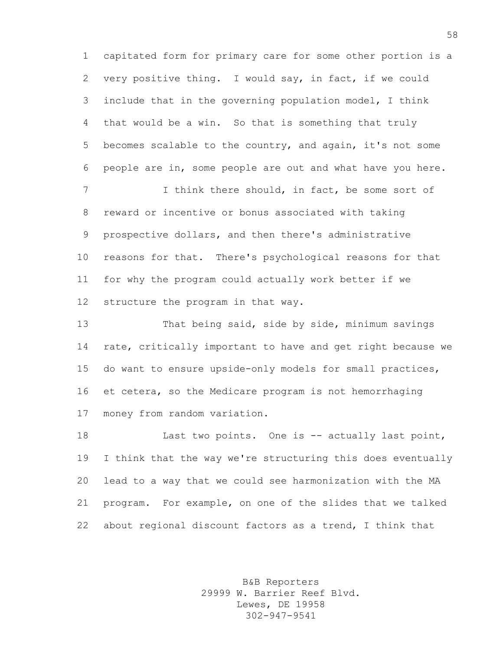capitated form for primary care for some other portion is a very positive thing. I would say, in fact, if we could include that in the governing population model, I think that would be a win. So that is something that truly becomes scalable to the country, and again, it's not some people are in, some people are out and what have you here.

7 I think there should, in fact, be some sort of reward or incentive or bonus associated with taking prospective dollars, and then there's administrative reasons for that. There's psychological reasons for that for why the program could actually work better if we structure the program in that way.

 That being said, side by side, minimum savings rate, critically important to have and get right because we do want to ensure upside-only models for small practices, et cetera, so the Medicare program is not hemorrhaging money from random variation.

18 Last two points. One is -- actually last point, I think that the way we're structuring this does eventually lead to a way that we could see harmonization with the MA program. For example, on one of the slides that we talked about regional discount factors as a trend, I think that

> B&B Reporters 29999 W. Barrier Reef Blvd. Lewes, DE 19958 302-947-9541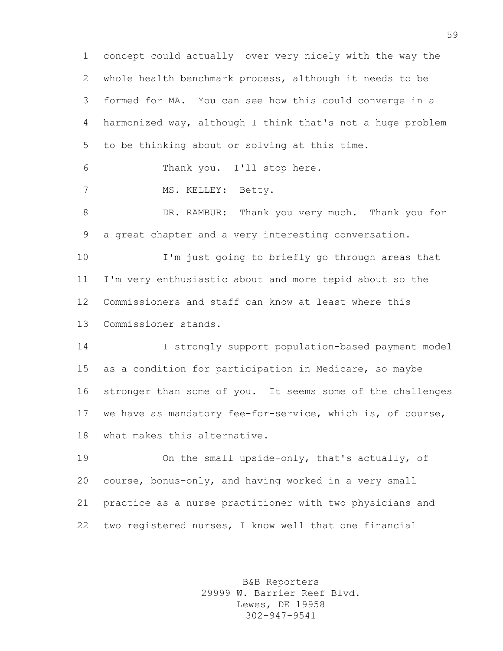concept could actually over very nicely with the way the whole health benchmark process, although it needs to be formed for MA. You can see how this could converge in a harmonized way, although I think that's not a huge problem to be thinking about or solving at this time.

Thank you. I'll stop here.

7 MS. KELLEY: Betty.

 DR. RAMBUR: Thank you very much. Thank you for a great chapter and a very interesting conversation.

 I'm just going to briefly go through areas that I'm very enthusiastic about and more tepid about so the Commissioners and staff can know at least where this Commissioner stands.

 I strongly support population-based payment model as a condition for participation in Medicare, so maybe stronger than some of you. It seems some of the challenges we have as mandatory fee-for-service, which is, of course, what makes this alternative.

 On the small upside-only, that's actually, of course, bonus-only, and having worked in a very small practice as a nurse practitioner with two physicians and two registered nurses, I know well that one financial

> B&B Reporters 29999 W. Barrier Reef Blvd. Lewes, DE 19958 302-947-9541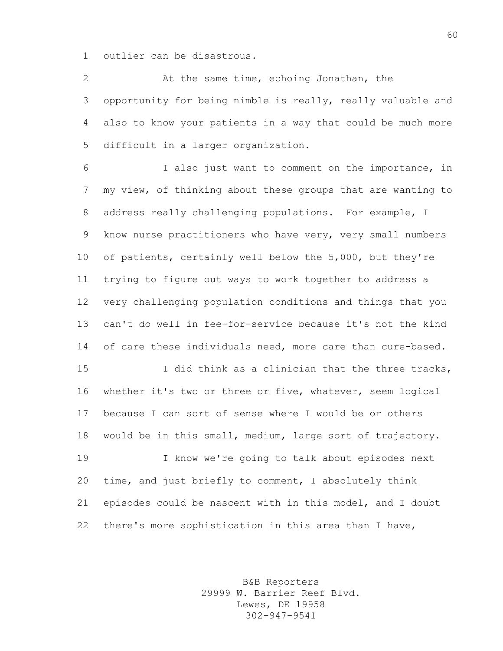outlier can be disastrous.

 At the same time, echoing Jonathan, the opportunity for being nimble is really, really valuable and also to know your patients in a way that could be much more difficult in a larger organization.

 I also just want to comment on the importance, in my view, of thinking about these groups that are wanting to address really challenging populations. For example, I know nurse practitioners who have very, very small numbers of patients, certainly well below the 5,000, but they're trying to figure out ways to work together to address a very challenging population conditions and things that you can't do well in fee-for-service because it's not the kind 14 of care these individuals need, more care than cure-based.

 I did think as a clinician that the three tracks, whether it's two or three or five, whatever, seem logical because I can sort of sense where I would be or others would be in this small, medium, large sort of trajectory.

 I know we're going to talk about episodes next time, and just briefly to comment, I absolutely think episodes could be nascent with in this model, and I doubt there's more sophistication in this area than I have,

> B&B Reporters 29999 W. Barrier Reef Blvd. Lewes, DE 19958 302-947-9541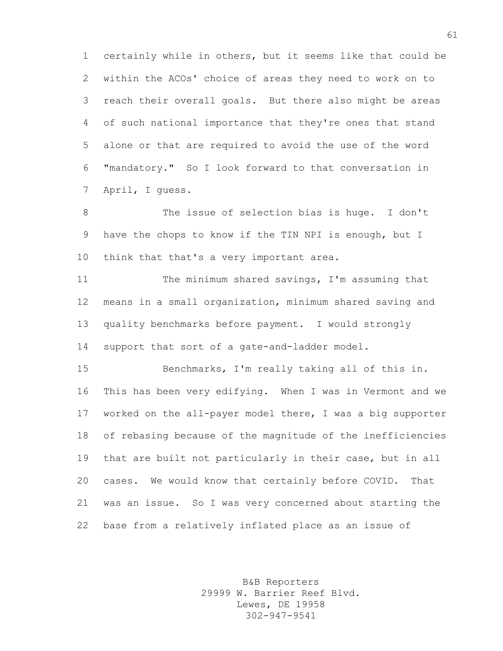certainly while in others, but it seems like that could be within the ACOs' choice of areas they need to work on to reach their overall goals. But there also might be areas of such national importance that they're ones that stand alone or that are required to avoid the use of the word "mandatory." So I look forward to that conversation in April, I guess.

 The issue of selection bias is huge. I don't have the chops to know if the TIN NPI is enough, but I 10 think that that's a very important area.

 The minimum shared savings, I'm assuming that means in a small organization, minimum shared saving and quality benchmarks before payment. I would strongly support that sort of a gate-and-ladder model.

 Benchmarks, I'm really taking all of this in. This has been very edifying. When I was in Vermont and we worked on the all-payer model there, I was a big supporter of rebasing because of the magnitude of the inefficiencies that are built not particularly in their case, but in all cases. We would know that certainly before COVID. That was an issue. So I was very concerned about starting the base from a relatively inflated place as an issue of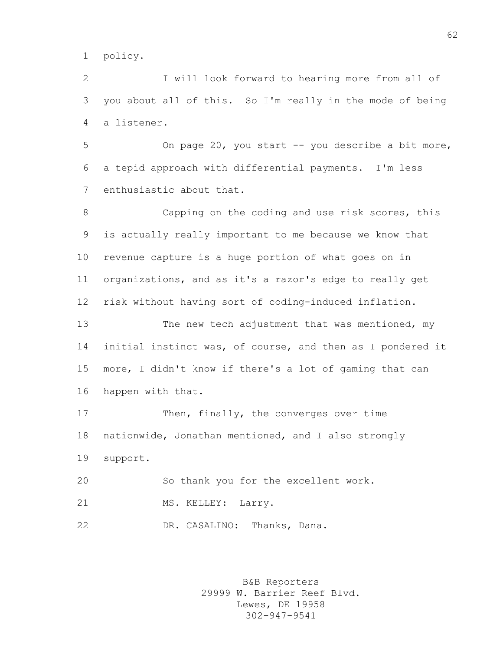policy.

 I will look forward to hearing more from all of you about all of this. So I'm really in the mode of being a listener.

 On page 20, you start -- you describe a bit more, a tepid approach with differential payments. I'm less enthusiastic about that.

 Capping on the coding and use risk scores, this is actually really important to me because we know that revenue capture is a huge portion of what goes on in organizations, and as it's a razor's edge to really get risk without having sort of coding-induced inflation.

13 The new tech adjustment that was mentioned, my initial instinct was, of course, and then as I pondered it more, I didn't know if there's a lot of gaming that can happen with that.

17 Then, finally, the converges over time nationwide, Jonathan mentioned, and I also strongly support.

 So thank you for the excellent work. 21 MS. KELLEY: Larry. DR. CASALINO: Thanks, Dana.

> B&B Reporters 29999 W. Barrier Reef Blvd. Lewes, DE 19958 302-947-9541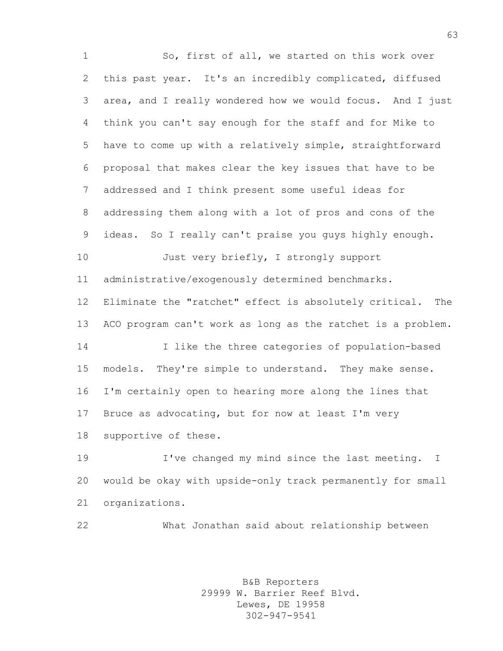So, first of all, we started on this work over this past year. It's an incredibly complicated, diffused area, and I really wondered how we would focus. And I just think you can't say enough for the staff and for Mike to have to come up with a relatively simple, straightforward proposal that makes clear the key issues that have to be addressed and I think present some useful ideas for addressing them along with a lot of pros and cons of the ideas. So I really can't praise you guys highly enough. 10 Just very briefly, I strongly support administrative/exogenously determined benchmarks. Eliminate the "ratchet" effect is absolutely critical. The ACO program can't work as long as the ratchet is a problem. I like the three categories of population-based models. They're simple to understand. They make sense. I'm certainly open to hearing more along the lines that Bruce as advocating, but for now at least I'm very supportive of these. I've changed my mind since the last meeting. I would be okay with upside-only track permanently for small organizations.

What Jonathan said about relationship between

B&B Reporters 29999 W. Barrier Reef Blvd. Lewes, DE 19958 302-947-9541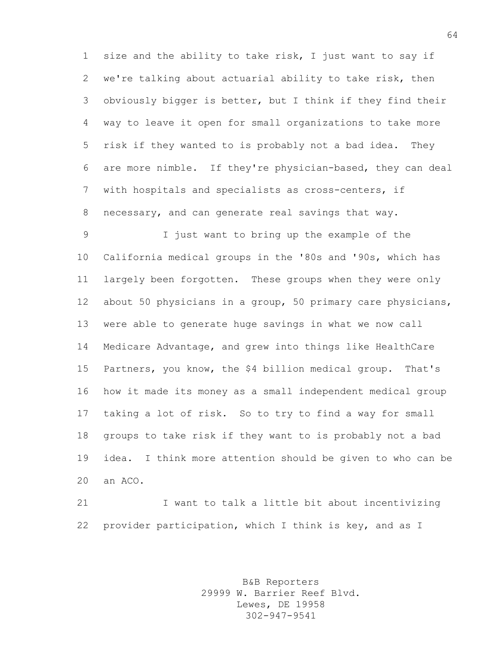size and the ability to take risk, I just want to say if we're talking about actuarial ability to take risk, then obviously bigger is better, but I think if they find their way to leave it open for small organizations to take more risk if they wanted to is probably not a bad idea. They are more nimble. If they're physician-based, they can deal with hospitals and specialists as cross-centers, if necessary, and can generate real savings that way.

 I just want to bring up the example of the California medical groups in the '80s and '90s, which has largely been forgotten. These groups when they were only about 50 physicians in a group, 50 primary care physicians, were able to generate huge savings in what we now call Medicare Advantage, and grew into things like HealthCare Partners, you know, the \$4 billion medical group. That's how it made its money as a small independent medical group taking a lot of risk. So to try to find a way for small groups to take risk if they want to is probably not a bad idea. I think more attention should be given to who can be an ACO.

 I want to talk a little bit about incentivizing provider participation, which I think is key, and as I

> B&B Reporters 29999 W. Barrier Reef Blvd. Lewes, DE 19958 302-947-9541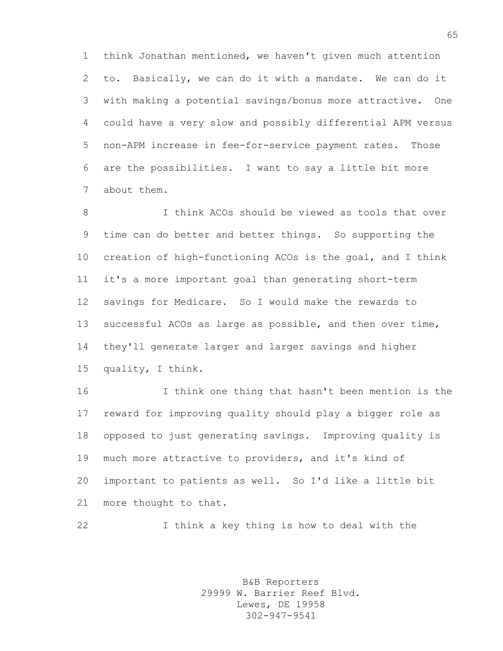think Jonathan mentioned, we haven't given much attention to. Basically, we can do it with a mandate. We can do it with making a potential savings/bonus more attractive. One could have a very slow and possibly differential APM versus non-APM increase in fee-for-service payment rates. Those are the possibilities. I want to say a little bit more about them.

 I think ACOs should be viewed as tools that over time can do better and better things. So supporting the creation of high-functioning ACOs is the goal, and I think it's a more important goal than generating short-term savings for Medicare. So I would make the rewards to successful ACOs as large as possible, and then over time, they'll generate larger and larger savings and higher quality, I think.

 I think one thing that hasn't been mention is the reward for improving quality should play a bigger role as opposed to just generating savings. Improving quality is much more attractive to providers, and it's kind of important to patients as well. So I'd like a little bit more thought to that.

I think a key thing is how to deal with the

B&B Reporters 29999 W. Barrier Reef Blvd. Lewes, DE 19958 302-947-9541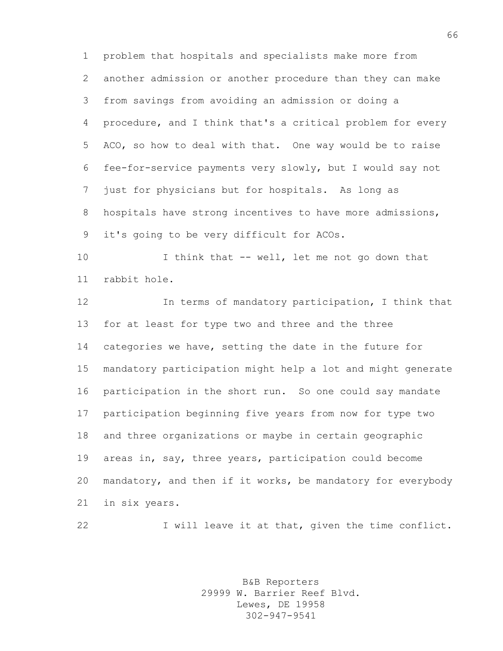problem that hospitals and specialists make more from another admission or another procedure than they can make from savings from avoiding an admission or doing a procedure, and I think that's a critical problem for every ACO, so how to deal with that. One way would be to raise fee-for-service payments very slowly, but I would say not just for physicians but for hospitals. As long as 8 hospitals have strong incentives to have more admissions, it's going to be very difficult for ACOs.

 I think that -- well, let me not go down that rabbit hole.

 In terms of mandatory participation, I think that for at least for type two and three and the three categories we have, setting the date in the future for mandatory participation might help a lot and might generate participation in the short run. So one could say mandate participation beginning five years from now for type two and three organizations or maybe in certain geographic areas in, say, three years, participation could become mandatory, and then if it works, be mandatory for everybody in six years.

22 I will leave it at that, given the time conflict.

B&B Reporters 29999 W. Barrier Reef Blvd. Lewes, DE 19958 302-947-9541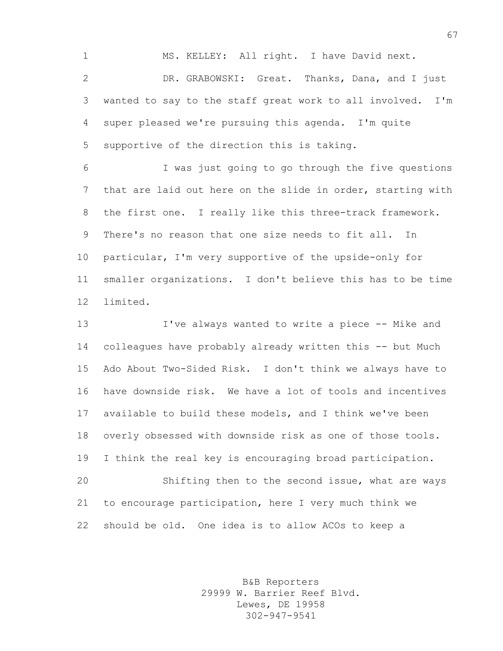MS. KELLEY: All right. I have David next. DR. GRABOWSKI: Great. Thanks, Dana, and I just wanted to say to the staff great work to all involved. I'm super pleased we're pursuing this agenda. I'm quite supportive of the direction this is taking.

 I was just going to go through the five questions that are laid out here on the slide in order, starting with the first one. I really like this three-track framework. There's no reason that one size needs to fit all. In particular, I'm very supportive of the upside-only for smaller organizations. I don't believe this has to be time limited.

 I've always wanted to write a piece -- Mike and colleagues have probably already written this -- but Much Ado About Two-Sided Risk. I don't think we always have to have downside risk. We have a lot of tools and incentives available to build these models, and I think we've been overly obsessed with downside risk as one of those tools. I think the real key is encouraging broad participation. Shifting then to the second issue, what are ways to encourage participation, here I very much think we should be old. One idea is to allow ACOs to keep a

> B&B Reporters 29999 W. Barrier Reef Blvd. Lewes, DE 19958 302-947-9541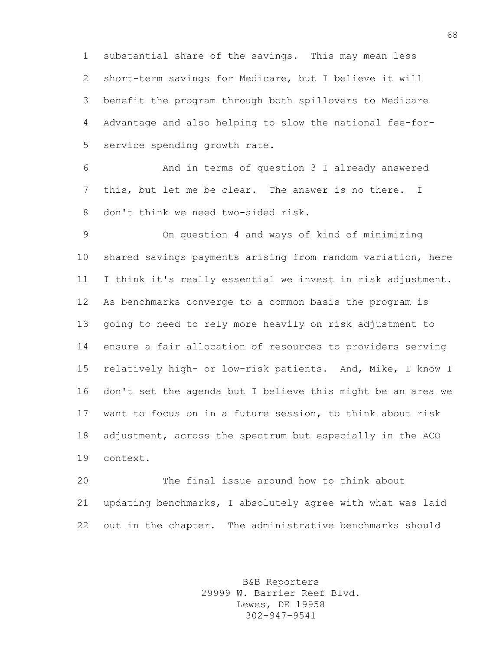substantial share of the savings. This may mean less short-term savings for Medicare, but I believe it will benefit the program through both spillovers to Medicare Advantage and also helping to slow the national fee-for-service spending growth rate.

 And in terms of question 3 I already answered this, but let me be clear. The answer is no there. I don't think we need two-sided risk.

 On question 4 and ways of kind of minimizing shared savings payments arising from random variation, here I think it's really essential we invest in risk adjustment. As benchmarks converge to a common basis the program is going to need to rely more heavily on risk adjustment to ensure a fair allocation of resources to providers serving relatively high- or low-risk patients. And, Mike, I know I don't set the agenda but I believe this might be an area we want to focus on in a future session, to think about risk adjustment, across the spectrum but especially in the ACO context.

 The final issue around how to think about updating benchmarks, I absolutely agree with what was laid out in the chapter. The administrative benchmarks should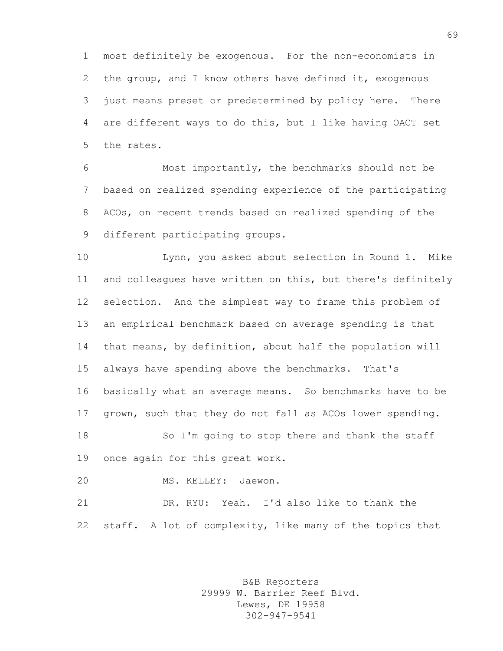most definitely be exogenous. For the non-economists in the group, and I know others have defined it, exogenous just means preset or predetermined by policy here. There are different ways to do this, but I like having OACT set the rates.

 Most importantly, the benchmarks should not be based on realized spending experience of the participating ACOs, on recent trends based on realized spending of the different participating groups.

 Lynn, you asked about selection in Round 1. Mike and colleagues have written on this, but there's definitely selection. And the simplest way to frame this problem of an empirical benchmark based on average spending is that that means, by definition, about half the population will always have spending above the benchmarks. That's basically what an average means. So benchmarks have to be grown, such that they do not fall as ACOs lower spending. So I'm going to stop there and thank the staff once again for this great work.

MS. KELLEY: Jaewon.

 DR. RYU: Yeah. I'd also like to thank the staff. A lot of complexity, like many of the topics that

> B&B Reporters 29999 W. Barrier Reef Blvd. Lewes, DE 19958 302-947-9541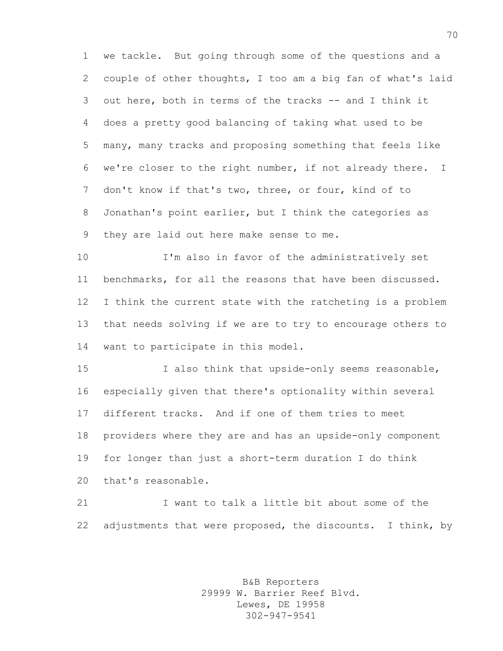we tackle. But going through some of the questions and a couple of other thoughts, I too am a big fan of what's laid out here, both in terms of the tracks -- and I think it does a pretty good balancing of taking what used to be many, many tracks and proposing something that feels like we're closer to the right number, if not already there. I don't know if that's two, three, or four, kind of to Jonathan's point earlier, but I think the categories as they are laid out here make sense to me.

 I'm also in favor of the administratively set benchmarks, for all the reasons that have been discussed. I think the current state with the ratcheting is a problem that needs solving if we are to try to encourage others to want to participate in this model.

 I also think that upside-only seems reasonable, especially given that there's optionality within several different tracks. And if one of them tries to meet providers where they are and has an upside-only component for longer than just a short-term duration I do think that's reasonable.

 I want to talk a little bit about some of the 22 adjustments that were proposed, the discounts. I think, by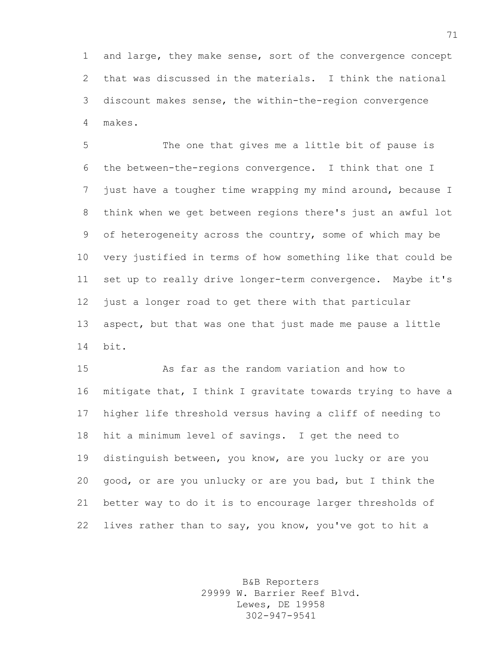and large, they make sense, sort of the convergence concept that was discussed in the materials. I think the national discount makes sense, the within-the-region convergence makes.

 The one that gives me a little bit of pause is the between-the-regions convergence. I think that one I just have a tougher time wrapping my mind around, because I think when we get between regions there's just an awful lot of heterogeneity across the country, some of which may be very justified in terms of how something like that could be set up to really drive longer-term convergence. Maybe it's just a longer road to get there with that particular aspect, but that was one that just made me pause a little bit.

 As far as the random variation and how to mitigate that, I think I gravitate towards trying to have a higher life threshold versus having a cliff of needing to hit a minimum level of savings. I get the need to distinguish between, you know, are you lucky or are you good, or are you unlucky or are you bad, but I think the better way to do it is to encourage larger thresholds of lives rather than to say, you know, you've got to hit a

> B&B Reporters 29999 W. Barrier Reef Blvd. Lewes, DE 19958 302-947-9541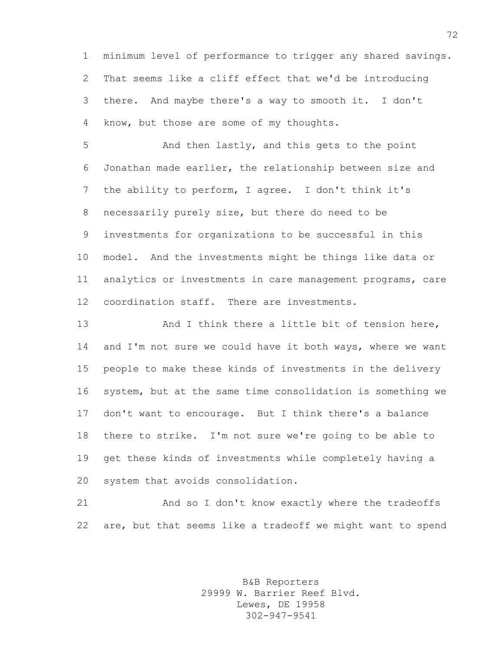minimum level of performance to trigger any shared savings. That seems like a cliff effect that we'd be introducing there. And maybe there's a way to smooth it. I don't know, but those are some of my thoughts.

 And then lastly, and this gets to the point Jonathan made earlier, the relationship between size and the ability to perform, I agree. I don't think it's necessarily purely size, but there do need to be investments for organizations to be successful in this model. And the investments might be things like data or analytics or investments in care management programs, care coordination staff. There are investments.

13 And I think there a little bit of tension here, 14 and I'm not sure we could have it both ways, where we want people to make these kinds of investments in the delivery system, but at the same time consolidation is something we don't want to encourage. But I think there's a balance there to strike. I'm not sure we're going to be able to get these kinds of investments while completely having a system that avoids consolidation.

 And so I don't know exactly where the tradeoffs are, but that seems like a tradeoff we might want to spend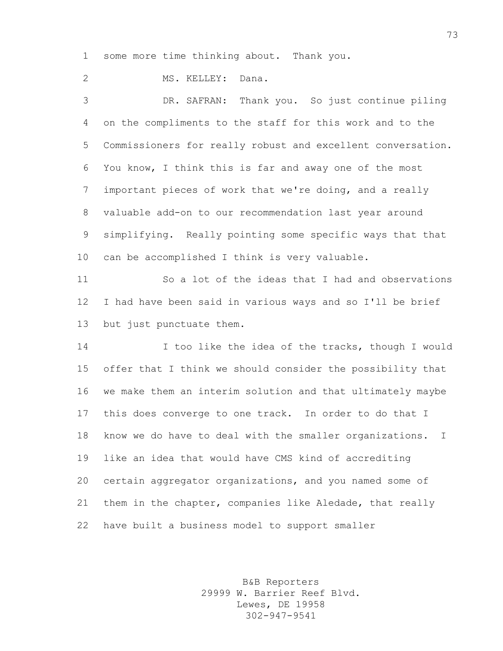some more time thinking about. Thank you.

MS. KELLEY: Dana.

 DR. SAFRAN: Thank you. So just continue piling on the compliments to the staff for this work and to the Commissioners for really robust and excellent conversation. You know, I think this is far and away one of the most important pieces of work that we're doing, and a really valuable add-on to our recommendation last year around simplifying. Really pointing some specific ways that that can be accomplished I think is very valuable.

 So a lot of the ideas that I had and observations I had have been said in various ways and so I'll be brief but just punctuate them.

14 I too like the idea of the tracks, though I would offer that I think we should consider the possibility that we make them an interim solution and that ultimately maybe this does converge to one track. In order to do that I know we do have to deal with the smaller organizations. I like an idea that would have CMS kind of accrediting certain aggregator organizations, and you named some of them in the chapter, companies like Aledade, that really have built a business model to support smaller

> B&B Reporters 29999 W. Barrier Reef Blvd. Lewes, DE 19958 302-947-9541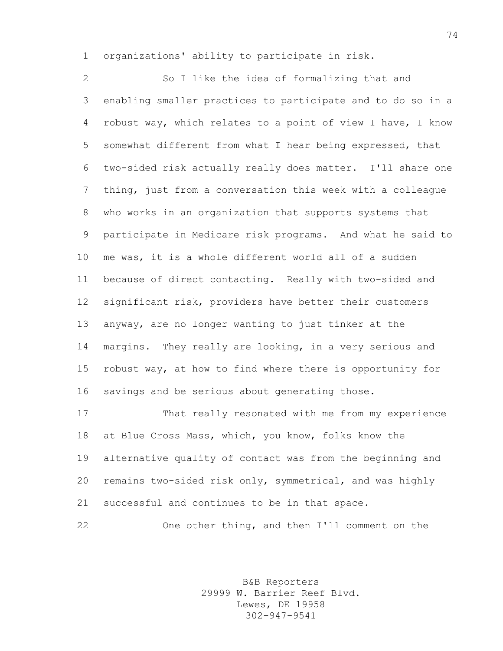organizations' ability to participate in risk.

 So I like the idea of formalizing that and enabling smaller practices to participate and to do so in a robust way, which relates to a point of view I have, I know somewhat different from what I hear being expressed, that two-sided risk actually really does matter. I'll share one thing, just from a conversation this week with a colleague who works in an organization that supports systems that participate in Medicare risk programs. And what he said to me was, it is a whole different world all of a sudden because of direct contacting. Really with two-sided and significant risk, providers have better their customers anyway, are no longer wanting to just tinker at the margins. They really are looking, in a very serious and robust way, at how to find where there is opportunity for savings and be serious about generating those.

 That really resonated with me from my experience at Blue Cross Mass, which, you know, folks know the alternative quality of contact was from the beginning and remains two-sided risk only, symmetrical, and was highly successful and continues to be in that space.

One other thing, and then I'll comment on the

B&B Reporters 29999 W. Barrier Reef Blvd. Lewes, DE 19958 302-947-9541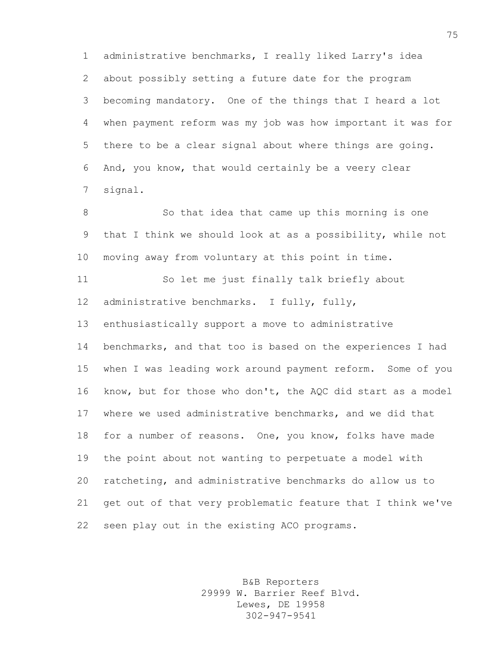administrative benchmarks, I really liked Larry's idea about possibly setting a future date for the program becoming mandatory. One of the things that I heard a lot when payment reform was my job was how important it was for there to be a clear signal about where things are going. And, you know, that would certainly be a veery clear signal.

 So that idea that came up this morning is one that I think we should look at as a possibility, while not moving away from voluntary at this point in time.

 So let me just finally talk briefly about administrative benchmarks. I fully, fully,

enthusiastically support a move to administrative

 benchmarks, and that too is based on the experiences I had when I was leading work around payment reform. Some of you know, but for those who don't, the AQC did start as a model where we used administrative benchmarks, and we did that for a number of reasons. One, you know, folks have made the point about not wanting to perpetuate a model with ratcheting, and administrative benchmarks do allow us to get out of that very problematic feature that I think we've seen play out in the existing ACO programs.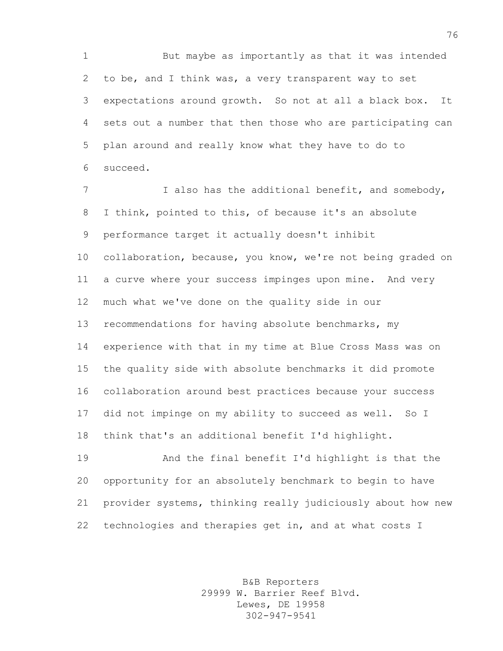But maybe as importantly as that it was intended to be, and I think was, a very transparent way to set expectations around growth. So not at all a black box. It sets out a number that then those who are participating can plan around and really know what they have to do to succeed.

7 I also has the additional benefit, and somebody, I think, pointed to this, of because it's an absolute performance target it actually doesn't inhibit collaboration, because, you know, we're not being graded on a curve where your success impinges upon mine. And very much what we've done on the quality side in our recommendations for having absolute benchmarks, my experience with that in my time at Blue Cross Mass was on the quality side with absolute benchmarks it did promote collaboration around best practices because your success did not impinge on my ability to succeed as well. So I think that's an additional benefit I'd highlight.

 And the final benefit I'd highlight is that the opportunity for an absolutely benchmark to begin to have provider systems, thinking really judiciously about how new technologies and therapies get in, and at what costs I

> B&B Reporters 29999 W. Barrier Reef Blvd. Lewes, DE 19958 302-947-9541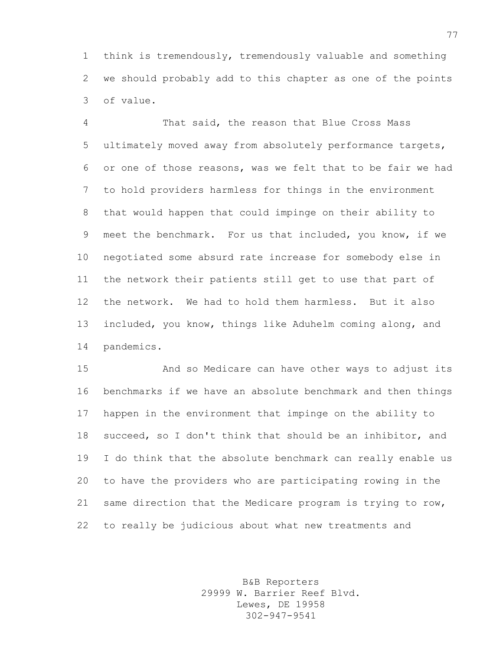think is tremendously, tremendously valuable and something we should probably add to this chapter as one of the points of value.

 That said, the reason that Blue Cross Mass ultimately moved away from absolutely performance targets, or one of those reasons, was we felt that to be fair we had to hold providers harmless for things in the environment that would happen that could impinge on their ability to meet the benchmark. For us that included, you know, if we negotiated some absurd rate increase for somebody else in the network their patients still get to use that part of the network. We had to hold them harmless. But it also included, you know, things like Aduhelm coming along, and pandemics.

 And so Medicare can have other ways to adjust its benchmarks if we have an absolute benchmark and then things happen in the environment that impinge on the ability to succeed, so I don't think that should be an inhibitor, and I do think that the absolute benchmark can really enable us to have the providers who are participating rowing in the same direction that the Medicare program is trying to row, to really be judicious about what new treatments and

> B&B Reporters 29999 W. Barrier Reef Blvd. Lewes, DE 19958 302-947-9541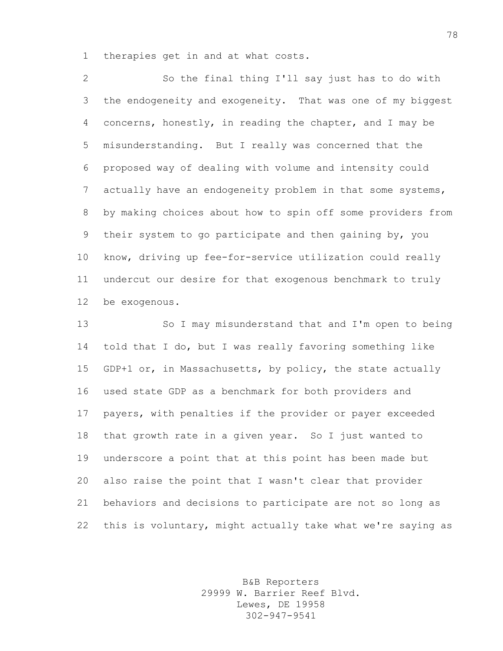therapies get in and at what costs.

 So the final thing I'll say just has to do with the endogeneity and exogeneity. That was one of my biggest concerns, honestly, in reading the chapter, and I may be misunderstanding. But I really was concerned that the proposed way of dealing with volume and intensity could 7 actually have an endogeneity problem in that some systems, by making choices about how to spin off some providers from their system to go participate and then gaining by, you know, driving up fee-for-service utilization could really undercut our desire for that exogenous benchmark to truly be exogenous.

 So I may misunderstand that and I'm open to being told that I do, but I was really favoring something like GDP+1 or, in Massachusetts, by policy, the state actually used state GDP as a benchmark for both providers and payers, with penalties if the provider or payer exceeded that growth rate in a given year. So I just wanted to underscore a point that at this point has been made but also raise the point that I wasn't clear that provider behaviors and decisions to participate are not so long as this is voluntary, might actually take what we're saying as

> B&B Reporters 29999 W. Barrier Reef Blvd. Lewes, DE 19958 302-947-9541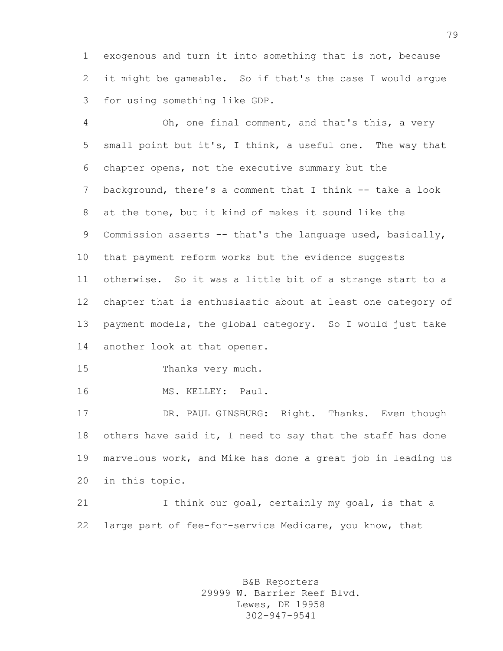exogenous and turn it into something that is not, because it might be gameable. So if that's the case I would argue for using something like GDP.

 Oh, one final comment, and that's this, a very small point but it's, I think, a useful one. The way that chapter opens, not the executive summary but the background, there's a comment that I think -- take a look at the tone, but it kind of makes it sound like the 9 Commission asserts -- that's the language used, basically, that payment reform works but the evidence suggests otherwise. So it was a little bit of a strange start to a chapter that is enthusiastic about at least one category of payment models, the global category. So I would just take another look at that opener.

Thanks very much.

MS. KELLEY: Paul.

 DR. PAUL GINSBURG: Right. Thanks. Even though 18 others have said it, I need to say that the staff has done marvelous work, and Mike has done a great job in leading us in this topic.

21 I think our goal, certainly my goal, is that a large part of fee-for-service Medicare, you know, that

> B&B Reporters 29999 W. Barrier Reef Blvd. Lewes, DE 19958 302-947-9541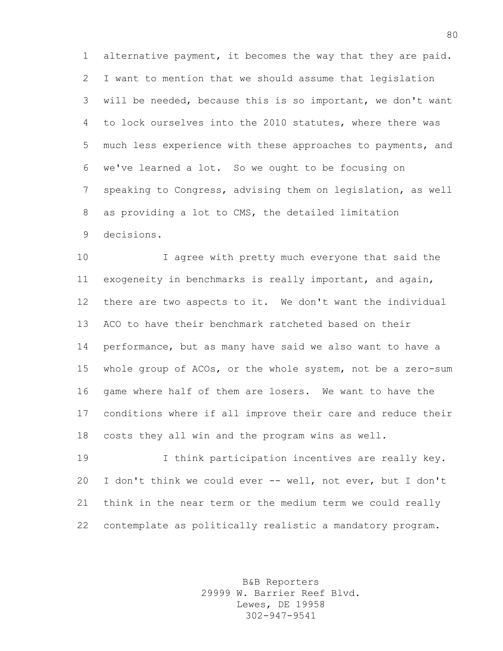alternative payment, it becomes the way that they are paid. I want to mention that we should assume that legislation will be needed, because this is so important, we don't want to lock ourselves into the 2010 statutes, where there was much less experience with these approaches to payments, and we've learned a lot. So we ought to be focusing on speaking to Congress, advising them on legislation, as well as providing a lot to CMS, the detailed limitation decisions.

 I agree with pretty much everyone that said the exogeneity in benchmarks is really important, and again, there are two aspects to it. We don't want the individual ACO to have their benchmark ratcheted based on their performance, but as many have said we also want to have a whole group of ACOs, or the whole system, not be a zero-sum game where half of them are losers. We want to have the conditions where if all improve their care and reduce their costs they all win and the program wins as well.

 I think participation incentives are really key. I don't think we could ever -- well, not ever, but I don't think in the near term or the medium term we could really contemplate as politically realistic a mandatory program.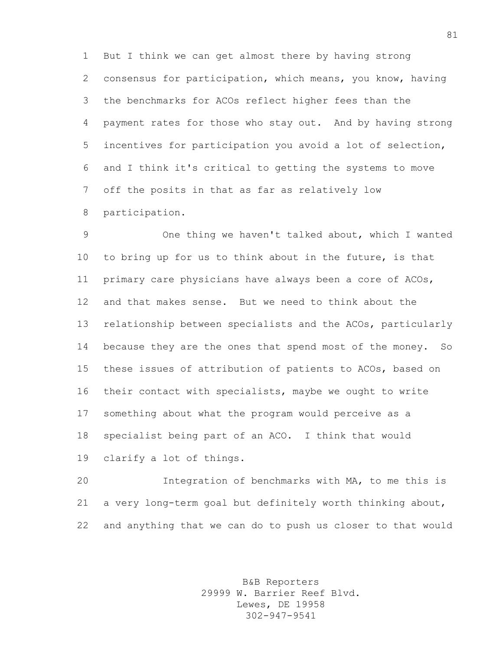But I think we can get almost there by having strong consensus for participation, which means, you know, having the benchmarks for ACOs reflect higher fees than the payment rates for those who stay out. And by having strong incentives for participation you avoid a lot of selection, and I think it's critical to getting the systems to move off the posits in that as far as relatively low participation.

 One thing we haven't talked about, which I wanted to bring up for us to think about in the future, is that primary care physicians have always been a core of ACOs, and that makes sense. But we need to think about the relationship between specialists and the ACOs, particularly because they are the ones that spend most of the money. So these issues of attribution of patients to ACOs, based on their contact with specialists, maybe we ought to write something about what the program would perceive as a specialist being part of an ACO. I think that would clarify a lot of things.

 Integration of benchmarks with MA, to me this is a very long-term goal but definitely worth thinking about, and anything that we can do to push us closer to that would

> B&B Reporters 29999 W. Barrier Reef Blvd. Lewes, DE 19958 302-947-9541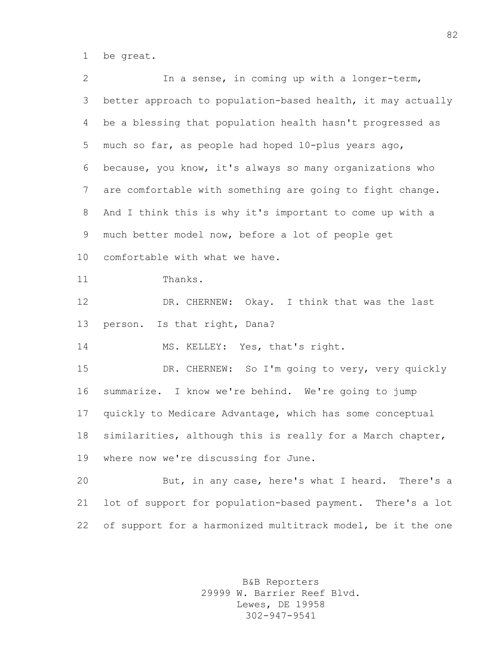be great.

 In a sense, in coming up with a longer-term, better approach to population-based health, it may actually be a blessing that population health hasn't progressed as much so far, as people had hoped 10-plus years ago, because, you know, it's always so many organizations who are comfortable with something are going to fight change. And I think this is why it's important to come up with a much better model now, before a lot of people get comfortable with what we have. 11 Thanks. DR. CHERNEW: Okay. I think that was the last person. Is that right, Dana? 14 MS. KELLEY: Yes, that's right. DR. CHERNEW: So I'm going to very, very quickly summarize. I know we're behind. We're going to jump quickly to Medicare Advantage, which has some conceptual similarities, although this is really for a March chapter, where now we're discussing for June. But, in any case, here's what I heard. There's a lot of support for population-based payment. There's a lot 22 of support for a harmonized multitrack model, be it the one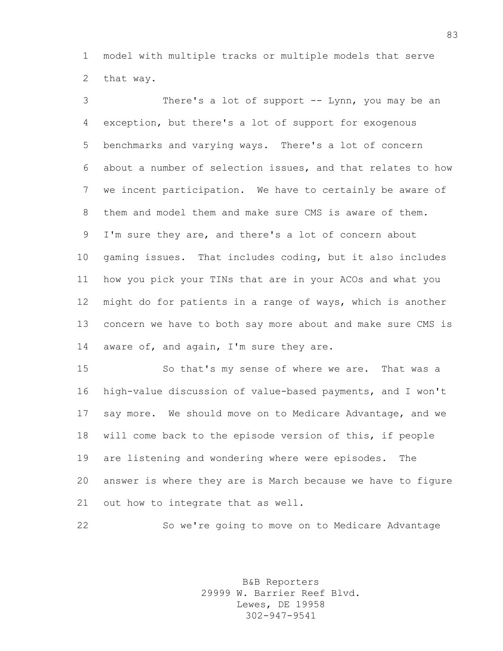model with multiple tracks or multiple models that serve that way.

 There's a lot of support -- Lynn, you may be an exception, but there's a lot of support for exogenous benchmarks and varying ways. There's a lot of concern about a number of selection issues, and that relates to how we incent participation. We have to certainly be aware of them and model them and make sure CMS is aware of them. I'm sure they are, and there's a lot of concern about gaming issues. That includes coding, but it also includes how you pick your TINs that are in your ACOs and what you might do for patients in a range of ways, which is another concern we have to both say more about and make sure CMS is aware of, and again, I'm sure they are.

 So that's my sense of where we are. That was a high-value discussion of value-based payments, and I won't say more. We should move on to Medicare Advantage, and we will come back to the episode version of this, if people are listening and wondering where were episodes. The answer is where they are is March because we have to figure out how to integrate that as well.

So we're going to move on to Medicare Advantage

B&B Reporters 29999 W. Barrier Reef Blvd. Lewes, DE 19958 302-947-9541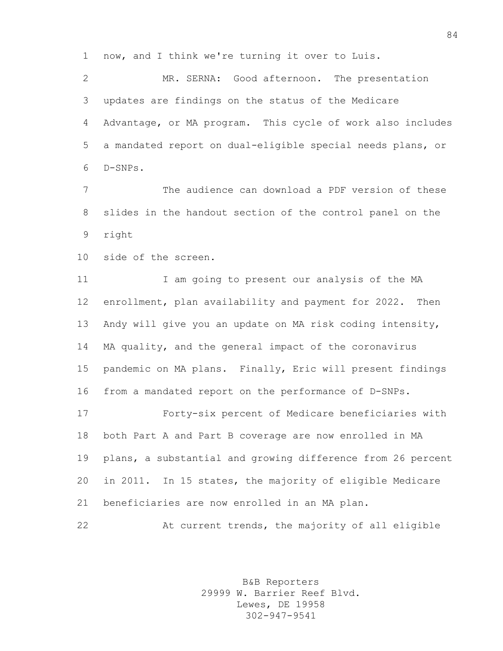now, and I think we're turning it over to Luis.

 MR. SERNA: Good afternoon. The presentation updates are findings on the status of the Medicare Advantage, or MA program. This cycle of work also includes a mandated report on dual-eligible special needs plans, or D-SNPs.

 The audience can download a PDF version of these slides in the handout section of the control panel on the right

side of the screen.

11 I am going to present our analysis of the MA enrollment, plan availability and payment for 2022. Then Andy will give you an update on MA risk coding intensity, MA quality, and the general impact of the coronavirus pandemic on MA plans. Finally, Eric will present findings from a mandated report on the performance of D-SNPs.

 Forty-six percent of Medicare beneficiaries with both Part A and Part B coverage are now enrolled in MA plans, a substantial and growing difference from 26 percent in 2011. In 15 states, the majority of eligible Medicare beneficiaries are now enrolled in an MA plan.

At current trends, the majority of all eligible

B&B Reporters 29999 W. Barrier Reef Blvd. Lewes, DE 19958 302-947-9541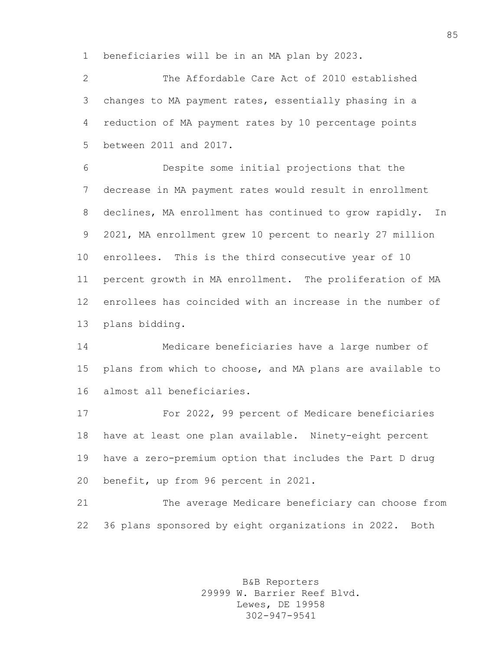beneficiaries will be in an MA plan by 2023.

 The Affordable Care Act of 2010 established changes to MA payment rates, essentially phasing in a reduction of MA payment rates by 10 percentage points between 2011 and 2017.

 Despite some initial projections that the decrease in MA payment rates would result in enrollment declines, MA enrollment has continued to grow rapidly. In 2021, MA enrollment grew 10 percent to nearly 27 million enrollees. This is the third consecutive year of 10 percent growth in MA enrollment. The proliferation of MA enrollees has coincided with an increase in the number of plans bidding.

 Medicare beneficiaries have a large number of plans from which to choose, and MA plans are available to almost all beneficiaries.

 For 2022, 99 percent of Medicare beneficiaries have at least one plan available. Ninety-eight percent have a zero-premium option that includes the Part D drug benefit, up from 96 percent in 2021.

 The average Medicare beneficiary can choose from 36 plans sponsored by eight organizations in 2022. Both

> B&B Reporters 29999 W. Barrier Reef Blvd. Lewes, DE 19958 302-947-9541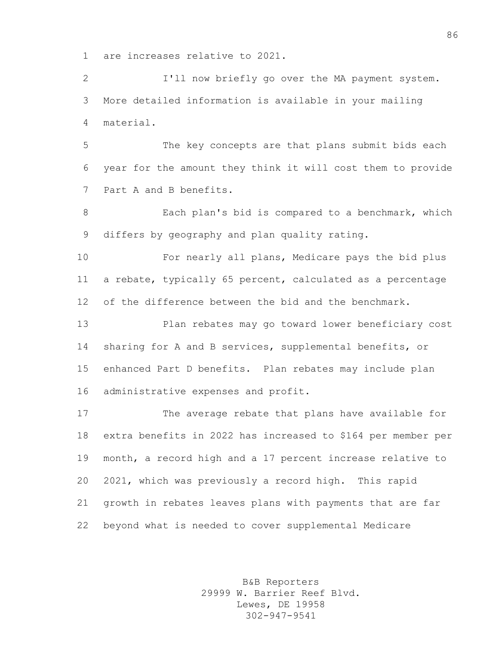are increases relative to 2021.

 I'll now briefly go over the MA payment system. More detailed information is available in your mailing material.

 The key concepts are that plans submit bids each year for the amount they think it will cost them to provide Part A and B benefits.

 Each plan's bid is compared to a benchmark, which differs by geography and plan quality rating.

 For nearly all plans, Medicare pays the bid plus a rebate, typically 65 percent, calculated as a percentage of the difference between the bid and the benchmark.

 Plan rebates may go toward lower beneficiary cost sharing for A and B services, supplemental benefits, or enhanced Part D benefits. Plan rebates may include plan administrative expenses and profit.

 The average rebate that plans have available for extra benefits in 2022 has increased to \$164 per member per month, a record high and a 17 percent increase relative to 2021, which was previously a record high. This rapid growth in rebates leaves plans with payments that are far beyond what is needed to cover supplemental Medicare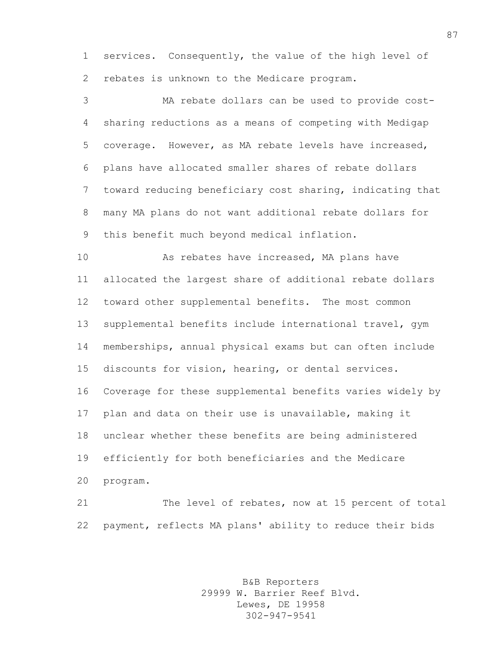services. Consequently, the value of the high level of rebates is unknown to the Medicare program.

 MA rebate dollars can be used to provide cost- sharing reductions as a means of competing with Medigap coverage. However, as MA rebate levels have increased, plans have allocated smaller shares of rebate dollars toward reducing beneficiary cost sharing, indicating that many MA plans do not want additional rebate dollars for this benefit much beyond medical inflation.

 As rebates have increased, MA plans have allocated the largest share of additional rebate dollars toward other supplemental benefits. The most common supplemental benefits include international travel, gym memberships, annual physical exams but can often include discounts for vision, hearing, or dental services. Coverage for these supplemental benefits varies widely by plan and data on their use is unavailable, making it unclear whether these benefits are being administered efficiently for both beneficiaries and the Medicare program.

 The level of rebates, now at 15 percent of total payment, reflects MA plans' ability to reduce their bids

> B&B Reporters 29999 W. Barrier Reef Blvd. Lewes, DE 19958 302-947-9541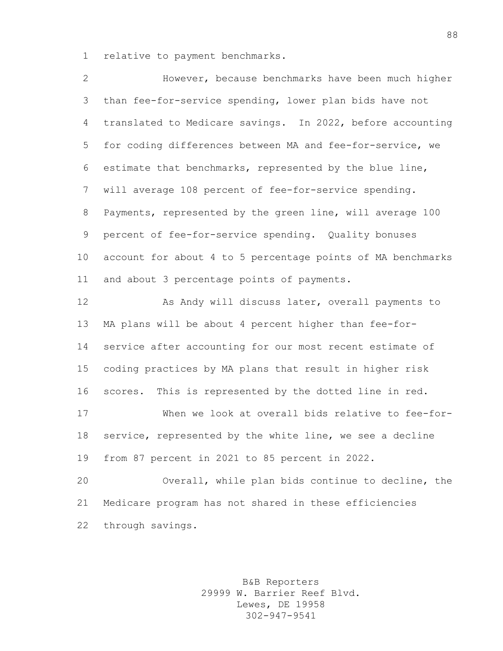relative to payment benchmarks.

| 2               | However, because benchmarks have been much higher           |
|-----------------|-------------------------------------------------------------|
| 3               | than fee-for-service spending, lower plan bids have not     |
| 4               | translated to Medicare savings. In 2022, before accounting  |
| 5               | for coding differences between MA and fee-for-service, we   |
| 6               | estimate that benchmarks, represented by the blue line,     |
| 7               | will average 108 percent of fee-for-service spending.       |
| 8               | Payments, represented by the green line, will average 100   |
| 9               | percent of fee-for-service spending. Quality bonuses        |
| 10 <sub>o</sub> | account for about 4 to 5 percentage points of MA benchmarks |
| 11              | and about 3 percentage points of payments.                  |
| 12              | As Andy will discuss later, overall payments to             |
| 13              | MA plans will be about 4 percent higher than fee-for-       |
| 14              | service after accounting for our most recent estimate of    |
| 15              | coding practices by MA plans that result in higher risk     |
| 16              | This is represented by the dotted line in red.<br>scores.   |
| 17              | When we look at overall bids relative to fee-for-           |
| 18              | service, represented by the white line, we see a decline    |
| 19              | from 87 percent in 2021 to 85 percent in 2022.              |
| 20              | Overall, while plan bids continue to decline, the           |
| 21              | Medicare program has not shared in these efficiencies       |
| 22              | through savings.                                            |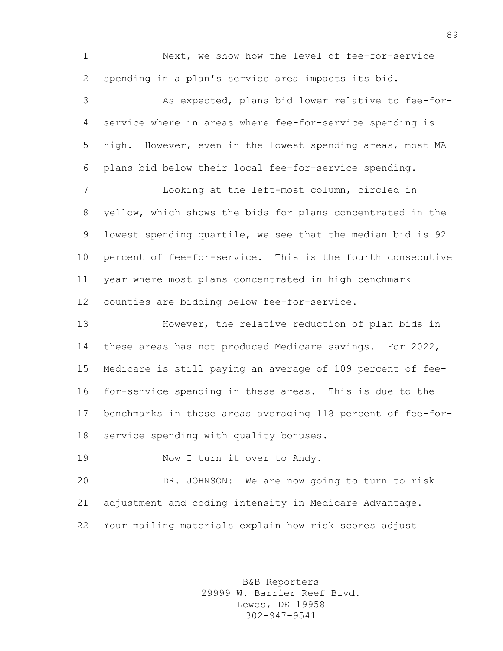Next, we show how the level of fee-for-service spending in a plan's service area impacts its bid.

 As expected, plans bid lower relative to fee-for- service where in areas where fee-for-service spending is high. However, even in the lowest spending areas, most MA plans bid below their local fee-for-service spending.

 Looking at the left-most column, circled in yellow, which shows the bids for plans concentrated in the lowest spending quartile, we see that the median bid is 92 percent of fee-for-service. This is the fourth consecutive year where most plans concentrated in high benchmark counties are bidding below fee-for-service.

 However, the relative reduction of plan bids in these areas has not produced Medicare savings. For 2022, Medicare is still paying an average of 109 percent of fee- for-service spending in these areas. This is due to the benchmarks in those areas averaging 118 percent of fee-for-service spending with quality bonuses.

19 Now I turn it over to Andy.

 DR. JOHNSON: We are now going to turn to risk adjustment and coding intensity in Medicare Advantage. Your mailing materials explain how risk scores adjust

> B&B Reporters 29999 W. Barrier Reef Blvd. Lewes, DE 19958 302-947-9541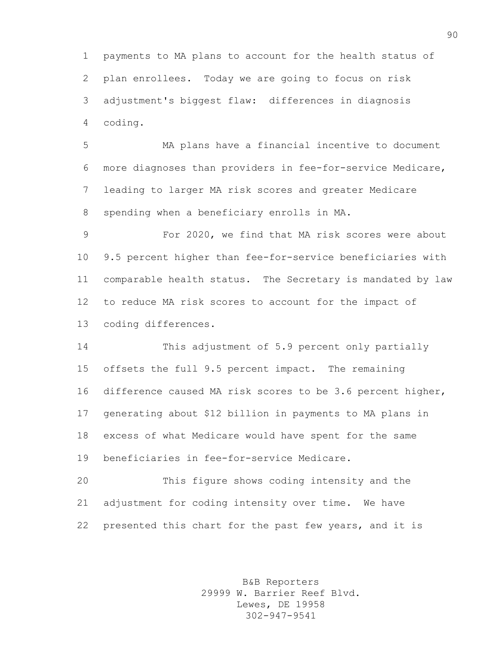payments to MA plans to account for the health status of plan enrollees. Today we are going to focus on risk adjustment's biggest flaw: differences in diagnosis coding.

 MA plans have a financial incentive to document more diagnoses than providers in fee-for-service Medicare, leading to larger MA risk scores and greater Medicare spending when a beneficiary enrolls in MA.

 For 2020, we find that MA risk scores were about 9.5 percent higher than fee-for-service beneficiaries with comparable health status. The Secretary is mandated by law to reduce MA risk scores to account for the impact of coding differences.

 This adjustment of 5.9 percent only partially offsets the full 9.5 percent impact. The remaining difference caused MA risk scores to be 3.6 percent higher, generating about \$12 billion in payments to MA plans in excess of what Medicare would have spent for the same beneficiaries in fee-for-service Medicare.

 This figure shows coding intensity and the adjustment for coding intensity over time. We have presented this chart for the past few years, and it is

> B&B Reporters 29999 W. Barrier Reef Blvd. Lewes, DE 19958 302-947-9541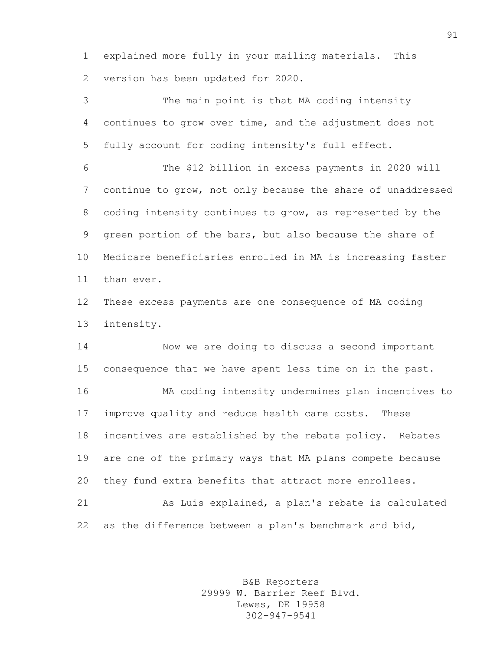explained more fully in your mailing materials. This version has been updated for 2020.

 The main point is that MA coding intensity continues to grow over time, and the adjustment does not fully account for coding intensity's full effect.

 The \$12 billion in excess payments in 2020 will continue to grow, not only because the share of unaddressed coding intensity continues to grow, as represented by the green portion of the bars, but also because the share of Medicare beneficiaries enrolled in MA is increasing faster than ever.

 These excess payments are one consequence of MA coding intensity.

 Now we are doing to discuss a second important consequence that we have spent less time on in the past.

 MA coding intensity undermines plan incentives to improve quality and reduce health care costs. These incentives are established by the rebate policy. Rebates are one of the primary ways that MA plans compete because they fund extra benefits that attract more enrollees.

 As Luis explained, a plan's rebate is calculated as the difference between a plan's benchmark and bid,

> B&B Reporters 29999 W. Barrier Reef Blvd. Lewes, DE 19958 302-947-9541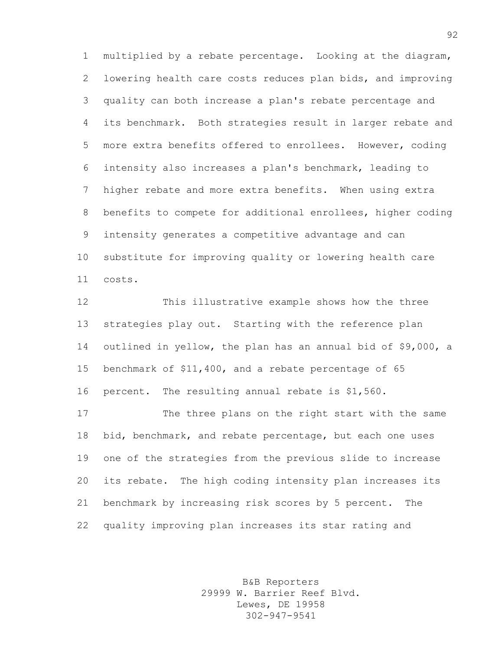multiplied by a rebate percentage. Looking at the diagram, lowering health care costs reduces plan bids, and improving quality can both increase a plan's rebate percentage and its benchmark. Both strategies result in larger rebate and more extra benefits offered to enrollees. However, coding intensity also increases a plan's benchmark, leading to higher rebate and more extra benefits. When using extra benefits to compete for additional enrollees, higher coding intensity generates a competitive advantage and can substitute for improving quality or lowering health care costs.

 This illustrative example shows how the three strategies play out. Starting with the reference plan outlined in yellow, the plan has an annual bid of \$9,000, a benchmark of \$11,400, and a rebate percentage of 65 percent. The resulting annual rebate is \$1,560.

 The three plans on the right start with the same bid, benchmark, and rebate percentage, but each one uses one of the strategies from the previous slide to increase its rebate. The high coding intensity plan increases its benchmark by increasing risk scores by 5 percent. The quality improving plan increases its star rating and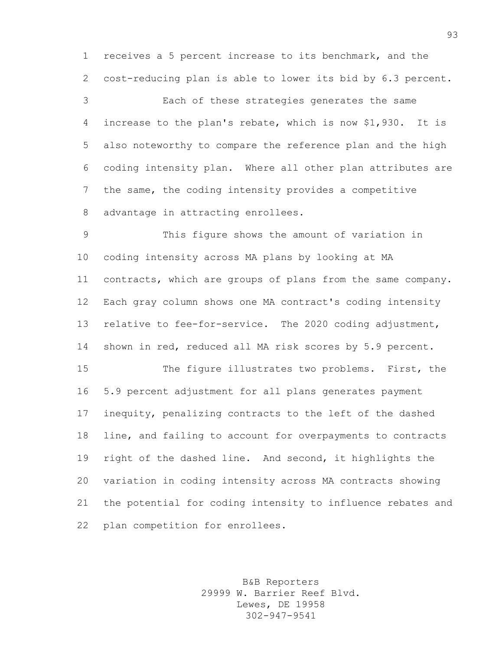receives a 5 percent increase to its benchmark, and the cost-reducing plan is able to lower its bid by 6.3 percent.

 Each of these strategies generates the same increase to the plan's rebate, which is now \$1,930. It is also noteworthy to compare the reference plan and the high coding intensity plan. Where all other plan attributes are the same, the coding intensity provides a competitive advantage in attracting enrollees.

 This figure shows the amount of variation in coding intensity across MA plans by looking at MA contracts, which are groups of plans from the same company. Each gray column shows one MA contract's coding intensity relative to fee-for-service. The 2020 coding adjustment, shown in red, reduced all MA risk scores by 5.9 percent.

 The figure illustrates two problems. First, the 5.9 percent adjustment for all plans generates payment inequity, penalizing contracts to the left of the dashed line, and failing to account for overpayments to contracts right of the dashed line. And second, it highlights the variation in coding intensity across MA contracts showing the potential for coding intensity to influence rebates and plan competition for enrollees.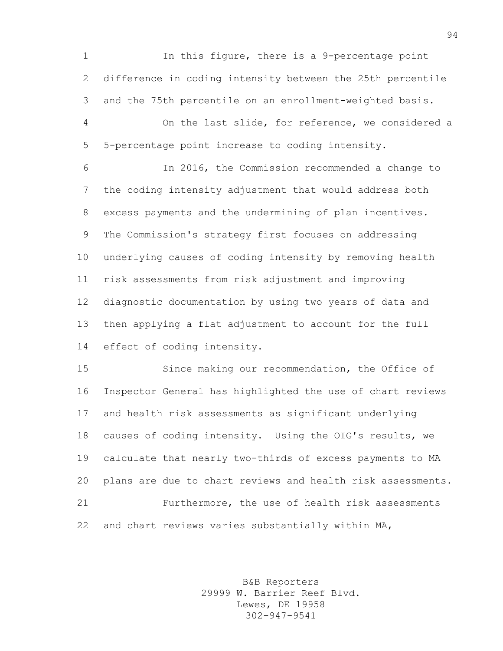In this figure, there is a 9-percentage point difference in coding intensity between the 25th percentile and the 75th percentile on an enrollment-weighted basis.

 On the last slide, for reference, we considered a 5-percentage point increase to coding intensity.

 In 2016, the Commission recommended a change to the coding intensity adjustment that would address both excess payments and the undermining of plan incentives. The Commission's strategy first focuses on addressing underlying causes of coding intensity by removing health risk assessments from risk adjustment and improving diagnostic documentation by using two years of data and then applying a flat adjustment to account for the full effect of coding intensity.

 Since making our recommendation, the Office of Inspector General has highlighted the use of chart reviews and health risk assessments as significant underlying causes of coding intensity. Using the OIG's results, we calculate that nearly two-thirds of excess payments to MA plans are due to chart reviews and health risk assessments. Furthermore, the use of health risk assessments and chart reviews varies substantially within MA,

> B&B Reporters 29999 W. Barrier Reef Blvd. Lewes, DE 19958 302-947-9541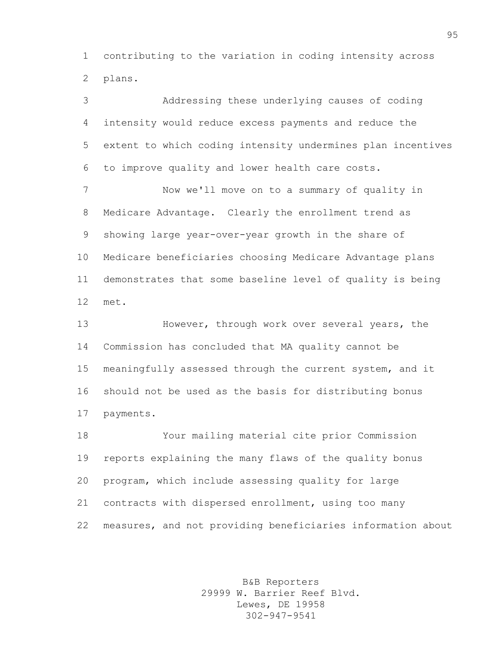contributing to the variation in coding intensity across plans.

 Addressing these underlying causes of coding intensity would reduce excess payments and reduce the extent to which coding intensity undermines plan incentives to improve quality and lower health care costs. Now we'll move on to a summary of quality in Medicare Advantage. Clearly the enrollment trend as showing large year-over-year growth in the share of Medicare beneficiaries choosing Medicare Advantage plans demonstrates that some baseline level of quality is being met. However, through work over several years, the Commission has concluded that MA quality cannot be meaningfully assessed through the current system, and it should not be used as the basis for distributing bonus payments.

 Your mailing material cite prior Commission reports explaining the many flaws of the quality bonus program, which include assessing quality for large contracts with dispersed enrollment, using too many measures, and not providing beneficiaries information about

> B&B Reporters 29999 W. Barrier Reef Blvd. Lewes, DE 19958 302-947-9541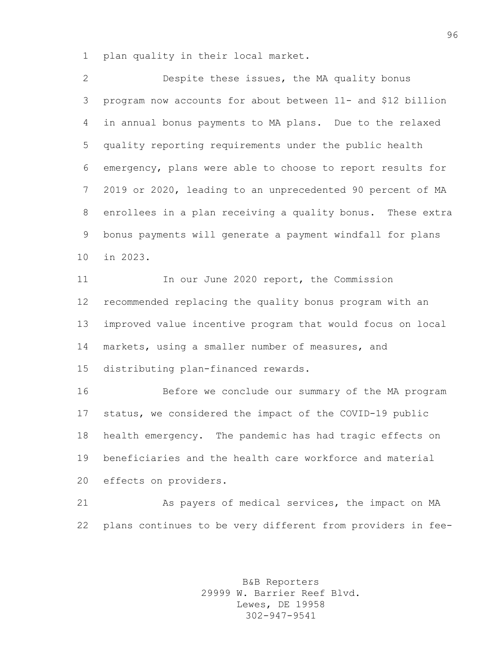plan quality in their local market.

 Despite these issues, the MA quality bonus program now accounts for about between 11- and \$12 billion in annual bonus payments to MA plans. Due to the relaxed quality reporting requirements under the public health emergency, plans were able to choose to report results for 2019 or 2020, leading to an unprecedented 90 percent of MA enrollees in a plan receiving a quality bonus. These extra bonus payments will generate a payment windfall for plans in 2023.

 In our June 2020 report, the Commission recommended replacing the quality bonus program with an improved value incentive program that would focus on local markets, using a smaller number of measures, and distributing plan-financed rewards.

 Before we conclude our summary of the MA program status, we considered the impact of the COVID-19 public health emergency. The pandemic has had tragic effects on beneficiaries and the health care workforce and material effects on providers.

 As payers of medical services, the impact on MA plans continues to be very different from providers in fee-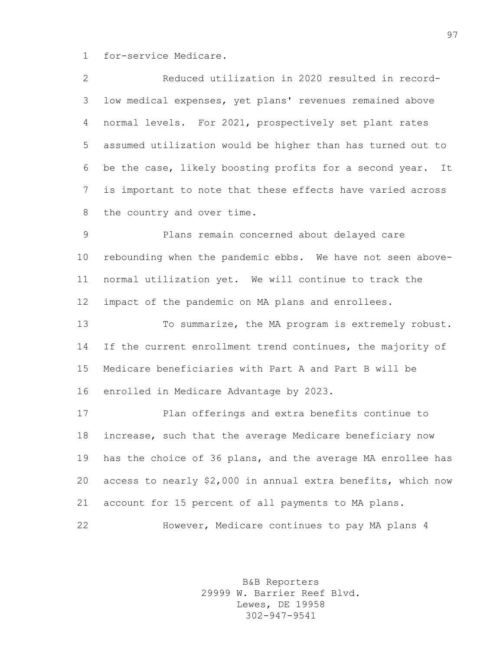for-service Medicare.

| 2               | Reduced utilization in 2020 resulted in record-              |
|-----------------|--------------------------------------------------------------|
|                 | 3 low medical expenses, yet plans' revenues remained above   |
|                 | 4 normal levels. For 2021, prospectively set plant rates     |
|                 | 5 assumed utilization would be higher than has turned out to |
|                 | 6 be the case, likely boosting profits for a second year. It |
| $7\overline{ }$ | is important to note that these effects have varied across   |
|                 | 8 the country and over time.                                 |

 Plans remain concerned about delayed care rebounding when the pandemic ebbs. We have not seen above- normal utilization yet. We will continue to track the impact of the pandemic on MA plans and enrollees.

 To summarize, the MA program is extremely robust. 14 If the current enrollment trend continues, the majority of Medicare beneficiaries with Part A and Part B will be enrolled in Medicare Advantage by 2023.

 Plan offerings and extra benefits continue to increase, such that the average Medicare beneficiary now has the choice of 36 plans, and the average MA enrollee has access to nearly \$2,000 in annual extra benefits, which now account for 15 percent of all payments to MA plans. However, Medicare continues to pay MA plans 4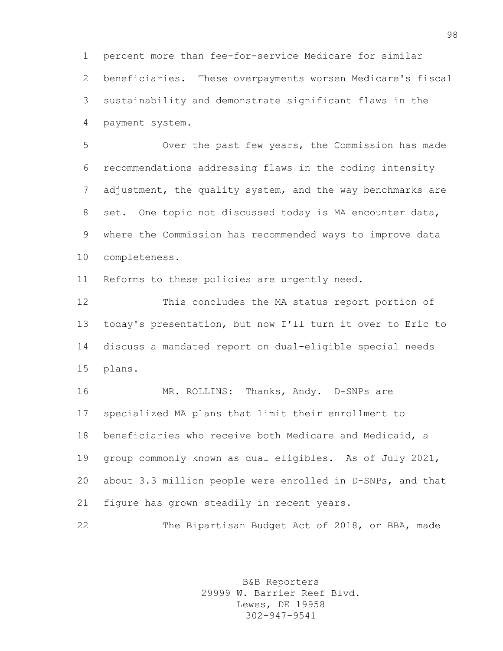percent more than fee-for-service Medicare for similar beneficiaries. These overpayments worsen Medicare's fiscal sustainability and demonstrate significant flaws in the payment system.

 Over the past few years, the Commission has made recommendations addressing flaws in the coding intensity adjustment, the quality system, and the way benchmarks are set. One topic not discussed today is MA encounter data, where the Commission has recommended ways to improve data completeness.

Reforms to these policies are urgently need.

 This concludes the MA status report portion of today's presentation, but now I'll turn it over to Eric to discuss a mandated report on dual-eligible special needs plans.

 MR. ROLLINS: Thanks, Andy. D-SNPs are specialized MA plans that limit their enrollment to beneficiaries who receive both Medicare and Medicaid, a group commonly known as dual eligibles. As of July 2021, about 3.3 million people were enrolled in D-SNPs, and that figure has grown steadily in recent years.

The Bipartisan Budget Act of 2018, or BBA, made

B&B Reporters 29999 W. Barrier Reef Blvd. Lewes, DE 19958 302-947-9541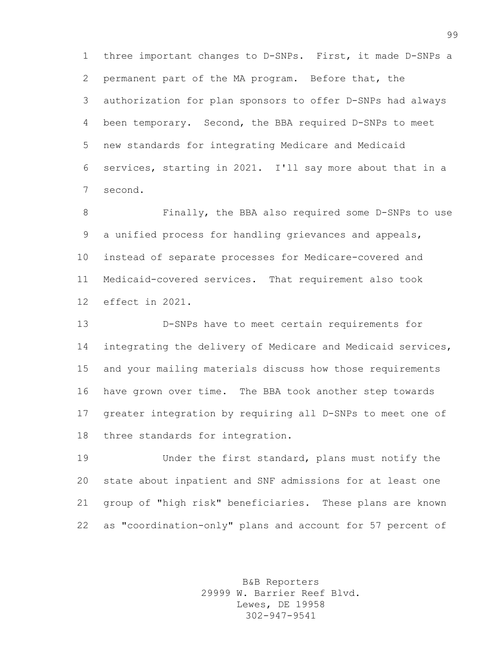three important changes to D-SNPs. First, it made D-SNPs a permanent part of the MA program. Before that, the authorization for plan sponsors to offer D-SNPs had always been temporary. Second, the BBA required D-SNPs to meet new standards for integrating Medicare and Medicaid services, starting in 2021. I'll say more about that in a second.

 Finally, the BBA also required some D-SNPs to use a unified process for handling grievances and appeals, instead of separate processes for Medicare-covered and Medicaid-covered services. That requirement also took effect in 2021.

 D-SNPs have to meet certain requirements for integrating the delivery of Medicare and Medicaid services, and your mailing materials discuss how those requirements have grown over time. The BBA took another step towards greater integration by requiring all D-SNPs to meet one of three standards for integration.

 Under the first standard, plans must notify the state about inpatient and SNF admissions for at least one group of "high risk" beneficiaries. These plans are known as "coordination-only" plans and account for 57 percent of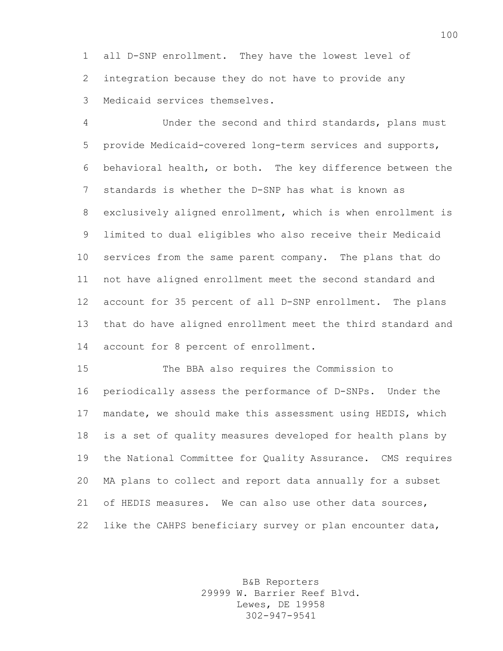all D-SNP enrollment. They have the lowest level of integration because they do not have to provide any Medicaid services themselves.

 Under the second and third standards, plans must provide Medicaid-covered long-term services and supports, behavioral health, or both. The key difference between the standards is whether the D-SNP has what is known as exclusively aligned enrollment, which is when enrollment is limited to dual eligibles who also receive their Medicaid services from the same parent company. The plans that do not have aligned enrollment meet the second standard and account for 35 percent of all D-SNP enrollment. The plans that do have aligned enrollment meet the third standard and account for 8 percent of enrollment.

 The BBA also requires the Commission to periodically assess the performance of D-SNPs. Under the mandate, we should make this assessment using HEDIS, which is a set of quality measures developed for health plans by the National Committee for Quality Assurance. CMS requires MA plans to collect and report data annually for a subset of HEDIS measures. We can also use other data sources, like the CAHPS beneficiary survey or plan encounter data,

> B&B Reporters 29999 W. Barrier Reef Blvd. Lewes, DE 19958 302-947-9541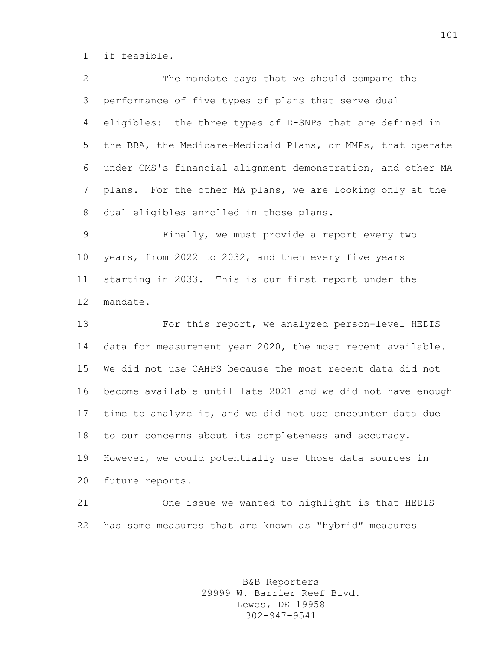if feasible.

 The mandate says that we should compare the performance of five types of plans that serve dual eligibles: the three types of D-SNPs that are defined in the BBA, the Medicare-Medicaid Plans, or MMPs, that operate under CMS's financial alignment demonstration, and other MA plans. For the other MA plans, we are looking only at the dual eligibles enrolled in those plans.

 Finally, we must provide a report every two years, from 2022 to 2032, and then every five years starting in 2033. This is our first report under the mandate.

 For this report, we analyzed person-level HEDIS data for measurement year 2020, the most recent available. We did not use CAHPS because the most recent data did not become available until late 2021 and we did not have enough time to analyze it, and we did not use encounter data due to our concerns about its completeness and accuracy. However, we could potentially use those data sources in future reports.

 One issue we wanted to highlight is that HEDIS has some measures that are known as "hybrid" measures

> B&B Reporters 29999 W. Barrier Reef Blvd. Lewes, DE 19958 302-947-9541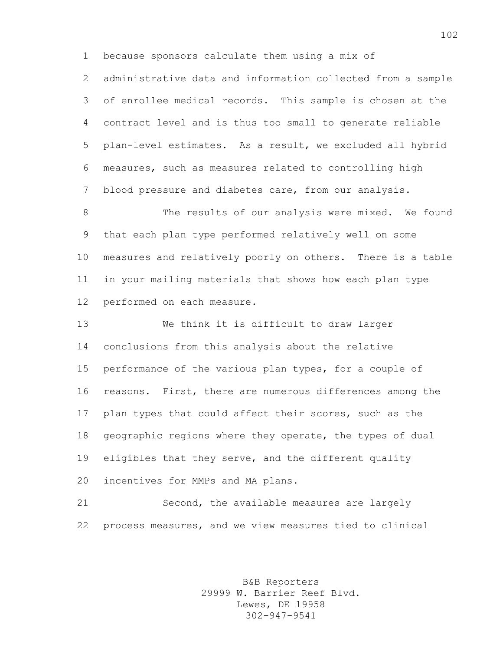because sponsors calculate them using a mix of

 administrative data and information collected from a sample of enrollee medical records. This sample is chosen at the contract level and is thus too small to generate reliable plan-level estimates. As a result, we excluded all hybrid measures, such as measures related to controlling high blood pressure and diabetes care, from our analysis.

8 The results of our analysis were mixed. We found that each plan type performed relatively well on some measures and relatively poorly on others. There is a table in your mailing materials that shows how each plan type performed on each measure.

 We think it is difficult to draw larger conclusions from this analysis about the relative performance of the various plan types, for a couple of reasons. First, there are numerous differences among the plan types that could affect their scores, such as the geographic regions where they operate, the types of dual eligibles that they serve, and the different quality incentives for MMPs and MA plans.

 Second, the available measures are largely process measures, and we view measures tied to clinical

> B&B Reporters 29999 W. Barrier Reef Blvd. Lewes, DE 19958 302-947-9541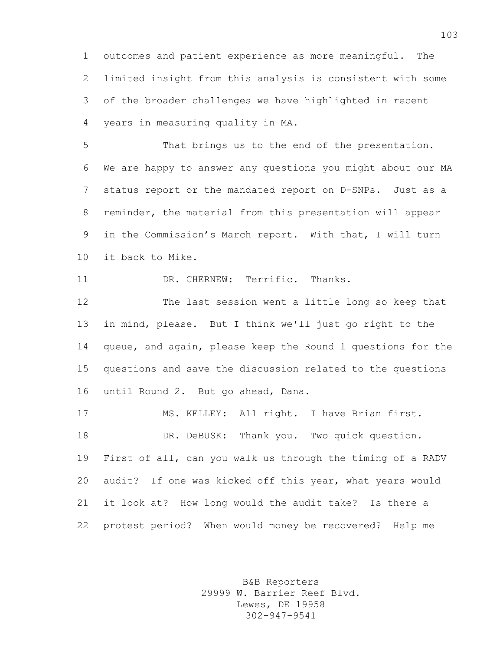outcomes and patient experience as more meaningful. The limited insight from this analysis is consistent with some of the broader challenges we have highlighted in recent years in measuring quality in MA.

 That brings us to the end of the presentation. We are happy to answer any questions you might about our MA status report or the mandated report on D-SNPs. Just as a reminder, the material from this presentation will appear in the Commission's March report. With that, I will turn it back to Mike.

DR. CHERNEW: Terrific. Thanks.

 The last session went a little long so keep that in mind, please. But I think we'll just go right to the queue, and again, please keep the Round 1 questions for the questions and save the discussion related to the questions until Round 2. But go ahead, Dana.

 MS. KELLEY: All right. I have Brian first. DR. DeBUSK: Thank you. Two quick question. First of all, can you walk us through the timing of a RADV audit? If one was kicked off this year, what years would it look at? How long would the audit take? Is there a protest period? When would money be recovered? Help me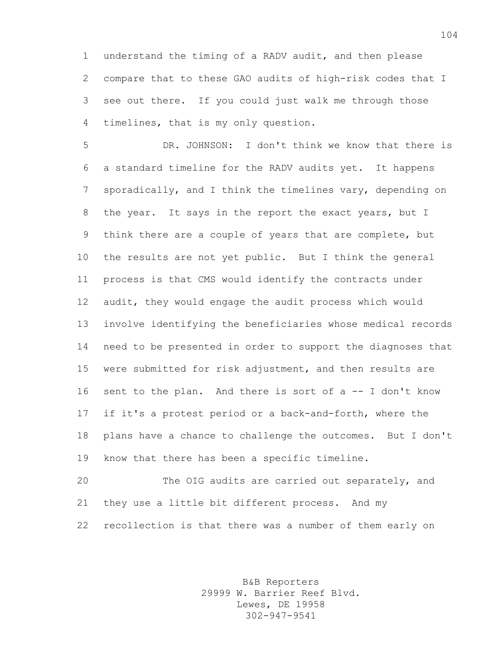understand the timing of a RADV audit, and then please compare that to these GAO audits of high-risk codes that I see out there. If you could just walk me through those timelines, that is my only question.

 DR. JOHNSON: I don't think we know that there is a standard timeline for the RADV audits yet. It happens sporadically, and I think the timelines vary, depending on 8 the year. It says in the report the exact years, but I think there are a couple of years that are complete, but the results are not yet public. But I think the general process is that CMS would identify the contracts under audit, they would engage the audit process which would involve identifying the beneficiaries whose medical records need to be presented in order to support the diagnoses that were submitted for risk adjustment, and then results are sent to the plan. And there is sort of a -- I don't know if it's a protest period or a back-and-forth, where the plans have a chance to challenge the outcomes. But I don't know that there has been a specific timeline.

 The OIG audits are carried out separately, and they use a little bit different process. And my recollection is that there was a number of them early on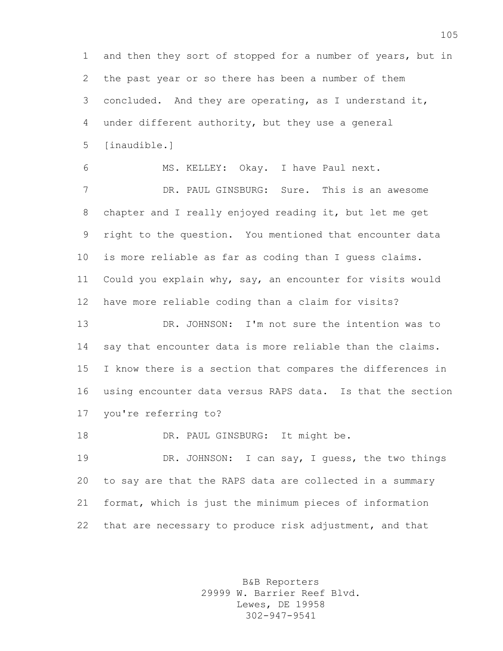and then they sort of stopped for a number of years, but in the past year or so there has been a number of them concluded. And they are operating, as I understand it, under different authority, but they use a general [inaudible.]

 MS. KELLEY: Okay. I have Paul next. DR. PAUL GINSBURG: Sure. This is an awesome chapter and I really enjoyed reading it, but let me get right to the question. You mentioned that encounter data is more reliable as far as coding than I guess claims. Could you explain why, say, an encounter for visits would have more reliable coding than a claim for visits?

 DR. JOHNSON: I'm not sure the intention was to say that encounter data is more reliable than the claims. I know there is a section that compares the differences in using encounter data versus RAPS data. Is that the section you're referring to?

18 DR. PAUL GINSBURG: It might be.

 DR. JOHNSON: I can say, I guess, the two things to say are that the RAPS data are collected in a summary format, which is just the minimum pieces of information that are necessary to produce risk adjustment, and that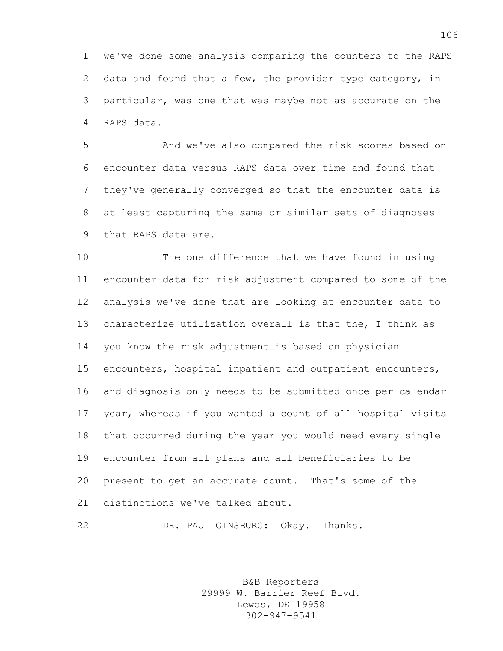we've done some analysis comparing the counters to the RAPS data and found that a few, the provider type category, in particular, was one that was maybe not as accurate on the RAPS data.

 And we've also compared the risk scores based on encounter data versus RAPS data over time and found that they've generally converged so that the encounter data is at least capturing the same or similar sets of diagnoses that RAPS data are.

 The one difference that we have found in using encounter data for risk adjustment compared to some of the analysis we've done that are looking at encounter data to characterize utilization overall is that the, I think as you know the risk adjustment is based on physician encounters, hospital inpatient and outpatient encounters, and diagnosis only needs to be submitted once per calendar year, whereas if you wanted a count of all hospital visits that occurred during the year you would need every single encounter from all plans and all beneficiaries to be present to get an accurate count. That's some of the distinctions we've talked about.

DR. PAUL GINSBURG: Okay. Thanks.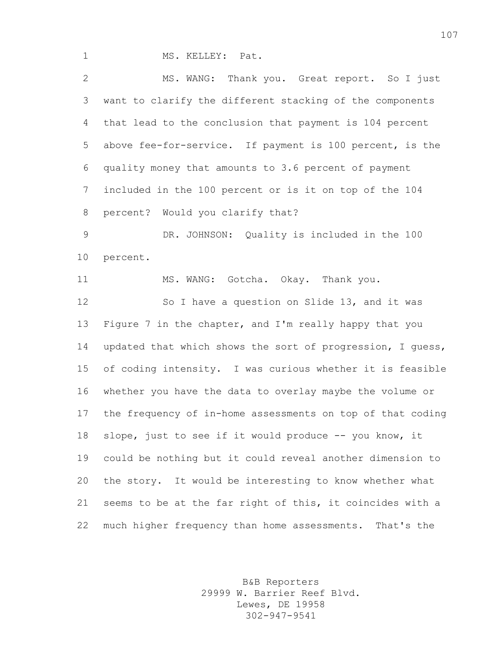1 MS. KELLEY: Pat.

 MS. WANG: Thank you. Great report. So I just want to clarify the different stacking of the components that lead to the conclusion that payment is 104 percent above fee-for-service. If payment is 100 percent, is the quality money that amounts to 3.6 percent of payment included in the 100 percent or is it on top of the 104 percent? Would you clarify that? DR. JOHNSON: Quality is included in the 100 percent. 11 MS. WANG: Gotcha. Okay. Thank you. So I have a question on Slide 13, and it was Figure 7 in the chapter, and I'm really happy that you updated that which shows the sort of progression, I guess, of coding intensity. I was curious whether it is feasible whether you have the data to overlay maybe the volume or the frequency of in-home assessments on top of that coding slope, just to see if it would produce -- you know, it could be nothing but it could reveal another dimension to the story. It would be interesting to know whether what seems to be at the far right of this, it coincides with a much higher frequency than home assessments. That's the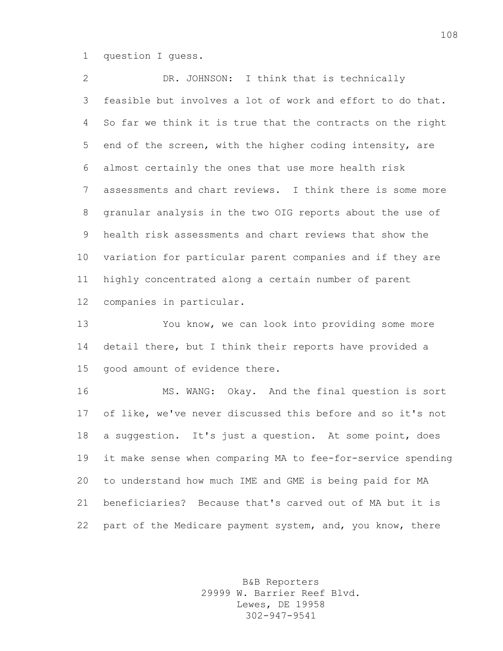question I guess.

 DR. JOHNSON: I think that is technically feasible but involves a lot of work and effort to do that. So far we think it is true that the contracts on the right end of the screen, with the higher coding intensity, are almost certainly the ones that use more health risk assessments and chart reviews. I think there is some more granular analysis in the two OIG reports about the use of health risk assessments and chart reviews that show the variation for particular parent companies and if they are highly concentrated along a certain number of parent companies in particular.

 You know, we can look into providing some more detail there, but I think their reports have provided a good amount of evidence there.

 MS. WANG: Okay. And the final question is sort of like, we've never discussed this before and so it's not a suggestion. It's just a question. At some point, does it make sense when comparing MA to fee-for-service spending to understand how much IME and GME is being paid for MA beneficiaries? Because that's carved out of MA but it is 22 part of the Medicare payment system, and, you know, there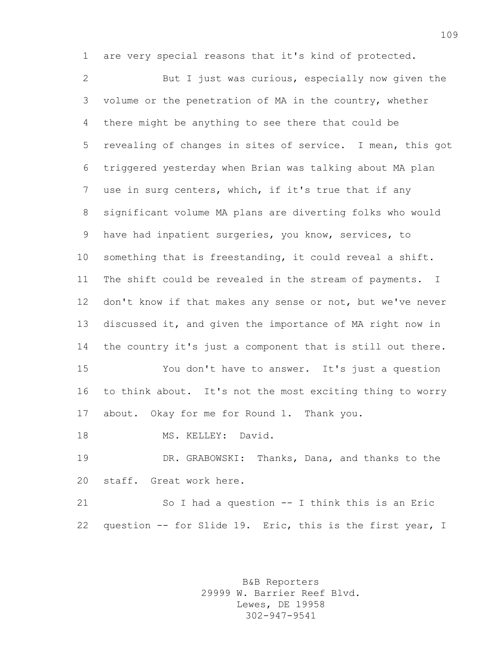are very special reasons that it's kind of protected.

 But I just was curious, especially now given the volume or the penetration of MA in the country, whether there might be anything to see there that could be revealing of changes in sites of service. I mean, this got triggered yesterday when Brian was talking about MA plan use in surg centers, which, if it's true that if any significant volume MA plans are diverting folks who would have had inpatient surgeries, you know, services, to something that is freestanding, it could reveal a shift. The shift could be revealed in the stream of payments. I don't know if that makes any sense or not, but we've never discussed it, and given the importance of MA right now in the country it's just a component that is still out there. You don't have to answer. It's just a question

 to think about. It's not the most exciting thing to worry about. Okay for me for Round 1. Thank you.

18 MS. KELLEY: David.

 DR. GRABOWSKI: Thanks, Dana, and thanks to the staff. Great work here.

 So I had a question -- I think this is an Eric question -- for Slide 19. Eric, this is the first year, I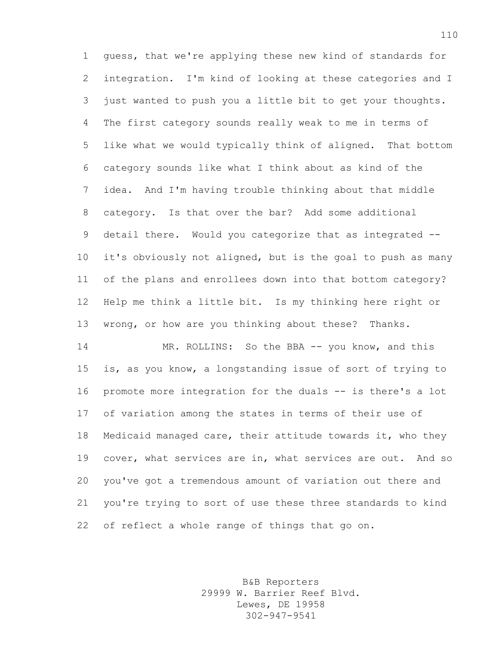guess, that we're applying these new kind of standards for integration. I'm kind of looking at these categories and I just wanted to push you a little bit to get your thoughts. The first category sounds really weak to me in terms of like what we would typically think of aligned. That bottom category sounds like what I think about as kind of the idea. And I'm having trouble thinking about that middle category. Is that over the bar? Add some additional 9 detail there. Would you categorize that as integrated -- it's obviously not aligned, but is the goal to push as many of the plans and enrollees down into that bottom category? Help me think a little bit. Is my thinking here right or wrong, or how are you thinking about these? Thanks.

14 MR. ROLLINS: So the BBA -- you know, and this is, as you know, a longstanding issue of sort of trying to promote more integration for the duals -- is there's a lot of variation among the states in terms of their use of Medicaid managed care, their attitude towards it, who they cover, what services are in, what services are out. And so you've got a tremendous amount of variation out there and you're trying to sort of use these three standards to kind of reflect a whole range of things that go on.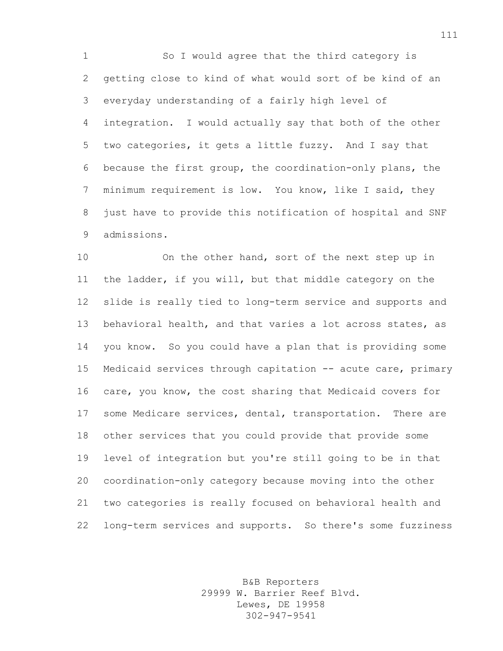So I would agree that the third category is getting close to kind of what would sort of be kind of an everyday understanding of a fairly high level of integration. I would actually say that both of the other two categories, it gets a little fuzzy. And I say that because the first group, the coordination-only plans, the minimum requirement is low. You know, like I said, they just have to provide this notification of hospital and SNF admissions.

 On the other hand, sort of the next step up in the ladder, if you will, but that middle category on the slide is really tied to long-term service and supports and behavioral health, and that varies a lot across states, as you know. So you could have a plan that is providing some Medicaid services through capitation -- acute care, primary care, you know, the cost sharing that Medicaid covers for some Medicare services, dental, transportation. There are other services that you could provide that provide some level of integration but you're still going to be in that coordination-only category because moving into the other two categories is really focused on behavioral health and long-term services and supports. So there's some fuzziness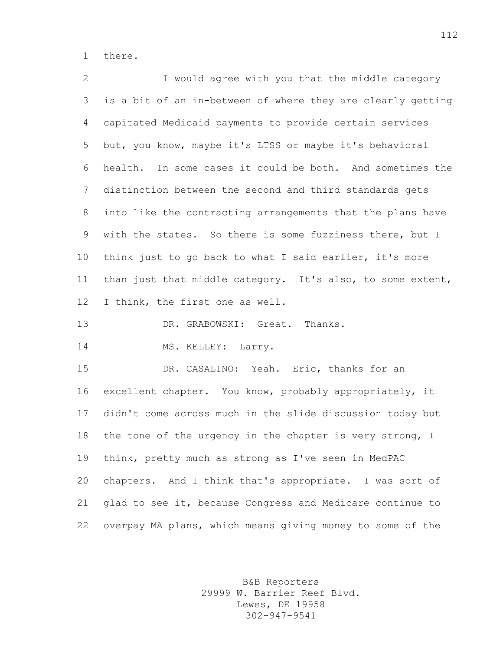there.

 I would agree with you that the middle category is a bit of an in-between of where they are clearly getting capitated Medicaid payments to provide certain services but, you know, maybe it's LTSS or maybe it's behavioral health. In some cases it could be both. And sometimes the distinction between the second and third standards gets into like the contracting arrangements that the plans have with the states. So there is some fuzziness there, but I think just to go back to what I said earlier, it's more than just that middle category. It's also, to some extent, I think, the first one as well. 13 DR. GRABOWSKI: Great. Thanks.

14 MS. KELLEY: Larry.

 DR. CASALINO: Yeah. Eric, thanks for an excellent chapter. You know, probably appropriately, it didn't come across much in the slide discussion today but the tone of the urgency in the chapter is very strong, I think, pretty much as strong as I've seen in MedPAC chapters. And I think that's appropriate. I was sort of glad to see it, because Congress and Medicare continue to overpay MA plans, which means giving money to some of the

> B&B Reporters 29999 W. Barrier Reef Blvd. Lewes, DE 19958 302-947-9541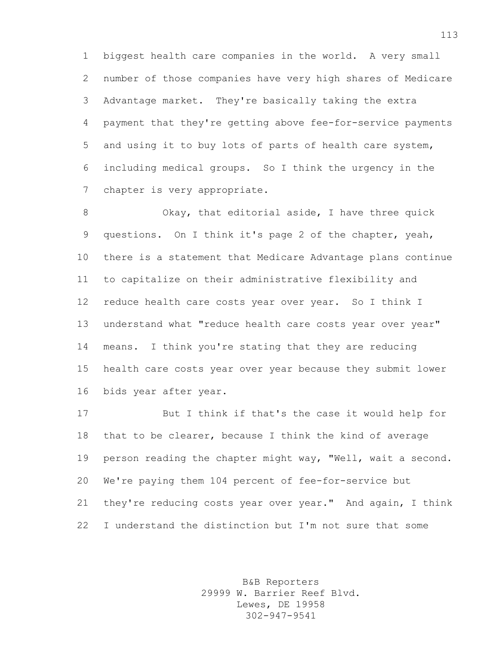biggest health care companies in the world. A very small number of those companies have very high shares of Medicare Advantage market. They're basically taking the extra payment that they're getting above fee-for-service payments and using it to buy lots of parts of health care system, including medical groups. So I think the urgency in the chapter is very appropriate.

8 Okay, that editorial aside, I have three quick questions. On I think it's page 2 of the chapter, yeah, there is a statement that Medicare Advantage plans continue to capitalize on their administrative flexibility and reduce health care costs year over year. So I think I 13 understand what "reduce health care costs year over year" means. I think you're stating that they are reducing health care costs year over year because they submit lower bids year after year.

 But I think if that's the case it would help for that to be clearer, because I think the kind of average 19 person reading the chapter might way, "Well, wait a second. We're paying them 104 percent of fee-for-service but they're reducing costs year over year." And again, I think I understand the distinction but I'm not sure that some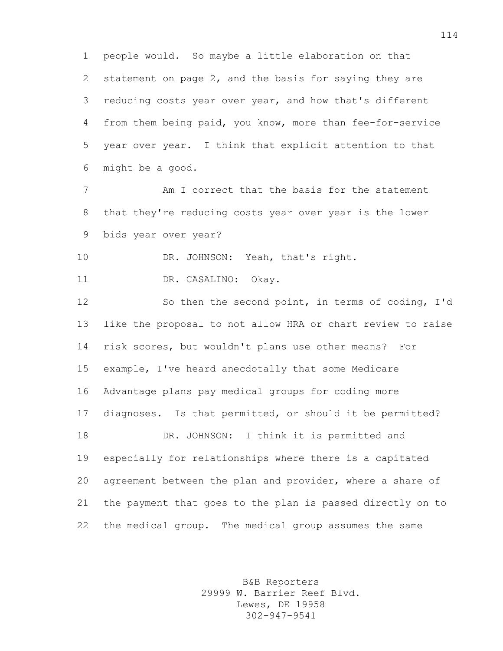people would. So maybe a little elaboration on that statement on page 2, and the basis for saying they are reducing costs year over year, and how that's different from them being paid, you know, more than fee-for-service year over year. I think that explicit attention to that might be a good.

 Am I correct that the basis for the statement that they're reducing costs year over year is the lower bids year over year?

10 DR. JOHNSON: Yeah, that's right.

11 DR. CASALINO: Okay.

 So then the second point, in terms of coding, I'd like the proposal to not allow HRA or chart review to raise risk scores, but wouldn't plans use other means? For example, I've heard anecdotally that some Medicare Advantage plans pay medical groups for coding more diagnoses. Is that permitted, or should it be permitted? DR. JOHNSON: I think it is permitted and especially for relationships where there is a capitated agreement between the plan and provider, where a share of the payment that goes to the plan is passed directly on to the medical group. The medical group assumes the same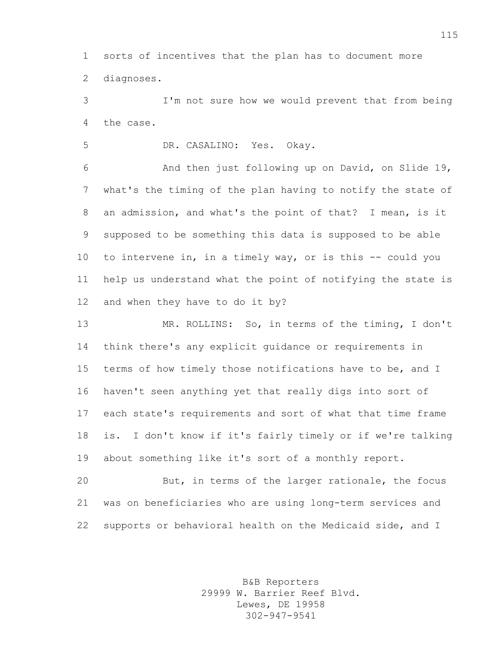sorts of incentives that the plan has to document more diagnoses.

 I'm not sure how we would prevent that from being the case.

DR. CASALINO: Yes. Okay.

 And then just following up on David, on Slide 19, what's the timing of the plan having to notify the state of an admission, and what's the point of that? I mean, is it supposed to be something this data is supposed to be able to intervene in, in a timely way, or is this -- could you help us understand what the point of notifying the state is and when they have to do it by?

 MR. ROLLINS: So, in terms of the timing, I don't think there's any explicit guidance or requirements in terms of how timely those notifications have to be, and I haven't seen anything yet that really digs into sort of each state's requirements and sort of what that time frame is. I don't know if it's fairly timely or if we're talking about something like it's sort of a monthly report.

 But, in terms of the larger rationale, the focus was on beneficiaries who are using long-term services and supports or behavioral health on the Medicaid side, and I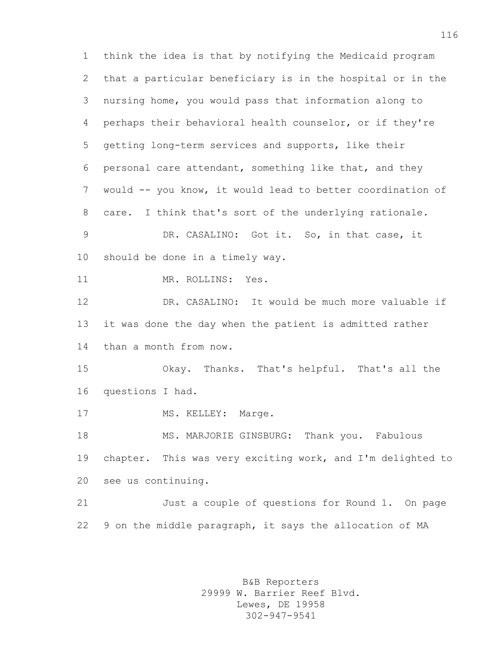think the idea is that by notifying the Medicaid program that a particular beneficiary is in the hospital or in the nursing home, you would pass that information along to perhaps their behavioral health counselor, or if they're getting long-term services and supports, like their personal care attendant, something like that, and they would -- you know, it would lead to better coordination of care. I think that's sort of the underlying rationale. DR. CASALINO: Got it. So, in that case, it should be done in a timely way. MR. ROLLINS: Yes. DR. CASALINO: It would be much more valuable if it was done the day when the patient is admitted rather than a month from now. Okay. Thanks. That's helpful. That's all the questions I had. 17 MS. KELLEY: Marge. MS. MARJORIE GINSBURG: Thank you. Fabulous chapter. This was very exciting work, and I'm delighted to see us continuing. Just a couple of questions for Round 1. On page 9 on the middle paragraph, it says the allocation of MA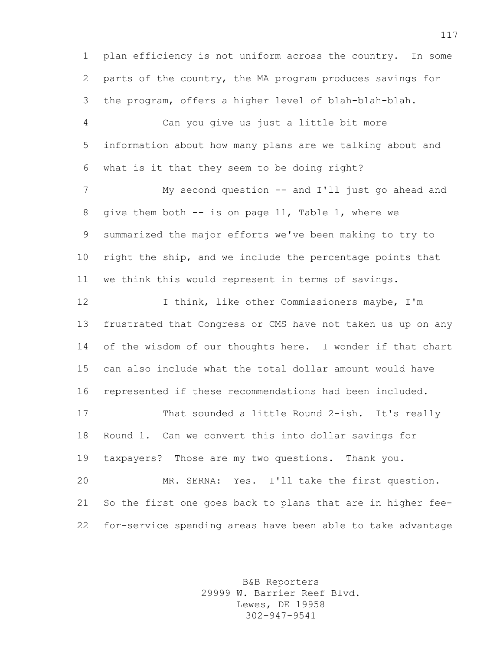plan efficiency is not uniform across the country. In some parts of the country, the MA program produces savings for the program, offers a higher level of blah-blah-blah.

 Can you give us just a little bit more information about how many plans are we talking about and what is it that they seem to be doing right?

 My second question -- and I'll just go ahead and give them both -- is on page 11, Table 1, where we summarized the major efforts we've been making to try to right the ship, and we include the percentage points that we think this would represent in terms of savings.

 I think, like other Commissioners maybe, I'm frustrated that Congress or CMS have not taken us up on any 14 of the wisdom of our thoughts here. I wonder if that chart can also include what the total dollar amount would have represented if these recommendations had been included.

 That sounded a little Round 2-ish. It's really Round 1. Can we convert this into dollar savings for taxpayers? Those are my two questions. Thank you.

 MR. SERNA: Yes. I'll take the first question. So the first one goes back to plans that are in higher fee-for-service spending areas have been able to take advantage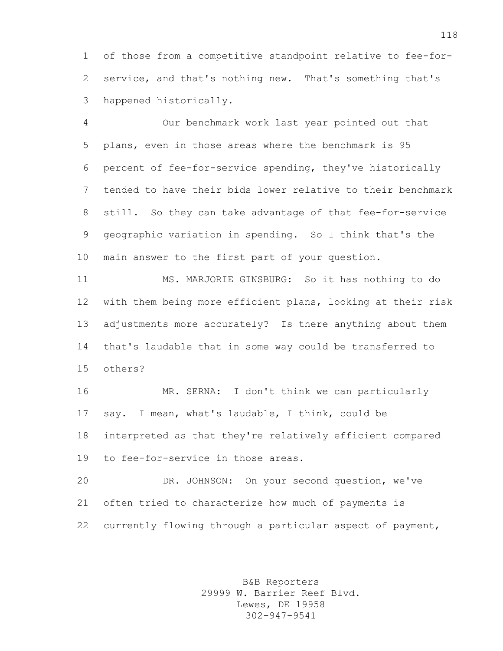of those from a competitive standpoint relative to fee-for- service, and that's nothing new. That's something that's happened historically.

 Our benchmark work last year pointed out that plans, even in those areas where the benchmark is 95 percent of fee-for-service spending, they've historically tended to have their bids lower relative to their benchmark still. So they can take advantage of that fee-for-service geographic variation in spending. So I think that's the main answer to the first part of your question.

 MS. MARJORIE GINSBURG: So it has nothing to do with them being more efficient plans, looking at their risk adjustments more accurately? Is there anything about them that's laudable that in some way could be transferred to others?

 MR. SERNA: I don't think we can particularly say. I mean, what's laudable, I think, could be interpreted as that they're relatively efficient compared to fee-for-service in those areas.

 DR. JOHNSON: On your second question, we've often tried to characterize how much of payments is currently flowing through a particular aspect of payment,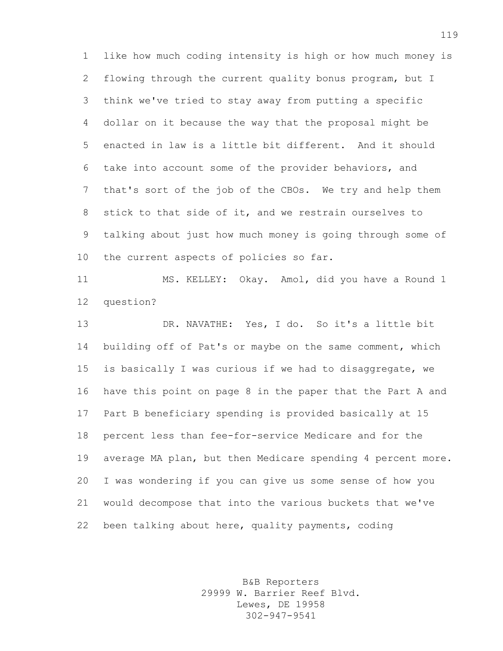like how much coding intensity is high or how much money is flowing through the current quality bonus program, but I think we've tried to stay away from putting a specific dollar on it because the way that the proposal might be enacted in law is a little bit different. And it should take into account some of the provider behaviors, and that's sort of the job of the CBOs. We try and help them stick to that side of it, and we restrain ourselves to talking about just how much money is going through some of the current aspects of policies so far.

 MS. KELLEY: Okay. Amol, did you have a Round 1 question?

 DR. NAVATHE: Yes, I do. So it's a little bit building off of Pat's or maybe on the same comment, which is basically I was curious if we had to disaggregate, we have this point on page 8 in the paper that the Part A and Part B beneficiary spending is provided basically at 15 percent less than fee-for-service Medicare and for the average MA plan, but then Medicare spending 4 percent more. I was wondering if you can give us some sense of how you would decompose that into the various buckets that we've been talking about here, quality payments, coding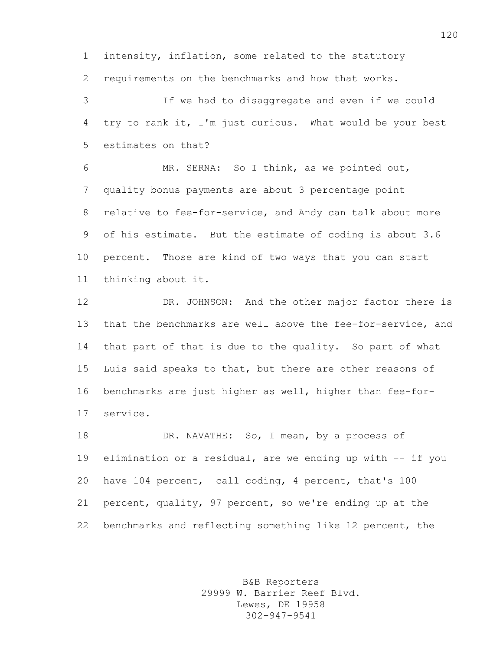intensity, inflation, some related to the statutory requirements on the benchmarks and how that works.

 If we had to disaggregate and even if we could try to rank it, I'm just curious. What would be your best estimates on that?

 MR. SERNA: So I think, as we pointed out, quality bonus payments are about 3 percentage point relative to fee-for-service, and Andy can talk about more of his estimate. But the estimate of coding is about 3.6 percent. Those are kind of two ways that you can start thinking about it.

 DR. JOHNSON: And the other major factor there is that the benchmarks are well above the fee-for-service, and that part of that is due to the quality. So part of what Luis said speaks to that, but there are other reasons of benchmarks are just higher as well, higher than fee-for-service.

18 DR. NAVATHE: So, I mean, by a process of elimination or a residual, are we ending up with -- if you have 104 percent, call coding, 4 percent, that's 100 percent, quality, 97 percent, so we're ending up at the benchmarks and reflecting something like 12 percent, the

> B&B Reporters 29999 W. Barrier Reef Blvd. Lewes, DE 19958 302-947-9541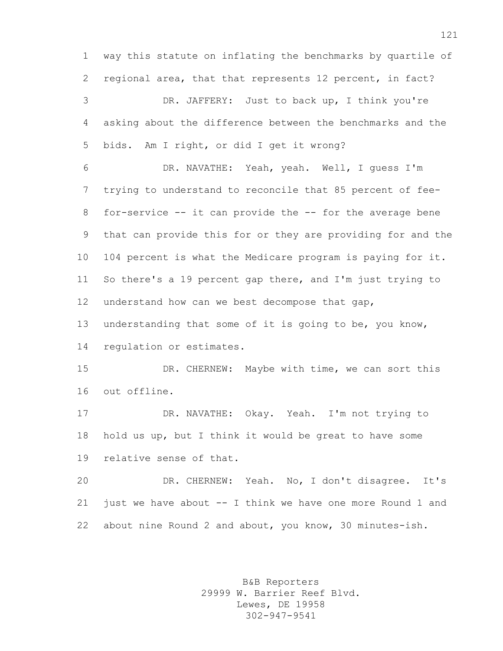way this statute on inflating the benchmarks by quartile of regional area, that that represents 12 percent, in fact? DR. JAFFERY: Just to back up, I think you're asking about the difference between the benchmarks and the bids. Am I right, or did I get it wrong? DR. NAVATHE: Yeah, yeah. Well, I guess I'm

 trying to understand to reconcile that 85 percent of fee- for-service -- it can provide the -- for the average bene that can provide this for or they are providing for and the 104 percent is what the Medicare program is paying for it. So there's a 19 percent gap there, and I'm just trying to understand how can we best decompose that gap,

 understanding that some of it is going to be, you know, regulation or estimates.

 DR. CHERNEW: Maybe with time, we can sort this out offline.

 DR. NAVATHE: Okay. Yeah. I'm not trying to hold us up, but I think it would be great to have some relative sense of that.

 DR. CHERNEW: Yeah. No, I don't disagree. It's just we have about -- I think we have one more Round 1 and about nine Round 2 and about, you know, 30 minutes-ish.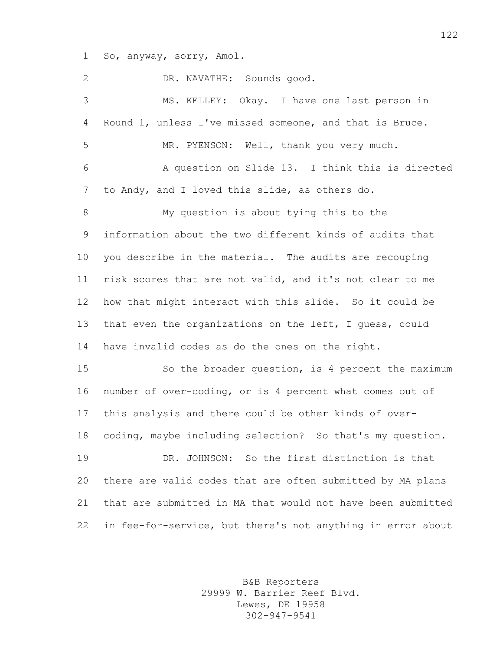So, anyway, sorry, Amol.

| 2     | DR. NAVATHE: Sounds good.                                   |
|-------|-------------------------------------------------------------|
| 3     | MS. KELLEY: Okay. I have one last person in                 |
| 4     | Round 1, unless I've missed someone, and that is Bruce.     |
| 5     | MR. PYENSON: Well, thank you very much.                     |
| 6     | A question on Slide 13. I think this is directed            |
| 7     | to Andy, and I loved this slide, as others do.              |
| $8\,$ | My question is about tying this to the                      |
| 9     | information about the two different kinds of audits that    |
| 10    | you describe in the material. The audits are recouping      |
| 11    | risk scores that are not valid, and it's not clear to me    |
| 12    | how that might interact with this slide. So it could be     |
| 13    | that even the organizations on the left, I guess, could     |
| 14    | have invalid codes as do the ones on the right.             |
| 15    | So the broader question, is 4 percent the maximum           |
| 16    | number of over-coding, or is 4 percent what comes out of    |
| 17    | this analysis and there could be other kinds of over-       |
| 18    | coding, maybe including selection? So that's my question.   |
| 19    | DR. JOHNSON: So the first distinction is that               |
| 20    | there are valid codes that are often submitted by MA plans  |
| 21    | that are submitted in MA that would not have been submitted |
| 22    | in fee-for-service, but there's not anything in error about |

B&B Reporters 29999 W. Barrier Reef Blvd. Lewes, DE 19958 302-947-9541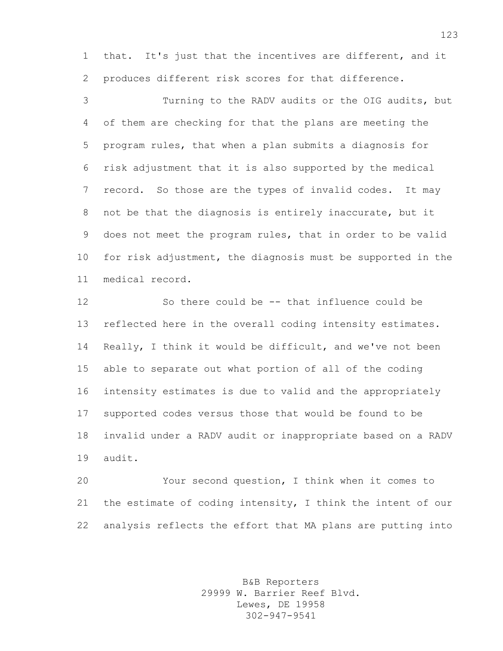that. It's just that the incentives are different, and it produces different risk scores for that difference.

 Turning to the RADV audits or the OIG audits, but of them are checking for that the plans are meeting the program rules, that when a plan submits a diagnosis for risk adjustment that it is also supported by the medical record. So those are the types of invalid codes. It may not be that the diagnosis is entirely inaccurate, but it does not meet the program rules, that in order to be valid for risk adjustment, the diagnosis must be supported in the medical record.

 So there could be -- that influence could be reflected here in the overall coding intensity estimates. Really, I think it would be difficult, and we've not been able to separate out what portion of all of the coding intensity estimates is due to valid and the appropriately supported codes versus those that would be found to be invalid under a RADV audit or inappropriate based on a RADV audit.

 Your second question, I think when it comes to the estimate of coding intensity, I think the intent of our analysis reflects the effort that MA plans are putting into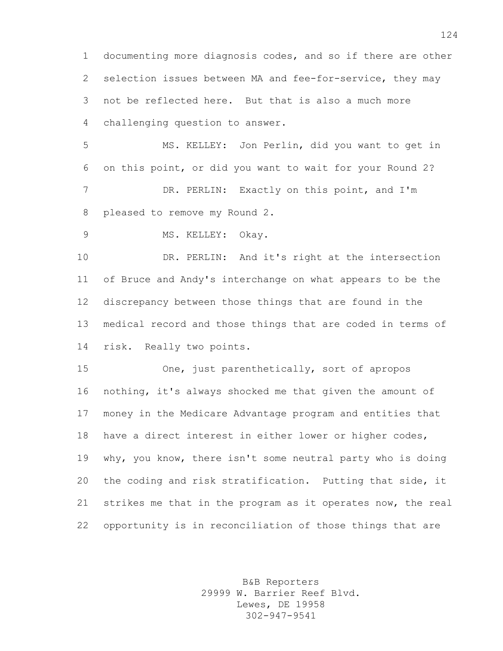documenting more diagnosis codes, and so if there are other selection issues between MA and fee-for-service, they may not be reflected here. But that is also a much more challenging question to answer.

 MS. KELLEY: Jon Perlin, did you want to get in on this point, or did you want to wait for your Round 2? 7 DR. PERLIN: Exactly on this point, and I'm pleased to remove my Round 2.

9 MS. KELLEY: Okay.

 DR. PERLIN: And it's right at the intersection of Bruce and Andy's interchange on what appears to be the discrepancy between those things that are found in the medical record and those things that are coded in terms of risk. Really two points.

 One, just parenthetically, sort of apropos nothing, it's always shocked me that given the amount of money in the Medicare Advantage program and entities that have a direct interest in either lower or higher codes, why, you know, there isn't some neutral party who is doing the coding and risk stratification. Putting that side, it strikes me that in the program as it operates now, the real opportunity is in reconciliation of those things that are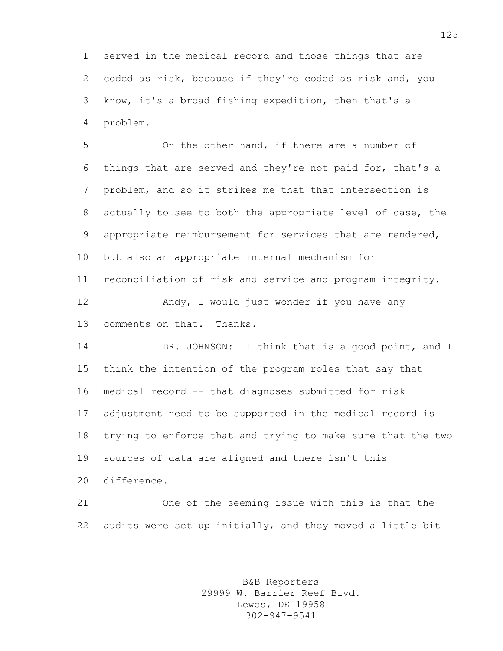served in the medical record and those things that are coded as risk, because if they're coded as risk and, you know, it's a broad fishing expedition, then that's a problem.

 On the other hand, if there are a number of things that are served and they're not paid for, that's a problem, and so it strikes me that that intersection is actually to see to both the appropriate level of case, the appropriate reimbursement for services that are rendered, but also an appropriate internal mechanism for reconciliation of risk and service and program integrity. 12 Andy, I would just wonder if you have any comments on that. Thanks.

 DR. JOHNSON: I think that is a good point, and I think the intention of the program roles that say that medical record -- that diagnoses submitted for risk adjustment need to be supported in the medical record is trying to enforce that and trying to make sure that the two sources of data are aligned and there isn't this difference.

 One of the seeming issue with this is that the audits were set up initially, and they moved a little bit

> B&B Reporters 29999 W. Barrier Reef Blvd. Lewes, DE 19958 302-947-9541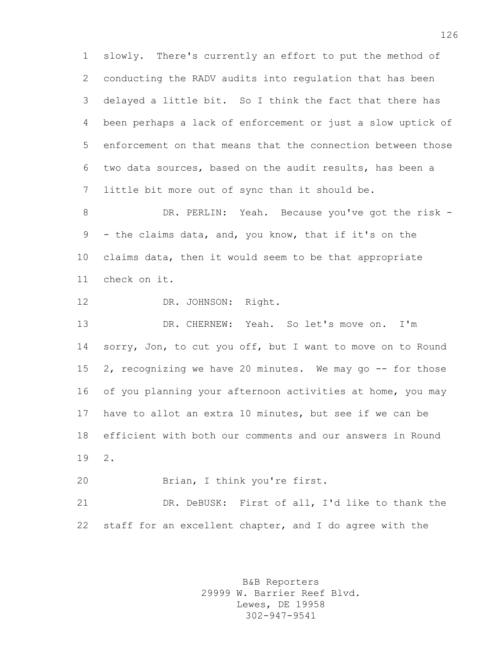slowly. There's currently an effort to put the method of conducting the RADV audits into regulation that has been delayed a little bit. So I think the fact that there has been perhaps a lack of enforcement or just a slow uptick of enforcement on that means that the connection between those two data sources, based on the audit results, has been a little bit more out of sync than it should be.

 DR. PERLIN: Yeah. Because you've got the risk - - the claims data, and, you know, that if it's on the claims data, then it would seem to be that appropriate check on it.

12 DR. JOHNSON: Right.

 DR. CHERNEW: Yeah. So let's move on. I'm 14 sorry, Jon, to cut you off, but I want to move on to Round 15 2, recognizing we have 20 minutes. We may go -- for those of you planning your afternoon activities at home, you may have to allot an extra 10 minutes, but see if we can be efficient with both our comments and our answers in Round 2.

Brian, I think you're first.

 DR. DeBUSK: First of all, I'd like to thank the staff for an excellent chapter, and I do agree with the

> B&B Reporters 29999 W. Barrier Reef Blvd. Lewes, DE 19958 302-947-9541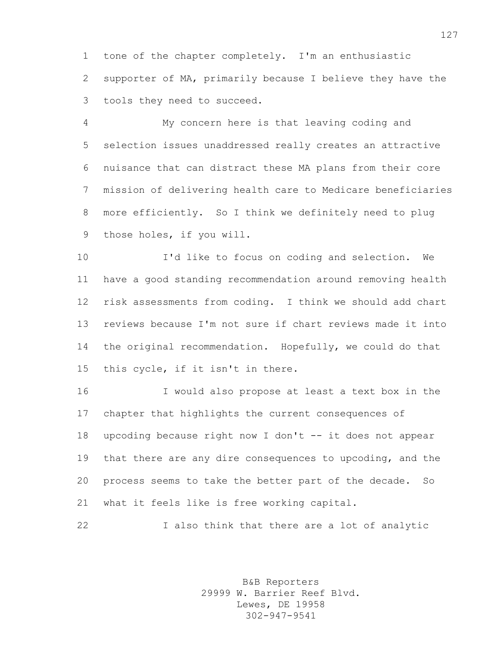tone of the chapter completely. I'm an enthusiastic supporter of MA, primarily because I believe they have the tools they need to succeed.

 My concern here is that leaving coding and selection issues unaddressed really creates an attractive nuisance that can distract these MA plans from their core mission of delivering health care to Medicare beneficiaries more efficiently. So I think we definitely need to plug those holes, if you will.

 I'd like to focus on coding and selection. We have a good standing recommendation around removing health risk assessments from coding. I think we should add chart reviews because I'm not sure if chart reviews made it into the original recommendation. Hopefully, we could do that this cycle, if it isn't in there.

 I would also propose at least a text box in the chapter that highlights the current consequences of upcoding because right now I don't -- it does not appear that there are any dire consequences to upcoding, and the process seems to take the better part of the decade. So what it feels like is free working capital.

I also think that there are a lot of analytic

B&B Reporters 29999 W. Barrier Reef Blvd. Lewes, DE 19958 302-947-9541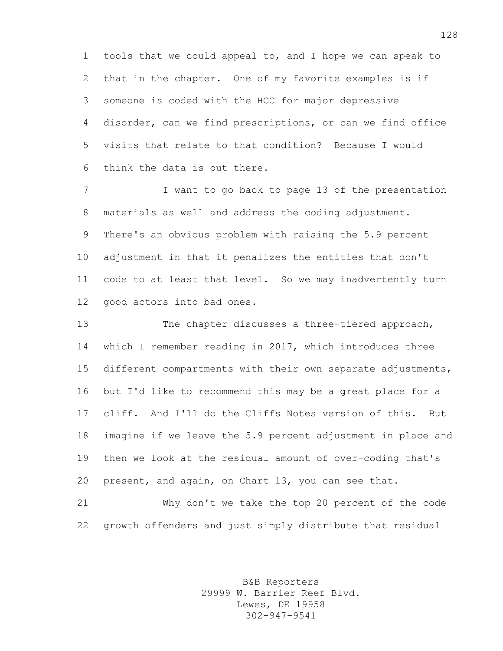tools that we could appeal to, and I hope we can speak to that in the chapter. One of my favorite examples is if someone is coded with the HCC for major depressive disorder, can we find prescriptions, or can we find office visits that relate to that condition? Because I would think the data is out there.

7 I want to go back to page 13 of the presentation materials as well and address the coding adjustment. There's an obvious problem with raising the 5.9 percent adjustment in that it penalizes the entities that don't code to at least that level. So we may inadvertently turn good actors into bad ones.

 The chapter discusses a three-tiered approach, which I remember reading in 2017, which introduces three different compartments with their own separate adjustments, but I'd like to recommend this may be a great place for a cliff. And I'll do the Cliffs Notes version of this. But imagine if we leave the 5.9 percent adjustment in place and then we look at the residual amount of over-coding that's present, and again, on Chart 13, you can see that.

 Why don't we take the top 20 percent of the code growth offenders and just simply distribute that residual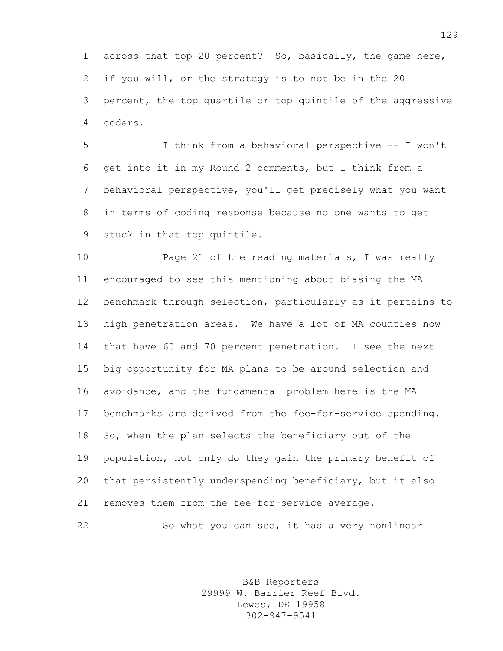across that top 20 percent? So, basically, the game here, if you will, or the strategy is to not be in the 20 percent, the top quartile or top quintile of the aggressive coders.

 I think from a behavioral perspective -- I won't get into it in my Round 2 comments, but I think from a behavioral perspective, you'll get precisely what you want in terms of coding response because no one wants to get stuck in that top quintile.

 Page 21 of the reading materials, I was really encouraged to see this mentioning about biasing the MA benchmark through selection, particularly as it pertains to high penetration areas. We have a lot of MA counties now that have 60 and 70 percent penetration. I see the next big opportunity for MA plans to be around selection and avoidance, and the fundamental problem here is the MA benchmarks are derived from the fee-for-service spending. So, when the plan selects the beneficiary out of the population, not only do they gain the primary benefit of that persistently underspending beneficiary, but it also removes them from the fee-for-service average.

So what you can see, it has a very nonlinear

B&B Reporters 29999 W. Barrier Reef Blvd. Lewes, DE 19958 302-947-9541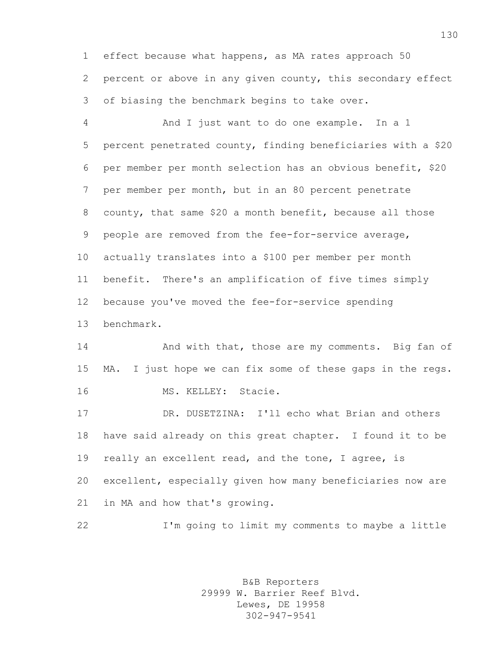effect because what happens, as MA rates approach 50 percent or above in any given county, this secondary effect of biasing the benchmark begins to take over.

 And I just want to do one example. In a 1 percent penetrated county, finding beneficiaries with a \$20 per member per month selection has an obvious benefit, \$20 per member per month, but in an 80 percent penetrate county, that same \$20 a month benefit, because all those people are removed from the fee-for-service average, actually translates into a \$100 per member per month benefit. There's an amplification of five times simply because you've moved the fee-for-service spending benchmark.

14 And with that, those are my comments. Big fan of MA. I just hope we can fix some of these gaps in the regs. MS. KELLEY: Stacie.

 DR. DUSETZINA: I'll echo what Brian and others have said already on this great chapter. I found it to be really an excellent read, and the tone, I agree, is excellent, especially given how many beneficiaries now are in MA and how that's growing.

I'm going to limit my comments to maybe a little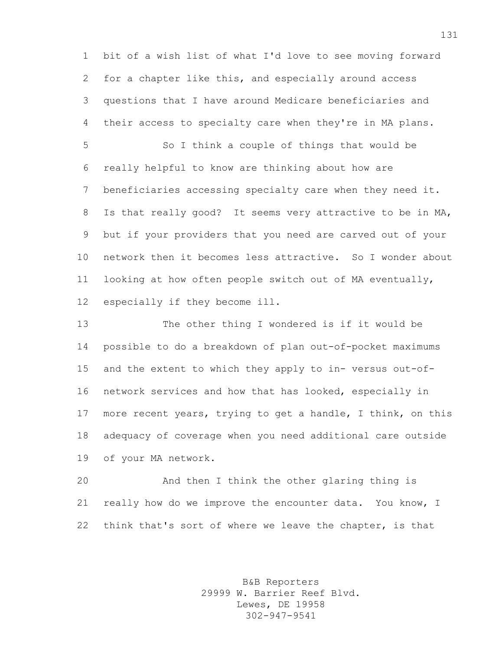bit of a wish list of what I'd love to see moving forward for a chapter like this, and especially around access questions that I have around Medicare beneficiaries and their access to specialty care when they're in MA plans.

 So I think a couple of things that would be really helpful to know are thinking about how are beneficiaries accessing specialty care when they need it. Is that really good? It seems very attractive to be in MA, but if your providers that you need are carved out of your network then it becomes less attractive. So I wonder about looking at how often people switch out of MA eventually, especially if they become ill.

 The other thing I wondered is if it would be possible to do a breakdown of plan out-of-pocket maximums and the extent to which they apply to in- versus out-of- network services and how that has looked, especially in more recent years, trying to get a handle, I think, on this adequacy of coverage when you need additional care outside of your MA network.

 And then I think the other glaring thing is really how do we improve the encounter data. You know, I think that's sort of where we leave the chapter, is that

> B&B Reporters 29999 W. Barrier Reef Blvd. Lewes, DE 19958 302-947-9541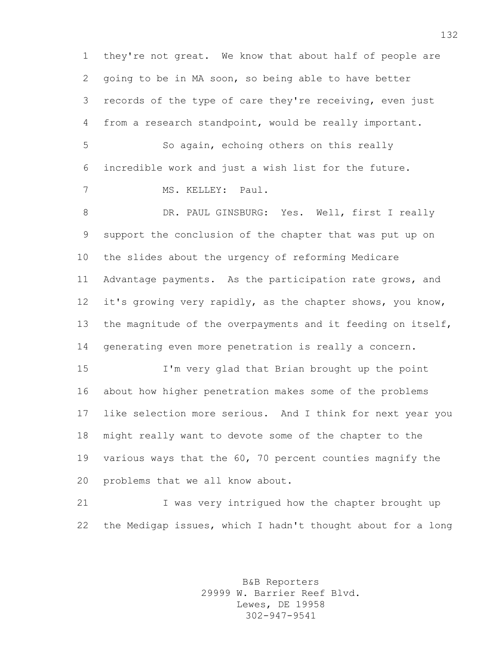they're not great. We know that about half of people are going to be in MA soon, so being able to have better records of the type of care they're receiving, even just from a research standpoint, would be really important.

 So again, echoing others on this really incredible work and just a wish list for the future.

MS. KELLEY: Paul.

8 DR. PAUL GINSBURG: Yes. Well, first I really support the conclusion of the chapter that was put up on the slides about the urgency of reforming Medicare Advantage payments. As the participation rate grows, and it's growing very rapidly, as the chapter shows, you know, the magnitude of the overpayments and it feeding on itself, generating even more penetration is really a concern.

 I'm very glad that Brian brought up the point about how higher penetration makes some of the problems like selection more serious. And I think for next year you might really want to devote some of the chapter to the various ways that the 60, 70 percent counties magnify the problems that we all know about.

21 I was very intrigued how the chapter brought up the Medigap issues, which I hadn't thought about for a long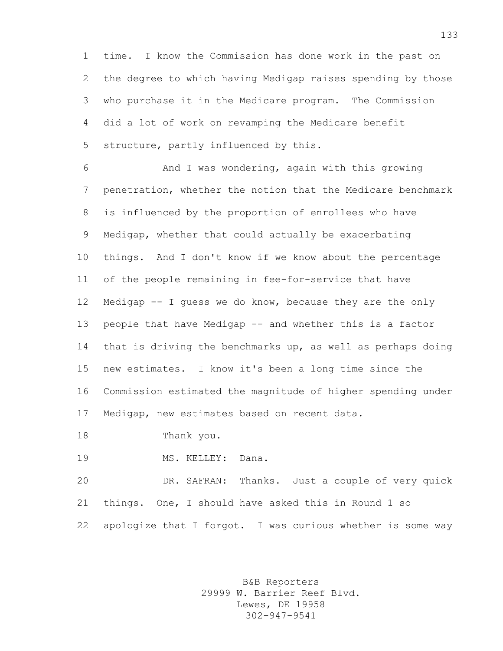time. I know the Commission has done work in the past on the degree to which having Medigap raises spending by those who purchase it in the Medicare program. The Commission did a lot of work on revamping the Medicare benefit structure, partly influenced by this.

 And I was wondering, again with this growing penetration, whether the notion that the Medicare benchmark is influenced by the proportion of enrollees who have Medigap, whether that could actually be exacerbating things. And I don't know if we know about the percentage of the people remaining in fee-for-service that have Medigap -- I guess we do know, because they are the only people that have Medigap -- and whether this is a factor that is driving the benchmarks up, as well as perhaps doing new estimates. I know it's been a long time since the Commission estimated the magnitude of higher spending under Medigap, new estimates based on recent data.

Thank you.

MS. KELLEY: Dana.

 DR. SAFRAN: Thanks. Just a couple of very quick things. One, I should have asked this in Round 1 so apologize that I forgot. I was curious whether is some way

> B&B Reporters 29999 W. Barrier Reef Blvd. Lewes, DE 19958 302-947-9541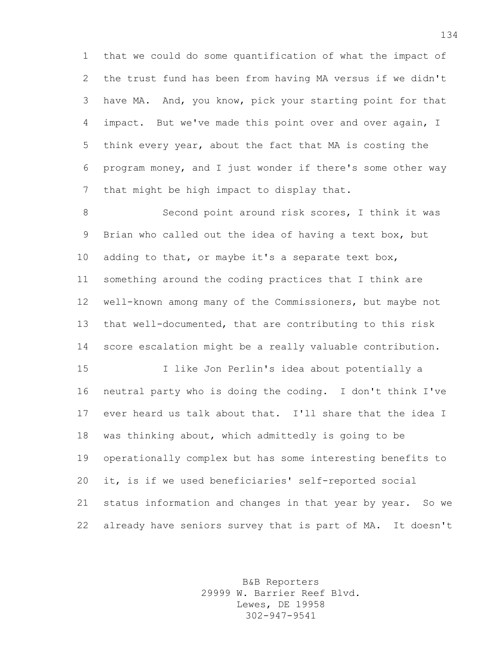that we could do some quantification of what the impact of the trust fund has been from having MA versus if we didn't have MA. And, you know, pick your starting point for that impact. But we've made this point over and over again, I think every year, about the fact that MA is costing the program money, and I just wonder if there's some other way that might be high impact to display that.

8 Second point around risk scores, I think it was Brian who called out the idea of having a text box, but adding to that, or maybe it's a separate text box, something around the coding practices that I think are well-known among many of the Commissioners, but maybe not that well-documented, that are contributing to this risk score escalation might be a really valuable contribution.

 I like Jon Perlin's idea about potentially a neutral party who is doing the coding. I don't think I've ever heard us talk about that. I'll share that the idea I was thinking about, which admittedly is going to be operationally complex but has some interesting benefits to it, is if we used beneficiaries' self-reported social status information and changes in that year by year. So we already have seniors survey that is part of MA. It doesn't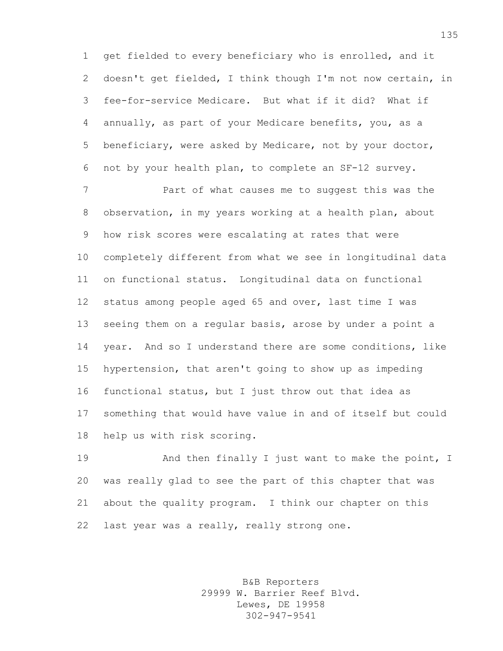get fielded to every beneficiary who is enrolled, and it doesn't get fielded, I think though I'm not now certain, in fee-for-service Medicare. But what if it did? What if annually, as part of your Medicare benefits, you, as a beneficiary, were asked by Medicare, not by your doctor, not by your health plan, to complete an SF-12 survey.

 Part of what causes me to suggest this was the observation, in my years working at a health plan, about how risk scores were escalating at rates that were completely different from what we see in longitudinal data on functional status. Longitudinal data on functional status among people aged 65 and over, last time I was seeing them on a regular basis, arose by under a point a year. And so I understand there are some conditions, like hypertension, that aren't going to show up as impeding functional status, but I just throw out that idea as something that would have value in and of itself but could help us with risk scoring.

19 And then finally I just want to make the point, I was really glad to see the part of this chapter that was about the quality program. I think our chapter on this last year was a really, really strong one.

> B&B Reporters 29999 W. Barrier Reef Blvd. Lewes, DE 19958 302-947-9541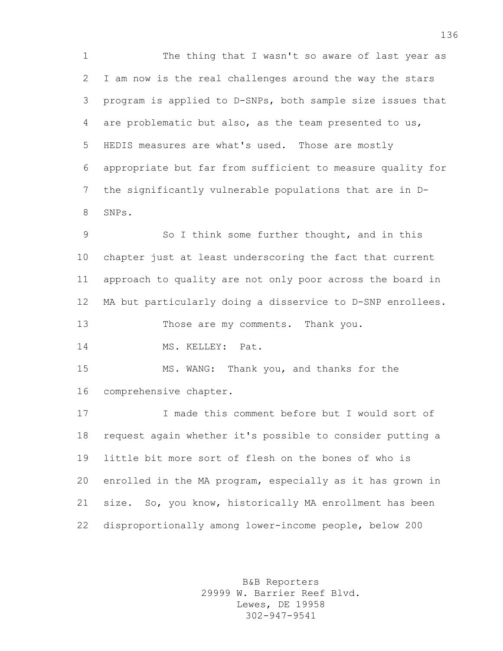The thing that I wasn't so aware of last year as I am now is the real challenges around the way the stars program is applied to D-SNPs, both sample size issues that are problematic but also, as the team presented to us, HEDIS measures are what's used. Those are mostly appropriate but far from sufficient to measure quality for the significantly vulnerable populations that are in D-SNPs.

 So I think some further thought, and in this chapter just at least underscoring the fact that current approach to quality are not only poor across the board in MA but particularly doing a disservice to D-SNP enrollees.

Those are my comments. Thank you.

14 MS. KELLEY: Pat.

 MS. WANG: Thank you, and thanks for the comprehensive chapter.

 I made this comment before but I would sort of request again whether it's possible to consider putting a little bit more sort of flesh on the bones of who is enrolled in the MA program, especially as it has grown in size. So, you know, historically MA enrollment has been disproportionally among lower-income people, below 200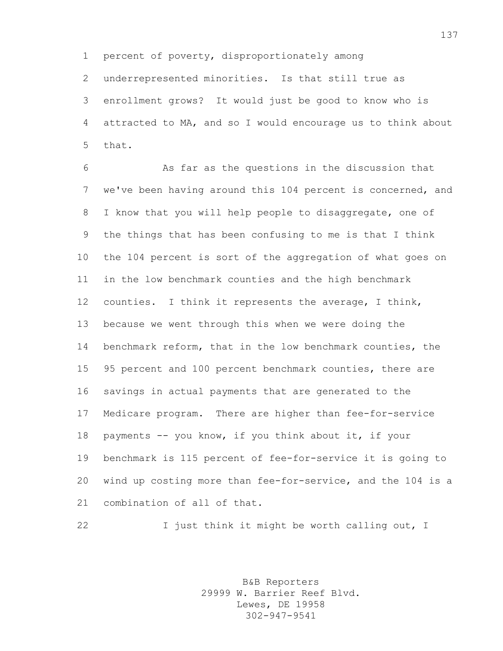percent of poverty, disproportionately among

 underrepresented minorities. Is that still true as enrollment grows? It would just be good to know who is attracted to MA, and so I would encourage us to think about that.

 As far as the questions in the discussion that we've been having around this 104 percent is concerned, and I know that you will help people to disaggregate, one of the things that has been confusing to me is that I think the 104 percent is sort of the aggregation of what goes on in the low benchmark counties and the high benchmark counties. I think it represents the average, I think, because we went through this when we were doing the benchmark reform, that in the low benchmark counties, the 95 percent and 100 percent benchmark counties, there are savings in actual payments that are generated to the Medicare program. There are higher than fee-for-service payments -- you know, if you think about it, if your benchmark is 115 percent of fee-for-service it is going to wind up costing more than fee-for-service, and the 104 is a combination of all of that.

22 I just think it might be worth calling out, I

B&B Reporters 29999 W. Barrier Reef Blvd. Lewes, DE 19958 302-947-9541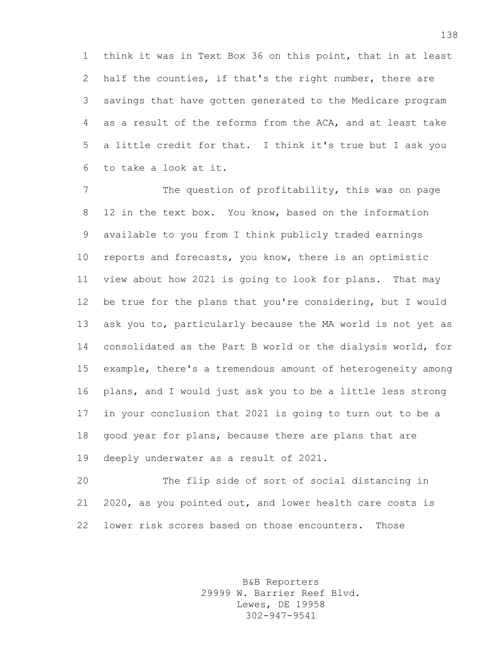think it was in Text Box 36 on this point, that in at least half the counties, if that's the right number, there are savings that have gotten generated to the Medicare program as a result of the reforms from the ACA, and at least take a little credit for that. I think it's true but I ask you to take a look at it.

 The question of profitability, this was on page 12 in the text box. You know, based on the information available to you from I think publicly traded earnings reports and forecasts, you know, there is an optimistic view about how 2021 is going to look for plans. That may be true for the plans that you're considering, but I would ask you to, particularly because the MA world is not yet as consolidated as the Part B world or the dialysis world, for example, there's a tremendous amount of heterogeneity among plans, and I would just ask you to be a little less strong in your conclusion that 2021 is going to turn out to be a good year for plans, because there are plans that are deeply underwater as a result of 2021.

 The flip side of sort of social distancing in 2020, as you pointed out, and lower health care costs is lower risk scores based on those encounters. Those

> B&B Reporters 29999 W. Barrier Reef Blvd. Lewes, DE 19958 302-947-9541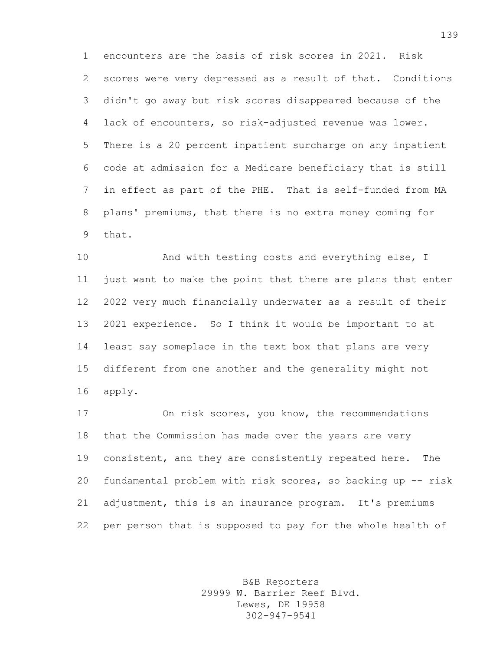encounters are the basis of risk scores in 2021. Risk scores were very depressed as a result of that. Conditions didn't go away but risk scores disappeared because of the lack of encounters, so risk-adjusted revenue was lower. There is a 20 percent inpatient surcharge on any inpatient code at admission for a Medicare beneficiary that is still in effect as part of the PHE. That is self-funded from MA plans' premiums, that there is no extra money coming for that.

10 And with testing costs and everything else, I just want to make the point that there are plans that enter 2022 very much financially underwater as a result of their 2021 experience. So I think it would be important to at least say someplace in the text box that plans are very different from one another and the generality might not apply.

 On risk scores, you know, the recommendations that the Commission has made over the years are very consistent, and they are consistently repeated here. The fundamental problem with risk scores, so backing up -- risk adjustment, this is an insurance program. It's premiums per person that is supposed to pay for the whole health of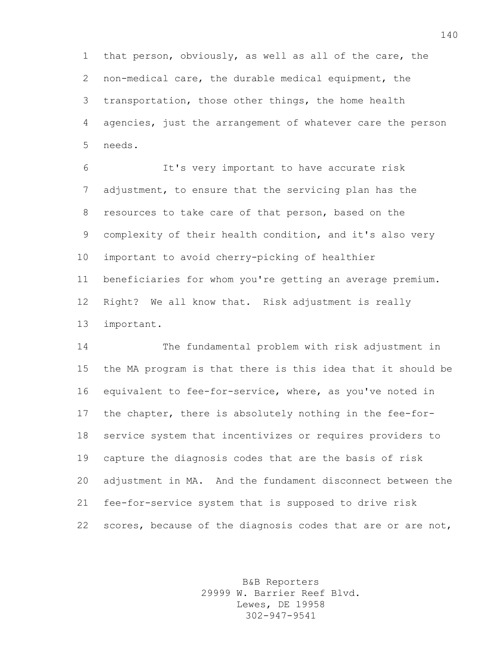that person, obviously, as well as all of the care, the non-medical care, the durable medical equipment, the transportation, those other things, the home health agencies, just the arrangement of whatever care the person needs.

 It's very important to have accurate risk adjustment, to ensure that the servicing plan has the resources to take care of that person, based on the complexity of their health condition, and it's also very important to avoid cherry-picking of healthier beneficiaries for whom you're getting an average premium. Right? We all know that. Risk adjustment is really important.

 The fundamental problem with risk adjustment in the MA program is that there is this idea that it should be equivalent to fee-for-service, where, as you've noted in the chapter, there is absolutely nothing in the fee-for- service system that incentivizes or requires providers to capture the diagnosis codes that are the basis of risk adjustment in MA. And the fundament disconnect between the fee-for-service system that is supposed to drive risk 22 scores, because of the diagnosis codes that are or are not,

> B&B Reporters 29999 W. Barrier Reef Blvd. Lewes, DE 19958 302-947-9541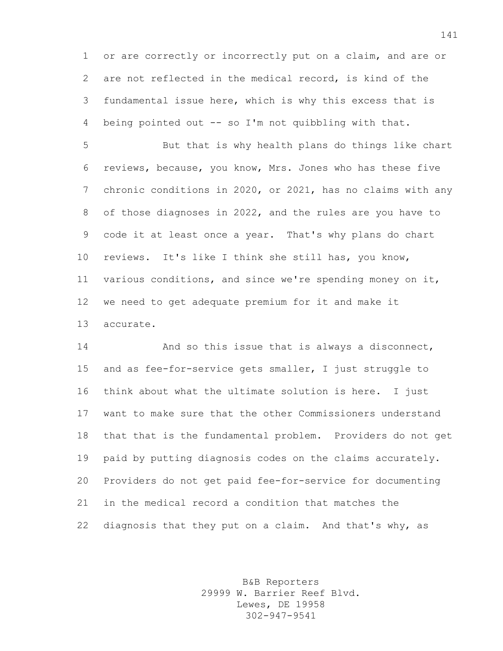or are correctly or incorrectly put on a claim, and are or are not reflected in the medical record, is kind of the fundamental issue here, which is why this excess that is being pointed out -- so I'm not quibbling with that.

 But that is why health plans do things like chart reviews, because, you know, Mrs. Jones who has these five chronic conditions in 2020, or 2021, has no claims with any of those diagnoses in 2022, and the rules are you have to code it at least once a year. That's why plans do chart reviews. It's like I think she still has, you know, various conditions, and since we're spending money on it, we need to get adequate premium for it and make it accurate.

**And so this issue that is always a disconnect,**  and as fee-for-service gets smaller, I just struggle to think about what the ultimate solution is here. I just want to make sure that the other Commissioners understand that that is the fundamental problem. Providers do not get paid by putting diagnosis codes on the claims accurately. Providers do not get paid fee-for-service for documenting in the medical record a condition that matches the diagnosis that they put on a claim. And that's why, as

> B&B Reporters 29999 W. Barrier Reef Blvd. Lewes, DE 19958 302-947-9541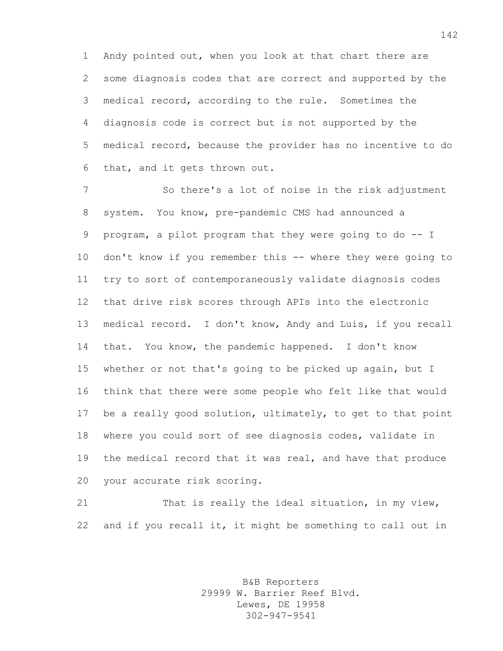Andy pointed out, when you look at that chart there are some diagnosis codes that are correct and supported by the medical record, according to the rule. Sometimes the diagnosis code is correct but is not supported by the medical record, because the provider has no incentive to do that, and it gets thrown out.

 So there's a lot of noise in the risk adjustment system. You know, pre-pandemic CMS had announced a program, a pilot program that they were going to do -- I don't know if you remember this -- where they were going to try to sort of contemporaneously validate diagnosis codes that drive risk scores through APIs into the electronic medical record. I don't know, Andy and Luis, if you recall that. You know, the pandemic happened. I don't know whether or not that's going to be picked up again, but I think that there were some people who felt like that would be a really good solution, ultimately, to get to that point where you could sort of see diagnosis codes, validate in the medical record that it was real, and have that produce your accurate risk scoring.

21 That is really the ideal situation, in my view, and if you recall it, it might be something to call out in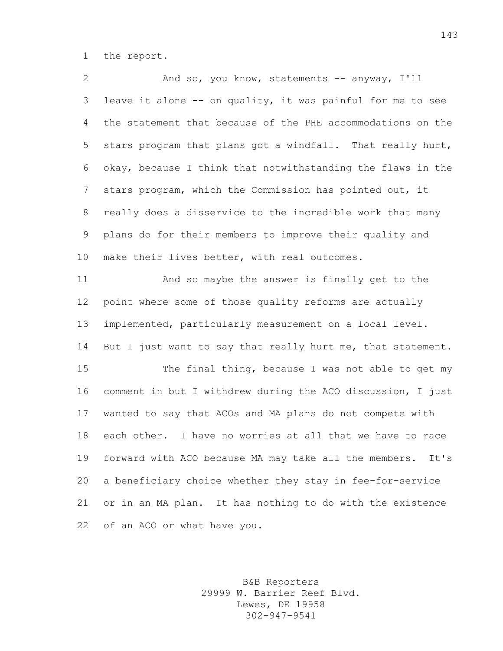the report.

 And so, you know, statements -- anyway, I'll leave it alone -- on quality, it was painful for me to see the statement that because of the PHE accommodations on the stars program that plans got a windfall. That really hurt, okay, because I think that notwithstanding the flaws in the stars program, which the Commission has pointed out, it really does a disservice to the incredible work that many plans do for their members to improve their quality and make their lives better, with real outcomes.

 And so maybe the answer is finally get to the point where some of those quality reforms are actually implemented, particularly measurement on a local level. 14 But I just want to say that really hurt me, that statement.

 The final thing, because I was not able to get my comment in but I withdrew during the ACO discussion, I just wanted to say that ACOs and MA plans do not compete with each other. I have no worries at all that we have to race forward with ACO because MA may take all the members. It's a beneficiary choice whether they stay in fee-for-service or in an MA plan. It has nothing to do with the existence of an ACO or what have you.

> B&B Reporters 29999 W. Barrier Reef Blvd. Lewes, DE 19958 302-947-9541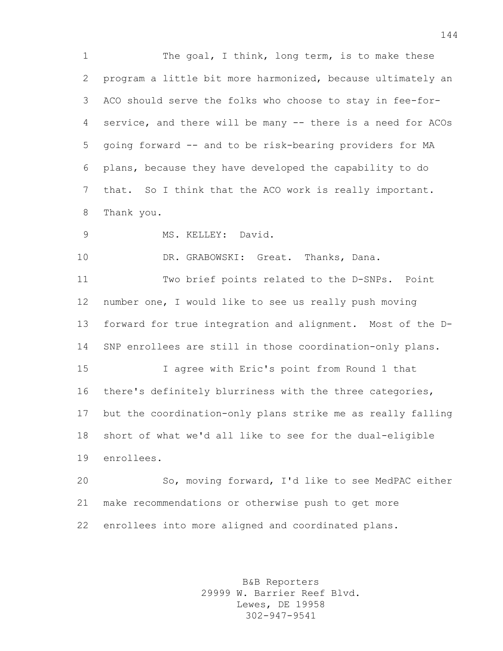1 The goal, I think, long term, is to make these program a little bit more harmonized, because ultimately an ACO should serve the folks who choose to stay in fee-for- service, and there will be many -- there is a need for ACOs going forward -- and to be risk-bearing providers for MA plans, because they have developed the capability to do that. So I think that the ACO work is really important. Thank you.

MS. KELLEY: David.

10 DR. GRABOWSKI: Great. Thanks, Dana.

 Two brief points related to the D-SNPs. Point number one, I would like to see us really push moving forward for true integration and alignment. Most of the D-SNP enrollees are still in those coordination-only plans.

 I agree with Eric's point from Round 1 that there's definitely blurriness with the three categories, but the coordination-only plans strike me as really falling short of what we'd all like to see for the dual-eligible enrollees.

 So, moving forward, I'd like to see MedPAC either make recommendations or otherwise push to get more enrollees into more aligned and coordinated plans.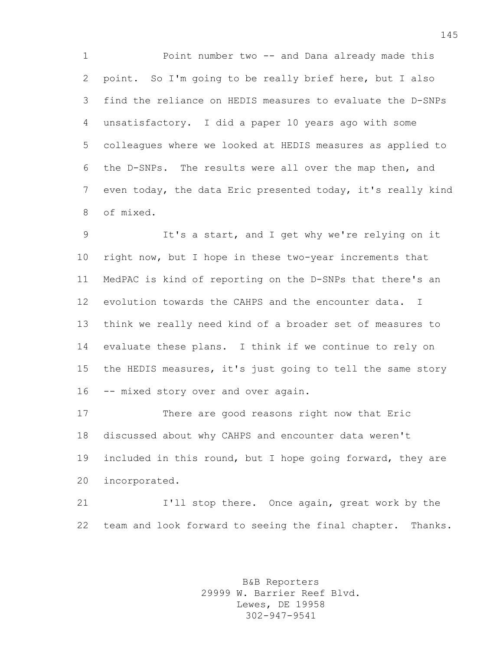Point number two -- and Dana already made this point. So I'm going to be really brief here, but I also find the reliance on HEDIS measures to evaluate the D-SNPs unsatisfactory. I did a paper 10 years ago with some colleagues where we looked at HEDIS measures as applied to the D-SNPs. The results were all over the map then, and even today, the data Eric presented today, it's really kind of mixed.

 It's a start, and I get why we're relying on it right now, but I hope in these two-year increments that MedPAC is kind of reporting on the D-SNPs that there's an evolution towards the CAHPS and the encounter data. I think we really need kind of a broader set of measures to evaluate these plans. I think if we continue to rely on the HEDIS measures, it's just going to tell the same story 16 -- mixed story over and over again.

 There are good reasons right now that Eric discussed about why CAHPS and encounter data weren't included in this round, but I hope going forward, they are incorporated.

 I'll stop there. Once again, great work by the team and look forward to seeing the final chapter. Thanks.

> B&B Reporters 29999 W. Barrier Reef Blvd. Lewes, DE 19958 302-947-9541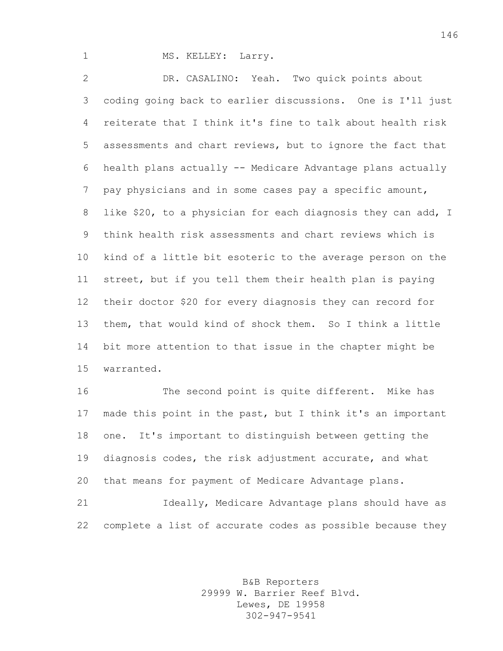1 MS. KELLEY: Larry.

 DR. CASALINO: Yeah. Two quick points about coding going back to earlier discussions. One is I'll just reiterate that I think it's fine to talk about health risk assessments and chart reviews, but to ignore the fact that health plans actually -- Medicare Advantage plans actually pay physicians and in some cases pay a specific amount, like \$20, to a physician for each diagnosis they can add, I think health risk assessments and chart reviews which is kind of a little bit esoteric to the average person on the street, but if you tell them their health plan is paying their doctor \$20 for every diagnosis they can record for them, that would kind of shock them. So I think a little bit more attention to that issue in the chapter might be warranted.

 The second point is quite different. Mike has made this point in the past, but I think it's an important one. It's important to distinguish between getting the diagnosis codes, the risk adjustment accurate, and what that means for payment of Medicare Advantage plans.

 Ideally, Medicare Advantage plans should have as complete a list of accurate codes as possible because they

> B&B Reporters 29999 W. Barrier Reef Blvd. Lewes, DE 19958 302-947-9541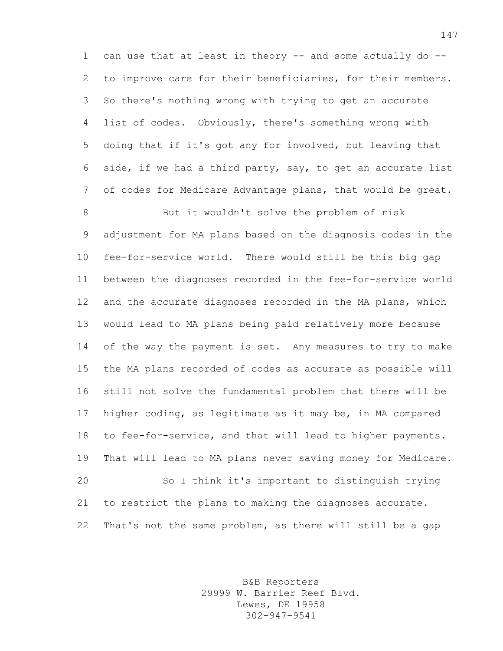1 can use that at least in theory -- and some actually do -- to improve care for their beneficiaries, for their members. So there's nothing wrong with trying to get an accurate list of codes. Obviously, there's something wrong with doing that if it's got any for involved, but leaving that side, if we had a third party, say, to get an accurate list of codes for Medicare Advantage plans, that would be great.

 But it wouldn't solve the problem of risk adjustment for MA plans based on the diagnosis codes in the fee-for-service world. There would still be this big gap between the diagnoses recorded in the fee-for-service world and the accurate diagnoses recorded in the MA plans, which would lead to MA plans being paid relatively more because 14 of the way the payment is set. Any measures to try to make the MA plans recorded of codes as accurate as possible will still not solve the fundamental problem that there will be higher coding, as legitimate as it may be, in MA compared to fee-for-service, and that will lead to higher payments. That will lead to MA plans never saving money for Medicare. So I think it's important to distinguish trying to restrict the plans to making the diagnoses accurate. That's not the same problem, as there will still be a gap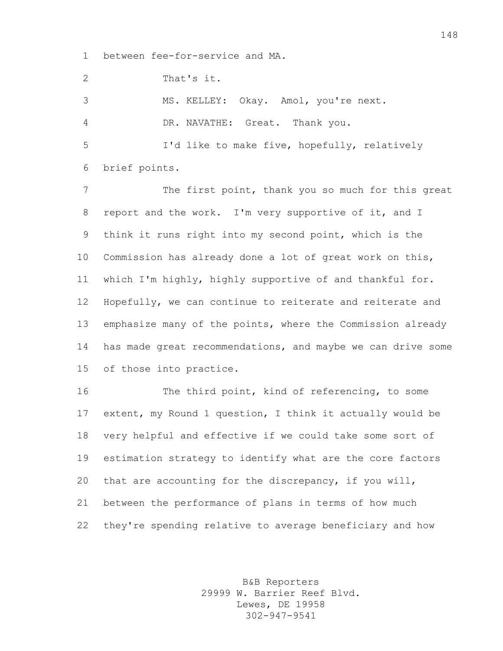between fee-for-service and MA.

That's it.

MS. KELLEY: Okay. Amol, you're next.

DR. NAVATHE: Great. Thank you.

 I'd like to make five, hopefully, relatively brief points.

7 The first point, thank you so much for this great report and the work. I'm very supportive of it, and I think it runs right into my second point, which is the Commission has already done a lot of great work on this, which I'm highly, highly supportive of and thankful for. Hopefully, we can continue to reiterate and reiterate and emphasize many of the points, where the Commission already has made great recommendations, and maybe we can drive some of those into practice.

 The third point, kind of referencing, to some extent, my Round 1 question, I think it actually would be very helpful and effective if we could take some sort of estimation strategy to identify what are the core factors that are accounting for the discrepancy, if you will, between the performance of plans in terms of how much they're spending relative to average beneficiary and how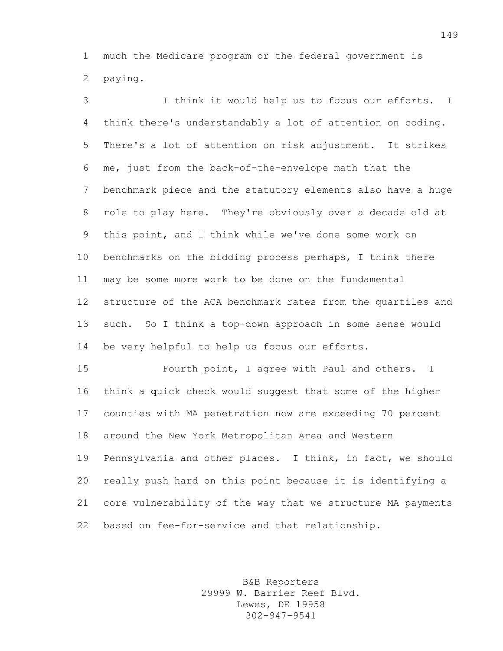much the Medicare program or the federal government is paying.

 I think it would help us to focus our efforts. I think there's understandably a lot of attention on coding. There's a lot of attention on risk adjustment. It strikes me, just from the back-of-the-envelope math that the benchmark piece and the statutory elements also have a huge role to play here. They're obviously over a decade old at this point, and I think while we've done some work on benchmarks on the bidding process perhaps, I think there may be some more work to be done on the fundamental structure of the ACA benchmark rates from the quartiles and such. So I think a top-down approach in some sense would be very helpful to help us focus our efforts.

 Fourth point, I agree with Paul and others. I think a quick check would suggest that some of the higher counties with MA penetration now are exceeding 70 percent around the New York Metropolitan Area and Western Pennsylvania and other places. I think, in fact, we should really push hard on this point because it is identifying a core vulnerability of the way that we structure MA payments based on fee-for-service and that relationship.

> B&B Reporters 29999 W. Barrier Reef Blvd. Lewes, DE 19958 302-947-9541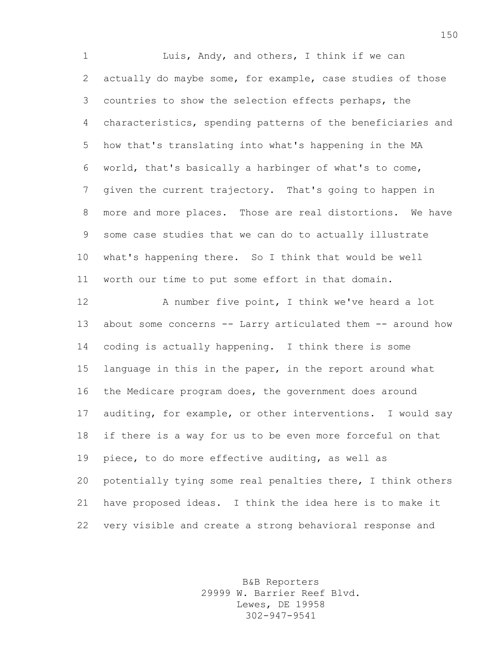1 Luis, Andy, and others, I think if we can actually do maybe some, for example, case studies of those countries to show the selection effects perhaps, the characteristics, spending patterns of the beneficiaries and how that's translating into what's happening in the MA world, that's basically a harbinger of what's to come, given the current trajectory. That's going to happen in more and more places. Those are real distortions. We have some case studies that we can do to actually illustrate what's happening there. So I think that would be well worth our time to put some effort in that domain.

 A number five point, I think we've heard a lot about some concerns -- Larry articulated them -- around how coding is actually happening. I think there is some language in this in the paper, in the report around what the Medicare program does, the government does around auditing, for example, or other interventions. I would say if there is a way for us to be even more forceful on that piece, to do more effective auditing, as well as potentially tying some real penalties there, I think others have proposed ideas. I think the idea here is to make it very visible and create a strong behavioral response and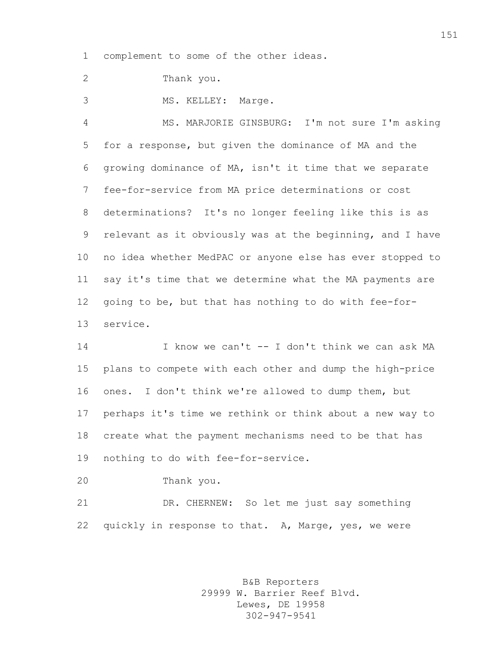complement to some of the other ideas.

Thank you.

MS. KELLEY: Marge.

 MS. MARJORIE GINSBURG: I'm not sure I'm asking for a response, but given the dominance of MA and the growing dominance of MA, isn't it time that we separate fee-for-service from MA price determinations or cost determinations? It's no longer feeling like this is as relevant as it obviously was at the beginning, and I have no idea whether MedPAC or anyone else has ever stopped to say it's time that we determine what the MA payments are going to be, but that has nothing to do with fee-for-service.

 I know we can't -- I don't think we can ask MA plans to compete with each other and dump the high-price ones. I don't think we're allowed to dump them, but perhaps it's time we rethink or think about a new way to create what the payment mechanisms need to be that has nothing to do with fee-for-service.

Thank you.

 DR. CHERNEW: So let me just say something quickly in response to that. A, Marge, yes, we were

> B&B Reporters 29999 W. Barrier Reef Blvd. Lewes, DE 19958 302-947-9541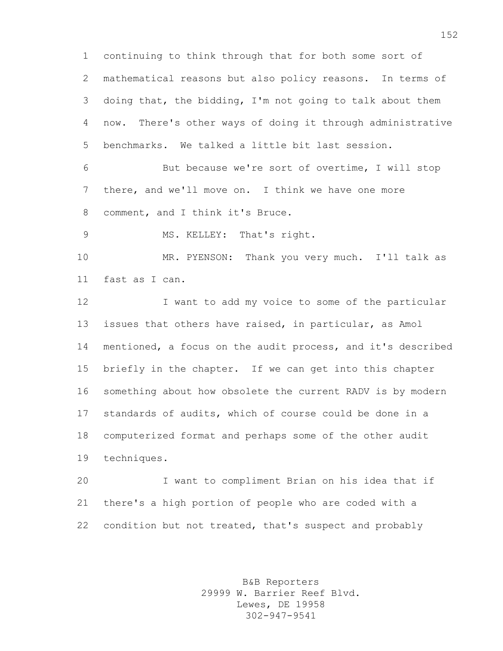continuing to think through that for both some sort of mathematical reasons but also policy reasons. In terms of doing that, the bidding, I'm not going to talk about them now. There's other ways of doing it through administrative benchmarks. We talked a little bit last session.

 But because we're sort of overtime, I will stop there, and we'll move on. I think we have one more comment, and I think it's Bruce.

9 MS. KELLEY: That's right.

 MR. PYENSON: Thank you very much. I'll talk as fast as I can.

 I want to add my voice to some of the particular issues that others have raised, in particular, as Amol mentioned, a focus on the audit process, and it's described briefly in the chapter. If we can get into this chapter something about how obsolete the current RADV is by modern standards of audits, which of course could be done in a computerized format and perhaps some of the other audit techniques.

 I want to compliment Brian on his idea that if there's a high portion of people who are coded with a condition but not treated, that's suspect and probably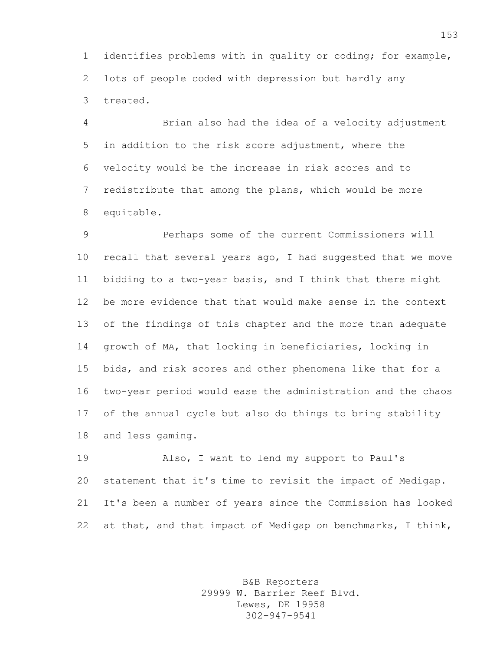identifies problems with in quality or coding; for example, lots of people coded with depression but hardly any treated.

 Brian also had the idea of a velocity adjustment in addition to the risk score adjustment, where the velocity would be the increase in risk scores and to redistribute that among the plans, which would be more equitable.

 Perhaps some of the current Commissioners will recall that several years ago, I had suggested that we move bidding to a two-year basis, and I think that there might be more evidence that that would make sense in the context of the findings of this chapter and the more than adequate growth of MA, that locking in beneficiaries, locking in bids, and risk scores and other phenomena like that for a two-year period would ease the administration and the chaos of the annual cycle but also do things to bring stability and less gaming.

 Also, I want to lend my support to Paul's statement that it's time to revisit the impact of Medigap. It's been a number of years since the Commission has looked 22 at that, and that impact of Medigap on benchmarks, I think,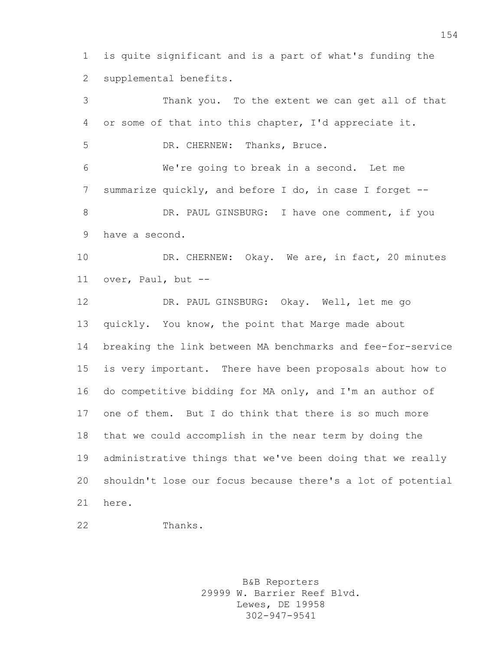is quite significant and is a part of what's funding the supplemental benefits.

 Thank you. To the extent we can get all of that or some of that into this chapter, I'd appreciate it. DR. CHERNEW: Thanks, Bruce. We're going to break in a second. Let me summarize quickly, and before I do, in case I forget -- 8 DR. PAUL GINSBURG: I have one comment, if you have a second. 10 DR. CHERNEW: Okay. We are, in fact, 20 minutes over, Paul, but -- DR. PAUL GINSBURG: Okay. Well, let me go quickly. You know, the point that Marge made about breaking the link between MA benchmarks and fee-for-service is very important. There have been proposals about how to do competitive bidding for MA only, and I'm an author of one of them. But I do think that there is so much more that we could accomplish in the near term by doing the administrative things that we've been doing that we really shouldn't lose our focus because there's a lot of potential here.

Thanks.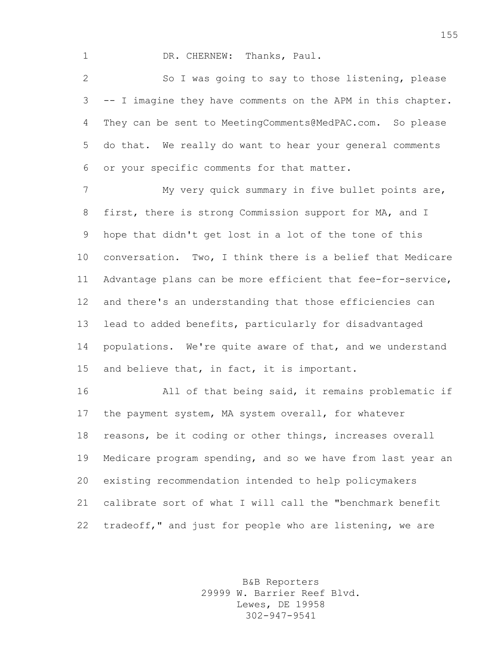1 DR. CHERNEW: Thanks, Paul.

 So I was going to say to those listening, please -- I imagine they have comments on the APM in this chapter. They can be sent to MeetingComments@MedPAC.com. So please do that. We really do want to hear your general comments or your specific comments for that matter.

7 My very quick summary in five bullet points are, first, there is strong Commission support for MA, and I hope that didn't get lost in a lot of the tone of this conversation. Two, I think there is a belief that Medicare Advantage plans can be more efficient that fee-for-service, and there's an understanding that those efficiencies can lead to added benefits, particularly for disadvantaged populations. We're quite aware of that, and we understand and believe that, in fact, it is important.

 All of that being said, it remains problematic if the payment system, MA system overall, for whatever reasons, be it coding or other things, increases overall Medicare program spending, and so we have from last year an existing recommendation intended to help policymakers calibrate sort of what I will call the "benchmark benefit tradeoff," and just for people who are listening, we are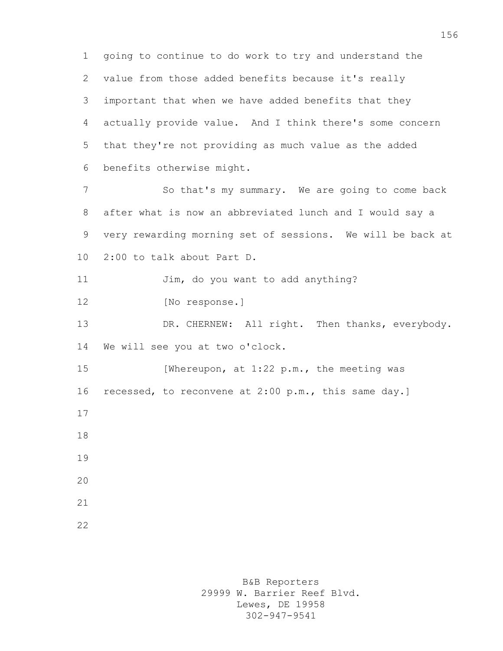going to continue to do work to try and understand the value from those added benefits because it's really important that when we have added benefits that they actually provide value. And I think there's some concern that they're not providing as much value as the added benefits otherwise might. So that's my summary. We are going to come back after what is now an abbreviated lunch and I would say a very rewarding morning set of sessions. We will be back at 2:00 to talk about Part D. 11 Jim, do you want to add anything? 12 [No response.] DR. CHERNEW: All right. Then thanks, everybody. We will see you at two o'clock. 15 [Whereupon, at 1:22 p.m., the meeting was recessed, to reconvene at 2:00 p.m., this same day.]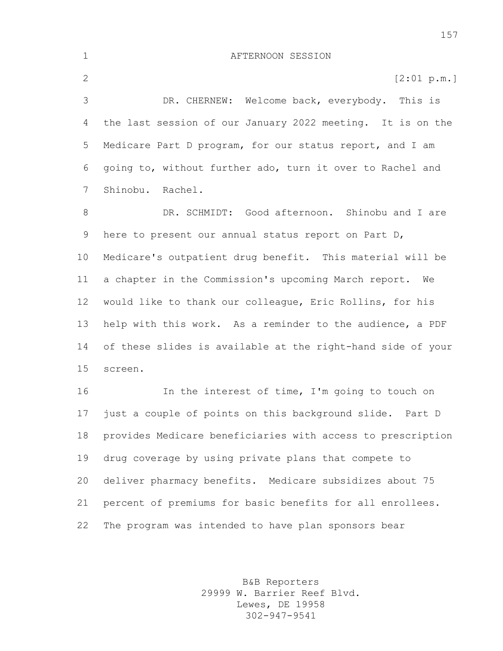AFTERNOON SESSION 2 [2:01 p.m.] DR. CHERNEW: Welcome back, everybody. This is the last session of our January 2022 meeting. It is on the Medicare Part D program, for our status report, and I am going to, without further ado, turn it over to Rachel and Shinobu. Rachel. DR. SCHMIDT: Good afternoon. Shinobu and I are here to present our annual status report on Part D, Medicare's outpatient drug benefit. This material will be a chapter in the Commission's upcoming March report. We would like to thank our colleague, Eric Rollins, for his help with this work. As a reminder to the audience, a PDF of these slides is available at the right-hand side of your screen. In the interest of time, I'm going to touch on just a couple of points on this background slide. Part D provides Medicare beneficiaries with access to prescription drug coverage by using private plans that compete to deliver pharmacy benefits. Medicare subsidizes about 75 percent of premiums for basic benefits for all enrollees. The program was intended to have plan sponsors bear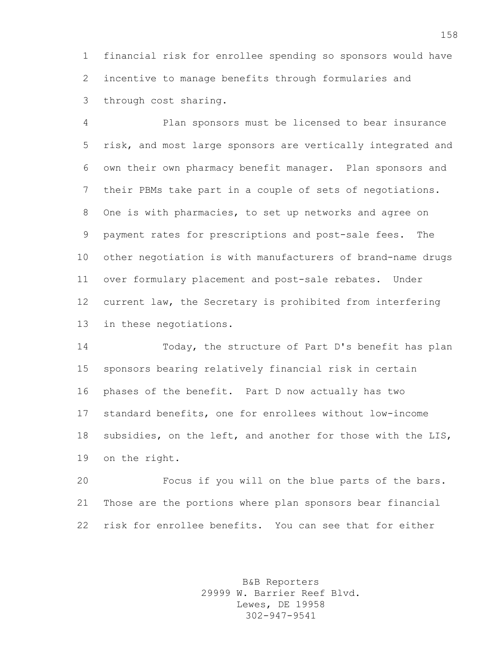financial risk for enrollee spending so sponsors would have incentive to manage benefits through formularies and through cost sharing.

 Plan sponsors must be licensed to bear insurance risk, and most large sponsors are vertically integrated and own their own pharmacy benefit manager. Plan sponsors and their PBMs take part in a couple of sets of negotiations. One is with pharmacies, to set up networks and agree on payment rates for prescriptions and post-sale fees. The other negotiation is with manufacturers of brand-name drugs over formulary placement and post-sale rebates. Under current law, the Secretary is prohibited from interfering in these negotiations.

 Today, the structure of Part D's benefit has plan sponsors bearing relatively financial risk in certain phases of the benefit. Part D now actually has two standard benefits, one for enrollees without low-income subsidies, on the left, and another for those with the LIS, on the right.

 Focus if you will on the blue parts of the bars. Those are the portions where plan sponsors bear financial risk for enrollee benefits. You can see that for either

> B&B Reporters 29999 W. Barrier Reef Blvd. Lewes, DE 19958 302-947-9541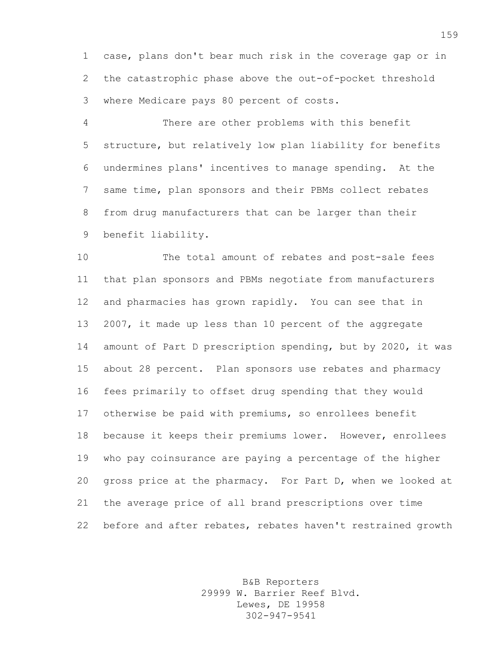case, plans don't bear much risk in the coverage gap or in the catastrophic phase above the out-of-pocket threshold where Medicare pays 80 percent of costs.

 There are other problems with this benefit structure, but relatively low plan liability for benefits undermines plans' incentives to manage spending. At the same time, plan sponsors and their PBMs collect rebates from drug manufacturers that can be larger than their benefit liability.

 The total amount of rebates and post-sale fees that plan sponsors and PBMs negotiate from manufacturers and pharmacies has grown rapidly. You can see that in 2007, it made up less than 10 percent of the aggregate amount of Part D prescription spending, but by 2020, it was about 28 percent. Plan sponsors use rebates and pharmacy fees primarily to offset drug spending that they would otherwise be paid with premiums, so enrollees benefit because it keeps their premiums lower. However, enrollees who pay coinsurance are paying a percentage of the higher gross price at the pharmacy. For Part D, when we looked at the average price of all brand prescriptions over time before and after rebates, rebates haven't restrained growth

> B&B Reporters 29999 W. Barrier Reef Blvd. Lewes, DE 19958 302-947-9541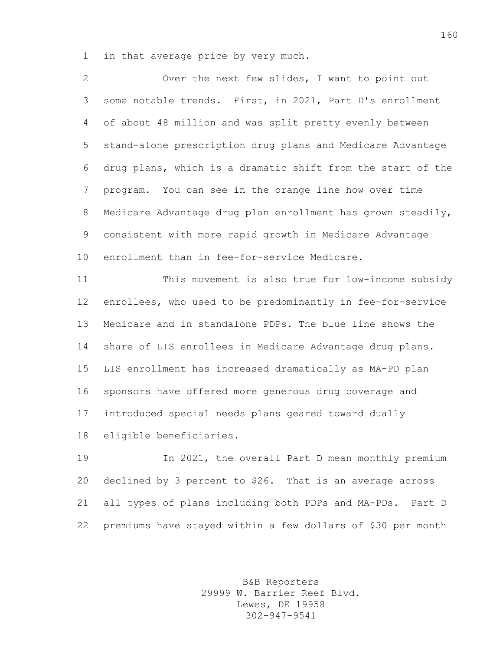in that average price by very much.

 Over the next few slides, I want to point out some notable trends. First, in 2021, Part D's enrollment of about 48 million and was split pretty evenly between stand-alone prescription drug plans and Medicare Advantage drug plans, which is a dramatic shift from the start of the program. You can see in the orange line how over time Medicare Advantage drug plan enrollment has grown steadily, consistent with more rapid growth in Medicare Advantage enrollment than in fee-for-service Medicare.

 This movement is also true for low-income subsidy enrollees, who used to be predominantly in fee-for-service Medicare and in standalone PDPs. The blue line shows the share of LIS enrollees in Medicare Advantage drug plans. LIS enrollment has increased dramatically as MA-PD plan sponsors have offered more generous drug coverage and introduced special needs plans geared toward dually eligible beneficiaries.

 In 2021, the overall Part D mean monthly premium declined by 3 percent to \$26. That is an average across all types of plans including both PDPs and MA-PDs. Part D premiums have stayed within a few dollars of \$30 per month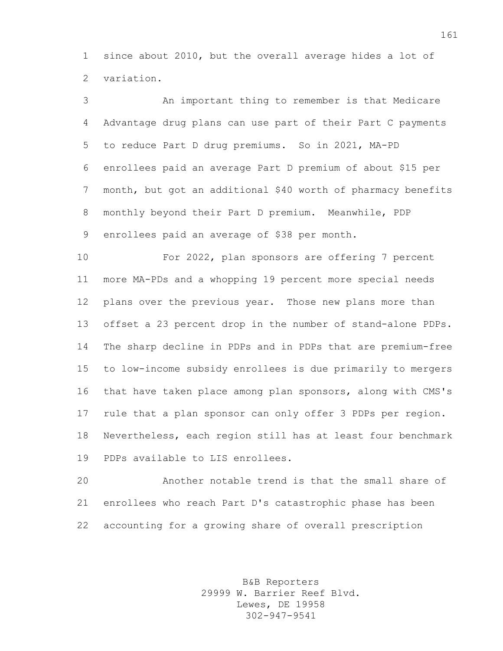since about 2010, but the overall average hides a lot of variation.

 An important thing to remember is that Medicare Advantage drug plans can use part of their Part C payments to reduce Part D drug premiums. So in 2021, MA-PD enrollees paid an average Part D premium of about \$15 per month, but got an additional \$40 worth of pharmacy benefits monthly beyond their Part D premium. Meanwhile, PDP enrollees paid an average of \$38 per month.

 For 2022, plan sponsors are offering 7 percent more MA-PDs and a whopping 19 percent more special needs plans over the previous year. Those new plans more than offset a 23 percent drop in the number of stand-alone PDPs. The sharp decline in PDPs and in PDPs that are premium-free to low-income subsidy enrollees is due primarily to mergers that have taken place among plan sponsors, along with CMS's rule that a plan sponsor can only offer 3 PDPs per region. Nevertheless, each region still has at least four benchmark PDPs available to LIS enrollees.

 Another notable trend is that the small share of enrollees who reach Part D's catastrophic phase has been accounting for a growing share of overall prescription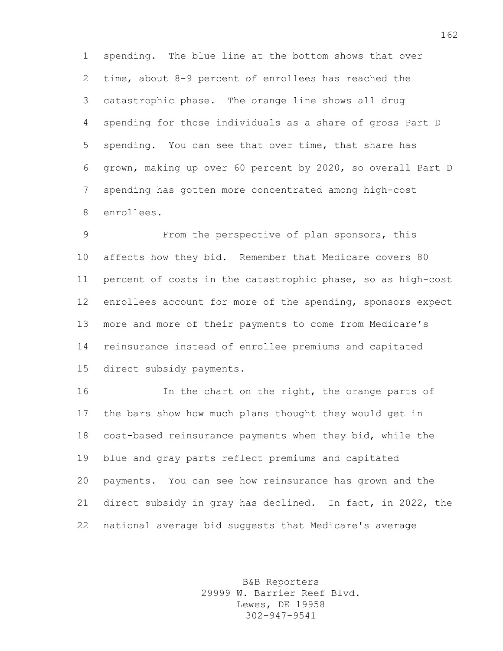spending. The blue line at the bottom shows that over time, about 8-9 percent of enrollees has reached the catastrophic phase. The orange line shows all drug spending for those individuals as a share of gross Part D spending. You can see that over time, that share has grown, making up over 60 percent by 2020, so overall Part D spending has gotten more concentrated among high-cost enrollees.

 From the perspective of plan sponsors, this affects how they bid. Remember that Medicare covers 80 percent of costs in the catastrophic phase, so as high-cost enrollees account for more of the spending, sponsors expect more and more of their payments to come from Medicare's reinsurance instead of enrollee premiums and capitated direct subsidy payments.

16 16 In the chart on the right, the orange parts of the bars show how much plans thought they would get in cost-based reinsurance payments when they bid, while the blue and gray parts reflect premiums and capitated payments. You can see how reinsurance has grown and the direct subsidy in gray has declined. In fact, in 2022, the national average bid suggests that Medicare's average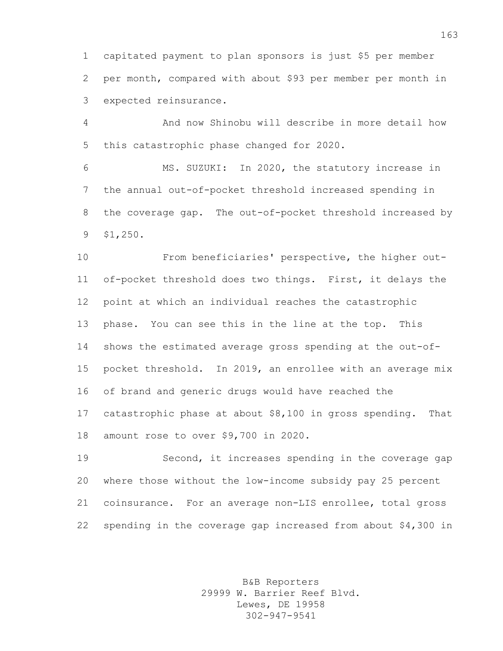capitated payment to plan sponsors is just \$5 per member per month, compared with about \$93 per member per month in expected reinsurance.

 And now Shinobu will describe in more detail how this catastrophic phase changed for 2020.

 MS. SUZUKI: In 2020, the statutory increase in the annual out-of-pocket threshold increased spending in the coverage gap. The out-of-pocket threshold increased by \$1,250.

 From beneficiaries' perspective, the higher out- of-pocket threshold does two things. First, it delays the point at which an individual reaches the catastrophic phase. You can see this in the line at the top. This shows the estimated average gross spending at the out-of- pocket threshold. In 2019, an enrollee with an average mix of brand and generic drugs would have reached the catastrophic phase at about \$8,100 in gross spending. That amount rose to over \$9,700 in 2020.

 Second, it increases spending in the coverage gap where those without the low-income subsidy pay 25 percent coinsurance. For an average non-LIS enrollee, total gross spending in the coverage gap increased from about \$4,300 in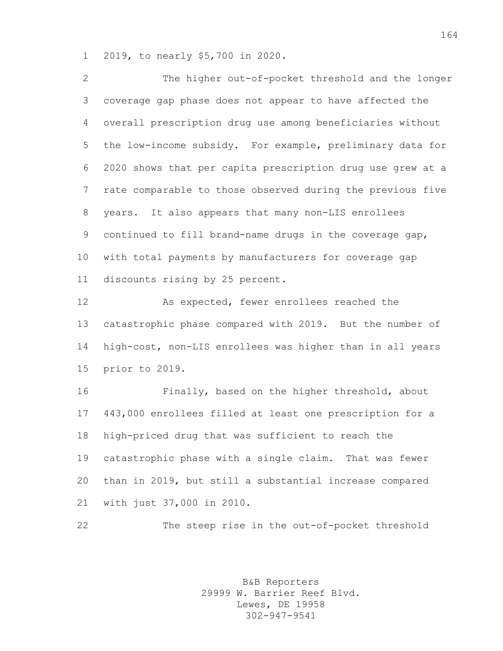2019, to nearly \$5,700 in 2020.

 The higher out-of-pocket threshold and the longer coverage gap phase does not appear to have affected the overall prescription drug use among beneficiaries without the low-income subsidy. For example, preliminary data for 2020 shows that per capita prescription drug use grew at a rate comparable to those observed during the previous five years. It also appears that many non-LIS enrollees continued to fill brand-name drugs in the coverage gap, with total payments by manufacturers for coverage gap discounts rising by 25 percent.

 As expected, fewer enrollees reached the catastrophic phase compared with 2019. But the number of high-cost, non-LIS enrollees was higher than in all years prior to 2019.

 Finally, based on the higher threshold, about 443,000 enrollees filled at least one prescription for a high-priced drug that was sufficient to reach the catastrophic phase with a single claim. That was fewer than in 2019, but still a substantial increase compared with just 37,000 in 2010.

The steep rise in the out-of-pocket threshold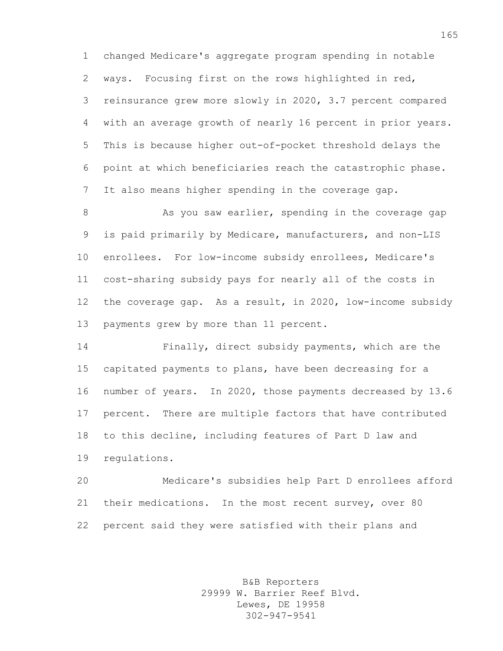changed Medicare's aggregate program spending in notable ways. Focusing first on the rows highlighted in red, reinsurance grew more slowly in 2020, 3.7 percent compared with an average growth of nearly 16 percent in prior years. This is because higher out-of-pocket threshold delays the point at which beneficiaries reach the catastrophic phase. It also means higher spending in the coverage gap.

8 As you saw earlier, spending in the coverage gap is paid primarily by Medicare, manufacturers, and non-LIS enrollees. For low-income subsidy enrollees, Medicare's cost-sharing subsidy pays for nearly all of the costs in the coverage gap. As a result, in 2020, low-income subsidy payments grew by more than 11 percent.

 Finally, direct subsidy payments, which are the capitated payments to plans, have been decreasing for a number of years. In 2020, those payments decreased by 13.6 percent. There are multiple factors that have contributed to this decline, including features of Part D law and regulations.

 Medicare's subsidies help Part D enrollees afford their medications. In the most recent survey, over 80 percent said they were satisfied with their plans and

> B&B Reporters 29999 W. Barrier Reef Blvd. Lewes, DE 19958 302-947-9541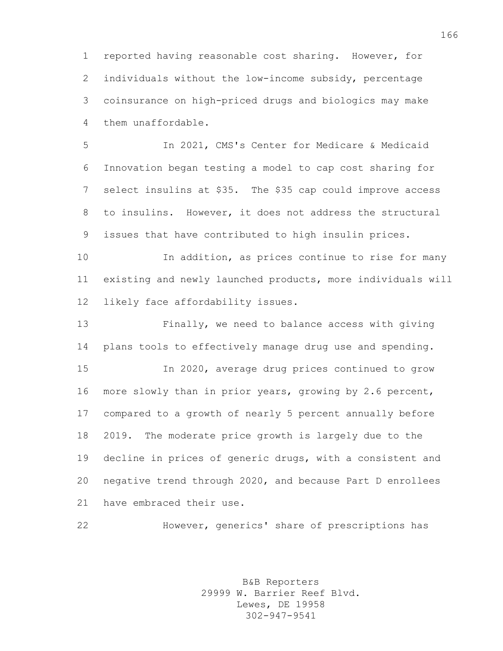reported having reasonable cost sharing. However, for individuals without the low-income subsidy, percentage coinsurance on high-priced drugs and biologics may make them unaffordable.

 In 2021, CMS's Center for Medicare & Medicaid Innovation began testing a model to cap cost sharing for select insulins at \$35. The \$35 cap could improve access to insulins. However, it does not address the structural issues that have contributed to high insulin prices.

 In addition, as prices continue to rise for many existing and newly launched products, more individuals will likely face affordability issues.

 Finally, we need to balance access with giving plans tools to effectively manage drug use and spending. In 2020, average drug prices continued to grow more slowly than in prior years, growing by 2.6 percent, compared to a growth of nearly 5 percent annually before 2019. The moderate price growth is largely due to the decline in prices of generic drugs, with a consistent and negative trend through 2020, and because Part D enrollees have embraced their use.

However, generics' share of prescriptions has

B&B Reporters 29999 W. Barrier Reef Blvd. Lewes, DE 19958 302-947-9541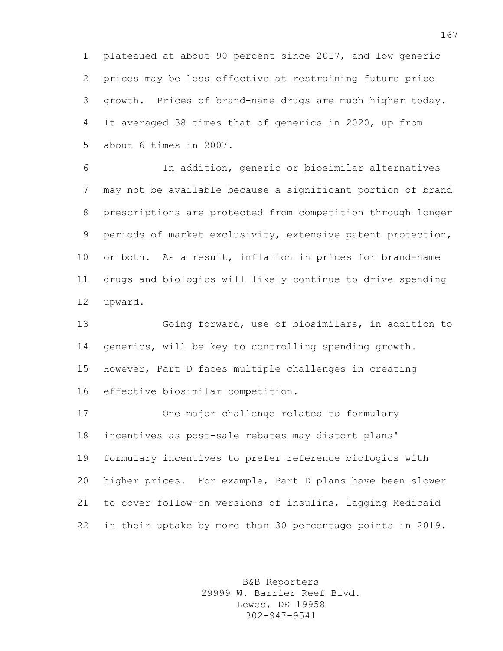plateaued at about 90 percent since 2017, and low generic prices may be less effective at restraining future price growth. Prices of brand-name drugs are much higher today. It averaged 38 times that of generics in 2020, up from about 6 times in 2007.

 In addition, generic or biosimilar alternatives may not be available because a significant portion of brand prescriptions are protected from competition through longer periods of market exclusivity, extensive patent protection, or both. As a result, inflation in prices for brand-name drugs and biologics will likely continue to drive spending upward.

 Going forward, use of biosimilars, in addition to generics, will be key to controlling spending growth. However, Part D faces multiple challenges in creating effective biosimilar competition.

 One major challenge relates to formulary incentives as post-sale rebates may distort plans' formulary incentives to prefer reference biologics with higher prices. For example, Part D plans have been slower to cover follow-on versions of insulins, lagging Medicaid in their uptake by more than 30 percentage points in 2019.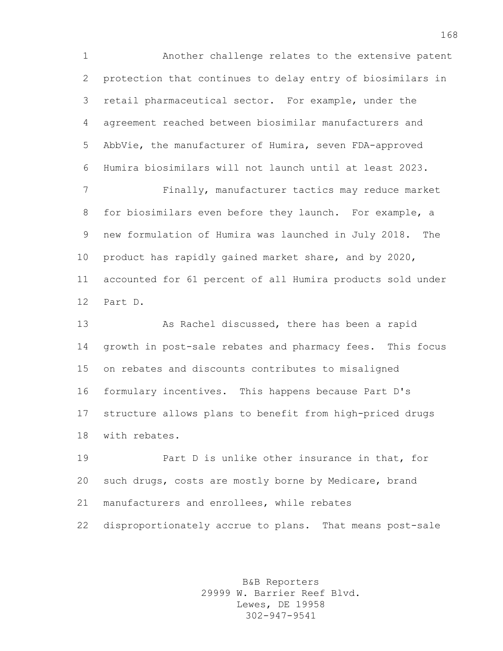Another challenge relates to the extensive patent protection that continues to delay entry of biosimilars in retail pharmaceutical sector. For example, under the agreement reached between biosimilar manufacturers and AbbVie, the manufacturer of Humira, seven FDA-approved Humira biosimilars will not launch until at least 2023.

 Finally, manufacturer tactics may reduce market for biosimilars even before they launch. For example, a new formulation of Humira was launched in July 2018. The product has rapidly gained market share, and by 2020, accounted for 61 percent of all Humira products sold under Part D.

 As Rachel discussed, there has been a rapid growth in post-sale rebates and pharmacy fees. This focus on rebates and discounts contributes to misaligned formulary incentives. This happens because Part D's structure allows plans to benefit from high-priced drugs with rebates.

 Part D is unlike other insurance in that, for such drugs, costs are mostly borne by Medicare, brand manufacturers and enrollees, while rebates disproportionately accrue to plans. That means post-sale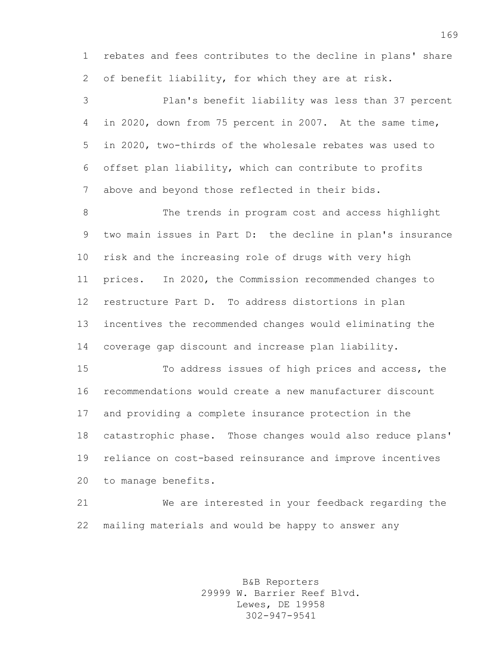rebates and fees contributes to the decline in plans' share of benefit liability, for which they are at risk.

 Plan's benefit liability was less than 37 percent in 2020, down from 75 percent in 2007. At the same time, in 2020, two-thirds of the wholesale rebates was used to offset plan liability, which can contribute to profits above and beyond those reflected in their bids.

 The trends in program cost and access highlight two main issues in Part D: the decline in plan's insurance risk and the increasing role of drugs with very high prices. In 2020, the Commission recommended changes to restructure Part D. To address distortions in plan incentives the recommended changes would eliminating the coverage gap discount and increase plan liability.

 To address issues of high prices and access, the recommendations would create a new manufacturer discount and providing a complete insurance protection in the catastrophic phase. Those changes would also reduce plans' reliance on cost-based reinsurance and improve incentives to manage benefits.

 We are interested in your feedback regarding the mailing materials and would be happy to answer any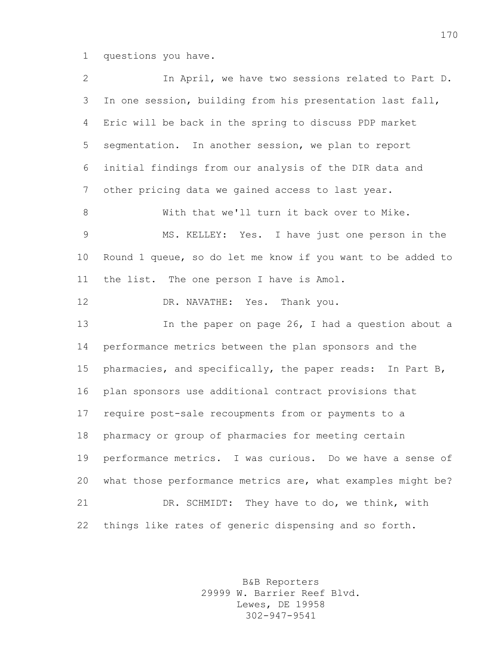questions you have.

 In April, we have two sessions related to Part D. In one session, building from his presentation last fall, Eric will be back in the spring to discuss PDP market segmentation. In another session, we plan to report initial findings from our analysis of the DIR data and other pricing data we gained access to last year. With that we'll turn it back over to Mike. MS. KELLEY: Yes. I have just one person in the Round 1 queue, so do let me know if you want to be added to the list. The one person I have is Amol. 12 DR. NAVATHE: Yes. Thank you. In the paper on page 26, I had a question about a performance metrics between the plan sponsors and the pharmacies, and specifically, the paper reads: In Part B, plan sponsors use additional contract provisions that require post-sale recoupments from or payments to a pharmacy or group of pharmacies for meeting certain performance metrics. I was curious. Do we have a sense of what those performance metrics are, what examples might be? DR. SCHMIDT: They have to do, we think, with things like rates of generic dispensing and so forth.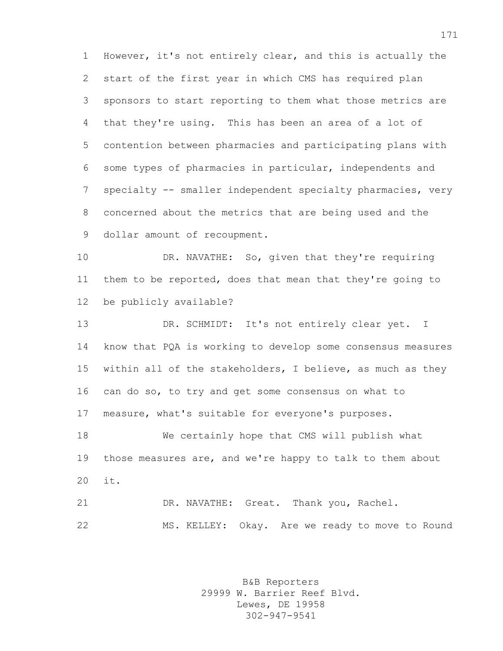However, it's not entirely clear, and this is actually the start of the first year in which CMS has required plan sponsors to start reporting to them what those metrics are that they're using. This has been an area of a lot of contention between pharmacies and participating plans with some types of pharmacies in particular, independents and specialty -- smaller independent specialty pharmacies, very concerned about the metrics that are being used and the dollar amount of recoupment.

 DR. NAVATHE: So, given that they're requiring them to be reported, does that mean that they're going to be publicly available?

 DR. SCHMIDT: It's not entirely clear yet. I know that PQA is working to develop some consensus measures within all of the stakeholders, I believe, as much as they can do so, to try and get some consensus on what to measure, what's suitable for everyone's purposes.

 We certainly hope that CMS will publish what 19 those measures are, and we're happy to talk to them about it.

 DR. NAVATHE: Great. Thank you, Rachel. MS. KELLEY: Okay. Are we ready to move to Round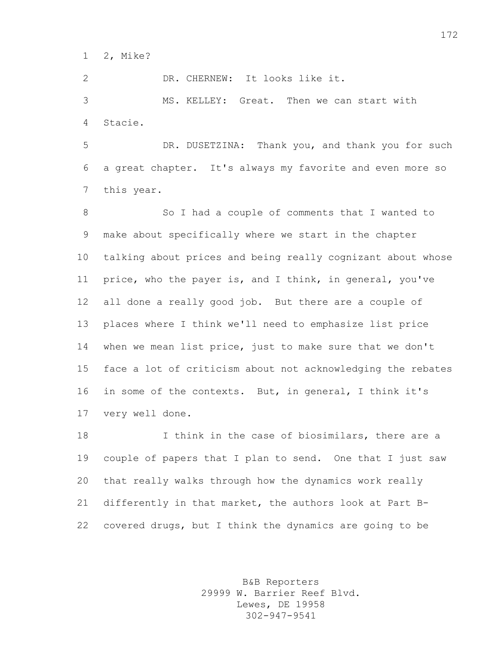2, Mike?

DR. CHERNEW: It looks like it.

 MS. KELLEY: Great. Then we can start with Stacie.

 DR. DUSETZINA: Thank you, and thank you for such a great chapter. It's always my favorite and even more so this year.

8 So I had a couple of comments that I wanted to make about specifically where we start in the chapter talking about prices and being really cognizant about whose price, who the payer is, and I think, in general, you've all done a really good job. But there are a couple of places where I think we'll need to emphasize list price when we mean list price, just to make sure that we don't face a lot of criticism about not acknowledging the rebates in some of the contexts. But, in general, I think it's very well done.

 I think in the case of biosimilars, there are a couple of papers that I plan to send. One that I just saw that really walks through how the dynamics work really differently in that market, the authors look at Part B-covered drugs, but I think the dynamics are going to be

> B&B Reporters 29999 W. Barrier Reef Blvd. Lewes, DE 19958 302-947-9541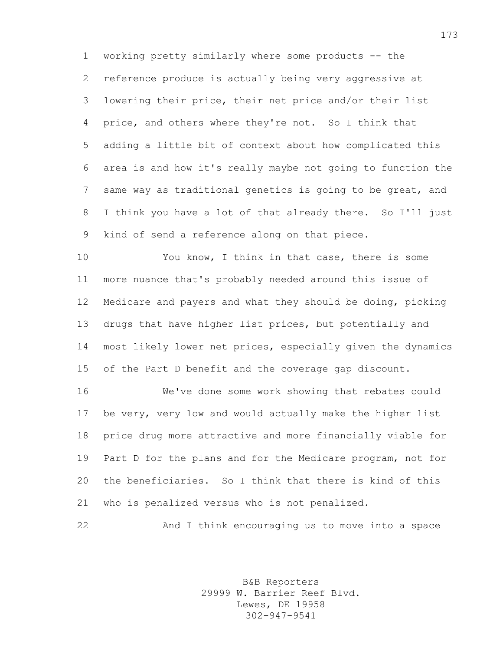working pretty similarly where some products -- the reference produce is actually being very aggressive at lowering their price, their net price and/or their list price, and others where they're not. So I think that adding a little bit of context about how complicated this area is and how it's really maybe not going to function the same way as traditional genetics is going to be great, and I think you have a lot of that already there. So I'll just kind of send a reference along on that piece.

 You know, I think in that case, there is some more nuance that's probably needed around this issue of Medicare and payers and what they should be doing, picking drugs that have higher list prices, but potentially and most likely lower net prices, especially given the dynamics of the Part D benefit and the coverage gap discount.

 We've done some work showing that rebates could be very, very low and would actually make the higher list price drug more attractive and more financially viable for Part D for the plans and for the Medicare program, not for the beneficiaries. So I think that there is kind of this who is penalized versus who is not penalized.

And I think encouraging us to move into a space

B&B Reporters 29999 W. Barrier Reef Blvd. Lewes, DE 19958 302-947-9541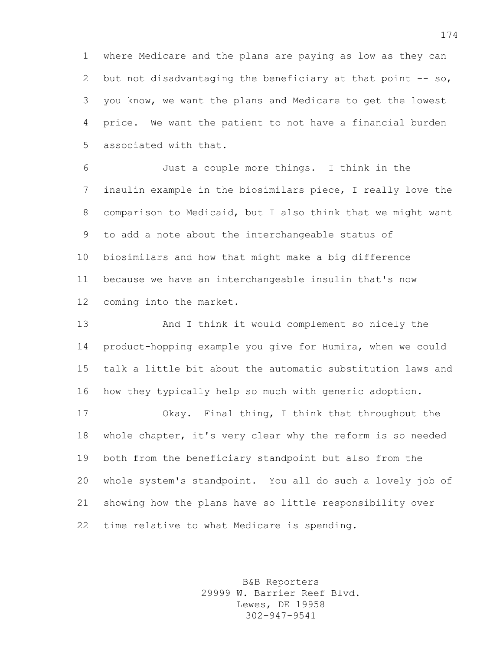where Medicare and the plans are paying as low as they can 2 but not disadvantaging the beneficiary at that point  $-$ - so, you know, we want the plans and Medicare to get the lowest price. We want the patient to not have a financial burden associated with that.

 Just a couple more things. I think in the insulin example in the biosimilars piece, I really love the comparison to Medicaid, but I also think that we might want to add a note about the interchangeable status of biosimilars and how that might make a big difference because we have an interchangeable insulin that's now coming into the market.

 And I think it would complement so nicely the product-hopping example you give for Humira, when we could talk a little bit about the automatic substitution laws and how they typically help so much with generic adoption.

 Okay. Final thing, I think that throughout the whole chapter, it's very clear why the reform is so needed both from the beneficiary standpoint but also from the whole system's standpoint. You all do such a lovely job of showing how the plans have so little responsibility over time relative to what Medicare is spending.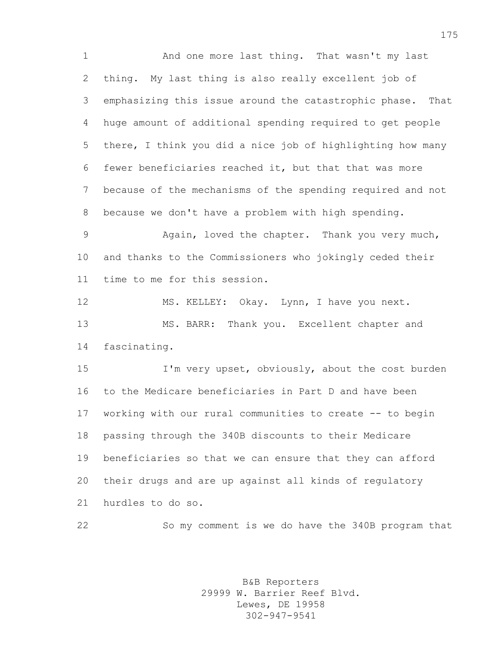And one more last thing. That wasn't my last thing. My last thing is also really excellent job of emphasizing this issue around the catastrophic phase. That huge amount of additional spending required to get people there, I think you did a nice job of highlighting how many fewer beneficiaries reached it, but that that was more because of the mechanisms of the spending required and not because we don't have a problem with high spending.

 Again, loved the chapter. Thank you very much, and thanks to the Commissioners who jokingly ceded their time to me for this session.

 MS. KELLEY: Okay. Lynn, I have you next. MS. BARR: Thank you. Excellent chapter and fascinating.

 I'm very upset, obviously, about the cost burden to the Medicare beneficiaries in Part D and have been working with our rural communities to create -- to begin passing through the 340B discounts to their Medicare beneficiaries so that we can ensure that they can afford their drugs and are up against all kinds of regulatory hurdles to do so.

So my comment is we do have the 340B program that

B&B Reporters 29999 W. Barrier Reef Blvd. Lewes, DE 19958 302-947-9541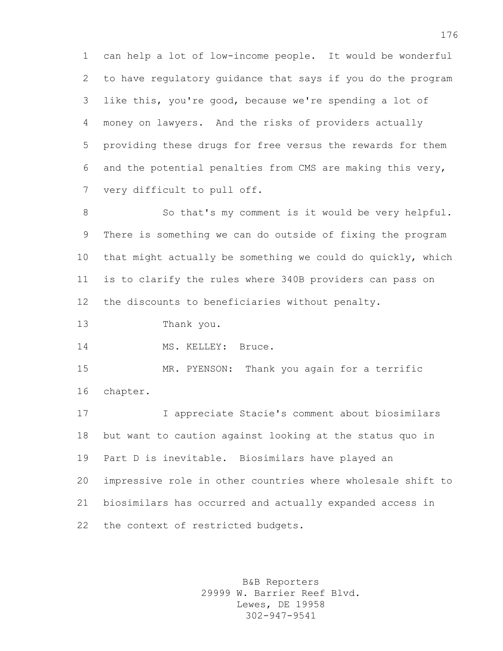can help a lot of low-income people. It would be wonderful to have regulatory guidance that says if you do the program like this, you're good, because we're spending a lot of money on lawyers. And the risks of providers actually providing these drugs for free versus the rewards for them and the potential penalties from CMS are making this very, very difficult to pull off.

 So that's my comment is it would be very helpful. There is something we can do outside of fixing the program that might actually be something we could do quickly, which is to clarify the rules where 340B providers can pass on the discounts to beneficiaries without penalty.

Thank you.

14 MS. KELLEY: Bruce.

 MR. PYENSON: Thank you again for a terrific chapter.

 I appreciate Stacie's comment about biosimilars but want to caution against looking at the status quo in Part D is inevitable. Biosimilars have played an impressive role in other countries where wholesale shift to biosimilars has occurred and actually expanded access in the context of restricted budgets.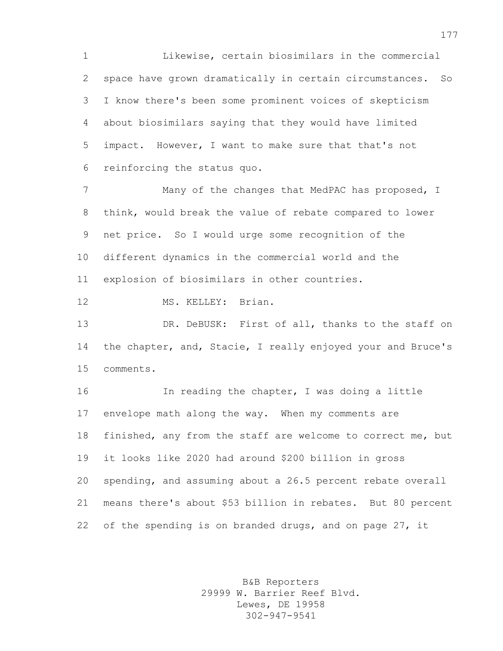Likewise, certain biosimilars in the commercial space have grown dramatically in certain circumstances. So I know there's been some prominent voices of skepticism about biosimilars saying that they would have limited impact. However, I want to make sure that that's not reinforcing the status quo.

7 Many of the changes that MedPAC has proposed, I think, would break the value of rebate compared to lower net price. So I would urge some recognition of the different dynamics in the commercial world and the explosion of biosimilars in other countries.

MS. KELLEY: Brian.

13 DR. DeBUSK: First of all, thanks to the staff on the chapter, and, Stacie, I really enjoyed your and Bruce's comments.

 In reading the chapter, I was doing a little envelope math along the way. When my comments are finished, any from the staff are welcome to correct me, but it looks like 2020 had around \$200 billion in gross spending, and assuming about a 26.5 percent rebate overall means there's about \$53 billion in rebates. But 80 percent 22 of the spending is on branded drugs, and on page 27, it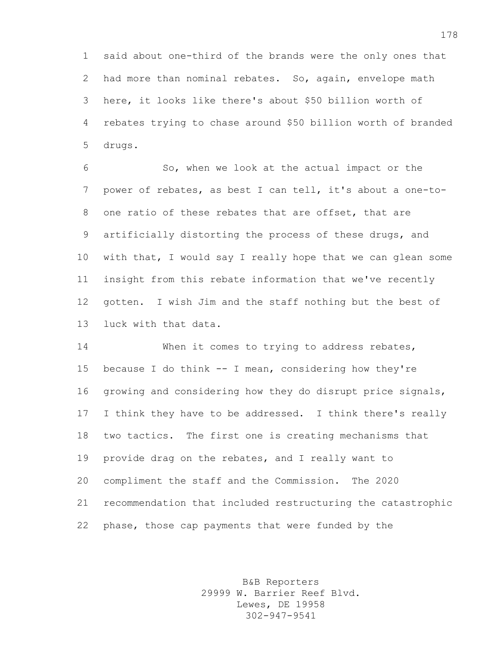said about one-third of the brands were the only ones that had more than nominal rebates. So, again, envelope math here, it looks like there's about \$50 billion worth of rebates trying to chase around \$50 billion worth of branded drugs.

 So, when we look at the actual impact or the power of rebates, as best I can tell, it's about a one-to- one ratio of these rebates that are offset, that are artificially distorting the process of these drugs, and with that, I would say I really hope that we can glean some insight from this rebate information that we've recently gotten. I wish Jim and the staff nothing but the best of luck with that data.

 When it comes to trying to address rebates, because I do think -- I mean, considering how they're growing and considering how they do disrupt price signals, I think they have to be addressed. I think there's really two tactics. The first one is creating mechanisms that provide drag on the rebates, and I really want to compliment the staff and the Commission. The 2020 recommendation that included restructuring the catastrophic phase, those cap payments that were funded by the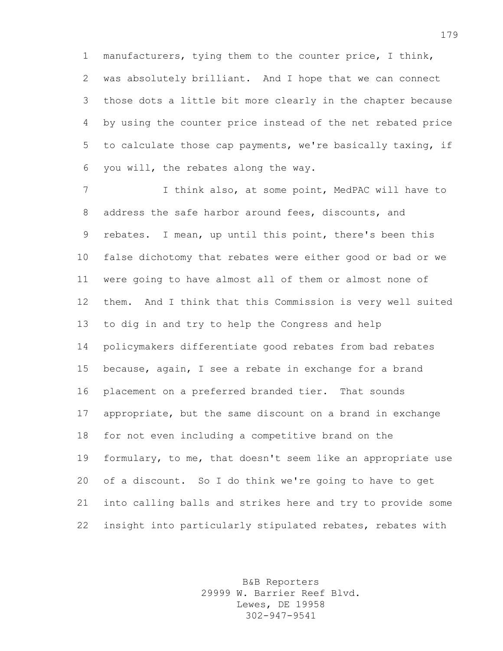manufacturers, tying them to the counter price, I think, was absolutely brilliant. And I hope that we can connect those dots a little bit more clearly in the chapter because by using the counter price instead of the net rebated price to calculate those cap payments, we're basically taxing, if you will, the rebates along the way.

7 I think also, at some point, MedPAC will have to address the safe harbor around fees, discounts, and rebates. I mean, up until this point, there's been this false dichotomy that rebates were either good or bad or we were going to have almost all of them or almost none of them. And I think that this Commission is very well suited to dig in and try to help the Congress and help policymakers differentiate good rebates from bad rebates because, again, I see a rebate in exchange for a brand placement on a preferred branded tier. That sounds appropriate, but the same discount on a brand in exchange for not even including a competitive brand on the formulary, to me, that doesn't seem like an appropriate use of a discount. So I do think we're going to have to get into calling balls and strikes here and try to provide some insight into particularly stipulated rebates, rebates with

> B&B Reporters 29999 W. Barrier Reef Blvd. Lewes, DE 19958 302-947-9541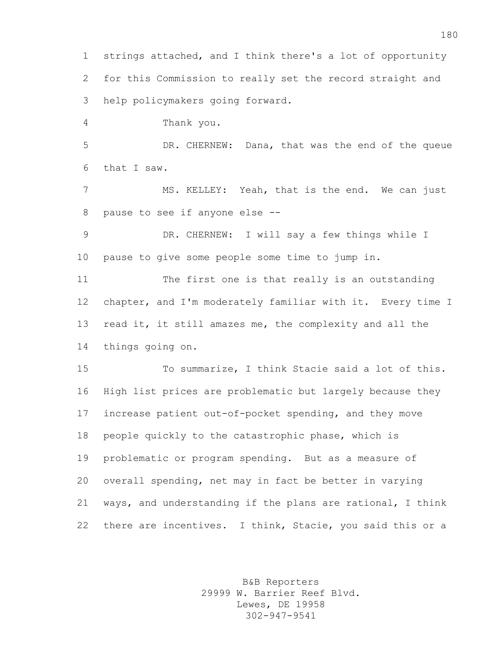strings attached, and I think there's a lot of opportunity for this Commission to really set the record straight and help policymakers going forward. Thank you. DR. CHERNEW: Dana, that was the end of the queue that I saw. MS. KELLEY: Yeah, that is the end. We can just pause to see if anyone else -- DR. CHERNEW: I will say a few things while I pause to give some people some time to jump in. The first one is that really is an outstanding chapter, and I'm moderately familiar with it. Every time I read it, it still amazes me, the complexity and all the things going on. To summarize, I think Stacie said a lot of this. High list prices are problematic but largely because they increase patient out-of-pocket spending, and they move people quickly to the catastrophic phase, which is problematic or program spending. But as a measure of overall spending, net may in fact be better in varying ways, and understanding if the plans are rational, I think 22 there are incentives. I think, Stacie, you said this or a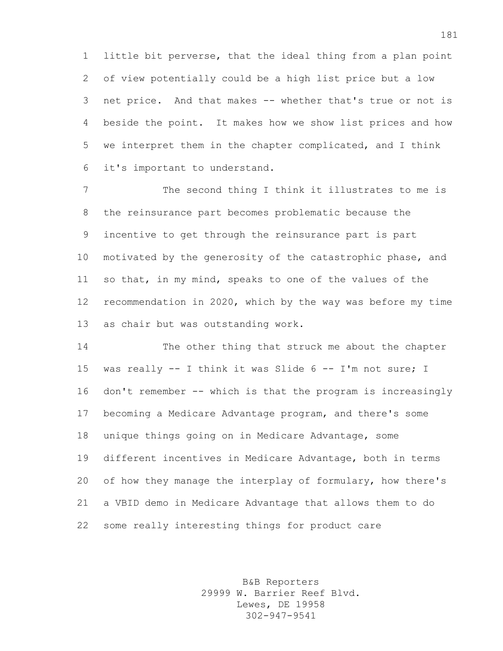little bit perverse, that the ideal thing from a plan point of view potentially could be a high list price but a low net price. And that makes -- whether that's true or not is beside the point. It makes how we show list prices and how we interpret them in the chapter complicated, and I think it's important to understand.

7 The second thing I think it illustrates to me is the reinsurance part becomes problematic because the incentive to get through the reinsurance part is part motivated by the generosity of the catastrophic phase, and so that, in my mind, speaks to one of the values of the recommendation in 2020, which by the way was before my time as chair but was outstanding work.

 The other thing that struck me about the chapter 15 was really -- I think it was Slide 6 -- I'm not sure; I don't remember -- which is that the program is increasingly becoming a Medicare Advantage program, and there's some unique things going on in Medicare Advantage, some different incentives in Medicare Advantage, both in terms 20 of how they manage the interplay of formulary, how there's a VBID demo in Medicare Advantage that allows them to do some really interesting things for product care

> B&B Reporters 29999 W. Barrier Reef Blvd. Lewes, DE 19958 302-947-9541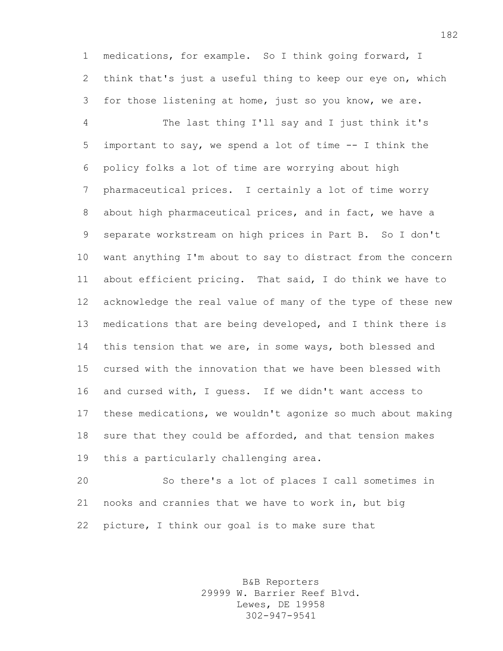medications, for example. So I think going forward, I think that's just a useful thing to keep our eye on, which for those listening at home, just so you know, we are.

 The last thing I'll say and I just think it's important to say, we spend a lot of time -- I think the policy folks a lot of time are worrying about high pharmaceutical prices. I certainly a lot of time worry about high pharmaceutical prices, and in fact, we have a separate workstream on high prices in Part B. So I don't want anything I'm about to say to distract from the concern about efficient pricing. That said, I do think we have to acknowledge the real value of many of the type of these new medications that are being developed, and I think there is this tension that we are, in some ways, both blessed and cursed with the innovation that we have been blessed with and cursed with, I guess. If we didn't want access to these medications, we wouldn't agonize so much about making sure that they could be afforded, and that tension makes this a particularly challenging area.

 So there's a lot of places I call sometimes in nooks and crannies that we have to work in, but big picture, I think our goal is to make sure that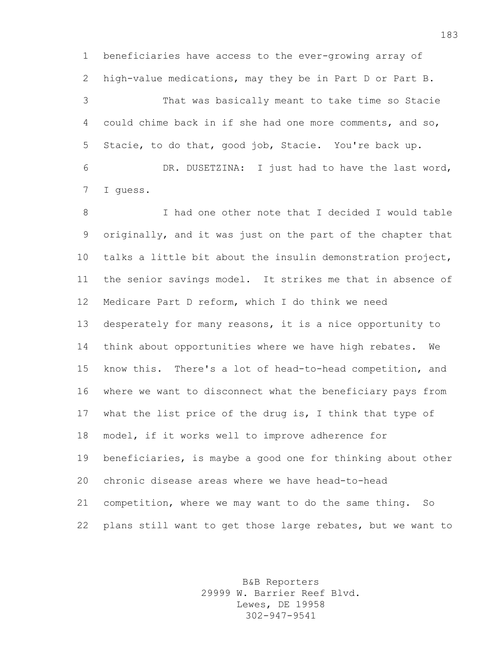beneficiaries have access to the ever-growing array of high-value medications, may they be in Part D or Part B.

 That was basically meant to take time so Stacie could chime back in if she had one more comments, and so, Stacie, to do that, good job, Stacie. You're back up.

 DR. DUSETZINA: I just had to have the last word, I guess.

 I had one other note that I decided I would table originally, and it was just on the part of the chapter that talks a little bit about the insulin demonstration project, the senior savings model. It strikes me that in absence of Medicare Part D reform, which I do think we need desperately for many reasons, it is a nice opportunity to think about opportunities where we have high rebates. We know this. There's a lot of head-to-head competition, and where we want to disconnect what the beneficiary pays from what the list price of the drug is, I think that type of model, if it works well to improve adherence for beneficiaries, is maybe a good one for thinking about other chronic disease areas where we have head-to-head competition, where we may want to do the same thing. So plans still want to get those large rebates, but we want to

> B&B Reporters 29999 W. Barrier Reef Blvd. Lewes, DE 19958 302-947-9541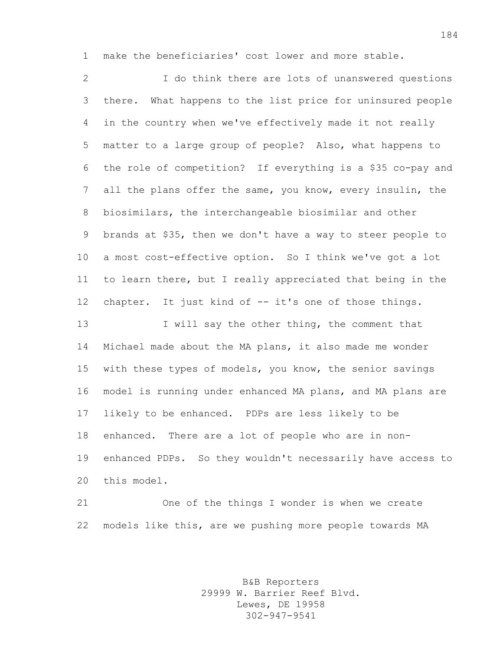make the beneficiaries' cost lower and more stable.

 I do think there are lots of unanswered questions there. What happens to the list price for uninsured people in the country when we've effectively made it not really matter to a large group of people? Also, what happens to the role of competition? If everything is a \$35 co-pay and all the plans offer the same, you know, every insulin, the biosimilars, the interchangeable biosimilar and other brands at \$35, then we don't have a way to steer people to a most cost-effective option. So I think we've got a lot to learn there, but I really appreciated that being in the chapter. It just kind of -- it's one of those things. I will say the other thing, the comment that Michael made about the MA plans, it also made me wonder with these types of models, you know, the senior savings model is running under enhanced MA plans, and MA plans are likely to be enhanced. PDPs are less likely to be enhanced. There are a lot of people who are in non- enhanced PDPs. So they wouldn't necessarily have access to this model.

 One of the things I wonder is when we create models like this, are we pushing more people towards MA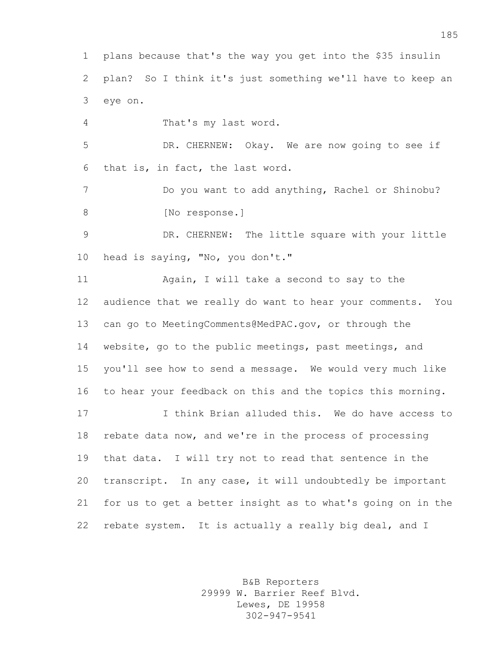plans because that's the way you get into the \$35 insulin plan? So I think it's just something we'll have to keep an eye on.

That's my last word.

 DR. CHERNEW: Okay. We are now going to see if that is, in fact, the last word.

 Do you want to add anything, Rachel or Shinobu? 8 [No response.]

 DR. CHERNEW: The little square with your little head is saying, "No, you don't."

 Again, I will take a second to say to the audience that we really do want to hear your comments. You can go to MeetingComments@MedPAC.gov, or through the website, go to the public meetings, past meetings, and you'll see how to send a message. We would very much like to hear your feedback on this and the topics this morning.

 I think Brian alluded this. We do have access to rebate data now, and we're in the process of processing that data. I will try not to read that sentence in the transcript. In any case, it will undoubtedly be important for us to get a better insight as to what's going on in the rebate system. It is actually a really big deal, and I